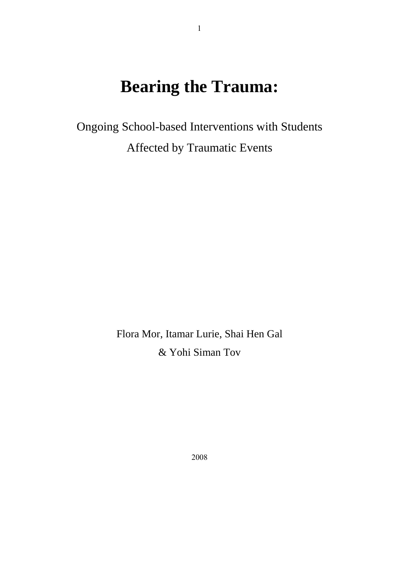# **Bearing the Trauma:**

1

Ongoing School-based Interventions with Students Affected by Traumatic Events

> Flora Mor, Itamar Lurie, Shai Hen Gal & Yohi Siman Tov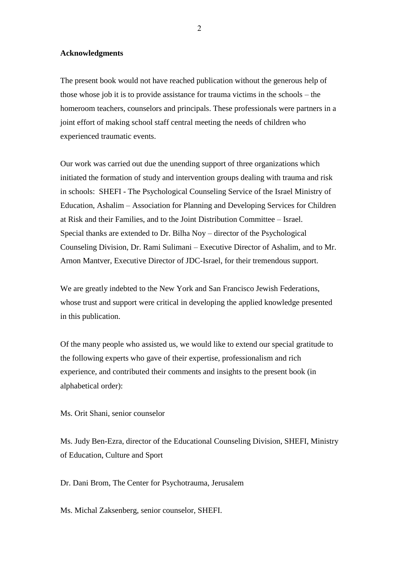### **Acknowledgments**

The present book would not have reached publication without the generous help of those whose job it is to provide assistance for trauma victims in the schools – the homeroom teachers, counselors and principals. These professionals were partners in a joint effort of making school staff central meeting the needs of children who experienced traumatic events.

Our work was carried out due the unending support of three organizations which initiated the formation of study and intervention groups dealing with trauma and risk in schools: SHEFI - The Psychological Counseling Service of the Israel Ministry of Education, Ashalim – Association for Planning and Developing Services for Children at Risk and their Families, and to the Joint Distribution Committee – Israel. Special thanks are extended to Dr. Bilha Noy – director of the Psychological Counseling Division, Dr. Rami Sulimani – Executive Director of Ashalim, and to Mr. Arnon Mantver, Executive Director of JDC-Israel, for their tremendous support.

We are greatly indebted to the New York and San Francisco Jewish Federations, whose trust and support were critical in developing the applied knowledge presented in this publication.

Of the many people who assisted us, we would like to extend our special gratitude to the following experts who gave of their expertise, professionalism and rich experience, and contributed their comments and insights to the present book (in alphabetical order):

Ms. Orit Shani, senior counselor

Ms. Judy Ben-Ezra, director of the Educational Counseling Division, SHEFI, Ministry of Education, Culture and Sport

Dr. Dani Brom, The Center for Psychotrauma, Jerusalem

Ms. Michal Zaksenberg, senior counselor, SHEFI.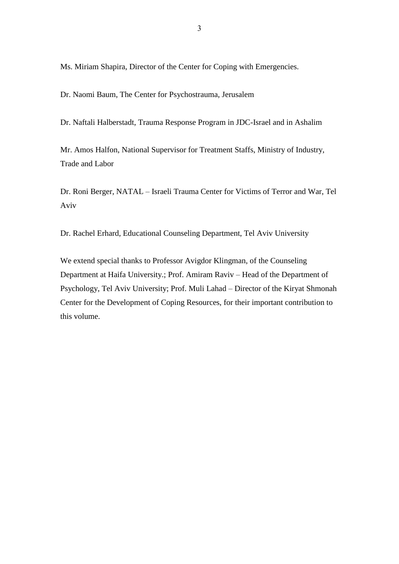Ms. Miriam Shapira, Director of the Center for Coping with Emergencies.

Dr. Naomi Baum, The Center for Psychostrauma, Jerusalem

Dr. Naftali Halberstadt, Trauma Response Program in JDC-Israel and in Ashalim

Mr. Amos Halfon, National Supervisor for Treatment Staffs, Ministry of Industry, Trade and Labor

Dr. Roni Berger, NATAL – Israeli Trauma Center for Victims of Terror and War, Tel Aviv

Dr. Rachel Erhard, Educational Counseling Department, Tel Aviv University

We extend special thanks to Professor Avigdor Klingman, of the Counseling Department at Haifa University.; Prof. Amiram Raviv – Head of the Department of Psychology, Tel Aviv University; Prof. Muli Lahad – Director of the Kiryat Shmonah Center for the Development of Coping Resources, for their important contribution to this volume.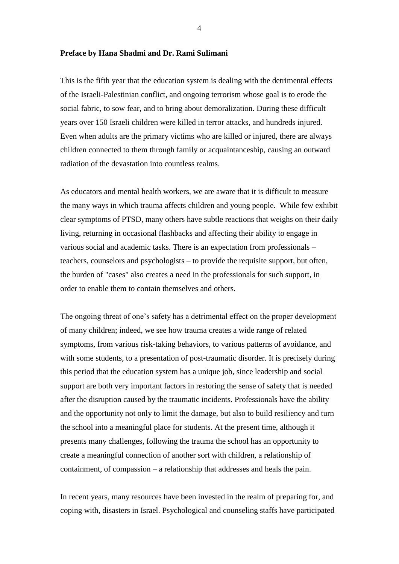#### **Preface by Hana Shadmi and Dr. Rami Sulimani**

This is the fifth year that the education system is dealing with the detrimental effects of the Israeli-Palestinian conflict, and ongoing terrorism whose goal is to erode the social fabric, to sow fear, and to bring about demoralization. During these difficult years over 150 Israeli children were killed in terror attacks, and hundreds injured. Even when adults are the primary victims who are killed or injured, there are always children connected to them through family or acquaintanceship, causing an outward radiation of the devastation into countless realms.

As educators and mental health workers, we are aware that it is difficult to measure the many ways in which trauma affects children and young people. While few exhibit clear symptoms of PTSD, many others have subtle reactions that weighs on their daily living, returning in occasional flashbacks and affecting their ability to engage in various social and academic tasks. There is an expectation from professionals – teachers, counselors and psychologists – to provide the requisite support, but often, the burden of "cases" also creates a need in the professionals for such support, in order to enable them to contain themselves and others.

The ongoing threat of one's safety has a detrimental effect on the proper development of many children; indeed, we see how trauma creates a wide range of related symptoms, from various risk-taking behaviors, to various patterns of avoidance, and with some students, to a presentation of post-traumatic disorder. It is precisely during this period that the education system has a unique job, since leadership and social support are both very important factors in restoring the sense of safety that is needed after the disruption caused by the traumatic incidents. Professionals have the ability and the opportunity not only to limit the damage, but also to build resiliency and turn the school into a meaningful place for students. At the present time, although it presents many challenges, following the trauma the school has an opportunity to create a meaningful connection of another sort with children, a relationship of containment, of compassion – a relationship that addresses and heals the pain.

In recent years, many resources have been invested in the realm of preparing for, and coping with, disasters in Israel. Psychological and counseling staffs have participated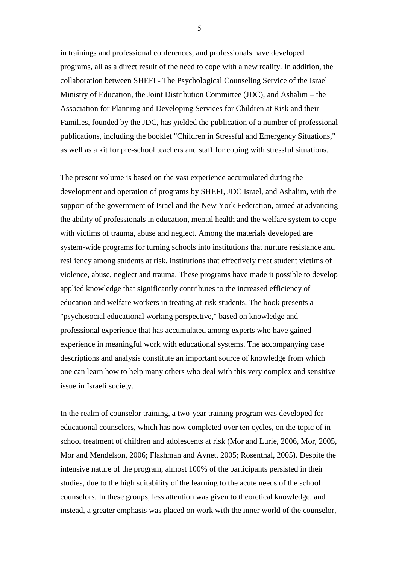in trainings and professional conferences, and professionals have developed programs, all as a direct result of the need to cope with a new reality. In addition, the collaboration between SHEFI - The Psychological Counseling Service of the Israel Ministry of Education, the Joint Distribution Committee (JDC), and Ashalim – the Association for Planning and Developing Services for Children at Risk and their Families, founded by the JDC, has yielded the publication of a number of professional publications, including the booklet "Children in Stressful and Emergency Situations," as well as a kit for pre-school teachers and staff for coping with stressful situations.

The present volume is based on the vast experience accumulated during the development and operation of programs by SHEFI, JDC Israel, and Ashalim, with the support of the government of Israel and the New York Federation, aimed at advancing the ability of professionals in education, mental health and the welfare system to cope with victims of trauma, abuse and neglect. Among the materials developed are system-wide programs for turning schools into institutions that nurture resistance and resiliency among students at risk, institutions that effectively treat student victims of violence, abuse, neglect and trauma. These programs have made it possible to develop applied knowledge that significantly contributes to the increased efficiency of education and welfare workers in treating at-risk students. The book presents a "psychosocial educational working perspective," based on knowledge and professional experience that has accumulated among experts who have gained experience in meaningful work with educational systems. The accompanying case descriptions and analysis constitute an important source of knowledge from which one can learn how to help many others who deal with this very complex and sensitive issue in Israeli society.

In the realm of counselor training, a two-year training program was developed for educational counselors, which has now completed over ten cycles, on the topic of inschool treatment of children and adolescents at risk (Mor and Lurie, 2006, Mor, 2005, Mor and Mendelson, 2006; Flashman and Avnet, 2005; Rosenthal, 2005). Despite the intensive nature of the program, almost 100% of the participants persisted in their studies, due to the high suitability of the learning to the acute needs of the school counselors. In these groups, less attention was given to theoretical knowledge, and instead, a greater emphasis was placed on work with the inner world of the counselor,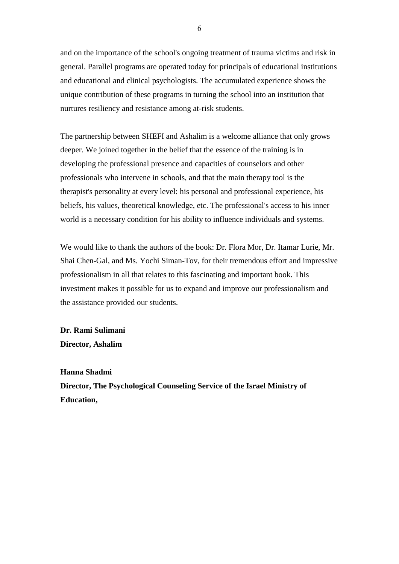and on the importance of the school's ongoing treatment of trauma victims and risk in general. Parallel programs are operated today for principals of educational institutions and educational and clinical psychologists. The accumulated experience shows the unique contribution of these programs in turning the school into an institution that nurtures resiliency and resistance among at-risk students.

The partnership between SHEFI and Ashalim is a welcome alliance that only grows deeper. We joined together in the belief that the essence of the training is in developing the professional presence and capacities of counselors and other professionals who intervene in schools, and that the main therapy tool is the therapist's personality at every level: his personal and professional experience, his beliefs, his values, theoretical knowledge, etc. The professional's access to his inner world is a necessary condition for his ability to influence individuals and systems.

We would like to thank the authors of the book: Dr. Flora Mor, Dr. Itamar Lurie, Mr. Shai Chen-Gal, and Ms. Yochi Siman-Tov, for their tremendous effort and impressive professionalism in all that relates to this fascinating and important book. This investment makes it possible for us to expand and improve our professionalism and the assistance provided our students.

**Dr. Rami Sulimani Director, Ashalim**

#### **Hanna Shadmi**

**Director, The Psychological Counseling Service of the Israel Ministry of Education,**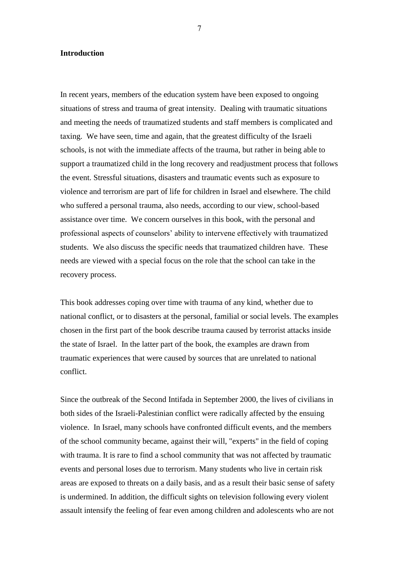#### **Introduction**

In recent years, members of the education system have been exposed to ongoing situations of stress and trauma of great intensity. Dealing with traumatic situations and meeting the needs of traumatized students and staff members is complicated and taxing. We have seen, time and again, that the greatest difficulty of the Israeli schools, is not with the immediate affects of the trauma, but rather in being able to support a traumatized child in the long recovery and readjustment process that follows the event. Stressful situations, disasters and traumatic events such as exposure to violence and terrorism are part of life for children in Israel and elsewhere. The child who suffered a personal trauma, also needs, according to our view, school-based assistance over time. We concern ourselves in this book, with the personal and professional aspects of counselors" ability to intervene effectively with traumatized students. We also discuss the specific needs that traumatized children have. These needs are viewed with a special focus on the role that the school can take in the recovery process.

This book addresses coping over time with trauma of any kind, whether due to national conflict, or to disasters at the personal, familial or social levels. The examples chosen in the first part of the book describe trauma caused by terrorist attacks inside the state of Israel. In the latter part of the book, the examples are drawn from traumatic experiences that were caused by sources that are unrelated to national conflict.

Since the outbreak of the Second Intifada in September 2000, the lives of civilians in both sides of the Israeli-Palestinian conflict were radically affected by the ensuing violence. In Israel, many schools have confronted difficult events, and the members of the school community became, against their will, "experts" in the field of coping with trauma. It is rare to find a school community that was not affected by traumatic events and personal loses due to terrorism. Many students who live in certain risk areas are exposed to threats on a daily basis, and as a result their basic sense of safety is undermined. In addition, the difficult sights on television following every violent assault intensify the feeling of fear even among children and adolescents who are not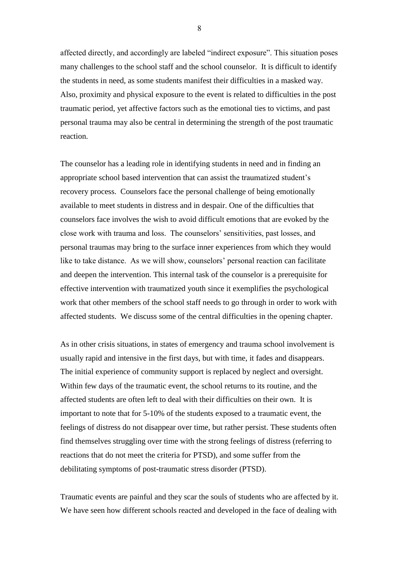affected directly, and accordingly are labeled "indirect exposure". This situation poses many challenges to the school staff and the school counselor. It is difficult to identify the students in need, as some students manifest their difficulties in a masked way. Also, proximity and physical exposure to the event is related to difficulties in the post traumatic period, yet affective factors such as the emotional ties to victims, and past personal trauma may also be central in determining the strength of the post traumatic reaction.

The counselor has a leading role in identifying students in need and in finding an appropriate school based intervention that can assist the traumatized student"s recovery process. Counselors face the personal challenge of being emotionally available to meet students in distress and in despair. One of the difficulties that counselors face involves the wish to avoid difficult emotions that are evoked by the close work with trauma and loss. The counselors" sensitivities, past losses, and personal traumas may bring to the surface inner experiences from which they would like to take distance. As we will show, counselors' personal reaction can facilitate and deepen the intervention. This internal task of the counselor is a prerequisite for effective intervention with traumatized youth since it exemplifies the psychological work that other members of the school staff needs to go through in order to work with affected students. We discuss some of the central difficulties in the opening chapter.

As in other crisis situations, in states of emergency and trauma school involvement is usually rapid and intensive in the first days, but with time, it fades and disappears. The initial experience of community support is replaced by neglect and oversight. Within few days of the traumatic event, the school returns to its routine, and the affected students are often left to deal with their difficulties on their own. It is important to note that for 5-10% of the students exposed to a traumatic event, the feelings of distress do not disappear over time, but rather persist. These students often find themselves struggling over time with the strong feelings of distress (referring to reactions that do not meet the criteria for PTSD), and some suffer from the debilitating symptoms of post-traumatic stress disorder (PTSD).

Traumatic events are painful and they scar the souls of students who are affected by it. We have seen how different schools reacted and developed in the face of dealing with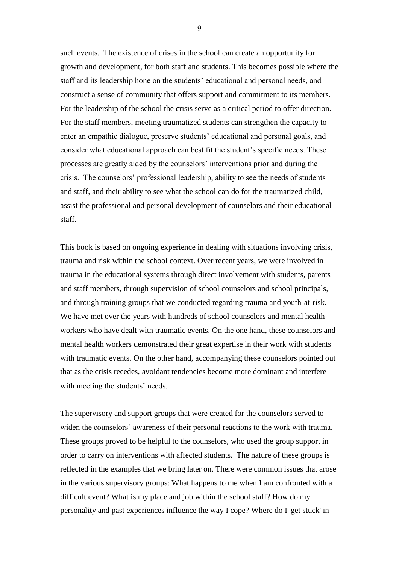such events. The existence of crises in the school can create an opportunity for growth and development, for both staff and students. This becomes possible where the staff and its leadership hone on the students" educational and personal needs, and construct a sense of community that offers support and commitment to its members. For the leadership of the school the crisis serve as a critical period to offer direction. For the staff members, meeting traumatized students can strengthen the capacity to enter an empathic dialogue, preserve students" educational and personal goals, and consider what educational approach can best fit the student"s specific needs. These processes are greatly aided by the counselors" interventions prior and during the crisis. The counselors" professional leadership, ability to see the needs of students and staff, and their ability to see what the school can do for the traumatized child, assist the professional and personal development of counselors and their educational staff.

This book is based on ongoing experience in dealing with situations involving crisis, trauma and risk within the school context. Over recent years, we were involved in trauma in the educational systems through direct involvement with students, parents and staff members, through supervision of school counselors and school principals, and through training groups that we conducted regarding trauma and youth-at-risk. We have met over the years with hundreds of school counselors and mental health workers who have dealt with traumatic events. On the one hand, these counselors and mental health workers demonstrated their great expertise in their work with students with traumatic events. On the other hand, accompanying these counselors pointed out that as the crisis recedes, avoidant tendencies become more dominant and interfere with meeting the students' needs.

The supervisory and support groups that were created for the counselors served to widen the counselors' awareness of their personal reactions to the work with trauma. These groups proved to be helpful to the counselors, who used the group support in order to carry on interventions with affected students. The nature of these groups is reflected in the examples that we bring later on. There were common issues that arose in the various supervisory groups: What happens to me when I am confronted with a difficult event? What is my place and job within the school staff? How do my personality and past experiences influence the way I cope? Where do I 'get stuck' in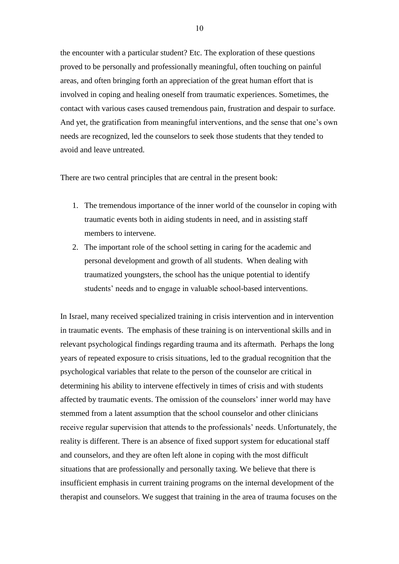the encounter with a particular student? Etc. The exploration of these questions proved to be personally and professionally meaningful, often touching on painful areas, and often bringing forth an appreciation of the great human effort that is involved in coping and healing oneself from traumatic experiences. Sometimes, the contact with various cases caused tremendous pain, frustration and despair to surface. And yet, the gratification from meaningful interventions, and the sense that one"s own needs are recognized, led the counselors to seek those students that they tended to avoid and leave untreated.

There are two central principles that are central in the present book:

- 1. The tremendous importance of the inner world of the counselor in coping with traumatic events both in aiding students in need, and in assisting staff members to intervene.
- 2. The important role of the school setting in caring for the academic and personal development and growth of all students. When dealing with traumatized youngsters, the school has the unique potential to identify students' needs and to engage in valuable school-based interventions.

In Israel, many received specialized training in crisis intervention and in intervention in traumatic events. The emphasis of these training is on interventional skills and in relevant psychological findings regarding trauma and its aftermath. Perhaps the long years of repeated exposure to crisis situations, led to the gradual recognition that the psychological variables that relate to the person of the counselor are critical in determining his ability to intervene effectively in times of crisis and with students affected by traumatic events. The omission of the counselors" inner world may have stemmed from a latent assumption that the school counselor and other clinicians receive regular supervision that attends to the professionals' needs. Unfortunately, the reality is different. There is an absence of fixed support system for educational staff and counselors, and they are often left alone in coping with the most difficult situations that are professionally and personally taxing. We believe that there is insufficient emphasis in current training programs on the internal development of the therapist and counselors. We suggest that training in the area of trauma focuses on the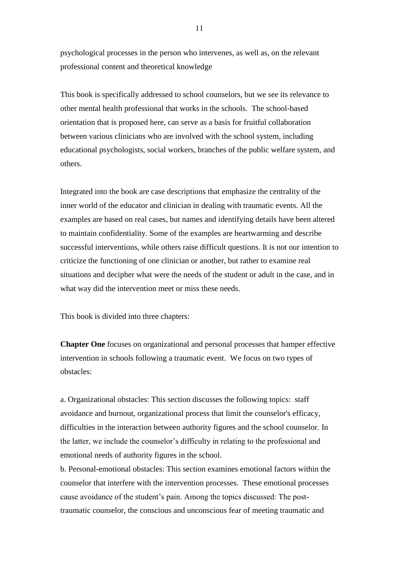psychological processes in the person who intervenes, as well as, on the relevant professional content and theoretical knowledge

This book is specifically addressed to school counselors, but we see its relevance to other mental health professional that works in the schools. The school-based orientation that is proposed here, can serve as a basis for fruitful collaboration between various clinicians who are involved with the school system, including educational psychologists, social workers, branches of the public welfare system, and others.

Integrated into the book are case descriptions that emphasize the centrality of the inner world of the educator and clinician in dealing with traumatic events. All the examples are based on real cases, but names and identifying details have been altered to maintain confidentiality. Some of the examples are heartwarming and describe successful interventions, while others raise difficult questions. It is not our intention to criticize the functioning of one clinician or another, but rather to examine real situations and decipher what were the needs of the student or adult in the case, and in what way did the intervention meet or miss these needs.

This book is divided into three chapters:

**Chapter One** focuses on organizational and personal processes that hamper effective intervention in schools following a traumatic event. We focus on two types of obstacles:

a. Organizational obstacles: This section discusses the following topics: staff avoidance and burnout, organizational process that limit the counselor's efficacy, difficulties in the interaction between authority figures and the school counselor. In the latter, we include the counselor"s difficulty in relating to the professional and emotional needs of authority figures in the school.

b. Personal-emotional obstacles: This section examines emotional factors within the counselor that interfere with the intervention processes. These emotional processes cause avoidance of the student"s pain. Among the topics discussed: The posttraumatic counselor, the conscious and unconscious fear of meeting traumatic and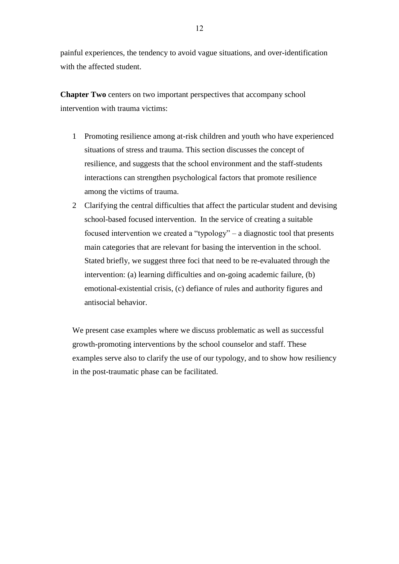painful experiences, the tendency to avoid vague situations, and over-identification with the affected student.

**Chapter Two** centers on two important perspectives that accompany school intervention with trauma victims:

- 1 Promoting resilience among at-risk children and youth who have experienced situations of stress and trauma. This section discusses the concept of resilience, and suggests that the school environment and the staff-students interactions can strengthen psychological factors that promote resilience among the victims of trauma.
- 2 Clarifying the central difficulties that affect the particular student and devising school-based focused intervention. In the service of creating a suitable focused intervention we created a "typology" – a diagnostic tool that presents main categories that are relevant for basing the intervention in the school. Stated briefly, we suggest three foci that need to be re-evaluated through the intervention: (a) learning difficulties and on-going academic failure, (b) emotional-existential crisis, (c) defiance of rules and authority figures and antisocial behavior.

We present case examples where we discuss problematic as well as successful growth-promoting interventions by the school counselor and staff. These examples serve also to clarify the use of our typology, and to show how resiliency in the post-traumatic phase can be facilitated.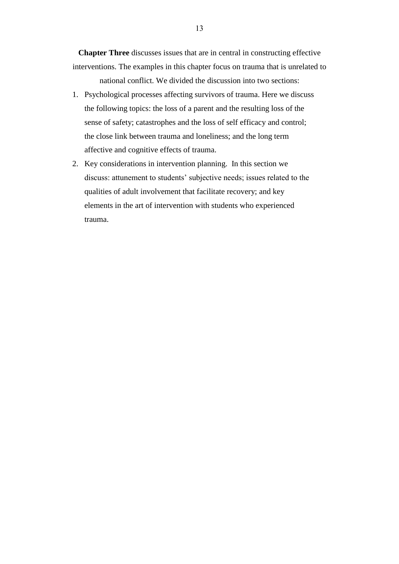**Chapter Three** discusses issues that are in central in constructing effective interventions. The examples in this chapter focus on trauma that is unrelated to

national conflict. We divided the discussion into two sections:

- 1. Psychological processes affecting survivors of trauma. Here we discuss the following topics: the loss of a parent and the resulting loss of the sense of safety; catastrophes and the loss of self efficacy and control; the close link between trauma and loneliness; and the long term affective and cognitive effects of trauma.
- 2. Key considerations in intervention planning. In this section we discuss: attunement to students' subjective needs; issues related to the qualities of adult involvement that facilitate recovery; and key elements in the art of intervention with students who experienced trauma.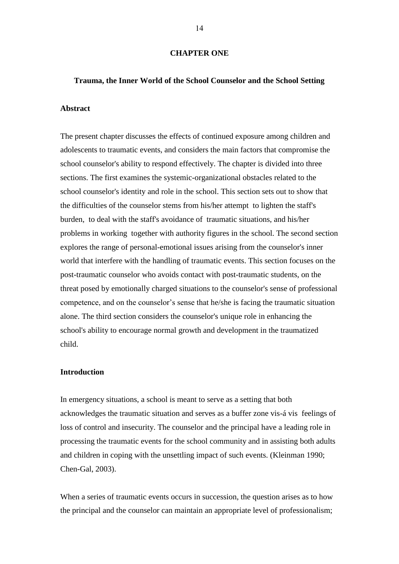### **CHAPTER ONE**

#### **Trauma, the Inner World of the School Counselor and the School Setting**

### **Abstract**

The present chapter discusses the effects of continued exposure among children and adolescents to traumatic events, and considers the main factors that compromise the school counselor's ability to respond effectively. The chapter is divided into three sections. The first examines the systemic-organizational obstacles related to the school counselor's identity and role in the school. This section sets out to show that the difficulties of the counselor stems from his/her attempt to lighten the staff's burden, to deal with the staff's avoidance of traumatic situations, and his/her problems in working together with authority figures in the school. The second section explores the range of personal-emotional issues arising from the counselor's inner world that interfere with the handling of traumatic events. This section focuses on the post-traumatic counselor who avoids contact with post-traumatic students, on the threat posed by emotionally charged situations to the counselor's sense of professional competence, and on the counselor"s sense that he/she is facing the traumatic situation alone. The third section considers the counselor's unique role in enhancing the school's ability to encourage normal growth and development in the traumatized child.

### **Introduction**

In emergency situations, a school is meant to serve as a setting that both acknowledges the traumatic situation and serves as a buffer zone vis-á vis feelings of loss of control and insecurity. The counselor and the principal have a leading role in processing the traumatic events for the school community and in assisting both adults and children in coping with the unsettling impact of such events. (Kleinman 1990; Chen-Gal, 2003).

When a series of traumatic events occurs in succession, the question arises as to how the principal and the counselor can maintain an appropriate level of professionalism;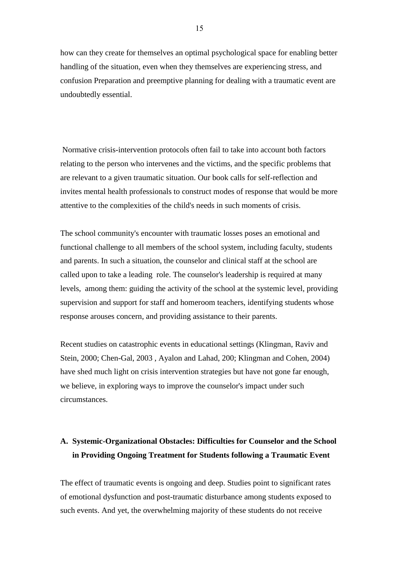how can they create for themselves an optimal psychological space for enabling better handling of the situation, even when they themselves are experiencing stress, and confusion Preparation and preemptive planning for dealing with a traumatic event are undoubtedly essential.

Normative crisis-intervention protocols often fail to take into account both factors relating to the person who intervenes and the victims, and the specific problems that are relevant to a given traumatic situation. Our book calls for self-reflection and invites mental health professionals to construct modes of response that would be more attentive to the complexities of the child's needs in such moments of crisis.

The school community's encounter with traumatic losses poses an emotional and functional challenge to all members of the school system, including faculty, students and parents. In such a situation, the counselor and clinical staff at the school are called upon to take a leading role. The counselor's leadership is required at many levels, among them: guiding the activity of the school at the systemic level, providing supervision and support for staff and homeroom teachers, identifying students whose response arouses concern, and providing assistance to their parents.

Recent studies on catastrophic events in educational settings (Klingman, Raviv and Stein, 2000; Chen-Gal, 2003 , Ayalon and Lahad, 200; Klingman and Cohen, 2004) have shed much light on crisis intervention strategies but have not gone far enough, we believe, in exploring ways to improve the counselor's impact under such circumstances.

# **A. Systemic-Organizational Obstacles: Difficulties for Counselor and the School in Providing Ongoing Treatment for Students following a Traumatic Event**

The effect of traumatic events is ongoing and deep. Studies point to significant rates of emotional dysfunction and post-traumatic disturbance among students exposed to such events. And yet, the overwhelming majority of these students do not receive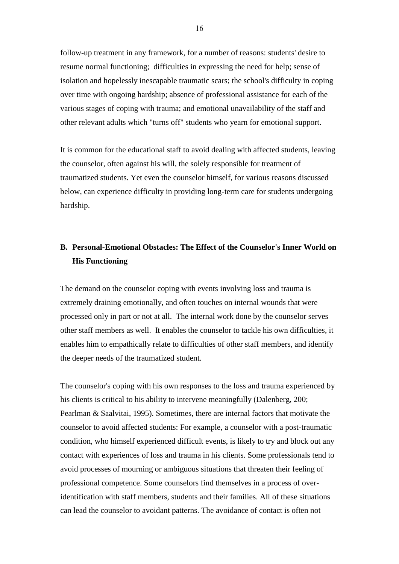follow-up treatment in any framework, for a number of reasons: students' desire to resume normal functioning; difficulties in expressing the need for help; sense of isolation and hopelessly inescapable traumatic scars; the school's difficulty in coping over time with ongoing hardship; absence of professional assistance for each of the various stages of coping with trauma; and emotional unavailability of the staff and other relevant adults which "turns off" students who yearn for emotional support.

It is common for the educational staff to avoid dealing with affected students, leaving the counselor, often against his will, the solely responsible for treatment of traumatized students. Yet even the counselor himself, for various reasons discussed below, can experience difficulty in providing long-term care for students undergoing hardship.

# **B. Personal-Emotional Obstacles: The Effect of the Counselor's Inner World on His Functioning**

The demand on the counselor coping with events involving loss and trauma is extremely draining emotionally, and often touches on internal wounds that were processed only in part or not at all. The internal work done by the counselor serves other staff members as well. It enables the counselor to tackle his own difficulties, it enables him to empathically relate to difficulties of other staff members, and identify the deeper needs of the traumatized student.

The counselor's coping with his own responses to the loss and trauma experienced by his clients is critical to his ability to intervene meaningfully (Dalenberg, 200; Pearlman & Saalvitai, 1995). Sometimes, there are internal factors that motivate the counselor to avoid affected students: For example, a counselor with a post-traumatic condition, who himself experienced difficult events, is likely to try and block out any contact with experiences of loss and trauma in his clients. Some professionals tend to avoid processes of mourning or ambiguous situations that threaten their feeling of professional competence. Some counselors find themselves in a process of overidentification with staff members, students and their families. All of these situations can lead the counselor to avoidant patterns. The avoidance of contact is often not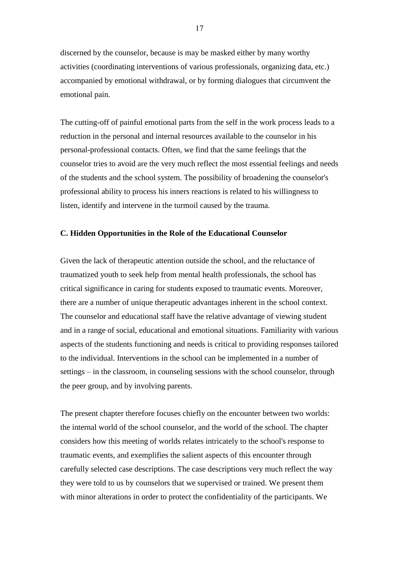discerned by the counselor, because is may be masked either by many worthy activities (coordinating interventions of various professionals, organizing data, etc.) accompanied by emotional withdrawal, or by forming dialogues that circumvent the emotional pain.

The cutting-off of painful emotional parts from the self in the work process leads to a reduction in the personal and internal resources available to the counselor in his personal-professional contacts. Often, we find that the same feelings that the counselor tries to avoid are the very much reflect the most essential feelings and needs of the students and the school system. The possibility of broadening the counselor's professional ability to process his inners reactions is related to his willingness to listen, identify and intervene in the turmoil caused by the trauma.

### **C. Hidden Opportunities in the Role of the Educational Counselor**

Given the lack of therapeutic attention outside the school, and the reluctance of traumatized youth to seek help from mental health professionals, the school has critical significance in caring for students exposed to traumatic events. Moreover, there are a number of unique therapeutic advantages inherent in the school context. The counselor and educational staff have the relative advantage of viewing student and in a range of social, educational and emotional situations. Familiarity with various aspects of the students functioning and needs is critical to providing responses tailored to the individual. Interventions in the school can be implemented in a number of settings – in the classroom, in counseling sessions with the school counselor, through the peer group, and by involving parents.

The present chapter therefore focuses chiefly on the encounter between two worlds: the internal world of the school counselor, and the world of the school. The chapter considers how this meeting of worlds relates intricately to the school's response to traumatic events, and exemplifies the salient aspects of this encounter through carefully selected case descriptions. The case descriptions very much reflect the way they were told to us by counselors that we supervised or trained. We present them with minor alterations in order to protect the confidentiality of the participants. We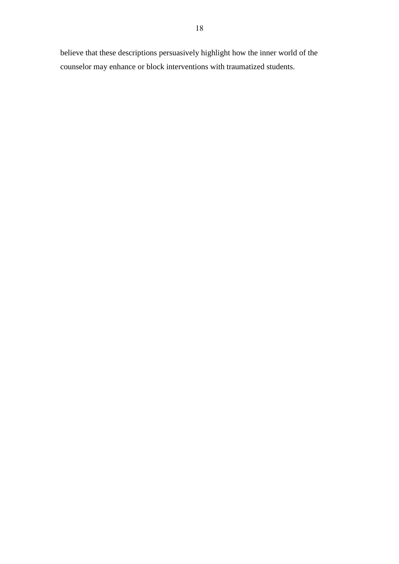believe that these descriptions persuasively highlight how the inner world of the counselor may enhance or block interventions with traumatized students.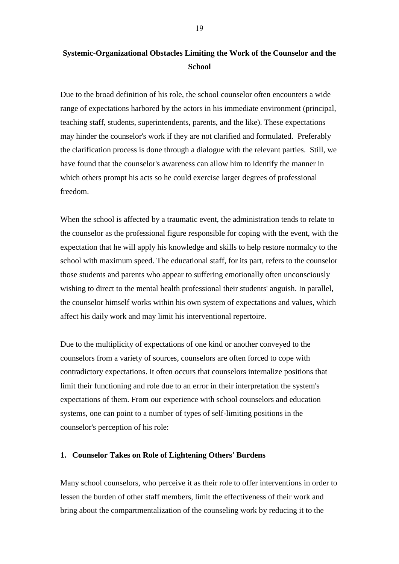# **Systemic-Organizational Obstacles Limiting the Work of the Counselor and the School**

Due to the broad definition of his role, the school counselor often encounters a wide range of expectations harbored by the actors in his immediate environment (principal, teaching staff, students, superintendents, parents, and the like). These expectations may hinder the counselor's work if they are not clarified and formulated. Preferably the clarification process is done through a dialogue with the relevant parties. Still, we have found that the counselor's awareness can allow him to identify the manner in which others prompt his acts so he could exercise larger degrees of professional freedom.

When the school is affected by a traumatic event, the administration tends to relate to the counselor as the professional figure responsible for coping with the event, with the expectation that he will apply his knowledge and skills to help restore normalcy to the school with maximum speed. The educational staff, for its part, refers to the counselor those students and parents who appear to suffering emotionally often unconsciously wishing to direct to the mental health professional their students' anguish. In parallel, the counselor himself works within his own system of expectations and values, which affect his daily work and may limit his interventional repertoire.

Due to the multiplicity of expectations of one kind or another conveyed to the counselors from a variety of sources, counselors are often forced to cope with contradictory expectations. It often occurs that counselors internalize positions that limit their functioning and role due to an error in their interpretation the system's expectations of them. From our experience with school counselors and education systems, one can point to a number of types of self-limiting positions in the counselor's perception of his role:

### **1. Counselor Takes on Role of Lightening Others' Burdens**

Many school counselors, who perceive it as their role to offer interventions in order to lessen the burden of other staff members, limit the effectiveness of their work and bring about the compartmentalization of the counseling work by reducing it to the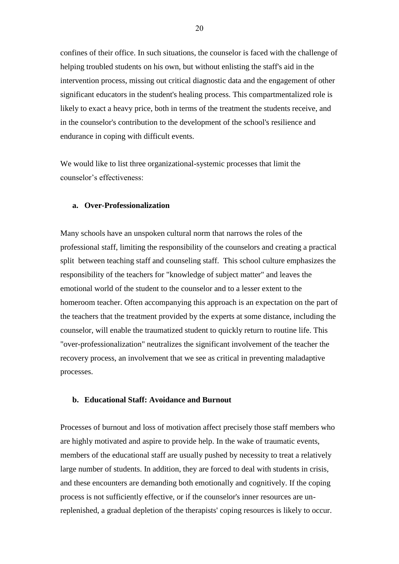confines of their office. In such situations, the counselor is faced with the challenge of helping troubled students on his own, but without enlisting the staff's aid in the intervention process, missing out critical diagnostic data and the engagement of other significant educators in the student's healing process. This compartmentalized role is likely to exact a heavy price, both in terms of the treatment the students receive, and in the counselor's contribution to the development of the school's resilience and endurance in coping with difficult events.

We would like to list three organizational-systemic processes that limit the counselor"s effectiveness:

#### **a. Over-Professionalization**

Many schools have an unspoken cultural norm that narrows the roles of the professional staff, limiting the responsibility of the counselors and creating a practical split between teaching staff and counseling staff. This school culture emphasizes the responsibility of the teachers for "knowledge of subject matter" and leaves the emotional world of the student to the counselor and to a lesser extent to the homeroom teacher. Often accompanying this approach is an expectation on the part of the teachers that the treatment provided by the experts at some distance, including the counselor, will enable the traumatized student to quickly return to routine life. This "over-professionalization" neutralizes the significant involvement of the teacher the recovery process, an involvement that we see as critical in preventing maladaptive processes.

### **b. Educational Staff: Avoidance and Burnout**

Processes of burnout and loss of motivation affect precisely those staff members who are highly motivated and aspire to provide help. In the wake of traumatic events, members of the educational staff are usually pushed by necessity to treat a relatively large number of students. In addition, they are forced to deal with students in crisis, and these encounters are demanding both emotionally and cognitively. If the coping process is not sufficiently effective, or if the counselor's inner resources are unreplenished, a gradual depletion of the therapists' coping resources is likely to occur.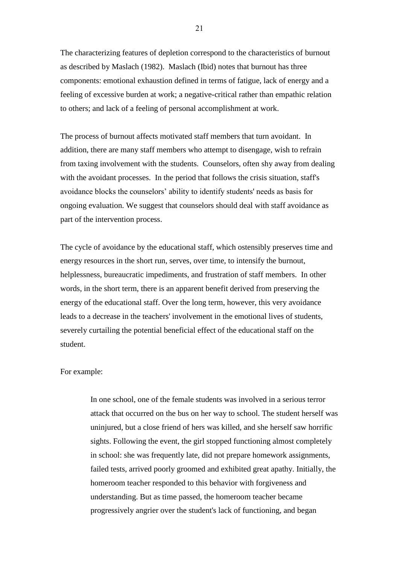The characterizing features of depletion correspond to the characteristics of burnout as described by Maslach (1982). Maslach (Ibid) notes that burnout has three components: emotional exhaustion defined in terms of fatigue, lack of energy and a feeling of excessive burden at work; a negative-critical rather than empathic relation to others; and lack of a feeling of personal accomplishment at work.

The process of burnout affects motivated staff members that turn avoidant. In addition, there are many staff members who attempt to disengage, wish to refrain from taxing involvement with the students. Counselors, often shy away from dealing with the avoidant processes. In the period that follows the crisis situation, staff's avoidance blocks the counselors" ability to identify students' needs as basis for ongoing evaluation. We suggest that counselors should deal with staff avoidance as part of the intervention process.

The cycle of avoidance by the educational staff, which ostensibly preserves time and energy resources in the short run, serves, over time, to intensify the burnout, helplessness, bureaucratic impediments, and frustration of staff members. In other words, in the short term, there is an apparent benefit derived from preserving the energy of the educational staff. Over the long term, however, this very avoidance leads to a decrease in the teachers' involvement in the emotional lives of students, severely curtailing the potential beneficial effect of the educational staff on the student.

#### For example:

In one school, one of the female students was involved in a serious terror attack that occurred on the bus on her way to school. The student herself was uninjured, but a close friend of hers was killed, and she herself saw horrific sights. Following the event, the girl stopped functioning almost completely in school: she was frequently late, did not prepare homework assignments, failed tests, arrived poorly groomed and exhibited great apathy. Initially, the homeroom teacher responded to this behavior with forgiveness and understanding. But as time passed, the homeroom teacher became progressively angrier over the student's lack of functioning, and began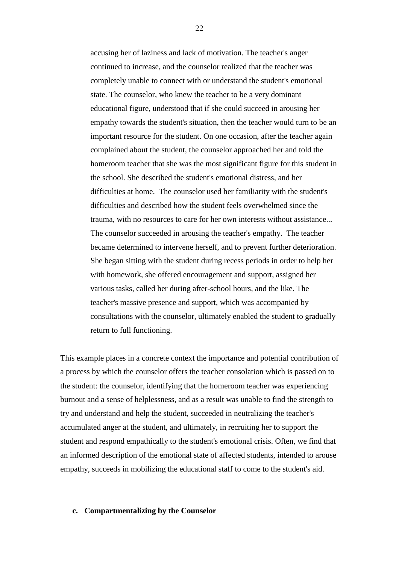accusing her of laziness and lack of motivation. The teacher's anger continued to increase, and the counselor realized that the teacher was completely unable to connect with or understand the student's emotional state. The counselor, who knew the teacher to be a very dominant educational figure, understood that if she could succeed in arousing her empathy towards the student's situation, then the teacher would turn to be an important resource for the student. On one occasion, after the teacher again complained about the student, the counselor approached her and told the homeroom teacher that she was the most significant figure for this student in the school. She described the student's emotional distress, and her difficulties at home. The counselor used her familiarity with the student's difficulties and described how the student feels overwhelmed since the trauma, with no resources to care for her own interests without assistance... The counselor succeeded in arousing the teacher's empathy. The teacher became determined to intervene herself, and to prevent further deterioration. She began sitting with the student during recess periods in order to help her with homework, she offered encouragement and support, assigned her various tasks, called her during after-school hours, and the like. The teacher's massive presence and support, which was accompanied by consultations with the counselor, ultimately enabled the student to gradually return to full functioning.

This example places in a concrete context the importance and potential contribution of a process by which the counselor offers the teacher consolation which is passed on to the student: the counselor, identifying that the homeroom teacher was experiencing burnout and a sense of helplessness, and as a result was unable to find the strength to try and understand and help the student, succeeded in neutralizing the teacher's accumulated anger at the student, and ultimately, in recruiting her to support the student and respond empathically to the student's emotional crisis. Often, we find that an informed description of the emotional state of affected students, intended to arouse empathy, succeeds in mobilizing the educational staff to come to the student's aid.

### **c. Compartmentalizing by the Counselor**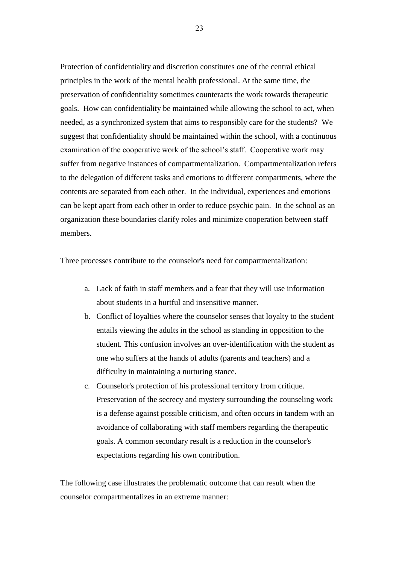Protection of confidentiality and discretion constitutes one of the central ethical principles in the work of the mental health professional. At the same time, the preservation of confidentiality sometimes counteracts the work towards therapeutic goals. How can confidentiality be maintained while allowing the school to act, when needed, as a synchronized system that aims to responsibly care for the students? We suggest that confidentiality should be maintained within the school, with a continuous examination of the cooperative work of the school's staff. Cooperative work may suffer from negative instances of compartmentalization. Compartmentalization refers to the delegation of different tasks and emotions to different compartments, where the contents are separated from each other. In the individual, experiences and emotions can be kept apart from each other in order to reduce psychic pain. In the school as an organization these boundaries clarify roles and minimize cooperation between staff members.

Three processes contribute to the counselor's need for compartmentalization:

- a. Lack of faith in staff members and a fear that they will use information about students in a hurtful and insensitive manner.
- b. Conflict of loyalties where the counselor senses that loyalty to the student entails viewing the adults in the school as standing in opposition to the student. This confusion involves an over-identification with the student as one who suffers at the hands of adults (parents and teachers) and a difficulty in maintaining a nurturing stance.
- c. Counselor's protection of his professional territory from critique. Preservation of the secrecy and mystery surrounding the counseling work is a defense against possible criticism, and often occurs in tandem with an avoidance of collaborating with staff members regarding the therapeutic goals. A common secondary result is a reduction in the counselor's expectations regarding his own contribution.

The following case illustrates the problematic outcome that can result when the counselor compartmentalizes in an extreme manner: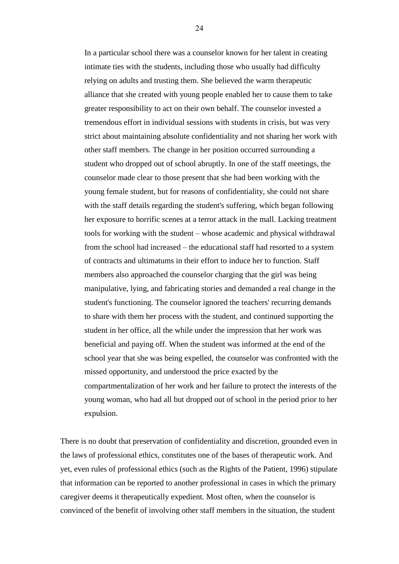In a particular school there was a counselor known for her talent in creating intimate ties with the students, including those who usually had difficulty relying on adults and trusting them. She believed the warm therapeutic alliance that she created with young people enabled her to cause them to take greater responsibility to act on their own behalf. The counselor invested a tremendous effort in individual sessions with students in crisis, but was very strict about maintaining absolute confidentiality and not sharing her work with other staff members. The change in her position occurred surrounding a student who dropped out of school abruptly. In one of the staff meetings, the counselor made clear to those present that she had been working with the young female student, but for reasons of confidentiality, she could not share with the staff details regarding the student's suffering, which began following her exposure to horrific scenes at a terror attack in the mall. Lacking treatment tools for working with the student – whose academic and physical withdrawal from the school had increased – the educational staff had resorted to a system of contracts and ultimatums in their effort to induce her to function. Staff members also approached the counselor charging that the girl was being manipulative, lying, and fabricating stories and demanded a real change in the student's functioning. The counselor ignored the teachers' recurring demands to share with them her process with the student, and continued supporting the student in her office, all the while under the impression that her work was beneficial and paying off. When the student was informed at the end of the school year that she was being expelled, the counselor was confronted with the missed opportunity, and understood the price exacted by the compartmentalization of her work and her failure to protect the interests of the young woman, who had all but dropped out of school in the period prior to her expulsion.

There is no doubt that preservation of confidentiality and discretion, grounded even in the laws of professional ethics, constitutes one of the bases of therapeutic work. And yet, even rules of professional ethics (such as the Rights of the Patient, 1996) stipulate that information can be reported to another professional in cases in which the primary caregiver deems it therapeutically expedient. Most often, when the counselor is convinced of the benefit of involving other staff members in the situation, the student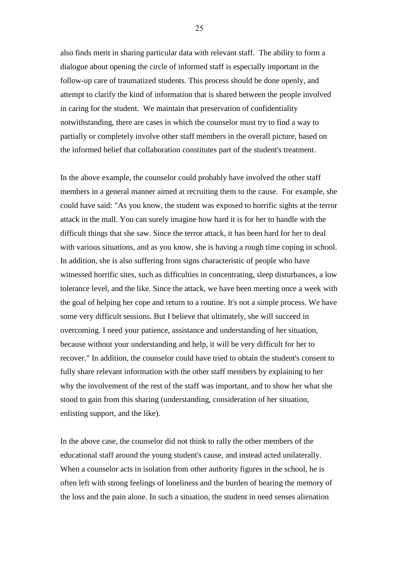also finds merit in sharing particular data with relevant staff. The ability to form a dialogue about opening the circle of informed staff is especially important in the follow-up care of traumatized students. This process should be done openly, and attempt to clarify the kind of information that is shared between the people involved in caring for the student. We maintain that preservation of confidentiality notwithstanding, there are cases in which the counselor must try to find a way to partially or completely involve other staff members in the overall picture, based on the informed belief that collaboration constitutes part of the student's treatment.

In the above example, the counselor could probably have involved the other staff members in a general manner aimed at recruiting them to the cause. For example, she could have said: "As you know, the student was exposed to horrific sights at the terror attack in the mall. You can surely imagine how hard it is for her to handle with the difficult things that she saw. Since the terror attack, it has been hard for her to deal with various situations, and as you know, she is having a rough time coping in school. In addition, she is also suffering from signs characteristic of people who have witnessed horrific sites, such as difficulties in concentrating, sleep disturbances, a low tolerance level, and the like. Since the attack, we have been meeting once a week with the goal of helping her cope and return to a routine. It's not a simple process. We have some very difficult sessions. But I believe that ultimately, she will succeed in overcoming. I need your patience, assistance and understanding of her situation, because without your understanding and help, it will be very difficult for her to recover." In addition, the counselor could have tried to obtain the student's consent to fully share relevant information with the other staff members by explaining to her why the involvement of the rest of the staff was important, and to show her what she stood to gain from this sharing (understanding, consideration of her situation, enlisting support, and the like).

In the above case, the counselor did not think to rally the other members of the educational staff around the young student's cause, and instead acted unilaterally. When a counselor acts in isolation from other authority figures in the school, he is often left with strong feelings of loneliness and the burden of bearing the memory of the loss and the pain alone. In such a situation, the student in need senses alienation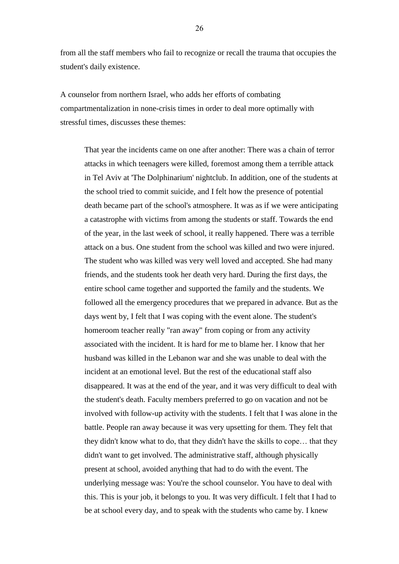from all the staff members who fail to recognize or recall the trauma that occupies the student's daily existence.

A counselor from northern Israel, who adds her efforts of combating compartmentalization in none-crisis times in order to deal more optimally with stressful times, discusses these themes:

That year the incidents came on one after another: There was a chain of terror attacks in which teenagers were killed, foremost among them a terrible attack in Tel Aviv at 'The Dolphinarium' nightclub. In addition, one of the students at the school tried to commit suicide, and I felt how the presence of potential death became part of the school's atmosphere. It was as if we were anticipating a catastrophe with victims from among the students or staff. Towards the end of the year, in the last week of school, it really happened. There was a terrible attack on a bus. One student from the school was killed and two were injured. The student who was killed was very well loved and accepted. She had many friends, and the students took her death very hard. During the first days, the entire school came together and supported the family and the students. We followed all the emergency procedures that we prepared in advance. But as the days went by, I felt that I was coping with the event alone. The student's homeroom teacher really "ran away" from coping or from any activity associated with the incident. It is hard for me to blame her. I know that her husband was killed in the Lebanon war and she was unable to deal with the incident at an emotional level. But the rest of the educational staff also disappeared. It was at the end of the year, and it was very difficult to deal with the student's death. Faculty members preferred to go on vacation and not be involved with follow-up activity with the students. I felt that I was alone in the battle. People ran away because it was very upsetting for them. They felt that they didn't know what to do, that they didn't have the skills to cope… that they didn't want to get involved. The administrative staff, although physically present at school, avoided anything that had to do with the event. The underlying message was: You're the school counselor. You have to deal with this. This is your job, it belongs to you. It was very difficult. I felt that I had to be at school every day, and to speak with the students who came by. I knew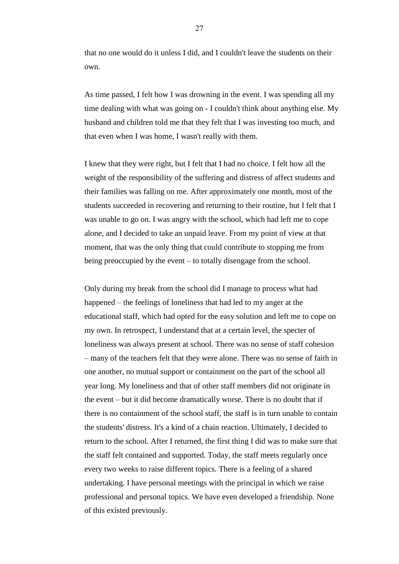that no one would do it unless I did, and I couldn't leave the students on their own.

As time passed, I felt how I was drowning in the event. I was spending all my time dealing with what was going on - I couldn't think about anything else. My husband and children told me that they felt that I was investing too much, and that even when I was home, I wasn't really with them.

I knew that they were right, but I felt that I had no choice. I felt how all the weight of the responsibility of the suffering and distress of affect students and their families was falling on me. After approximately one month, most of the students succeeded in recovering and returning to their routine, but I felt that I was unable to go on. I was angry with the school, which had left me to cope alone, and I decided to take an unpaid leave. From my point of view at that moment, that was the only thing that could contribute to stopping me from being preoccupied by the event – to totally disengage from the school.

Only during my break from the school did I manage to process what had happened – the feelings of loneliness that had led to my anger at the educational staff, which had opted for the easy solution and left me to cope on my own. In retrospect, I understand that at a certain level, the specter of loneliness was always present at school. There was no sense of staff cohesion – many of the teachers felt that they were alone. There was no sense of faith in one another, no mutual support or containment on the part of the school all year long. My loneliness and that of other staff members did not originate in the event – but it did become dramatically worse. There is no doubt that if there is no containment of the school staff, the staff is in turn unable to contain the students' distress. It's a kind of a chain reaction. Ultimately, I decided to return to the school. After I returned, the first thing I did was to make sure that the staff felt contained and supported. Today, the staff meets regularly once every two weeks to raise different topics. There is a feeling of a shared undertaking. I have personal meetings with the principal in which we raise professional and personal topics. We have even developed a friendship. None of this existed previously.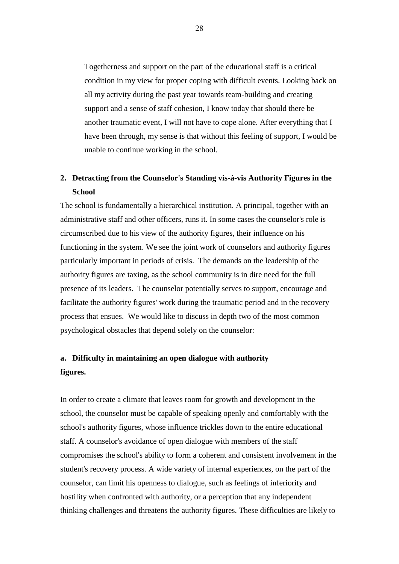Togetherness and support on the part of the educational staff is a critical condition in my view for proper coping with difficult events. Looking back on all my activity during the past year towards team-building and creating support and a sense of staff cohesion, I know today that should there be another traumatic event, I will not have to cope alone. After everything that I have been through, my sense is that without this feeling of support, I would be unable to continue working in the school.

# **2. Detracting from the Counselor's Standing vis-à-vis Authority Figures in the School**

The school is fundamentally a hierarchical institution. A principal, together with an administrative staff and other officers, runs it. In some cases the counselor's role is circumscribed due to his view of the authority figures, their influence on his functioning in the system. We see the joint work of counselors and authority figures particularly important in periods of crisis. The demands on the leadership of the authority figures are taxing, as the school community is in dire need for the full presence of its leaders. The counselor potentially serves to support, encourage and facilitate the authority figures' work during the traumatic period and in the recovery process that ensues. We would like to discuss in depth two of the most common psychological obstacles that depend solely on the counselor:

# **a. Difficulty in maintaining an open dialogue with authority figures.**

In order to create a climate that leaves room for growth and development in the school, the counselor must be capable of speaking openly and comfortably with the school's authority figures, whose influence trickles down to the entire educational staff. A counselor's avoidance of open dialogue with members of the staff compromises the school's ability to form a coherent and consistent involvement in the student's recovery process. A wide variety of internal experiences, on the part of the counselor, can limit his openness to dialogue, such as feelings of inferiority and hostility when confronted with authority, or a perception that any independent thinking challenges and threatens the authority figures. These difficulties are likely to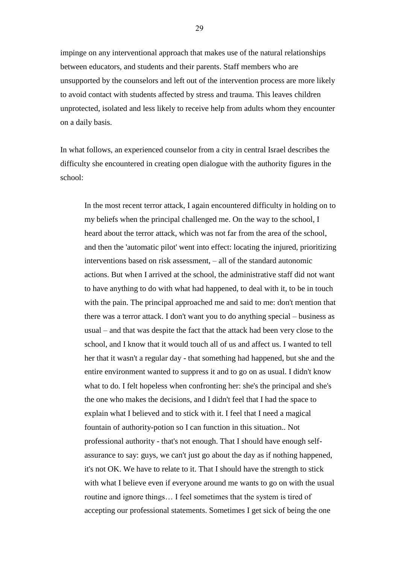impinge on any interventional approach that makes use of the natural relationships between educators, and students and their parents. Staff members who are unsupported by the counselors and left out of the intervention process are more likely to avoid contact with students affected by stress and trauma. This leaves children unprotected, isolated and less likely to receive help from adults whom they encounter on a daily basis.

In what follows, an experienced counselor from a city in central Israel describes the difficulty she encountered in creating open dialogue with the authority figures in the school:

In the most recent terror attack, I again encountered difficulty in holding on to my beliefs when the principal challenged me. On the way to the school, I heard about the terror attack, which was not far from the area of the school, and then the 'automatic pilot' went into effect: locating the injured, prioritizing interventions based on risk assessment, – all of the standard autonomic actions. But when I arrived at the school, the administrative staff did not want to have anything to do with what had happened, to deal with it, to be in touch with the pain. The principal approached me and said to me: don't mention that there was a terror attack. I don't want you to do anything special – business as usual – and that was despite the fact that the attack had been very close to the school, and I know that it would touch all of us and affect us. I wanted to tell her that it wasn't a regular day - that something had happened, but she and the entire environment wanted to suppress it and to go on as usual. I didn't know what to do. I felt hopeless when confronting her: she's the principal and she's the one who makes the decisions, and I didn't feel that I had the space to explain what I believed and to stick with it. I feel that I need a magical fountain of authority-potion so I can function in this situation.. Not professional authority - that's not enough. That I should have enough selfassurance to say: guys, we can't just go about the day as if nothing happened, it's not OK. We have to relate to it. That I should have the strength to stick with what I believe even if everyone around me wants to go on with the usual routine and ignore things… I feel sometimes that the system is tired of accepting our professional statements. Sometimes I get sick of being the one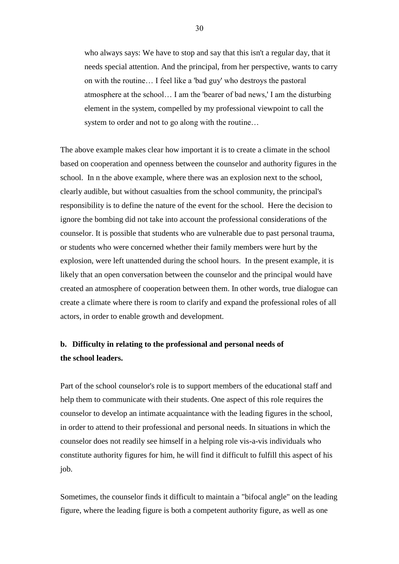who always says: We have to stop and say that this isn't a regular day, that it needs special attention. And the principal, from her perspective, wants to carry on with the routine… I feel like a 'bad guy' who destroys the pastoral atmosphere at the school… I am the 'bearer of bad news,' I am the disturbing element in the system, compelled by my professional viewpoint to call the system to order and not to go along with the routine…

The above example makes clear how important it is to create a climate in the school based on cooperation and openness between the counselor and authority figures in the school. In n the above example, where there was an explosion next to the school, clearly audible, but without casualties from the school community, the principal's responsibility is to define the nature of the event for the school. Here the decision to ignore the bombing did not take into account the professional considerations of the counselor. It is possible that students who are vulnerable due to past personal trauma, or students who were concerned whether their family members were hurt by the explosion, were left unattended during the school hours. In the present example, it is likely that an open conversation between the counselor and the principal would have created an atmosphere of cooperation between them. In other words, true dialogue can create a climate where there is room to clarify and expand the professional roles of all actors, in order to enable growth and development.

### **b. Difficulty in relating to the professional and personal needs of the school leaders.**

Part of the school counselor's role is to support members of the educational staff and help them to communicate with their students. One aspect of this role requires the counselor to develop an intimate acquaintance with the leading figures in the school, in order to attend to their professional and personal needs. In situations in which the counselor does not readily see himself in a helping role vis-a-vis individuals who constitute authority figures for him, he will find it difficult to fulfill this aspect of his job.

Sometimes, the counselor finds it difficult to maintain a "bifocal angle" on the leading figure, where the leading figure is both a competent authority figure, as well as one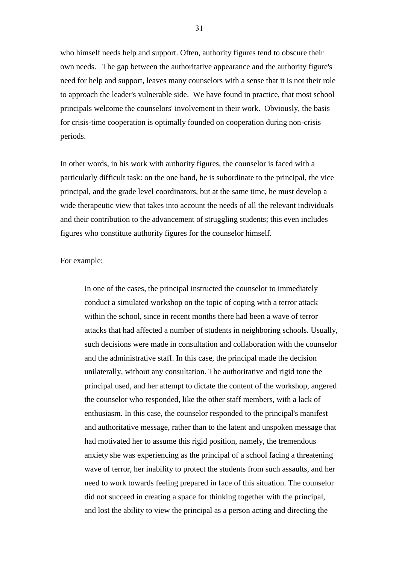who himself needs help and support. Often, authority figures tend to obscure their own needs. The gap between the authoritative appearance and the authority figure's need for help and support, leaves many counselors with a sense that it is not their role to approach the leader's vulnerable side. We have found in practice, that most school principals welcome the counselors' involvement in their work. Obviously, the basis for crisis-time cooperation is optimally founded on cooperation during non-crisis periods.

In other words, in his work with authority figures, the counselor is faced with a particularly difficult task: on the one hand, he is subordinate to the principal, the vice principal, and the grade level coordinators, but at the same time, he must develop a wide therapeutic view that takes into account the needs of all the relevant individuals and their contribution to the advancement of struggling students; this even includes figures who constitute authority figures for the counselor himself.

### For example:

In one of the cases, the principal instructed the counselor to immediately conduct a simulated workshop on the topic of coping with a terror attack within the school, since in recent months there had been a wave of terror attacks that had affected a number of students in neighboring schools. Usually, such decisions were made in consultation and collaboration with the counselor and the administrative staff. In this case, the principal made the decision unilaterally, without any consultation. The authoritative and rigid tone the principal used, and her attempt to dictate the content of the workshop, angered the counselor who responded, like the other staff members, with a lack of enthusiasm. In this case, the counselor responded to the principal's manifest and authoritative message, rather than to the latent and unspoken message that had motivated her to assume this rigid position, namely, the tremendous anxiety she was experiencing as the principal of a school facing a threatening wave of terror, her inability to protect the students from such assaults, and her need to work towards feeling prepared in face of this situation. The counselor did not succeed in creating a space for thinking together with the principal, and lost the ability to view the principal as a person acting and directing the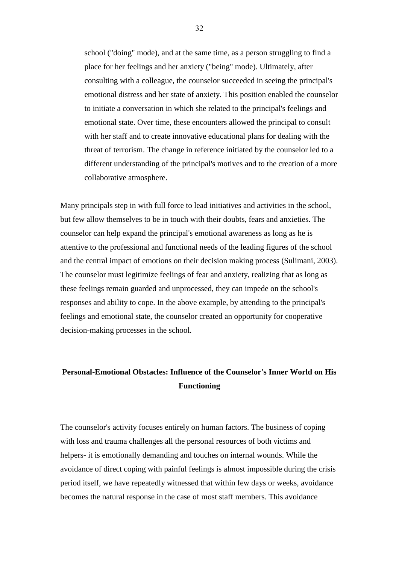school ("doing" mode), and at the same time, as a person struggling to find a place for her feelings and her anxiety ("being" mode). Ultimately, after consulting with a colleague, the counselor succeeded in seeing the principal's emotional distress and her state of anxiety. This position enabled the counselor to initiate a conversation in which she related to the principal's feelings and emotional state. Over time, these encounters allowed the principal to consult with her staff and to create innovative educational plans for dealing with the threat of terrorism. The change in reference initiated by the counselor led to a different understanding of the principal's motives and to the creation of a more collaborative atmosphere.

Many principals step in with full force to lead initiatives and activities in the school, but few allow themselves to be in touch with their doubts, fears and anxieties. The counselor can help expand the principal's emotional awareness as long as he is attentive to the professional and functional needs of the leading figures of the school and the central impact of emotions on their decision making process (Sulimani, 2003). The counselor must legitimize feelings of fear and anxiety, realizing that as long as these feelings remain guarded and unprocessed, they can impede on the school's responses and ability to cope. In the above example, by attending to the principal's feelings and emotional state, the counselor created an opportunity for cooperative decision-making processes in the school.

# **Personal-Emotional Obstacles: Influence of the Counselor's Inner World on His Functioning**

The counselor's activity focuses entirely on human factors. The business of coping with loss and trauma challenges all the personal resources of both victims and helpers- it is emotionally demanding and touches on internal wounds. While the avoidance of direct coping with painful feelings is almost impossible during the crisis period itself, we have repeatedly witnessed that within few days or weeks, avoidance becomes the natural response in the case of most staff members. This avoidance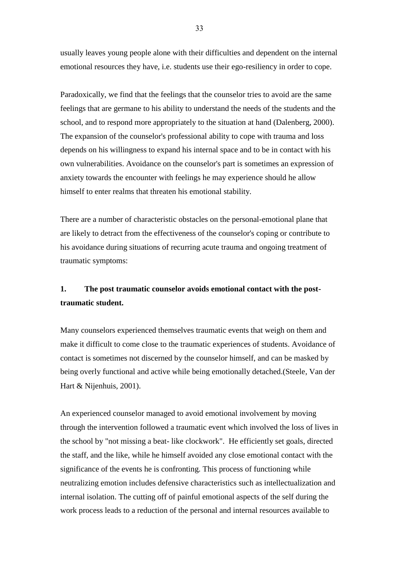usually leaves young people alone with their difficulties and dependent on the internal emotional resources they have, i.e. students use their ego-resiliency in order to cope.

Paradoxically, we find that the feelings that the counselor tries to avoid are the same feelings that are germane to his ability to understand the needs of the students and the school, and to respond more appropriately to the situation at hand (Dalenberg, 2000). The expansion of the counselor's professional ability to cope with trauma and loss depends on his willingness to expand his internal space and to be in contact with his own vulnerabilities. Avoidance on the counselor's part is sometimes an expression of anxiety towards the encounter with feelings he may experience should he allow himself to enter realms that threaten his emotional stability.

There are a number of characteristic obstacles on the personal-emotional plane that are likely to detract from the effectiveness of the counselor's coping or contribute to his avoidance during situations of recurring acute trauma and ongoing treatment of traumatic symptoms:

# **1. The post traumatic counselor avoids emotional contact with the posttraumatic student.**

Many counselors experienced themselves traumatic events that weigh on them and make it difficult to come close to the traumatic experiences of students. Avoidance of contact is sometimes not discerned by the counselor himself, and can be masked by being overly functional and active while being emotionally detached.(Steele, Van der Hart & Nijenhuis, 2001).

An experienced counselor managed to avoid emotional involvement by moving through the intervention followed a traumatic event which involved the loss of lives in the school by "not missing a beat- like clockwork". He efficiently set goals, directed the staff, and the like, while he himself avoided any close emotional contact with the significance of the events he is confronting. This process of functioning while neutralizing emotion includes defensive characteristics such as intellectualization and internal isolation. The cutting off of painful emotional aspects of the self during the work process leads to a reduction of the personal and internal resources available to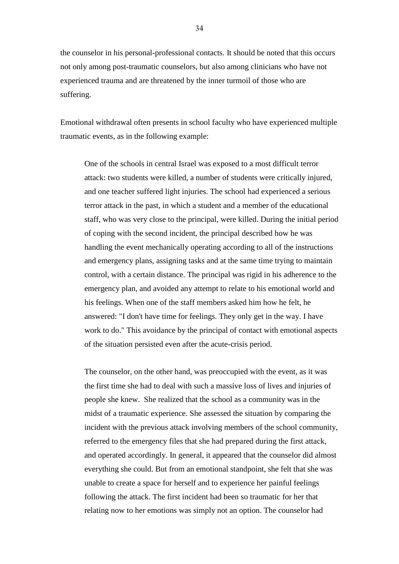the counselor in his personal-professional contacts. It should be noted that this occurs not only among post-traumatic counselors, but also among clinicians who have not experienced trauma and are threatened by the inner turmoil of those who are suffering.

Emotional withdrawal often presents in school faculty who have experienced multiple traumatic events, as in the following example:

One of the schools in central Israel was exposed to a most difficult terror attack: two students were killed, a number of students were critically injured, and one teacher suffered light injuries. The school had experienced a serious terror attack in the past, in which a student and a member of the educational staff, who was very close to the principal, were killed. During the initial period of coping with the second incident, the principal described how he was handling the event mechanically operating according to all of the instructions and emergency plans, assigning tasks and at the same time trying to maintain control, with a certain distance. The principal was rigid in his adherence to the emergency plan, and avoided any attempt to relate to his emotional world and his feelings. When one of the staff members asked him how he felt, he answered: "I don't have time for feelings. They only get in the way. I have work to do." This avoidance by the principal of contact with emotional aspects of the situation persisted even after the acute-crisis period.

The counselor, on the other hand, was preoccupied with the event, as it was the first time she had to deal with such a massive loss of lives and injuries of people she knew. She realized that the school as a community was in the midst of a traumatic experience. She assessed the situation by comparing the incident with the previous attack involving members of the school community, referred to the emergency files that she had prepared during the first attack, and operated accordingly. In general, it appeared that the counselor did almost everything she could. But from an emotional standpoint, she felt that she was unable to create a space for herself and to experience her painful feelings following the attack. The first incident had been so traumatic for her that relating now to her emotions was simply not an option. The counselor had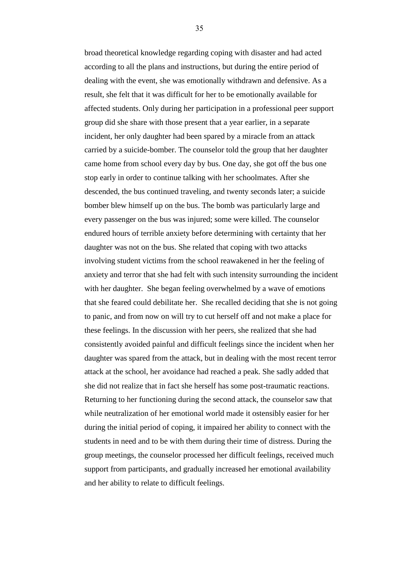broad theoretical knowledge regarding coping with disaster and had acted according to all the plans and instructions, but during the entire period of dealing with the event, she was emotionally withdrawn and defensive. As a result, she felt that it was difficult for her to be emotionally available for affected students. Only during her participation in a professional peer support group did she share with those present that a year earlier, in a separate incident, her only daughter had been spared by a miracle from an attack carried by a suicide-bomber. The counselor told the group that her daughter came home from school every day by bus. One day, she got off the bus one stop early in order to continue talking with her schoolmates. After she descended, the bus continued traveling, and twenty seconds later; a suicide bomber blew himself up on the bus. The bomb was particularly large and every passenger on the bus was injured; some were killed. The counselor endured hours of terrible anxiety before determining with certainty that her daughter was not on the bus. She related that coping with two attacks involving student victims from the school reawakened in her the feeling of anxiety and terror that she had felt with such intensity surrounding the incident with her daughter. She began feeling overwhelmed by a wave of emotions that she feared could debilitate her. She recalled deciding that she is not going to panic, and from now on will try to cut herself off and not make a place for these feelings. In the discussion with her peers, she realized that she had consistently avoided painful and difficult feelings since the incident when her daughter was spared from the attack, but in dealing with the most recent terror attack at the school, her avoidance had reached a peak. She sadly added that she did not realize that in fact she herself has some post-traumatic reactions. Returning to her functioning during the second attack, the counselor saw that while neutralization of her emotional world made it ostensibly easier for her during the initial period of coping, it impaired her ability to connect with the students in need and to be with them during their time of distress. During the group meetings, the counselor processed her difficult feelings, received much support from participants, and gradually increased her emotional availability and her ability to relate to difficult feelings.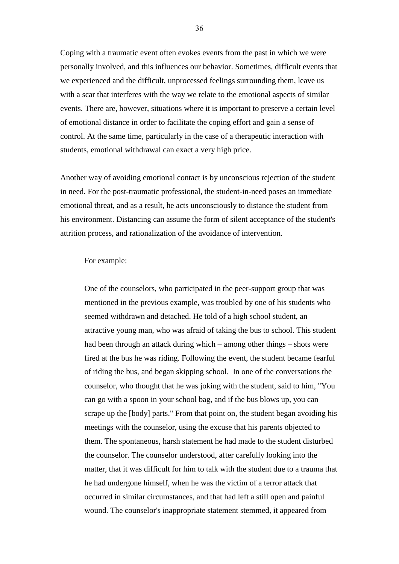Coping with a traumatic event often evokes events from the past in which we were personally involved, and this influences our behavior. Sometimes, difficult events that we experienced and the difficult, unprocessed feelings surrounding them, leave us with a scar that interferes with the way we relate to the emotional aspects of similar events. There are, however, situations where it is important to preserve a certain level of emotional distance in order to facilitate the coping effort and gain a sense of control. At the same time, particularly in the case of a therapeutic interaction with students, emotional withdrawal can exact a very high price.

Another way of avoiding emotional contact is by unconscious rejection of the student in need. For the post-traumatic professional, the student-in-need poses an immediate emotional threat, and as a result, he acts unconsciously to distance the student from his environment. Distancing can assume the form of silent acceptance of the student's attrition process, and rationalization of the avoidance of intervention.

#### For example:

One of the counselors, who participated in the peer-support group that was mentioned in the previous example, was troubled by one of his students who seemed withdrawn and detached. He told of a high school student, an attractive young man, who was afraid of taking the bus to school. This student had been through an attack during which – among other things – shots were fired at the bus he was riding. Following the event, the student became fearful of riding the bus, and began skipping school. In one of the conversations the counselor, who thought that he was joking with the student, said to him, "You can go with a spoon in your school bag, and if the bus blows up, you can scrape up the [body] parts." From that point on, the student began avoiding his meetings with the counselor, using the excuse that his parents objected to them. The spontaneous, harsh statement he had made to the student disturbed the counselor. The counselor understood, after carefully looking into the matter, that it was difficult for him to talk with the student due to a trauma that he had undergone himself, when he was the victim of a terror attack that occurred in similar circumstances, and that had left a still open and painful wound. The counselor's inappropriate statement stemmed, it appeared from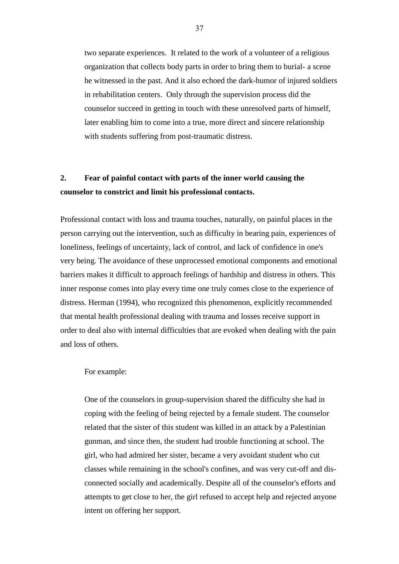two separate experiences. It related to the work of a volunteer of a religious organization that collects body parts in order to bring them to burial- a scene he witnessed in the past. And it also echoed the dark-humor of injured soldiers in rehabilitation centers. Only through the supervision process did the counselor succeed in getting in touch with these unresolved parts of himself, later enabling him to come into a true, more direct and sincere relationship with students suffering from post-traumatic distress.

# **2. Fear of painful contact with parts of the inner world causing the counselor to constrict and limit his professional contacts.**

Professional contact with loss and trauma touches, naturally, on painful places in the person carrying out the intervention, such as difficulty in bearing pain, experiences of loneliness, feelings of uncertainty, lack of control, and lack of confidence in one's very being. The avoidance of these unprocessed emotional components and emotional barriers makes it difficult to approach feelings of hardship and distress in others. This inner response comes into play every time one truly comes close to the experience of distress. Herman (1994), who recognized this phenomenon, explicitly recommended that mental health professional dealing with trauma and losses receive support in order to deal also with internal difficulties that are evoked when dealing with the pain and loss of others.

#### For example:

One of the counselors in group-supervision shared the difficulty she had in coping with the feeling of being rejected by a female student. The counselor related that the sister of this student was killed in an attack by a Palestinian gunman, and since then, the student had trouble functioning at school. The girl, who had admired her sister, became a very avoidant student who cut classes while remaining in the school's confines, and was very cut-off and disconnected socially and academically. Despite all of the counselor's efforts and attempts to get close to her, the girl refused to accept help and rejected anyone intent on offering her support.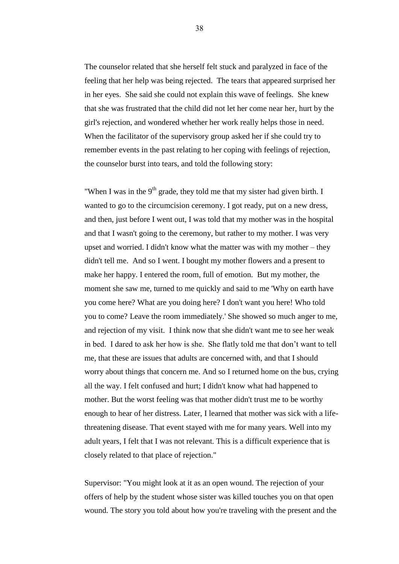The counselor related that she herself felt stuck and paralyzed in face of the feeling that her help was being rejected. The tears that appeared surprised her in her eyes. She said she could not explain this wave of feelings. She knew that she was frustrated that the child did not let her come near her, hurt by the girl's rejection, and wondered whether her work really helps those in need. When the facilitator of the supervisory group asked her if she could try to remember events in the past relating to her coping with feelings of rejection, the counselor burst into tears, and told the following story:

"When I was in the  $9<sup>th</sup>$  grade, they told me that my sister had given birth. I wanted to go to the circumcision ceremony. I got ready, put on a new dress, and then, just before I went out, I was told that my mother was in the hospital and that I wasn't going to the ceremony, but rather to my mother. I was very upset and worried. I didn't know what the matter was with my mother – they didn't tell me. And so I went. I bought my mother flowers and a present to make her happy. I entered the room, full of emotion. But my mother, the moment she saw me, turned to me quickly and said to me 'Why on earth have you come here? What are you doing here? I don't want you here! Who told you to come? Leave the room immediately.' She showed so much anger to me, and rejection of my visit. I think now that she didn't want me to see her weak in bed. I dared to ask her how is she. She flatly told me that don"t want to tell me, that these are issues that adults are concerned with, and that I should worry about things that concern me. And so I returned home on the bus, crying all the way. I felt confused and hurt; I didn't know what had happened to mother. But the worst feeling was that mother didn't trust me to be worthy enough to hear of her distress. Later, I learned that mother was sick with a lifethreatening disease. That event stayed with me for many years. Well into my adult years, I felt that I was not relevant. This is a difficult experience that is closely related to that place of rejection."

Supervisor: "You might look at it as an open wound. The rejection of your offers of help by the student whose sister was killed touches you on that open wound. The story you told about how you're traveling with the present and the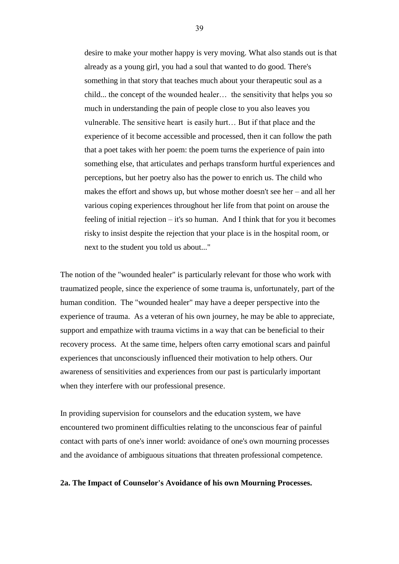desire to make your mother happy is very moving. What also stands out is that already as a young girl, you had a soul that wanted to do good. There's something in that story that teaches much about your therapeutic soul as a child... the concept of the wounded healer… the sensitivity that helps you so much in understanding the pain of people close to you also leaves you vulnerable. The sensitive heart is easily hurt… But if that place and the experience of it become accessible and processed, then it can follow the path that a poet takes with her poem: the poem turns the experience of pain into something else, that articulates and perhaps transform hurtful experiences and perceptions, but her poetry also has the power to enrich us. The child who makes the effort and shows up, but whose mother doesn't see her – and all her various coping experiences throughout her life from that point on arouse the feeling of initial rejection – it's so human. And I think that for you it becomes risky to insist despite the rejection that your place is in the hospital room, or next to the student you told us about..."

The notion of the "wounded healer" is particularly relevant for those who work with traumatized people, since the experience of some trauma is, unfortunately, part of the human condition. The "wounded healer" may have a deeper perspective into the experience of trauma. As a veteran of his own journey, he may be able to appreciate, support and empathize with trauma victims in a way that can be beneficial to their recovery process. At the same time, helpers often carry emotional scars and painful experiences that unconsciously influenced their motivation to help others. Our awareness of sensitivities and experiences from our past is particularly important when they interfere with our professional presence.

In providing supervision for counselors and the education system, we have encountered two prominent difficulties relating to the unconscious fear of painful contact with parts of one's inner world: avoidance of one's own mourning processes and the avoidance of ambiguous situations that threaten professional competence.

#### **2a. The Impact of Counselor's Avoidance of his own Mourning Processes.**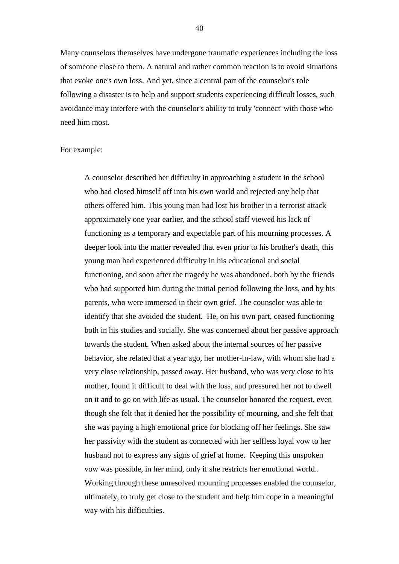Many counselors themselves have undergone traumatic experiences including the loss of someone close to them. A natural and rather common reaction is to avoid situations that evoke one's own loss. And yet, since a central part of the counselor's role following a disaster is to help and support students experiencing difficult losses, such avoidance may interfere with the counselor's ability to truly 'connect' with those who need him most.

#### For example:

A counselor described her difficulty in approaching a student in the school who had closed himself off into his own world and rejected any help that others offered him. This young man had lost his brother in a terrorist attack approximately one year earlier, and the school staff viewed his lack of functioning as a temporary and expectable part of his mourning processes. A deeper look into the matter revealed that even prior to his brother's death, this young man had experienced difficulty in his educational and social functioning, and soon after the tragedy he was abandoned, both by the friends who had supported him during the initial period following the loss, and by his parents, who were immersed in their own grief. The counselor was able to identify that she avoided the student. He, on his own part, ceased functioning both in his studies and socially. She was concerned about her passive approach towards the student. When asked about the internal sources of her passive behavior, she related that a year ago, her mother-in-law, with whom she had a very close relationship, passed away. Her husband, who was very close to his mother, found it difficult to deal with the loss, and pressured her not to dwell on it and to go on with life as usual. The counselor honored the request, even though she felt that it denied her the possibility of mourning, and she felt that she was paying a high emotional price for blocking off her feelings. She saw her passivity with the student as connected with her selfless loyal vow to her husband not to express any signs of grief at home. Keeping this unspoken vow was possible, in her mind, only if she restricts her emotional world.. Working through these unresolved mourning processes enabled the counselor, ultimately, to truly get close to the student and help him cope in a meaningful way with his difficulties.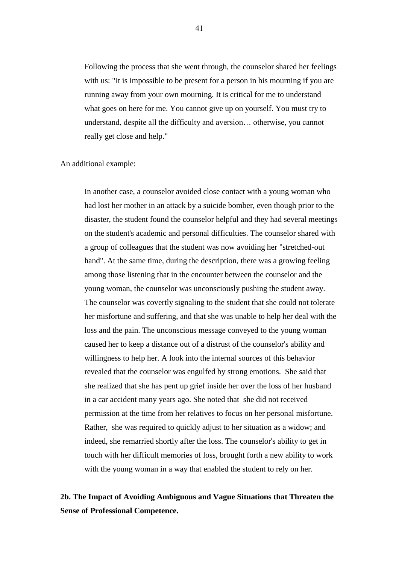Following the process that she went through, the counselor shared her feelings with us: "It is impossible to be present for a person in his mourning if you are running away from your own mourning. It is critical for me to understand what goes on here for me. You cannot give up on yourself. You must try to understand, despite all the difficulty and aversion… otherwise, you cannot really get close and help."

### An additional example:

In another case, a counselor avoided close contact with a young woman who had lost her mother in an attack by a suicide bomber, even though prior to the disaster, the student found the counselor helpful and they had several meetings on the student's academic and personal difficulties. The counselor shared with a group of colleagues that the student was now avoiding her "stretched-out hand". At the same time, during the description, there was a growing feeling among those listening that in the encounter between the counselor and the young woman, the counselor was unconsciously pushing the student away. The counselor was covertly signaling to the student that she could not tolerate her misfortune and suffering, and that she was unable to help her deal with the loss and the pain. The unconscious message conveyed to the young woman caused her to keep a distance out of a distrust of the counselor's ability and willingness to help her. A look into the internal sources of this behavior revealed that the counselor was engulfed by strong emotions. She said that she realized that she has pent up grief inside her over the loss of her husband in a car accident many years ago. She noted that she did not received permission at the time from her relatives to focus on her personal misfortune. Rather, she was required to quickly adjust to her situation as a widow; and indeed, she remarried shortly after the loss. The counselor's ability to get in touch with her difficult memories of loss, brought forth a new ability to work with the young woman in a way that enabled the student to rely on her.

# **2b. The Impact of Avoiding Ambiguous and Vague Situations that Threaten the Sense of Professional Competence.**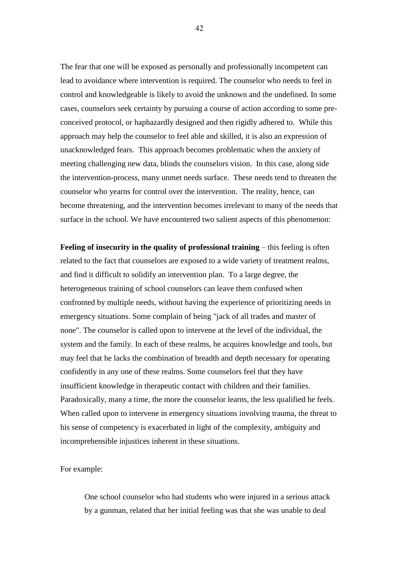The fear that one will be exposed as personally and professionally incompetent can lead to avoidance where intervention is required. The counselor who needs to feel in control and knowledgeable is likely to avoid the unknown and the undefined. In some cases, counselors seek certainty by pursuing a course of action according to some preconceived protocol, or haphazardly designed and then rigidly adhered to. While this approach may help the counselor to feel able and skilled, it is also an expression of unacknowledged fears. This approach becomes problematic when the anxiety of meeting challenging new data, blinds the counselors vision. In this case, along side the intervention-process, many unmet needs surface. These needs tend to threaten the counselor who yearns for control over the intervention. The reality, hence, can become threatening, and the intervention becomes irrelevant to many of the needs that surface in the school. We have encountered two salient aspects of this phenomenon:

**Feeling of insecurity in the quality of professional training – this feeling is often** related to the fact that counselors are exposed to a wide variety of treatment realms, and find it difficult to solidify an intervention plan. To a large degree, the heterogeneous training of school counselors can leave them confused when confronted by multiple needs, without having the experience of prioritizing needs in emergency situations. Some complain of being "jack of all trades and master of none". The counselor is called upon to intervene at the level of the individual, the system and the family. In each of these realms, he acquires knowledge and tools, but may feel that he lacks the combination of breadth and depth necessary for operating confidently in any one of these realms. Some counselors feel that they have insufficient knowledge in therapeutic contact with children and their families. Paradoxically, many a time, the more the counselor learns, the less qualified he feels. When called upon to intervene in emergency situations involving trauma, the threat to his sense of competency is exacerbated in light of the complexity, ambiguity and incomprehensible injustices inherent in these situations.

For example:

One school counselor who had students who were injured in a serious attack by a gunman, related that her initial feeling was that she was unable to deal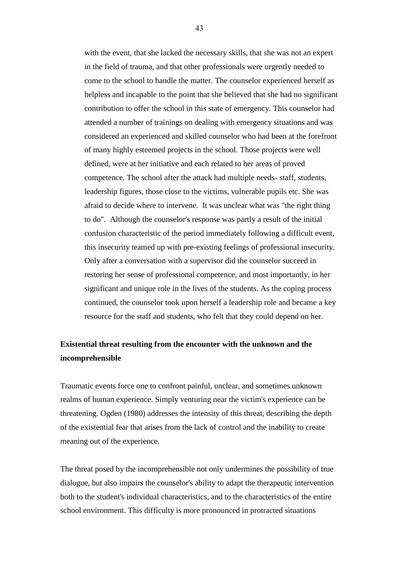with the event, that she lacked the necessary skills, that she was not an expert in the field of trauma, and that other professionals were urgently needed to come to the school to handle the matter. The counselor experienced herself as helpless and incapable to the point that she believed that she had no significant contribution to offer the school in this state of emergency. This counselor had attended a number of trainings on dealing with emergency situations and was considered an experienced and skilled counselor who had been at the forefront of many highly esteemed projects in the school. Those projects were well defined, were at her initiative and each related to her areas of proved competence. The school after the attack had multiple needs- staff, students, leadership figures, those close to the victims, vulnerable pupils etc. She was afraid to decide where to intervene. It was unclear what was "the right thing to do". Although the counselor's response was partly a result of the initial confusion characteristic of the period immediately following a difficult event, this insecurity teamed up with pre-existing feelings of professional insecurity. Only after a conversation with a supervisor did the counselor succeed in restoring her sense of professional competence, and most importantly, in her significant and unique role in the lives of the students. As the coping process continued, the counselor took upon herself a leadership role and became a key resource for the staff and students, who felt that they could depend on her.

## **Existential threat resulting from the encounter with the unknown and the incomprehensible**

Traumatic events force one to confront painful, unclear, and sometimes unknown realms of human experience. Simply venturing near the victim's experience can be threatening. Ogden (1980) addresses the intensity of this threat, describing the depth of the existential fear that arises from the lack of control and the inability to create meaning out of the experience.

The threat posed by the incomprehensible not only undermines the possibility of true dialogue, but also impairs the counselor's ability to adapt the therapeutic intervention both to the student's individual characteristics, and to the characteristics of the entire school environment. This difficulty is more pronounced in protracted situations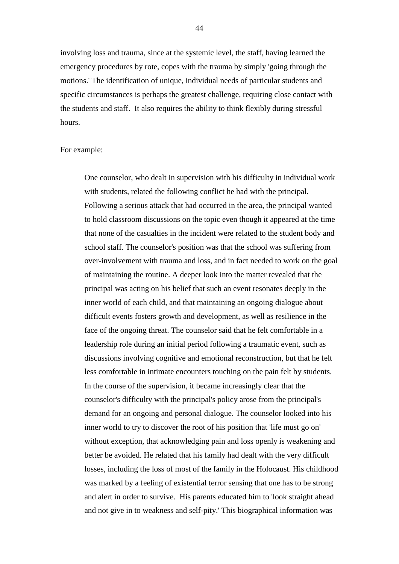involving loss and trauma, since at the systemic level, the staff, having learned the emergency procedures by rote, copes with the trauma by simply 'going through the motions.' The identification of unique, individual needs of particular students and specific circumstances is perhaps the greatest challenge, requiring close contact with the students and staff. It also requires the ability to think flexibly during stressful hours.

#### For example:

One counselor, who dealt in supervision with his difficulty in individual work with students, related the following conflict he had with the principal. Following a serious attack that had occurred in the area, the principal wanted to hold classroom discussions on the topic even though it appeared at the time that none of the casualties in the incident were related to the student body and school staff. The counselor's position was that the school was suffering from over-involvement with trauma and loss, and in fact needed to work on the goal of maintaining the routine. A deeper look into the matter revealed that the principal was acting on his belief that such an event resonates deeply in the inner world of each child, and that maintaining an ongoing dialogue about difficult events fosters growth and development, as well as resilience in the face of the ongoing threat. The counselor said that he felt comfortable in a leadership role during an initial period following a traumatic event, such as discussions involving cognitive and emotional reconstruction, but that he felt less comfortable in intimate encounters touching on the pain felt by students. In the course of the supervision, it became increasingly clear that the counselor's difficulty with the principal's policy arose from the principal's demand for an ongoing and personal dialogue. The counselor looked into his inner world to try to discover the root of his position that 'life must go on' without exception, that acknowledging pain and loss openly is weakening and better be avoided. He related that his family had dealt with the very difficult losses, including the loss of most of the family in the Holocaust. His childhood was marked by a feeling of existential terror sensing that one has to be strong and alert in order to survive. His parents educated him to 'look straight ahead and not give in to weakness and self-pity.' This biographical information was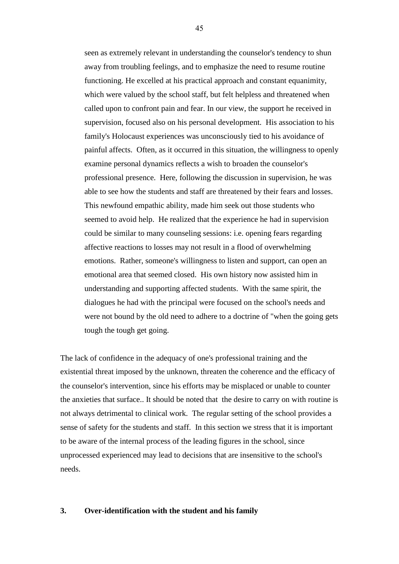seen as extremely relevant in understanding the counselor's tendency to shun away from troubling feelings, and to emphasize the need to resume routine functioning. He excelled at his practical approach and constant equanimity, which were valued by the school staff, but felt helpless and threatened when called upon to confront pain and fear. In our view, the support he received in supervision, focused also on his personal development. His association to his family's Holocaust experiences was unconsciously tied to his avoidance of painful affects. Often, as it occurred in this situation, the willingness to openly examine personal dynamics reflects a wish to broaden the counselor's professional presence. Here, following the discussion in supervision, he was able to see how the students and staff are threatened by their fears and losses. This newfound empathic ability, made him seek out those students who seemed to avoid help. He realized that the experience he had in supervision could be similar to many counseling sessions: i.e. opening fears regarding affective reactions to losses may not result in a flood of overwhelming emotions. Rather, someone's willingness to listen and support, can open an emotional area that seemed closed. His own history now assisted him in understanding and supporting affected students. With the same spirit, the dialogues he had with the principal were focused on the school's needs and were not bound by the old need to adhere to a doctrine of "when the going gets tough the tough get going.

The lack of confidence in the adequacy of one's professional training and the existential threat imposed by the unknown, threaten the coherence and the efficacy of the counselor's intervention, since his efforts may be misplaced or unable to counter the anxieties that surface.. It should be noted that the desire to carry on with routine is not always detrimental to clinical work. The regular setting of the school provides a sense of safety for the students and staff. In this section we stress that it is important to be aware of the internal process of the leading figures in the school, since unprocessed experienced may lead to decisions that are insensitive to the school's needs.

### **3. Over-identification with the student and his family**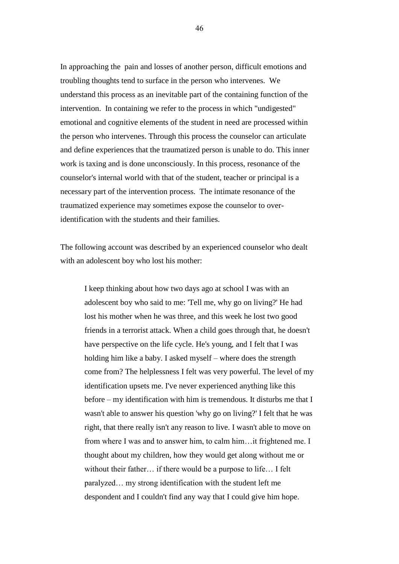In approaching the pain and losses of another person, difficult emotions and troubling thoughts tend to surface in the person who intervenes. We understand this process as an inevitable part of the containing function of the intervention. In containing we refer to the process in which "undigested" emotional and cognitive elements of the student in need are processed within the person who intervenes. Through this process the counselor can articulate and define experiences that the traumatized person is unable to do. This inner work is taxing and is done unconsciously. In this process, resonance of the counselor's internal world with that of the student, teacher or principal is a necessary part of the intervention process. The intimate resonance of the traumatized experience may sometimes expose the counselor to overidentification with the students and their families.

The following account was described by an experienced counselor who dealt with an adolescent boy who lost his mother:

I keep thinking about how two days ago at school I was with an adolescent boy who said to me: 'Tell me, why go on living?' He had lost his mother when he was three, and this week he lost two good friends in a terrorist attack. When a child goes through that, he doesn't have perspective on the life cycle. He's young, and I felt that I was holding him like a baby. I asked myself – where does the strength come from? The helplessness I felt was very powerful. The level of my identification upsets me. I've never experienced anything like this before – my identification with him is tremendous. It disturbs me that I wasn't able to answer his question 'why go on living?' I felt that he was right, that there really isn't any reason to live. I wasn't able to move on from where I was and to answer him, to calm him…it frightened me. I thought about my children, how they would get along without me or without their father… if there would be a purpose to life… I felt paralyzed… my strong identification with the student left me despondent and I couldn't find any way that I could give him hope.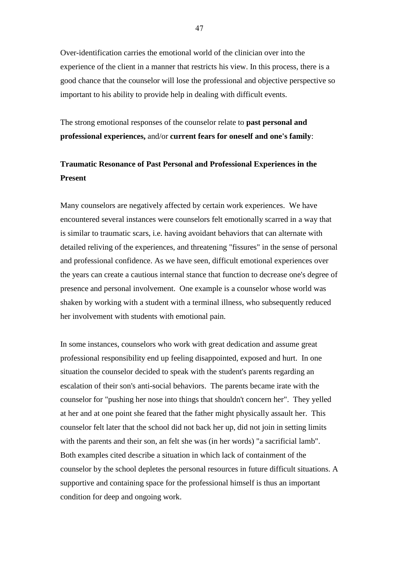Over-identification carries the emotional world of the clinician over into the experience of the client in a manner that restricts his view. In this process, there is a good chance that the counselor will lose the professional and objective perspective so important to his ability to provide help in dealing with difficult events.

The strong emotional responses of the counselor relate to **past personal and professional experiences,** and/or **current fears for oneself and one's family**:

# **Traumatic Resonance of Past Personal and Professional Experiences in the Present**

Many counselors are negatively affected by certain work experiences. We have encountered several instances were counselors felt emotionally scarred in a way that is similar to traumatic scars, i.e. having avoidant behaviors that can alternate with detailed reliving of the experiences, and threatening "fissures" in the sense of personal and professional confidence. As we have seen, difficult emotional experiences over the years can create a cautious internal stance that function to decrease one's degree of presence and personal involvement. One example is a counselor whose world was shaken by working with a student with a terminal illness, who subsequently reduced her involvement with students with emotional pain.

In some instances, counselors who work with great dedication and assume great professional responsibility end up feeling disappointed, exposed and hurt. In one situation the counselor decided to speak with the student's parents regarding an escalation of their son's anti-social behaviors. The parents became irate with the counselor for "pushing her nose into things that shouldn't concern her". They yelled at her and at one point she feared that the father might physically assault her. This counselor felt later that the school did not back her up, did not join in setting limits with the parents and their son, an felt she was (in her words) "a sacrificial lamb". Both examples cited describe a situation in which lack of containment of the counselor by the school depletes the personal resources in future difficult situations. A supportive and containing space for the professional himself is thus an important condition for deep and ongoing work.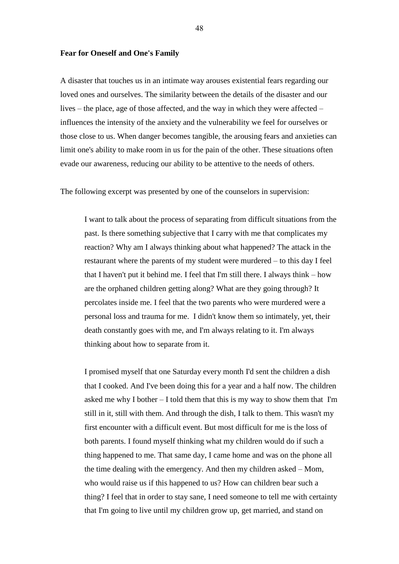#### **Fear for Oneself and One's Family**

A disaster that touches us in an intimate way arouses existential fears regarding our loved ones and ourselves. The similarity between the details of the disaster and our lives – the place, age of those affected, and the way in which they were affected – influences the intensity of the anxiety and the vulnerability we feel for ourselves or those close to us. When danger becomes tangible, the arousing fears and anxieties can limit one's ability to make room in us for the pain of the other. These situations often evade our awareness, reducing our ability to be attentive to the needs of others.

The following excerpt was presented by one of the counselors in supervision:

I want to talk about the process of separating from difficult situations from the past. Is there something subjective that I carry with me that complicates my reaction? Why am I always thinking about what happened? The attack in the restaurant where the parents of my student were murdered – to this day I feel that I haven't put it behind me. I feel that I'm still there. I always think – how are the orphaned children getting along? What are they going through? It percolates inside me. I feel that the two parents who were murdered were a personal loss and trauma for me. I didn't know them so intimately, yet, their death constantly goes with me, and I'm always relating to it. I'm always thinking about how to separate from it.

I promised myself that one Saturday every month I'd sent the children a dish that I cooked. And I've been doing this for a year and a half now. The children asked me why I bother  $-$  I told them that this is my way to show them that I'm still in it, still with them. And through the dish, I talk to them. This wasn't my first encounter with a difficult event. But most difficult for me is the loss of both parents. I found myself thinking what my children would do if such a thing happened to me. That same day, I came home and was on the phone all the time dealing with the emergency. And then my children asked – Mom, who would raise us if this happened to us? How can children bear such a thing? I feel that in order to stay sane, I need someone to tell me with certainty that I'm going to live until my children grow up, get married, and stand on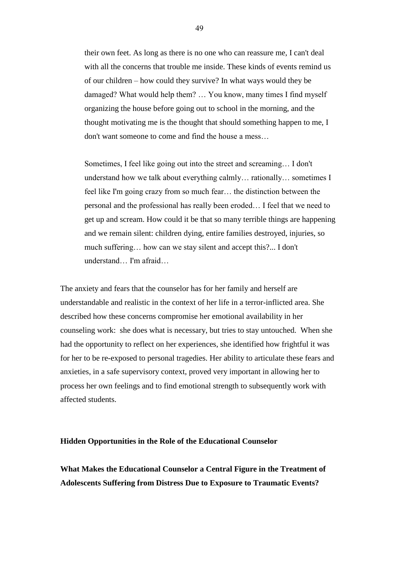their own feet. As long as there is no one who can reassure me, I can't deal with all the concerns that trouble me inside. These kinds of events remind us of our children – how could they survive? In what ways would they be damaged? What would help them? … You know, many times I find myself organizing the house before going out to school in the morning, and the thought motivating me is the thought that should something happen to me, I don't want someone to come and find the house a mess…

Sometimes, I feel like going out into the street and screaming… I don't understand how we talk about everything calmly… rationally… sometimes I feel like I'm going crazy from so much fear… the distinction between the personal and the professional has really been eroded… I feel that we need to get up and scream. How could it be that so many terrible things are happening and we remain silent: children dying, entire families destroyed, injuries, so much suffering… how can we stay silent and accept this?... I don't understand… I'm afraid…

The anxiety and fears that the counselor has for her family and herself are understandable and realistic in the context of her life in a terror-inflicted area. She described how these concerns compromise her emotional availability in her counseling work: she does what is necessary, but tries to stay untouched. When she had the opportunity to reflect on her experiences, she identified how frightful it was for her to be re-exposed to personal tragedies. Her ability to articulate these fears and anxieties, in a safe supervisory context, proved very important in allowing her to process her own feelings and to find emotional strength to subsequently work with affected students.

### **Hidden Opportunities in the Role of the Educational Counselor**

**What Makes the Educational Counselor a Central Figure in the Treatment of Adolescents Suffering from Distress Due to Exposure to Traumatic Events?**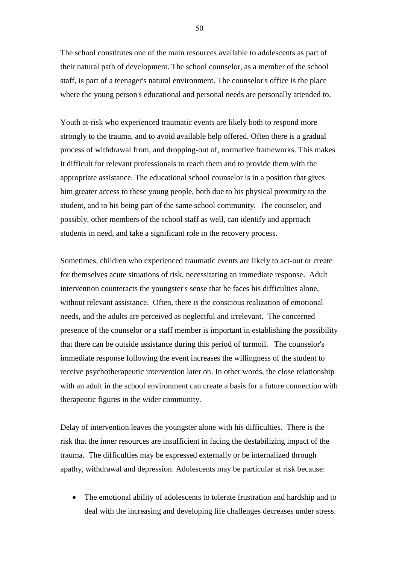The school constitutes one of the main resources available to adolescents as part of their natural path of development. The school counselor, as a member of the school staff, is part of a teenager's natural environment. The counselor's office is the place where the young person's educational and personal needs are personally attended to.

Youth at-risk who experienced traumatic events are likely both to respond more strongly to the trauma, and to avoid available help offered. Often there is a gradual process of withdrawal from, and dropping-out of, normative frameworks. This makes it difficult for relevant professionals to reach them and to provide them with the appropriate assistance. The educational school counselor is in a position that gives him greater access to these young people, both due to his physical proximity to the student, and to his being part of the same school community. The counselor, and possibly, other members of the school staff as well, can identify and approach students in need, and take a significant role in the recovery process.

Sometimes, children who experienced traumatic events are likely to act-out or create for themselves acute situations of risk, necessitating an immediate response. Adult intervention counteracts the youngster's sense that he faces his difficulties alone, without relevant assistance. Often, there is the conscious realization of emotional needs, and the adults are perceived as neglectful and irrelevant. The concerned presence of the counselor or a staff member is important in establishing the possibility that there can be outside assistance during this period of turmoil. The counselor's immediate response following the event increases the willingness of the student to receive psychotherapeutic intervention later on. In other words, the close relationship with an adult in the school environment can create a basis for a future connection with therapeutic figures in the wider community.

Delay of intervention leaves the youngster alone with his difficulties. There is the risk that the inner resources are insufficient in facing the destabilizing impact of the trauma. The difficulties may be expressed externally or be internalized through apathy, withdrawal and depression. Adolescents may be particular at risk because:

• The emotional ability of adolescents to tolerate frustration and hardship and to deal with the increasing and developing life challenges decreases under stress.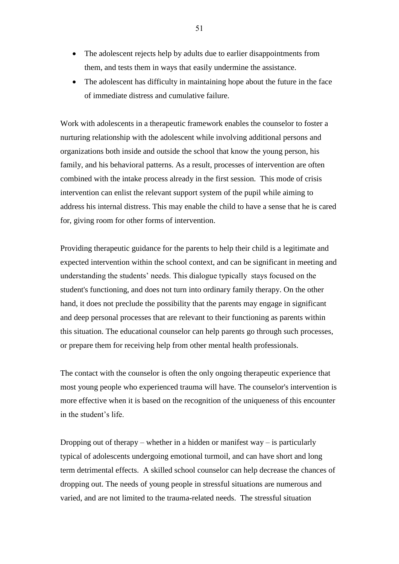- The adolescent rejects help by adults due to earlier disappointments from them, and tests them in ways that easily undermine the assistance.
- The adolescent has difficulty in maintaining hope about the future in the face of immediate distress and cumulative failure.

Work with adolescents in a therapeutic framework enables the counselor to foster a nurturing relationship with the adolescent while involving additional persons and organizations both inside and outside the school that know the young person, his family, and his behavioral patterns. As a result, processes of intervention are often combined with the intake process already in the first session. This mode of crisis intervention can enlist the relevant support system of the pupil while aiming to address his internal distress. This may enable the child to have a sense that he is cared for, giving room for other forms of intervention.

Providing therapeutic guidance for the parents to help their child is a legitimate and expected intervention within the school context, and can be significant in meeting and understanding the students" needs. This dialogue typically stays focused on the student's functioning, and does not turn into ordinary family therapy. On the other hand, it does not preclude the possibility that the parents may engage in significant and deep personal processes that are relevant to their functioning as parents within this situation. The educational counselor can help parents go through such processes, or prepare them for receiving help from other mental health professionals.

The contact with the counselor is often the only ongoing therapeutic experience that most young people who experienced trauma will have. The counselor's intervention is more effective when it is based on the recognition of the uniqueness of this encounter in the student's life.

Dropping out of therapy – whether in a hidden or manifest way – is particularly typical of adolescents undergoing emotional turmoil, and can have short and long term detrimental effects. A skilled school counselor can help decrease the chances of dropping out. The needs of young people in stressful situations are numerous and varied, and are not limited to the trauma-related needs. The stressful situation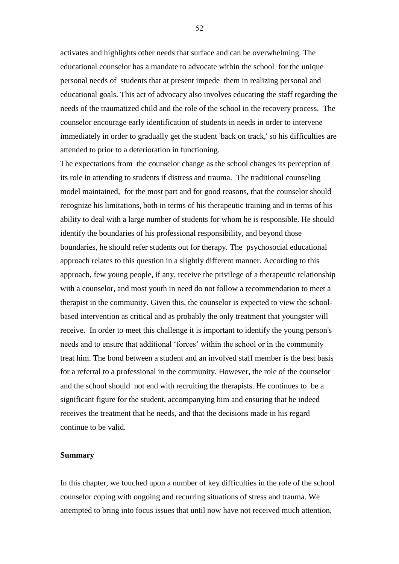activates and highlights other needs that surface and can be overwhelming. The educational counselor has a mandate to advocate within the school for the unique personal needs of students that at present impede them in realizing personal and educational goals. This act of advocacy also involves educating the staff regarding the needs of the traumatized child and the role of the school in the recovery process. The counselor encourage early identification of students in needs in order to intervene immediately in order to gradually get the student 'back on track,' so his difficulties are attended to prior to a deterioration in functioning.

The expectations from the counselor change as the school changes its perception of its role in attending to students if distress and trauma. The traditional counseling model maintained, for the most part and for good reasons, that the counselor should recognize his limitations, both in terms of his therapeutic training and in terms of his ability to deal with a large number of students for whom he is responsible. He should identify the boundaries of his professional responsibility, and beyond those boundaries, he should refer students out for therapy. The psychosocial educational approach relates to this question in a slightly different manner. According to this approach, few young people, if any, receive the privilege of a therapeutic relationship with a counselor, and most youth in need do not follow a recommendation to meet a therapist in the community. Given this, the counselor is expected to view the schoolbased intervention as critical and as probably the only treatment that youngster will receive. In order to meet this challenge it is important to identify the young person's needs and to ensure that additional "forces" within the school or in the community treat him. The bond between a student and an involved staff member is the best basis for a referral to a professional in the community. However, the role of the counselor and the school should not end with recruiting the therapists. He continues to be a significant figure for the student, accompanying him and ensuring that he indeed receives the treatment that he needs, and that the decisions made in his regard continue to be valid.

### **Summary**

In this chapter, we touched upon a number of key difficulties in the role of the school counselor coping with ongoing and recurring situations of stress and trauma. We attempted to bring into focus issues that until now have not received much attention,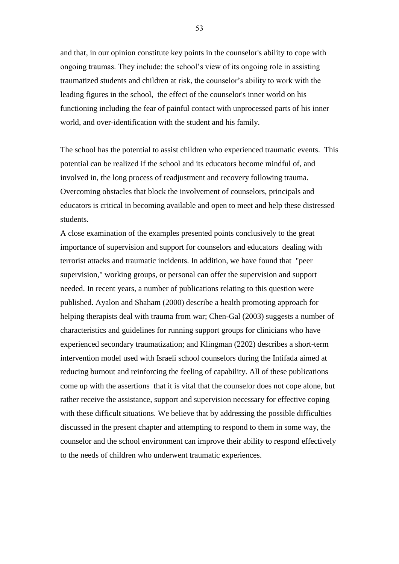and that, in our opinion constitute key points in the counselor's ability to cope with ongoing traumas. They include: the school"s view of its ongoing role in assisting traumatized students and children at risk, the counselor"s ability to work with the leading figures in the school, the effect of the counselor's inner world on his functioning including the fear of painful contact with unprocessed parts of his inner world, and over-identification with the student and his family.

The school has the potential to assist children who experienced traumatic events. This potential can be realized if the school and its educators become mindful of, and involved in, the long process of readjustment and recovery following trauma. Overcoming obstacles that block the involvement of counselors, principals and educators is critical in becoming available and open to meet and help these distressed students.

A close examination of the examples presented points conclusively to the great importance of supervision and support for counselors and educators dealing with terrorist attacks and traumatic incidents. In addition, we have found that "peer supervision," working groups, or personal can offer the supervision and support needed. In recent years, a number of publications relating to this question were published. Ayalon and Shaham (2000) describe a health promoting approach for helping therapists deal with trauma from war; Chen-Gal (2003) suggests a number of characteristics and guidelines for running support groups for clinicians who have experienced secondary traumatization; and Klingman (2202) describes a short-term intervention model used with Israeli school counselors during the Intifada aimed at reducing burnout and reinforcing the feeling of capability. All of these publications come up with the assertions that it is vital that the counselor does not cope alone, but rather receive the assistance, support and supervision necessary for effective coping with these difficult situations. We believe that by addressing the possible difficulties discussed in the present chapter and attempting to respond to them in some way, the counselor and the school environment can improve their ability to respond effectively to the needs of children who underwent traumatic experiences.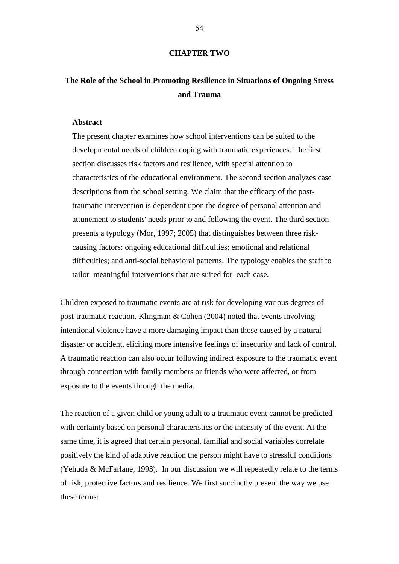### **CHAPTER TWO**

# **The Role of the School in Promoting Resilience in Situations of Ongoing Stress and Trauma**

### **Abstract**

The present chapter examines how school interventions can be suited to the developmental needs of children coping with traumatic experiences. The first section discusses risk factors and resilience, with special attention to characteristics of the educational environment. The second section analyzes case descriptions from the school setting. We claim that the efficacy of the posttraumatic intervention is dependent upon the degree of personal attention and attunement to students' needs prior to and following the event. The third section presents a typology (Mor, 1997; 2005) that distinguishes between three riskcausing factors: ongoing educational difficulties; emotional and relational difficulties; and anti-social behavioral patterns. The typology enables the staff to tailor meaningful interventions that are suited for each case.

Children exposed to traumatic events are at risk for developing various degrees of post-traumatic reaction. Klingman & Cohen (2004) noted that events involving intentional violence have a more damaging impact than those caused by a natural disaster or accident, eliciting more intensive feelings of insecurity and lack of control. A traumatic reaction can also occur following indirect exposure to the traumatic event through connection with family members or friends who were affected, or from exposure to the events through the media.

The reaction of a given child or young adult to a traumatic event cannot be predicted with certainty based on personal characteristics or the intensity of the event. At the same time, it is agreed that certain personal, familial and social variables correlate positively the kind of adaptive reaction the person might have to stressful conditions (Yehuda & McFarlane, 1993). In our discussion we will repeatedly relate to the terms of risk, protective factors and resilience. We first succinctly present the way we use these terms: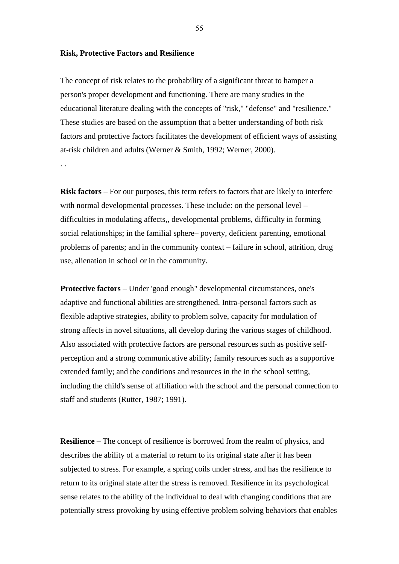#### **Risk, Protective Factors and Resilience**

The concept of risk relates to the probability of a significant threat to hamper a person's proper development and functioning. There are many studies in the educational literature dealing with the concepts of "risk," "defense" and "resilience." These studies are based on the assumption that a better understanding of both risk factors and protective factors facilitates the development of efficient ways of assisting at-risk children and adults (Werner & Smith, 1992; Werner, 2000). . .

**Risk factors** – For our purposes, this term refers to factors that are likely to interfere with normal developmental processes. These include: on the personal level – difficulties in modulating affects,, developmental problems, difficulty in forming social relationships; in the familial sphere– poverty, deficient parenting, emotional problems of parents; and in the community context – failure in school, attrition, drug use, alienation in school or in the community.

**Protective factors** – Under 'good enough" developmental circumstances, one's adaptive and functional abilities are strengthened. Intra-personal factors such as flexible adaptive strategies, ability to problem solve, capacity for modulation of strong affects in novel situations, all develop during the various stages of childhood. Also associated with protective factors are personal resources such as positive selfperception and a strong communicative ability; family resources such as a supportive extended family; and the conditions and resources in the in the school setting, including the child's sense of affiliation with the school and the personal connection to staff and students (Rutter, 1987; 1991).

**Resilience** – The concept of resilience is borrowed from the realm of physics, and describes the ability of a material to return to its original state after it has been subjected to stress. For example, a spring coils under stress, and has the resilience to return to its original state after the stress is removed. Resilience in its psychological sense relates to the ability of the individual to deal with changing conditions that are potentially stress provoking by using effective problem solving behaviors that enables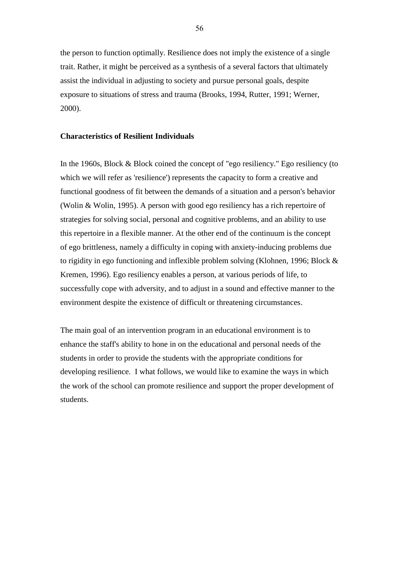the person to function optimally. Resilience does not imply the existence of a single trait. Rather, it might be perceived as a synthesis of a several factors that ultimately assist the individual in adjusting to society and pursue personal goals, despite exposure to situations of stress and trauma (Brooks, 1994, Rutter, 1991; Werner, 2000).

## **Characteristics of Resilient Individuals**

In the 1960s, Block & Block coined the concept of "ego resiliency." Ego resiliency (to which we will refer as 'resilience') represents the capacity to form a creative and functional goodness of fit between the demands of a situation and a person's behavior (Wolin & Wolin, 1995). A person with good ego resiliency has a rich repertoire of strategies for solving social, personal and cognitive problems, and an ability to use this repertoire in a flexible manner. At the other end of the continuum is the concept of ego brittleness, namely a difficulty in coping with anxiety-inducing problems due to rigidity in ego functioning and inflexible problem solving (Klohnen, 1996; Block & Kremen, 1996). Ego resiliency enables a person, at various periods of life, to successfully cope with adversity, and to adjust in a sound and effective manner to the environment despite the existence of difficult or threatening circumstances.

The main goal of an intervention program in an educational environment is to enhance the staff's ability to hone in on the educational and personal needs of the students in order to provide the students with the appropriate conditions for developing resilience. I what follows, we would like to examine the ways in which the work of the school can promote resilience and support the proper development of students.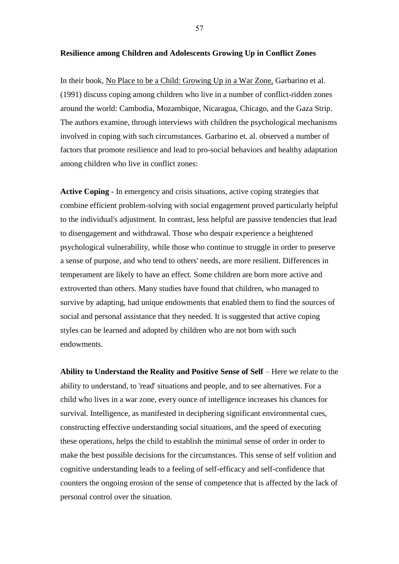### **Resilience among Children and Adolescents Growing Up in Conflict Zones**

In their book, No Place to be a Child: Growing Up in a War Zone, Garbarino et al. (1991) discuss coping among children who live in a number of conflict-ridden zones around the world: Cambodia, Mozambique, Nicaragua, Chicago, and the Gaza Strip. The authors examine, through interviews with children the psychological mechanisms involved in coping with such circumstances. Garbarino et. al. observed a number of factors that promote resilience and lead to pro-social behaviors and healthy adaptation among children who live in conflict zones:

**Active Coping** - In emergency and crisis situations, active coping strategies that combine efficient problem-solving with social engagement proved particularly helpful to the individual's adjustment. In contrast, less helpful are passive tendencies that lead to disengagement and withdrawal. Those who despair experience a heightened psychological vulnerability, while those who continue to struggle in order to preserve a sense of purpose, and who tend to others' needs, are more resilient. Differences in temperament are likely to have an effect. Some children are born more active and extroverted than others. Many studies have found that children, who managed to survive by adapting, had unique endowments that enabled them to find the sources of social and personal assistance that they needed. It is suggested that active coping styles can be learned and adopted by children who are not born with such endowments.

**Ability to Understand the Reality and Positive Sense of Self** – Here we relate to the ability to understand, to 'read' situations and people, and to see alternatives. For a child who lives in a war zone, every ounce of intelligence increases his chances for survival. Intelligence, as manifested in deciphering significant environmental cues, constructing effective understanding social situations, and the speed of executing these operations, helps the child to establish the minimal sense of order in order to make the best possible decisions for the circumstances. This sense of self volition and cognitive understanding leads to a feeling of self-efficacy and self-confidence that counters the ongoing erosion of the sense of competence that is affected by the lack of personal control over the situation.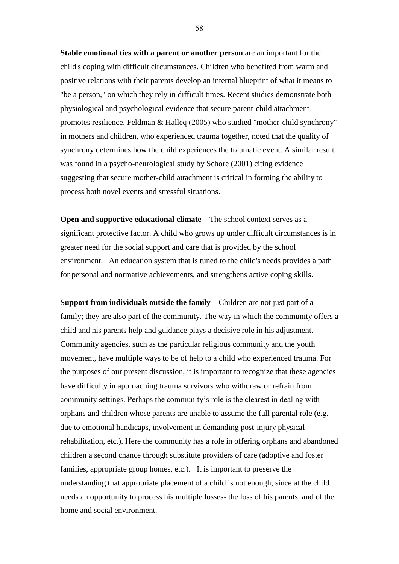**Stable emotional ties with a parent or another person** are an important for the child's coping with difficult circumstances. Children who benefited from warm and positive relations with their parents develop an internal blueprint of what it means to "be a person," on which they rely in difficult times. Recent studies demonstrate both physiological and psychological evidence that secure parent-child attachment promotes resilience. Feldman & Halleq (2005) who studied "mother-child synchrony" in mothers and children, who experienced trauma together, noted that the quality of synchrony determines how the child experiences the traumatic event. A similar result was found in a psycho-neurological study by Schore (2001) citing evidence suggesting that secure mother-child attachment is critical in forming the ability to process both novel events and stressful situations.

**Open and supportive educational climate** – The school context serves as a significant protective factor. A child who grows up under difficult circumstances is in greater need for the social support and care that is provided by the school environment. An education system that is tuned to the child's needs provides a path for personal and normative achievements, and strengthens active coping skills.

**Support from individuals outside the family** – Children are not just part of a family; they are also part of the community. The way in which the community offers a child and his parents help and guidance plays a decisive role in his adjustment. Community agencies, such as the particular religious community and the youth movement, have multiple ways to be of help to a child who experienced trauma. For the purposes of our present discussion, it is important to recognize that these agencies have difficulty in approaching trauma survivors who withdraw or refrain from community settings. Perhaps the community"s role is the clearest in dealing with orphans and children whose parents are unable to assume the full parental role (e.g. due to emotional handicaps, involvement in demanding post-injury physical rehabilitation, etc.). Here the community has a role in offering orphans and abandoned children a second chance through substitute providers of care (adoptive and foster families, appropriate group homes, etc.). It is important to preserve the understanding that appropriate placement of a child is not enough, since at the child needs an opportunity to process his multiple losses- the loss of his parents, and of the home and social environment.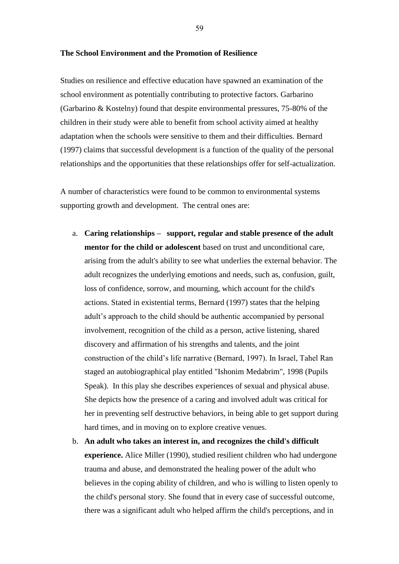#### **The School Environment and the Promotion of Resilience**

Studies on resilience and effective education have spawned an examination of the school environment as potentially contributing to protective factors. Garbarino (Garbarino & Kostelny) found that despite environmental pressures, 75-80% of the children in their study were able to benefit from school activity aimed at healthy adaptation when the schools were sensitive to them and their difficulties. Bernard (1997) claims that successful development is a function of the quality of the personal relationships and the opportunities that these relationships offer for self-actualization.

A number of characteristics were found to be common to environmental systems supporting growth and development. The central ones are:

- a. **Caring relationships support, regular and stable presence of the adult mentor for the child or adolescent** based on trust and unconditional care, arising from the adult's ability to see what underlies the external behavior. The adult recognizes the underlying emotions and needs, such as, confusion, guilt, loss of confidence, sorrow, and mourning, which account for the child's actions. Stated in existential terms, Bernard (1997) states that the helping adult"s approach to the child should be authentic accompanied by personal involvement, recognition of the child as a person, active listening, shared discovery and affirmation of his strengths and talents, and the joint construction of the child"s life narrative (Bernard, 1997). In Israel, Tahel Ran staged an autobiographical play entitled "Ishonim Medabrim", 1998 (Pupils Speak). In this play she describes experiences of sexual and physical abuse. She depicts how the presence of a caring and involved adult was critical for her in preventing self destructive behaviors, in being able to get support during hard times, and in moving on to explore creative venues.
- b. **An adult who takes an interest in, and recognizes the child's difficult experience.** Alice Miller (1990), studied resilient children who had undergone trauma and abuse, and demonstrated the healing power of the adult who believes in the coping ability of children, and who is willing to listen openly to the child's personal story. She found that in every case of successful outcome, there was a significant adult who helped affirm the child's perceptions, and in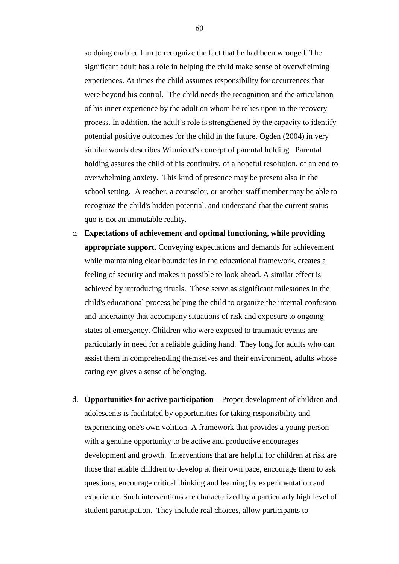so doing enabled him to recognize the fact that he had been wronged. The significant adult has a role in helping the child make sense of overwhelming experiences. At times the child assumes responsibility for occurrences that were beyond his control. The child needs the recognition and the articulation of his inner experience by the adult on whom he relies upon in the recovery process. In addition, the adult"s role is strengthened by the capacity to identify potential positive outcomes for the child in the future. Ogden (2004) in very similar words describes Winnicott's concept of parental holding. Parental holding assures the child of his continuity, of a hopeful resolution, of an end to overwhelming anxiety. This kind of presence may be present also in the school setting. A teacher, a counselor, or another staff member may be able to recognize the child's hidden potential, and understand that the current status quo is not an immutable reality.

- c. **Expectations of achievement and optimal functioning, while providing appropriate support.** Conveying expectations and demands for achievement while maintaining clear boundaries in the educational framework, creates a feeling of security and makes it possible to look ahead. A similar effect is achieved by introducing rituals. These serve as significant milestones in the child's educational process helping the child to organize the internal confusion and uncertainty that accompany situations of risk and exposure to ongoing states of emergency. Children who were exposed to traumatic events are particularly in need for a reliable guiding hand. They long for adults who can assist them in comprehending themselves and their environment, adults whose caring eye gives a sense of belonging.
- d. **Opportunities for active participation** Proper development of children and adolescents is facilitated by opportunities for taking responsibility and experiencing one's own volition. A framework that provides a young person with a genuine opportunity to be active and productive encourages development and growth. Interventions that are helpful for children at risk are those that enable children to develop at their own pace, encourage them to ask questions, encourage critical thinking and learning by experimentation and experience. Such interventions are characterized by a particularly high level of student participation. They include real choices, allow participants to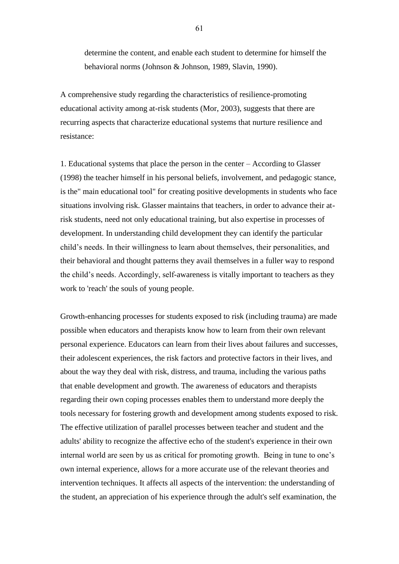determine the content, and enable each student to determine for himself the behavioral norms (Johnson & Johnson, 1989, Slavin, 1990).

A comprehensive study regarding the characteristics of resilience-promoting educational activity among at-risk students (Mor, 2003), suggests that there are recurring aspects that characterize educational systems that nurture resilience and resistance:

1. Educational systems that place the person in the center – According to Glasser (1998) the teacher himself in his personal beliefs, involvement, and pedagogic stance, is the" main educational tool" for creating positive developments in students who face situations involving risk. Glasser maintains that teachers, in order to advance their atrisk students, need not only educational training, but also expertise in processes of development. In understanding child development they can identify the particular child"s needs. In their willingness to learn about themselves, their personalities, and their behavioral and thought patterns they avail themselves in a fuller way to respond the child"s needs. Accordingly, self-awareness is vitally important to teachers as they work to 'reach' the souls of young people.

Growth-enhancing processes for students exposed to risk (including trauma) are made possible when educators and therapists know how to learn from their own relevant personal experience. Educators can learn from their lives about failures and successes, their adolescent experiences, the risk factors and protective factors in their lives, and about the way they deal with risk, distress, and trauma, including the various paths that enable development and growth. The awareness of educators and therapists regarding their own coping processes enables them to understand more deeply the tools necessary for fostering growth and development among students exposed to risk. The effective utilization of parallel processes between teacher and student and the adults' ability to recognize the affective echo of the student's experience in their own internal world are seen by us as critical for promoting growth. Being in tune to one"s own internal experience, allows for a more accurate use of the relevant theories and intervention techniques. It affects all aspects of the intervention: the understanding of the student, an appreciation of his experience through the adult's self examination, the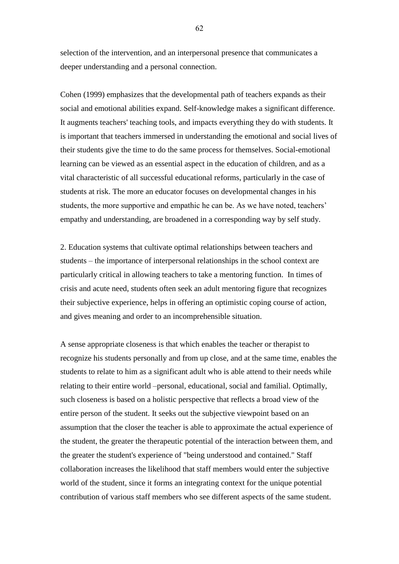selection of the intervention, and an interpersonal presence that communicates a deeper understanding and a personal connection.

Cohen (1999) emphasizes that the developmental path of teachers expands as their social and emotional abilities expand. Self-knowledge makes a significant difference. It augments teachers' teaching tools, and impacts everything they do with students. It is important that teachers immersed in understanding the emotional and social lives of their students give the time to do the same process for themselves. Social-emotional learning can be viewed as an essential aspect in the education of children, and as a vital characteristic of all successful educational reforms, particularly in the case of students at risk. The more an educator focuses on developmental changes in his students, the more supportive and empathic he can be. As we have noted, teachers' empathy and understanding, are broadened in a corresponding way by self study.

2. Education systems that cultivate optimal relationships between teachers and students – the importance of interpersonal relationships in the school context are particularly critical in allowing teachers to take a mentoring function. In times of crisis and acute need, students often seek an adult mentoring figure that recognizes their subjective experience, helps in offering an optimistic coping course of action, and gives meaning and order to an incomprehensible situation.

A sense appropriate closeness is that which enables the teacher or therapist to recognize his students personally and from up close, and at the same time, enables the students to relate to him as a significant adult who is able attend to their needs while relating to their entire world –personal, educational, social and familial. Optimally, such closeness is based on a holistic perspective that reflects a broad view of the entire person of the student. It seeks out the subjective viewpoint based on an assumption that the closer the teacher is able to approximate the actual experience of the student, the greater the therapeutic potential of the interaction between them, and the greater the student's experience of "being understood and contained." Staff collaboration increases the likelihood that staff members would enter the subjective world of the student, since it forms an integrating context for the unique potential contribution of various staff members who see different aspects of the same student.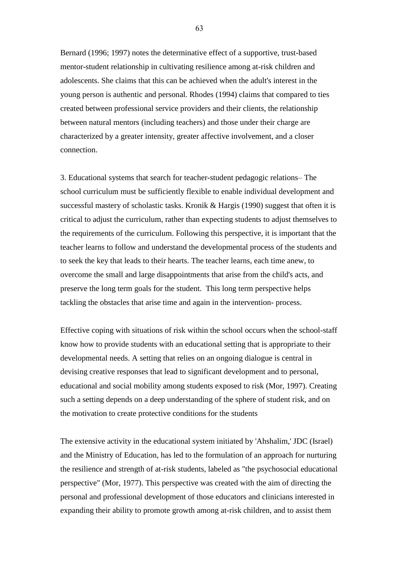Bernard (1996; 1997) notes the determinative effect of a supportive, trust-based mentor-student relationship in cultivating resilience among at-risk children and adolescents. She claims that this can be achieved when the adult's interest in the young person is authentic and personal. Rhodes (1994) claims that compared to ties created between professional service providers and their clients, the relationship between natural mentors (including teachers) and those under their charge are characterized by a greater intensity, greater affective involvement, and a closer connection.

3. Educational systems that search for teacher-student pedagogic relations– The school curriculum must be sufficiently flexible to enable individual development and successful mastery of scholastic tasks. Kronik & Hargis (1990) suggest that often it is critical to adjust the curriculum, rather than expecting students to adjust themselves to the requirements of the curriculum. Following this perspective, it is important that the teacher learns to follow and understand the developmental process of the students and to seek the key that leads to their hearts. The teacher learns, each time anew, to overcome the small and large disappointments that arise from the child's acts, and preserve the long term goals for the student. This long term perspective helps tackling the obstacles that arise time and again in the intervention- process.

Effective coping with situations of risk within the school occurs when the school-staff know how to provide students with an educational setting that is appropriate to their developmental needs. A setting that relies on an ongoing dialogue is central in devising creative responses that lead to significant development and to personal, educational and social mobility among students exposed to risk (Mor, 1997). Creating such a setting depends on a deep understanding of the sphere of student risk, and on the motivation to create protective conditions for the students

The extensive activity in the educational system initiated by 'Ahshalim,' JDC (Israel) and the Ministry of Education, has led to the formulation of an approach for nurturing the resilience and strength of at-risk students, labeled as "the psychosocial educational perspective" (Mor, 1977). This perspective was created with the aim of directing the personal and professional development of those educators and clinicians interested in expanding their ability to promote growth among at-risk children, and to assist them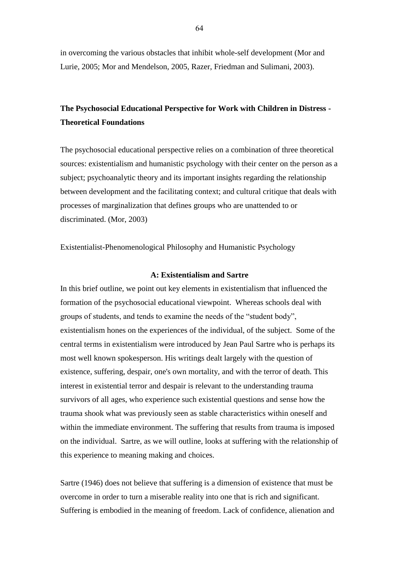in overcoming the various obstacles that inhibit whole-self development (Mor and Lurie, 2005; Mor and Mendelson, 2005, Razer, Friedman and Sulimani, 2003).

# **The Psychosocial Educational Perspective for Work with Children in Distress - Theoretical Foundations**

The psychosocial educational perspective relies on a combination of three theoretical sources: existentialism and humanistic psychology with their center on the person as a subject; psychoanalytic theory and its important insights regarding the relationship between development and the facilitating context; and cultural critique that deals with processes of marginalization that defines groups who are unattended to or discriminated. (Mor, 2003)

Existentialist-Phenomenological Philosophy and Humanistic Psychology

### **A: Existentialism and Sartre**

In this brief outline, we point out key elements in existentialism that influenced the formation of the psychosocial educational viewpoint. Whereas schools deal with groups of students, and tends to examine the needs of the "student body", existentialism hones on the experiences of the individual, of the subject. Some of the central terms in existentialism were introduced by Jean Paul Sartre who is perhaps its most well known spokesperson. His writings dealt largely with the question of existence, suffering, despair, one's own mortality, and with the terror of death. This interest in existential terror and despair is relevant to the understanding trauma survivors of all ages, who experience such existential questions and sense how the trauma shook what was previously seen as stable characteristics within oneself and within the immediate environment. The suffering that results from trauma is imposed on the individual. Sartre, as we will outline, looks at suffering with the relationship of this experience to meaning making and choices.

Sartre (1946) does not believe that suffering is a dimension of existence that must be overcome in order to turn a miserable reality into one that is rich and significant. Suffering is embodied in the meaning of freedom. Lack of confidence, alienation and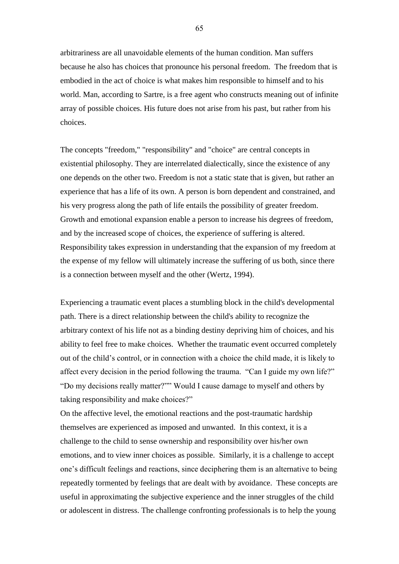arbitrariness are all unavoidable elements of the human condition. Man suffers because he also has choices that pronounce his personal freedom. The freedom that is embodied in the act of choice is what makes him responsible to himself and to his world. Man, according to Sartre, is a free agent who constructs meaning out of infinite array of possible choices. His future does not arise from his past, but rather from his choices.

The concepts "freedom," "responsibility" and "choice" are central concepts in existential philosophy. They are interrelated dialectically, since the existence of any one depends on the other two. Freedom is not a static state that is given, but rather an experience that has a life of its own. A person is born dependent and constrained, and his very progress along the path of life entails the possibility of greater freedom. Growth and emotional expansion enable a person to increase his degrees of freedom, and by the increased scope of choices, the experience of suffering is altered. Responsibility takes expression in understanding that the expansion of my freedom at the expense of my fellow will ultimately increase the suffering of us both, since there is a connection between myself and the other (Wertz, 1994).

Experiencing a traumatic event places a stumbling block in the child's developmental path. There is a direct relationship between the child's ability to recognize the arbitrary context of his life not as a binding destiny depriving him of choices, and his ability to feel free to make choices. Whether the traumatic event occurred completely out of the child"s control, or in connection with a choice the child made, it is likely to affect every decision in the period following the trauma. "Can I guide my own life?" "Do my decisions really matter?"" Would I cause damage to myself and others by taking responsibility and make choices?"

On the affective level, the emotional reactions and the post-traumatic hardship themselves are experienced as imposed and unwanted. In this context, it is a challenge to the child to sense ownership and responsibility over his/her own emotions, and to view inner choices as possible. Similarly, it is a challenge to accept one"s difficult feelings and reactions, since deciphering them is an alternative to being repeatedly tormented by feelings that are dealt with by avoidance. These concepts are useful in approximating the subjective experience and the inner struggles of the child or adolescent in distress. The challenge confronting professionals is to help the young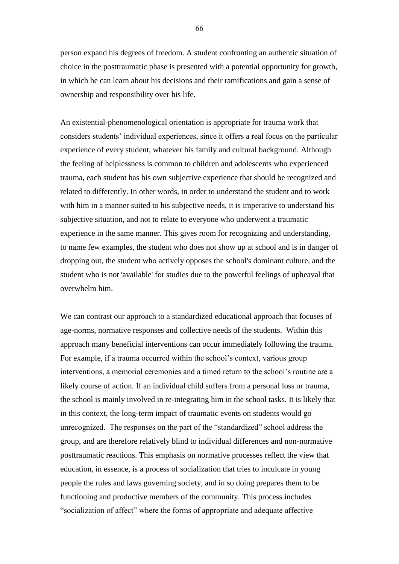person expand his degrees of freedom. A student confronting an authentic situation of choice in the posttraumatic phase is presented with a potential opportunity for growth, in which he can learn about his decisions and their ramifications and gain a sense of ownership and responsibility over his life.

An existential-phenomenological orientation is appropriate for trauma work that considers students" individual experiences, since it offers a real focus on the particular experience of every student, whatever his family and cultural background. Although the feeling of helplessness is common to children and adolescents who experienced trauma, each student has his own subjective experience that should be recognized and related to differently. In other words, in order to understand the student and to work with him in a manner suited to his subjective needs, it is imperative to understand his subjective situation, and not to relate to everyone who underwent a traumatic experience in the same manner. This gives room for recognizing and understanding, to name few examples, the student who does not show up at school and is in danger of dropping out, the student who actively opposes the school's dominant culture, and the student who is not 'available' for studies due to the powerful feelings of upheaval that overwhelm him.

We can contrast our approach to a standardized educational approach that focuses of age-norms, normative responses and collective needs of the students. Within this approach many beneficial interventions can occur immediately following the trauma. For example, if a trauma occurred within the school's context, various group interventions, a memorial ceremonies and a timed return to the school"s routine are a likely course of action. If an individual child suffers from a personal loss or trauma, the school is mainly involved in re-integrating him in the school tasks. It is likely that in this context, the long-term impact of traumatic events on students would go unrecognized. The responses on the part of the "standardized" school address the group, and are therefore relatively blind to individual differences and non-normative posttraumatic reactions. This emphasis on normative processes reflect the view that education, in essence, is a process of socialization that tries to inculcate in young people the rules and laws governing society, and in so doing prepares them to be functioning and productive members of the community. This process includes "socialization of affect" where the forms of appropriate and adequate affective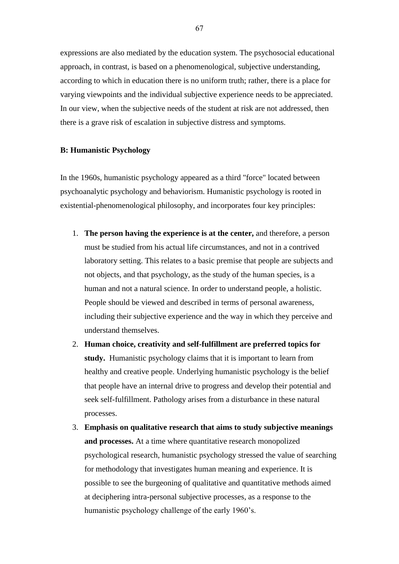expressions are also mediated by the education system. The psychosocial educational approach, in contrast, is based on a phenomenological, subjective understanding, according to which in education there is no uniform truth; rather, there is a place for varying viewpoints and the individual subjective experience needs to be appreciated. In our view, when the subjective needs of the student at risk are not addressed, then there is a grave risk of escalation in subjective distress and symptoms.

### **B: Humanistic Psychology**

In the 1960s, humanistic psychology appeared as a third "force" located between psychoanalytic psychology and behaviorism. Humanistic psychology is rooted in existential-phenomenological philosophy, and incorporates four key principles:

- 1. **The person having the experience is at the center,** and therefore, a person must be studied from his actual life circumstances, and not in a contrived laboratory setting. This relates to a basic premise that people are subjects and not objects, and that psychology, as the study of the human species, is a human and not a natural science. In order to understand people, a holistic. People should be viewed and described in terms of personal awareness, including their subjective experience and the way in which they perceive and understand themselves.
- 2. **Human choice, creativity and self-fulfillment are preferred topics for study.** Humanistic psychology claims that it is important to learn from healthy and creative people. Underlying humanistic psychology is the belief that people have an internal drive to progress and develop their potential and seek self-fulfillment. Pathology arises from a disturbance in these natural processes.
- 3. **Emphasis on qualitative research that aims to study subjective meanings and processes.** At a time where quantitative research monopolized psychological research, humanistic psychology stressed the value of searching for methodology that investigates human meaning and experience. It is possible to see the burgeoning of qualitative and quantitative methods aimed at deciphering intra-personal subjective processes, as a response to the humanistic psychology challenge of the early 1960's.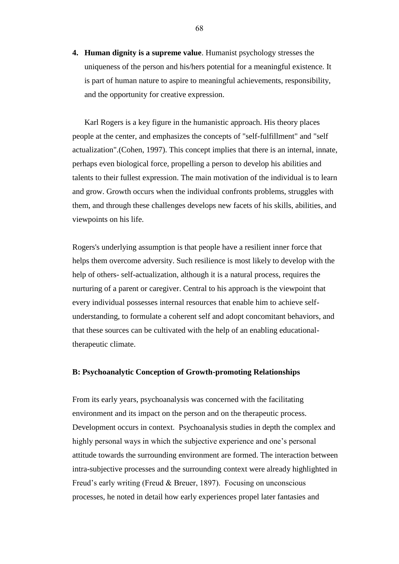**4. Human dignity is a supreme value**. Humanist psychology stresses the uniqueness of the person and his/hers potential for a meaningful existence. It is part of human nature to aspire to meaningful achievements, responsibility, and the opportunity for creative expression.

Karl Rogers is a key figure in the humanistic approach. His theory places people at the center, and emphasizes the concepts of "self-fulfillment" and "self actualization".(Cohen, 1997). This concept implies that there is an internal, innate, perhaps even biological force, propelling a person to develop his abilities and talents to their fullest expression. The main motivation of the individual is to learn and grow. Growth occurs when the individual confronts problems, struggles with them, and through these challenges develops new facets of his skills, abilities, and viewpoints on his life.

Rogers's underlying assumption is that people have a resilient inner force that helps them overcome adversity. Such resilience is most likely to develop with the help of others- self-actualization, although it is a natural process, requires the nurturing of a parent or caregiver. Central to his approach is the viewpoint that every individual possesses internal resources that enable him to achieve selfunderstanding, to formulate a coherent self and adopt concomitant behaviors, and that these sources can be cultivated with the help of an enabling educationaltherapeutic climate.

### **B: Psychoanalytic Conception of Growth-promoting Relationships**

From its early years, psychoanalysis was concerned with the facilitating environment and its impact on the person and on the therapeutic process. Development occurs in context. Psychoanalysis studies in depth the complex and highly personal ways in which the subjective experience and one's personal attitude towards the surrounding environment are formed. The interaction between intra-subjective processes and the surrounding context were already highlighted in Freud's early writing (Freud & Breuer, 1897). Focusing on unconscious processes, he noted in detail how early experiences propel later fantasies and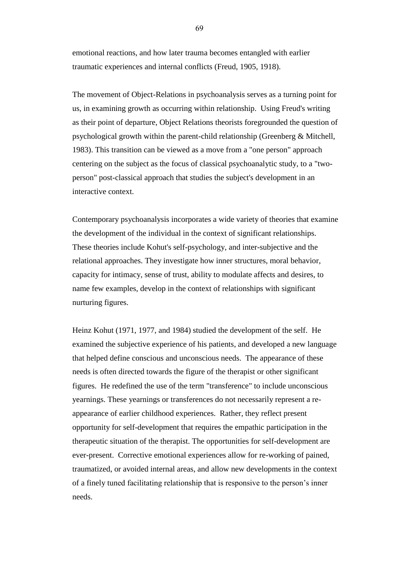emotional reactions, and how later trauma becomes entangled with earlier traumatic experiences and internal conflicts (Freud, 1905, 1918).

The movement of Object-Relations in psychoanalysis serves as a turning point for us, in examining growth as occurring within relationship. Using Freud's writing as their point of departure, Object Relations theorists foregrounded the question of psychological growth within the parent-child relationship (Greenberg & Mitchell, 1983). This transition can be viewed as a move from a "one person" approach centering on the subject as the focus of classical psychoanalytic study, to a "twoperson" post-classical approach that studies the subject's development in an interactive context.

Contemporary psychoanalysis incorporates a wide variety of theories that examine the development of the individual in the context of significant relationships. These theories include Kohut's self-psychology, and inter-subjective and the relational approaches. They investigate how inner structures, moral behavior, capacity for intimacy, sense of trust, ability to modulate affects and desires, to name few examples, develop in the context of relationships with significant nurturing figures.

Heinz Kohut (1971, 1977, and 1984) studied the development of the self. He examined the subjective experience of his patients, and developed a new language that helped define conscious and unconscious needs. The appearance of these needs is often directed towards the figure of the therapist or other significant figures. He redefined the use of the term "transference" to include unconscious yearnings. These yearnings or transferences do not necessarily represent a reappearance of earlier childhood experiences. Rather, they reflect present opportunity for self-development that requires the empathic participation in the therapeutic situation of the therapist. The opportunities for self-development are ever-present. Corrective emotional experiences allow for re-working of pained, traumatized, or avoided internal areas, and allow new developments in the context of a finely tuned facilitating relationship that is responsive to the person"s inner needs.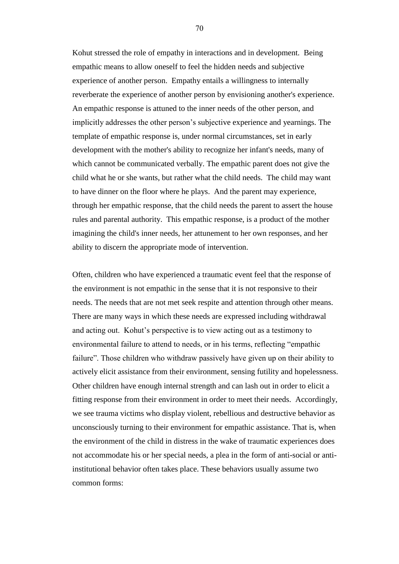Kohut stressed the role of empathy in interactions and in development. Being empathic means to allow oneself to feel the hidden needs and subjective experience of another person. Empathy entails a willingness to internally reverberate the experience of another person by envisioning another's experience. An empathic response is attuned to the inner needs of the other person, and implicitly addresses the other person"s subjective experience and yearnings. The template of empathic response is, under normal circumstances, set in early development with the mother's ability to recognize her infant's needs, many of which cannot be communicated verbally. The empathic parent does not give the child what he or she wants, but rather what the child needs. The child may want to have dinner on the floor where he plays. And the parent may experience, through her empathic response, that the child needs the parent to assert the house rules and parental authority. This empathic response, is a product of the mother imagining the child's inner needs, her attunement to her own responses, and her ability to discern the appropriate mode of intervention.

Often, children who have experienced a traumatic event feel that the response of the environment is not empathic in the sense that it is not responsive to their needs. The needs that are not met seek respite and attention through other means. There are many ways in which these needs are expressed including withdrawal and acting out. Kohut"s perspective is to view acting out as a testimony to environmental failure to attend to needs, or in his terms, reflecting "empathic failure". Those children who withdraw passively have given up on their ability to actively elicit assistance from their environment, sensing futility and hopelessness. Other children have enough internal strength and can lash out in order to elicit a fitting response from their environment in order to meet their needs. Accordingly, we see trauma victims who display violent, rebellious and destructive behavior as unconsciously turning to their environment for empathic assistance. That is, when the environment of the child in distress in the wake of traumatic experiences does not accommodate his or her special needs, a plea in the form of anti-social or antiinstitutional behavior often takes place. These behaviors usually assume two common forms: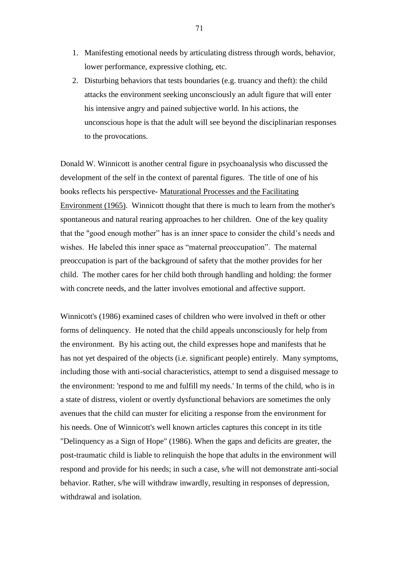- 1. Manifesting emotional needs by articulating distress through words, behavior, lower performance, expressive clothing, etc.
- 2. Disturbing behaviors that tests boundaries (e.g. truancy and theft): the child attacks the environment seeking unconsciously an adult figure that will enter his intensive angry and pained subjective world. In his actions, the unconscious hope is that the adult will see beyond the disciplinarian responses to the provocations.

Donald W. Winnicott is another central figure in psychoanalysis who discussed the development of the self in the context of parental figures. The title of one of his books reflects his perspective- Maturational Processes and the Facilitating Environment (1965). Winnicott thought that there is much to learn from the mother's spontaneous and natural rearing approaches to her children. One of the key quality that the "good enough mother" has is an inner space to consider the child"s needs and wishes. He labeled this inner space as "maternal preoccupation". The maternal preoccupation is part of the background of safety that the mother provides for her child. The mother cares for her child both through handling and holding: the former with concrete needs, and the latter involves emotional and affective support.

Winnicott's (1986) examined cases of children who were involved in theft or other forms of delinquency. He noted that the child appeals unconsciously for help from the environment. By his acting out, the child expresses hope and manifests that he has not yet despaired of the objects (i.e. significant people) entirely. Many symptoms, including those with anti-social characteristics, attempt to send a disguised message to the environment: 'respond to me and fulfill my needs.' In terms of the child, who is in a state of distress, violent or overtly dysfunctional behaviors are sometimes the only avenues that the child can muster for eliciting a response from the environment for his needs. One of Winnicott's well known articles captures this concept in its title "Delinquency as a Sign of Hope" (1986). When the gaps and deficits are greater, the post-traumatic child is liable to relinquish the hope that adults in the environment will respond and provide for his needs; in such a case, s/he will not demonstrate anti-social behavior. Rather, s/he will withdraw inwardly, resulting in responses of depression, withdrawal and isolation.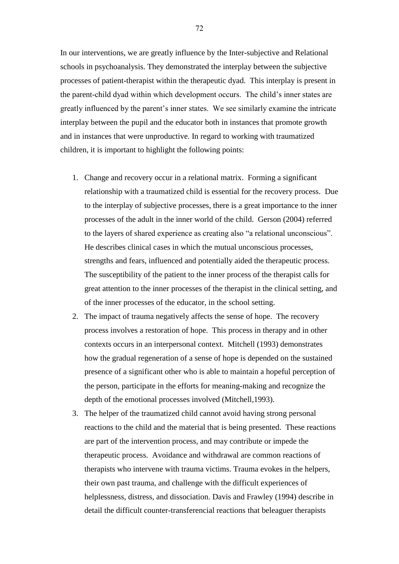In our interventions, we are greatly influence by the Inter-subjective and Relational schools in psychoanalysis. They demonstrated the interplay between the subjective processes of patient-therapist within the therapeutic dyad. This interplay is present in the parent-child dyad within which development occurs. The child"s inner states are greatly influenced by the parent"s inner states. We see similarly examine the intricate interplay between the pupil and the educator both in instances that promote growth and in instances that were unproductive. In regard to working with traumatized children, it is important to highlight the following points:

- 1. Change and recovery occur in a relational matrix. Forming a significant relationship with a traumatized child is essential for the recovery process. Due to the interplay of subjective processes, there is a great importance to the inner processes of the adult in the inner world of the child. Gerson (2004) referred to the layers of shared experience as creating also "a relational unconscious". He describes clinical cases in which the mutual unconscious processes, strengths and fears, influenced and potentially aided the therapeutic process. The susceptibility of the patient to the inner process of the therapist calls for great attention to the inner processes of the therapist in the clinical setting, and of the inner processes of the educator, in the school setting.
- 2. The impact of trauma negatively affects the sense of hope. The recovery process involves a restoration of hope. This process in therapy and in other contexts occurs in an interpersonal context. Mitchell (1993) demonstrates how the gradual regeneration of a sense of hope is depended on the sustained presence of a significant other who is able to maintain a hopeful perception of the person, participate in the efforts for meaning-making and recognize the depth of the emotional processes involved (Mitchell,1993).
- 3. The helper of the traumatized child cannot avoid having strong personal reactions to the child and the material that is being presented. These reactions are part of the intervention process, and may contribute or impede the therapeutic process. Avoidance and withdrawal are common reactions of therapists who intervene with trauma victims. Trauma evokes in the helpers, their own past trauma, and challenge with the difficult experiences of helplessness, distress, and dissociation. Davis and Frawley (1994) describe in detail the difficult counter-transferencial reactions that beleaguer therapists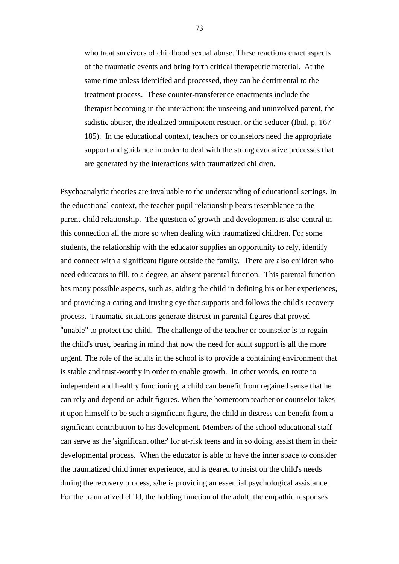who treat survivors of childhood sexual abuse. These reactions enact aspects of the traumatic events and bring forth critical therapeutic material. At the same time unless identified and processed, they can be detrimental to the treatment process. These counter-transference enactments include the therapist becoming in the interaction: the unseeing and uninvolved parent, the sadistic abuser, the idealized omnipotent rescuer, or the seducer (Ibid, p. 167- 185). In the educational context, teachers or counselors need the appropriate support and guidance in order to deal with the strong evocative processes that are generated by the interactions with traumatized children.

Psychoanalytic theories are invaluable to the understanding of educational settings. In the educational context, the teacher-pupil relationship bears resemblance to the parent-child relationship. The question of growth and development is also central in this connection all the more so when dealing with traumatized children. For some students, the relationship with the educator supplies an opportunity to rely, identify and connect with a significant figure outside the family. There are also children who need educators to fill, to a degree, an absent parental function. This parental function has many possible aspects, such as, aiding the child in defining his or her experiences, and providing a caring and trusting eye that supports and follows the child's recovery process. Traumatic situations generate distrust in parental figures that proved "unable" to protect the child. The challenge of the teacher or counselor is to regain the child's trust, bearing in mind that now the need for adult support is all the more urgent. The role of the adults in the school is to provide a containing environment that is stable and trust-worthy in order to enable growth. In other words, en route to independent and healthy functioning, a child can benefit from regained sense that he can rely and depend on adult figures. When the homeroom teacher or counselor takes it upon himself to be such a significant figure, the child in distress can benefit from a significant contribution to his development. Members of the school educational staff can serve as the 'significant other' for at-risk teens and in so doing, assist them in their developmental process. When the educator is able to have the inner space to consider the traumatized child inner experience, and is geared to insist on the child's needs during the recovery process, s/he is providing an essential psychological assistance. For the traumatized child, the holding function of the adult, the empathic responses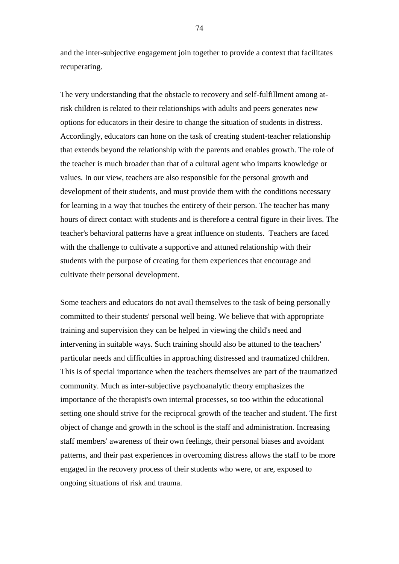and the inter-subjective engagement join together to provide a context that facilitates recuperating.

The very understanding that the obstacle to recovery and self-fulfillment among atrisk children is related to their relationships with adults and peers generates new options for educators in their desire to change the situation of students in distress. Accordingly, educators can hone on the task of creating student-teacher relationship that extends beyond the relationship with the parents and enables growth. The role of the teacher is much broader than that of a cultural agent who imparts knowledge or values. In our view, teachers are also responsible for the personal growth and development of their students, and must provide them with the conditions necessary for learning in a way that touches the entirety of their person. The teacher has many hours of direct contact with students and is therefore a central figure in their lives. The teacher's behavioral patterns have a great influence on students. Teachers are faced with the challenge to cultivate a supportive and attuned relationship with their students with the purpose of creating for them experiences that encourage and cultivate their personal development.

Some teachers and educators do not avail themselves to the task of being personally committed to their students' personal well being. We believe that with appropriate training and supervision they can be helped in viewing the child's need and intervening in suitable ways. Such training should also be attuned to the teachers' particular needs and difficulties in approaching distressed and traumatized children. This is of special importance when the teachers themselves are part of the traumatized community. Much as inter-subjective psychoanalytic theory emphasizes the importance of the therapist's own internal processes, so too within the educational setting one should strive for the reciprocal growth of the teacher and student. The first object of change and growth in the school is the staff and administration. Increasing staff members' awareness of their own feelings, their personal biases and avoidant patterns, and their past experiences in overcoming distress allows the staff to be more engaged in the recovery process of their students who were, or are, exposed to ongoing situations of risk and trauma.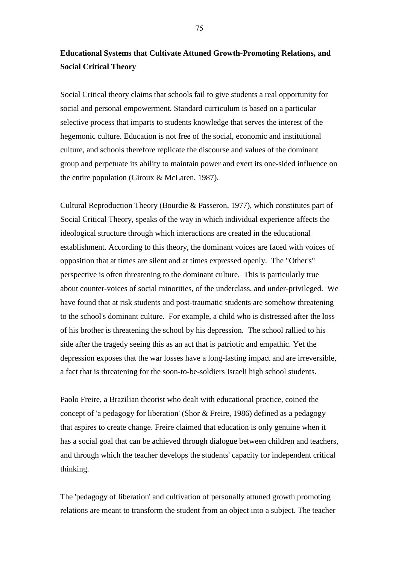# **Educational Systems that Cultivate Attuned Growth-Promoting Relations, and Social Critical Theory**

Social Critical theory claims that schools fail to give students a real opportunity for social and personal empowerment. Standard curriculum is based on a particular selective process that imparts to students knowledge that serves the interest of the hegemonic culture. Education is not free of the social, economic and institutional culture, and schools therefore replicate the discourse and values of the dominant group and perpetuate its ability to maintain power and exert its one-sided influence on the entire population (Giroux & McLaren, 1987).

Cultural Reproduction Theory (Bourdie & Passeron, 1977), which constitutes part of Social Critical Theory, speaks of the way in which individual experience affects the ideological structure through which interactions are created in the educational establishment. According to this theory, the dominant voices are faced with voices of opposition that at times are silent and at times expressed openly. The "Other's" perspective is often threatening to the dominant culture. This is particularly true about counter-voices of social minorities, of the underclass, and under-privileged. We have found that at risk students and post-traumatic students are somehow threatening to the school's dominant culture. For example, a child who is distressed after the loss of his brother is threatening the school by his depression. The school rallied to his side after the tragedy seeing this as an act that is patriotic and empathic. Yet the depression exposes that the war losses have a long-lasting impact and are irreversible, a fact that is threatening for the soon-to-be-soldiers Israeli high school students.

Paolo Freire, a Brazilian theorist who dealt with educational practice, coined the concept of 'a pedagogy for liberation' (Shor & Freire, 1986) defined as a pedagogy that aspires to create change. Freire claimed that education is only genuine when it has a social goal that can be achieved through dialogue between children and teachers, and through which the teacher develops the students' capacity for independent critical thinking.

The 'pedagogy of liberation' and cultivation of personally attuned growth promoting relations are meant to transform the student from an object into a subject. The teacher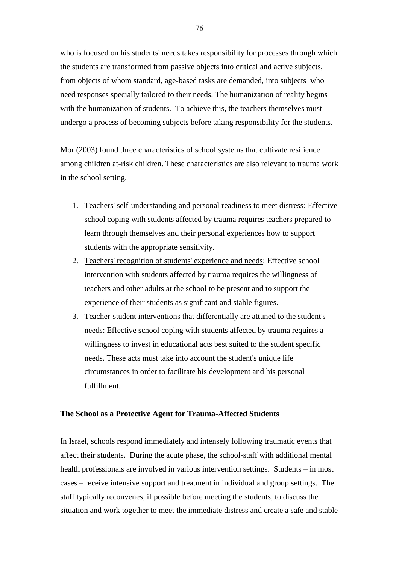who is focused on his students' needs takes responsibility for processes through which the students are transformed from passive objects into critical and active subjects, from objects of whom standard, age-based tasks are demanded, into subjects who need responses specially tailored to their needs. The humanization of reality begins with the humanization of students. To achieve this, the teachers themselves must undergo a process of becoming subjects before taking responsibility for the students.

Mor (2003) found three characteristics of school systems that cultivate resilience among children at-risk children. These characteristics are also relevant to trauma work in the school setting.

- 1. Teachers' self-understanding and personal readiness to meet distress: Effective school coping with students affected by trauma requires teachers prepared to learn through themselves and their personal experiences how to support students with the appropriate sensitivity.
- 2. Teachers' recognition of students' experience and needs: Effective school intervention with students affected by trauma requires the willingness of teachers and other adults at the school to be present and to support the experience of their students as significant and stable figures.
- 3. Teacher-student interventions that differentially are attuned to the student's needs: Effective school coping with students affected by trauma requires a willingness to invest in educational acts best suited to the student specific needs. These acts must take into account the student's unique life circumstances in order to facilitate his development and his personal fulfillment.

#### **The School as a Protective Agent for Trauma-Affected Students**

In Israel, schools respond immediately and intensely following traumatic events that affect their students. During the acute phase, the school-staff with additional mental health professionals are involved in various intervention settings. Students – in most cases – receive intensive support and treatment in individual and group settings. The staff typically reconvenes, if possible before meeting the students, to discuss the situation and work together to meet the immediate distress and create a safe and stable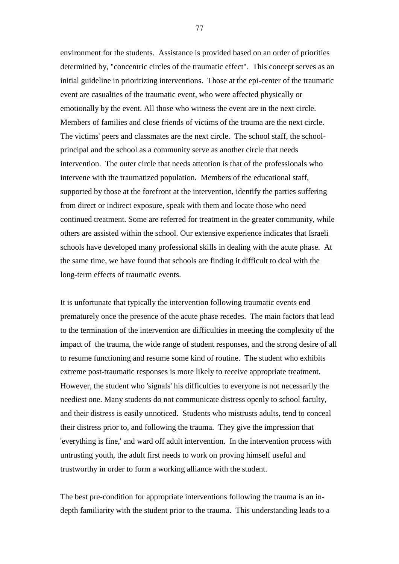environment for the students. Assistance is provided based on an order of priorities determined by, "concentric circles of the traumatic effect". This concept serves as an initial guideline in prioritizing interventions. Those at the epi-center of the traumatic event are casualties of the traumatic event, who were affected physically or emotionally by the event. All those who witness the event are in the next circle. Members of families and close friends of victims of the trauma are the next circle. The victims' peers and classmates are the next circle. The school staff, the schoolprincipal and the school as a community serve as another circle that needs intervention. The outer circle that needs attention is that of the professionals who intervene with the traumatized population. Members of the educational staff, supported by those at the forefront at the intervention, identify the parties suffering from direct or indirect exposure, speak with them and locate those who need continued treatment. Some are referred for treatment in the greater community, while others are assisted within the school. Our extensive experience indicates that Israeli schools have developed many professional skills in dealing with the acute phase. At the same time, we have found that schools are finding it difficult to deal with the long-term effects of traumatic events.

It is unfortunate that typically the intervention following traumatic events end prematurely once the presence of the acute phase recedes. The main factors that lead to the termination of the intervention are difficulties in meeting the complexity of the impact of the trauma, the wide range of student responses, and the strong desire of all to resume functioning and resume some kind of routine. The student who exhibits extreme post-traumatic responses is more likely to receive appropriate treatment. However, the student who 'signals' his difficulties to everyone is not necessarily the neediest one. Many students do not communicate distress openly to school faculty, and their distress is easily unnoticed. Students who mistrusts adults, tend to conceal their distress prior to, and following the trauma. They give the impression that 'everything is fine,' and ward off adult intervention. In the intervention process with untrusting youth, the adult first needs to work on proving himself useful and trustworthy in order to form a working alliance with the student.

The best pre-condition for appropriate interventions following the trauma is an indepth familiarity with the student prior to the trauma. This understanding leads to a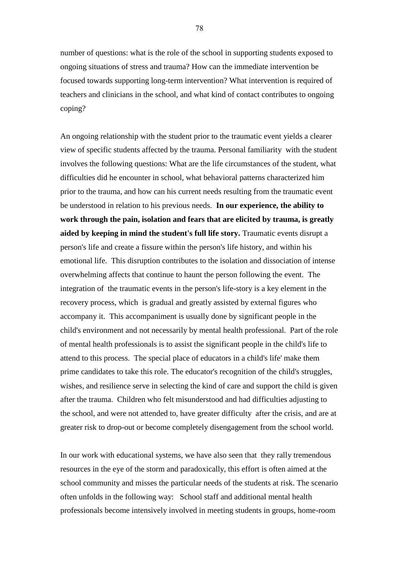number of questions: what is the role of the school in supporting students exposed to ongoing situations of stress and trauma? How can the immediate intervention be focused towards supporting long-term intervention? What intervention is required of teachers and clinicians in the school, and what kind of contact contributes to ongoing coping?

An ongoing relationship with the student prior to the traumatic event yields a clearer view of specific students affected by the trauma. Personal familiarity with the student involves the following questions: What are the life circumstances of the student, what difficulties did he encounter in school, what behavioral patterns characterized him prior to the trauma, and how can his current needs resulting from the traumatic event be understood in relation to his previous needs. **In our experience, the ability to work through the pain, isolation and fears that are elicited by trauma, is greatly aided by keeping in mind the student's full life story.** Traumatic events disrupt a person's life and create a fissure within the person's life history, and within his emotional life. This disruption contributes to the isolation and dissociation of intense overwhelming affects that continue to haunt the person following the event. The integration of the traumatic events in the person's life-story is a key element in the recovery process, which is gradual and greatly assisted by external figures who accompany it. This accompaniment is usually done by significant people in the child's environment and not necessarily by mental health professional. Part of the role of mental health professionals is to assist the significant people in the child's life to attend to this process. The special place of educators in a child's life' make them prime candidates to take this role. The educator's recognition of the child's struggles, wishes, and resilience serve in selecting the kind of care and support the child is given after the trauma. Children who felt misunderstood and had difficulties adjusting to the school, and were not attended to, have greater difficulty after the crisis, and are at greater risk to drop-out or become completely disengagement from the school world.

In our work with educational systems, we have also seen that they rally tremendous resources in the eye of the storm and paradoxically, this effort is often aimed at the school community and misses the particular needs of the students at risk. The scenario often unfolds in the following way: School staff and additional mental health professionals become intensively involved in meeting students in groups, home-room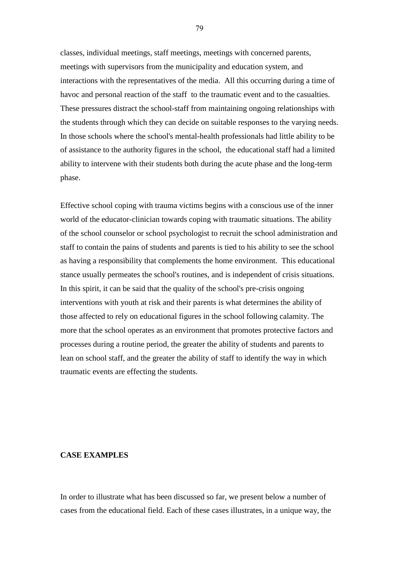classes, individual meetings, staff meetings, meetings with concerned parents, meetings with supervisors from the municipality and education system, and interactions with the representatives of the media. All this occurring during a time of havoc and personal reaction of the staff to the traumatic event and to the casualties. These pressures distract the school-staff from maintaining ongoing relationships with the students through which they can decide on suitable responses to the varying needs. In those schools where the school's mental-health professionals had little ability to be of assistance to the authority figures in the school, the educational staff had a limited ability to intervene with their students both during the acute phase and the long-term phase.

Effective school coping with trauma victims begins with a conscious use of the inner world of the educator-clinician towards coping with traumatic situations. The ability of the school counselor or school psychologist to recruit the school administration and staff to contain the pains of students and parents is tied to his ability to see the school as having a responsibility that complements the home environment. This educational stance usually permeates the school's routines, and is independent of crisis situations. In this spirit, it can be said that the quality of the school's pre-crisis ongoing interventions with youth at risk and their parents is what determines the ability of those affected to rely on educational figures in the school following calamity. The more that the school operates as an environment that promotes protective factors and processes during a routine period, the greater the ability of students and parents to lean on school staff, and the greater the ability of staff to identify the way in which traumatic events are effecting the students.

#### **CASE EXAMPLES**

In order to illustrate what has been discussed so far, we present below a number of cases from the educational field. Each of these cases illustrates, in a unique way, the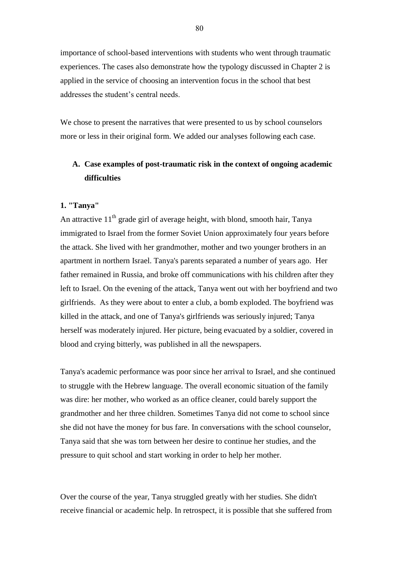importance of school-based interventions with students who went through traumatic experiences. The cases also demonstrate how the typology discussed in Chapter 2 is applied in the service of choosing an intervention focus in the school that best addresses the student"s central needs.

We chose to present the narratives that were presented to us by school counselors more or less in their original form. We added our analyses following each case.

## **A. Case examples of post-traumatic risk in the context of ongoing academic difficulties**

#### **1. "Tanya"**

An attractive  $11<sup>th</sup>$  grade girl of average height, with blond, smooth hair, Tanya immigrated to Israel from the former Soviet Union approximately four years before the attack. She lived with her grandmother, mother and two younger brothers in an apartment in northern Israel. Tanya's parents separated a number of years ago. Her father remained in Russia, and broke off communications with his children after they left to Israel. On the evening of the attack, Tanya went out with her boyfriend and two girlfriends. As they were about to enter a club, a bomb exploded. The boyfriend was killed in the attack, and one of Tanya's girlfriends was seriously injured; Tanya herself was moderately injured. Her picture, being evacuated by a soldier, covered in blood and crying bitterly, was published in all the newspapers.

Tanya's academic performance was poor since her arrival to Israel, and she continued to struggle with the Hebrew language. The overall economic situation of the family was dire: her mother, who worked as an office cleaner, could barely support the grandmother and her three children. Sometimes Tanya did not come to school since she did not have the money for bus fare. In conversations with the school counselor, Tanya said that she was torn between her desire to continue her studies, and the pressure to quit school and start working in order to help her mother.

Over the course of the year, Tanya struggled greatly with her studies. She didn't receive financial or academic help. In retrospect, it is possible that she suffered from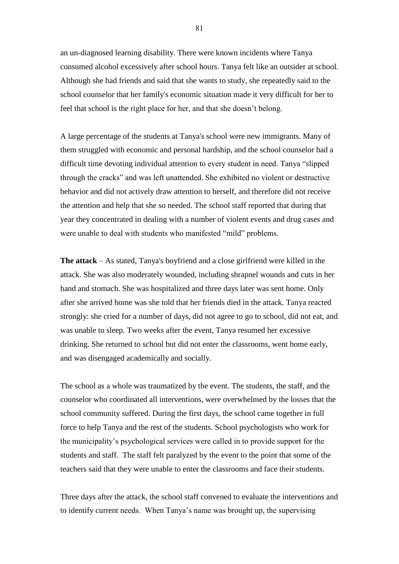an un-diagnosed learning disability. There were known incidents where Tanya consumed alcohol excessively after school hours. Tanya felt like an outsider at school. Although she had friends and said that she wants to study, she repeatedly said to the school counselor that her family's economic situation made it very difficult for her to feel that school is the right place for her, and that she doesn't belong.

A large percentage of the students at Tanya's school were new immigrants. Many of them struggled with economic and personal hardship, and the school counselor had a difficult time devoting individual attention to every student in need. Tanya "slipped through the cracks" and was left unattended. She exhibited no violent or destructive behavior and did not actively draw attention to herself, and therefore did not receive the attention and help that she so needed. The school staff reported that during that year they concentrated in dealing with a number of violent events and drug cases and were unable to deal with students who manifested "mild" problems.

**The attack** – As stated, Tanya's boyfriend and a close girlfriend were killed in the attack. She was also moderately wounded, including shrapnel wounds and cuts in her hand and stomach. She was hospitalized and three days later was sent home. Only after she arrived home was she told that her friends died in the attack. Tanya reacted strongly: she cried for a number of days, did not agree to go to school, did not eat, and was unable to sleep. Two weeks after the event, Tanya resumed her excessive drinking. She returned to school but did not enter the classrooms, went home early, and was disengaged academically and socially.

The school as a whole was traumatized by the event. The students, the staff, and the counselor who coordinated all interventions, were overwhelmed by the losses that the school community suffered. During the first days, the school came together in full force to help Tanya and the rest of the students. School psychologists who work for the municipality"s psychological services were called in to provide support for the students and staff. The staff felt paralyzed by the event to the point that some of the teachers said that they were unable to enter the classrooms and face their students.

Three days after the attack, the school staff convened to evaluate the interventions and to identify current needs. When Tanya"s name was brought up, the supervising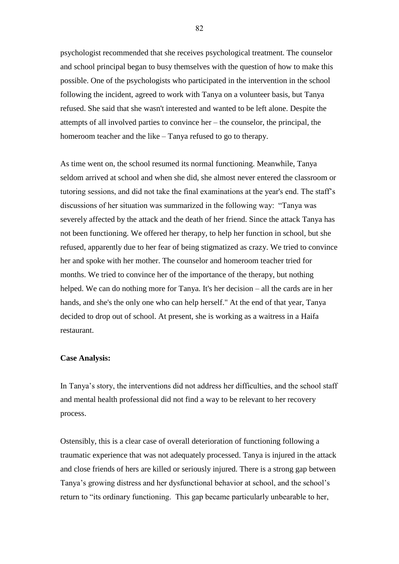psychologist recommended that she receives psychological treatment. The counselor and school principal began to busy themselves with the question of how to make this possible. One of the psychologists who participated in the intervention in the school following the incident, agreed to work with Tanya on a volunteer basis, but Tanya refused. She said that she wasn't interested and wanted to be left alone. Despite the attempts of all involved parties to convince her – the counselor, the principal, the homeroom teacher and the like – Tanya refused to go to therapy.

As time went on, the school resumed its normal functioning. Meanwhile, Tanya seldom arrived at school and when she did, she almost never entered the classroom or tutoring sessions, and did not take the final examinations at the year's end. The staff"s discussions of her situation was summarized in the following way: "Tanya was severely affected by the attack and the death of her friend. Since the attack Tanya has not been functioning. We offered her therapy, to help her function in school, but she refused, apparently due to her fear of being stigmatized as crazy. We tried to convince her and spoke with her mother. The counselor and homeroom teacher tried for months. We tried to convince her of the importance of the therapy, but nothing helped. We can do nothing more for Tanya. It's her decision – all the cards are in her hands, and she's the only one who can help herself." At the end of that year, Tanya decided to drop out of school. At present, she is working as a waitress in a Haifa restaurant.

#### **Case Analysis:**

In Tanya"s story, the interventions did not address her difficulties, and the school staff and mental health professional did not find a way to be relevant to her recovery process.

Ostensibly, this is a clear case of overall deterioration of functioning following a traumatic experience that was not adequately processed. Tanya is injured in the attack and close friends of hers are killed or seriously injured. There is a strong gap between Tanya"s growing distress and her dysfunctional behavior at school, and the school"s return to "its ordinary functioning. This gap became particularly unbearable to her,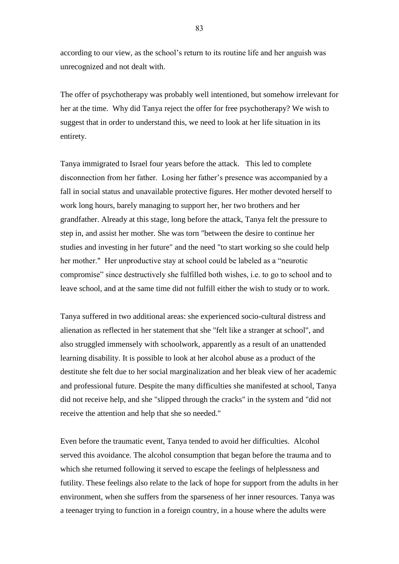according to our view, as the school"s return to its routine life and her anguish was unrecognized and not dealt with.

The offer of psychotherapy was probably well intentioned, but somehow irrelevant for her at the time. Why did Tanya reject the offer for free psychotherapy? We wish to suggest that in order to understand this, we need to look at her life situation in its entirety.

Tanya immigrated to Israel four years before the attack. This led to complete disconnection from her father. Losing her father"s presence was accompanied by a fall in social status and unavailable protective figures. Her mother devoted herself to work long hours, barely managing to support her, her two brothers and her grandfather. Already at this stage, long before the attack, Tanya felt the pressure to step in, and assist her mother. She was torn "between the desire to continue her studies and investing in her future" and the need "to start working so she could help her mother." Her unproductive stay at school could be labeled as a "neurotic compromise" since destructively she fulfilled both wishes, i.e. to go to school and to leave school, and at the same time did not fulfill either the wish to study or to work.

Tanya suffered in two additional areas: she experienced socio-cultural distress and alienation as reflected in her statement that she "felt like a stranger at school", and also struggled immensely with schoolwork, apparently as a result of an unattended learning disability. It is possible to look at her alcohol abuse as a product of the destitute she felt due to her social marginalization and her bleak view of her academic and professional future. Despite the many difficulties she manifested at school, Tanya did not receive help, and she "slipped through the cracks" in the system and "did not receive the attention and help that she so needed."

Even before the traumatic event, Tanya tended to avoid her difficulties. Alcohol served this avoidance. The alcohol consumption that began before the trauma and to which she returned following it served to escape the feelings of helplessness and futility. These feelings also relate to the lack of hope for support from the adults in her environment, when she suffers from the sparseness of her inner resources. Tanya was a teenager trying to function in a foreign country, in a house where the adults were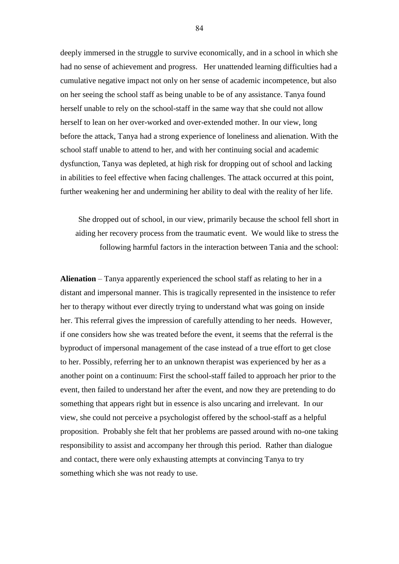deeply immersed in the struggle to survive economically, and in a school in which she had no sense of achievement and progress. Her unattended learning difficulties had a cumulative negative impact not only on her sense of academic incompetence, but also on her seeing the school staff as being unable to be of any assistance. Tanya found herself unable to rely on the school-staff in the same way that she could not allow herself to lean on her over-worked and over-extended mother. In our view, long before the attack, Tanya had a strong experience of loneliness and alienation. With the school staff unable to attend to her, and with her continuing social and academic dysfunction, Tanya was depleted, at high risk for dropping out of school and lacking in abilities to feel effective when facing challenges. The attack occurred at this point, further weakening her and undermining her ability to deal with the reality of her life.

She dropped out of school, in our view, primarily because the school fell short in aiding her recovery process from the traumatic event. We would like to stress the following harmful factors in the interaction between Tania and the school:

**Alienation** – Tanya apparently experienced the school staff as relating to her in a distant and impersonal manner. This is tragically represented in the insistence to refer her to therapy without ever directly trying to understand what was going on inside her. This referral gives the impression of carefully attending to her needs. However, if one considers how she was treated before the event, it seems that the referral is the byproduct of impersonal management of the case instead of a true effort to get close to her. Possibly, referring her to an unknown therapist was experienced by her as a another point on a continuum: First the school-staff failed to approach her prior to the event, then failed to understand her after the event, and now they are pretending to do something that appears right but in essence is also uncaring and irrelevant. In our view, she could not perceive a psychologist offered by the school-staff as a helpful proposition. Probably she felt that her problems are passed around with no-one taking responsibility to assist and accompany her through this period. Rather than dialogue and contact, there were only exhausting attempts at convincing Tanya to try something which she was not ready to use.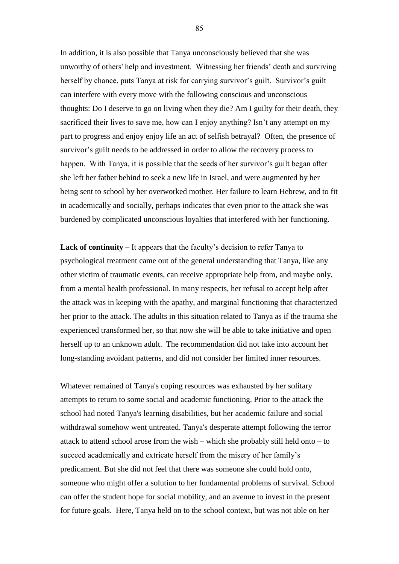In addition, it is also possible that Tanya unconsciously believed that she was unworthy of others' help and investment. Witnessing her friends" death and surviving herself by chance, puts Tanya at risk for carrying survivor's guilt. Survivor's guilt can interfere with every move with the following conscious and unconscious thoughts: Do I deserve to go on living when they die? Am I guilty for their death, they sacrificed their lives to save me, how can I enjoy anything? Isn"t any attempt on my part to progress and enjoy enjoy life an act of selfish betrayal? Often, the presence of survivor's guilt needs to be addressed in order to allow the recovery process to happen. With Tanya, it is possible that the seeds of her survivor's guilt began after she left her father behind to seek a new life in Israel, and were augmented by her being sent to school by her overworked mother. Her failure to learn Hebrew, and to fit in academically and socially, perhaps indicates that even prior to the attack she was burdened by complicated unconscious loyalties that interfered with her functioning.

**Lack of continuity** – It appears that the faculty"s decision to refer Tanya to psychological treatment came out of the general understanding that Tanya, like any other victim of traumatic events, can receive appropriate help from, and maybe only, from a mental health professional. In many respects, her refusal to accept help after the attack was in keeping with the apathy, and marginal functioning that characterized her prior to the attack. The adults in this situation related to Tanya as if the trauma she experienced transformed her, so that now she will be able to take initiative and open herself up to an unknown adult. The recommendation did not take into account her long-standing avoidant patterns, and did not consider her limited inner resources.

Whatever remained of Tanya's coping resources was exhausted by her solitary attempts to return to some social and academic functioning. Prior to the attack the school had noted Tanya's learning disabilities, but her academic failure and social withdrawal somehow went untreated. Tanya's desperate attempt following the terror attack to attend school arose from the wish – which she probably still held onto – to succeed academically and extricate herself from the misery of her family"s predicament. But she did not feel that there was someone she could hold onto, someone who might offer a solution to her fundamental problems of survival. School can offer the student hope for social mobility, and an avenue to invest in the present for future goals. Here, Tanya held on to the school context, but was not able on her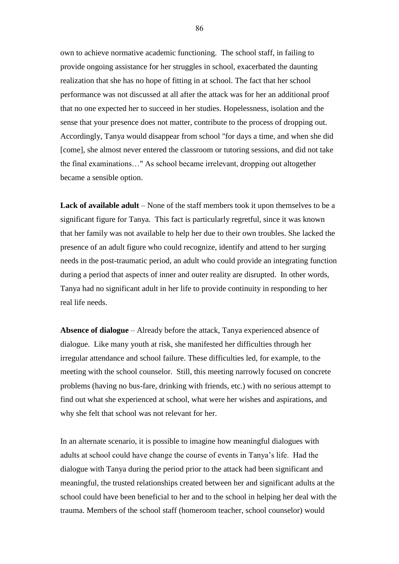own to achieve normative academic functioning. The school staff, in failing to provide ongoing assistance for her struggles in school, exacerbated the daunting realization that she has no hope of fitting in at school. The fact that her school performance was not discussed at all after the attack was for her an additional proof that no one expected her to succeed in her studies. Hopelessness, isolation and the sense that your presence does not matter, contribute to the process of dropping out. Accordingly, Tanya would disappear from school "for days a time, and when she did [come], she almost never entered the classroom or tutoring sessions, and did not take the final examinations…" As school became irrelevant, dropping out altogether became a sensible option.

**Lack of available adult** – None of the staff members took it upon themselves to be a significant figure for Tanya. This fact is particularly regretful, since it was known that her family was not available to help her due to their own troubles. She lacked the presence of an adult figure who could recognize, identify and attend to her surging needs in the post-traumatic period, an adult who could provide an integrating function during a period that aspects of inner and outer reality are disrupted. In other words, Tanya had no significant adult in her life to provide continuity in responding to her real life needs.

**Absence of dialogue** – Already before the attack, Tanya experienced absence of dialogue. Like many youth at risk, she manifested her difficulties through her irregular attendance and school failure. These difficulties led, for example, to the meeting with the school counselor. Still, this meeting narrowly focused on concrete problems (having no bus-fare, drinking with friends, etc.) with no serious attempt to find out what she experienced at school, what were her wishes and aspirations, and why she felt that school was not relevant for her.

In an alternate scenario, it is possible to imagine how meaningful dialogues with adults at school could have change the course of events in Tanya"s life. Had the dialogue with Tanya during the period prior to the attack had been significant and meaningful, the trusted relationships created between her and significant adults at the school could have been beneficial to her and to the school in helping her deal with the trauma. Members of the school staff (homeroom teacher, school counselor) would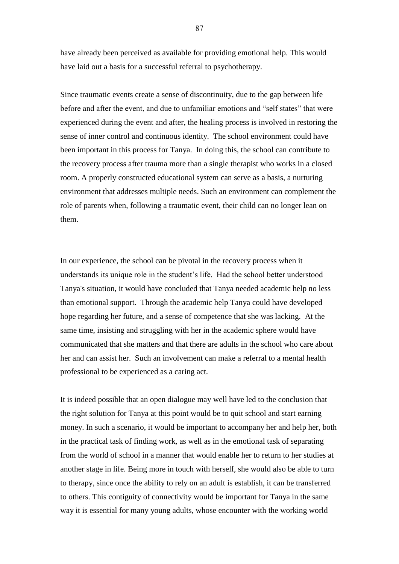have already been perceived as available for providing emotional help. This would have laid out a basis for a successful referral to psychotherapy.

Since traumatic events create a sense of discontinuity, due to the gap between life before and after the event, and due to unfamiliar emotions and "self states" that were experienced during the event and after, the healing process is involved in restoring the sense of inner control and continuous identity. The school environment could have been important in this process for Tanya. In doing this, the school can contribute to the recovery process after trauma more than a single therapist who works in a closed room. A properly constructed educational system can serve as a basis, a nurturing environment that addresses multiple needs. Such an environment can complement the role of parents when, following a traumatic event, their child can no longer lean on them.

In our experience, the school can be pivotal in the recovery process when it understands its unique role in the student"s life. Had the school better understood Tanya's situation, it would have concluded that Tanya needed academic help no less than emotional support. Through the academic help Tanya could have developed hope regarding her future, and a sense of competence that she was lacking. At the same time, insisting and struggling with her in the academic sphere would have communicated that she matters and that there are adults in the school who care about her and can assist her. Such an involvement can make a referral to a mental health professional to be experienced as a caring act.

It is indeed possible that an open dialogue may well have led to the conclusion that the right solution for Tanya at this point would be to quit school and start earning money. In such a scenario, it would be important to accompany her and help her, both in the practical task of finding work, as well as in the emotional task of separating from the world of school in a manner that would enable her to return to her studies at another stage in life. Being more in touch with herself, she would also be able to turn to therapy, since once the ability to rely on an adult is establish, it can be transferred to others. This contiguity of connectivity would be important for Tanya in the same way it is essential for many young adults, whose encounter with the working world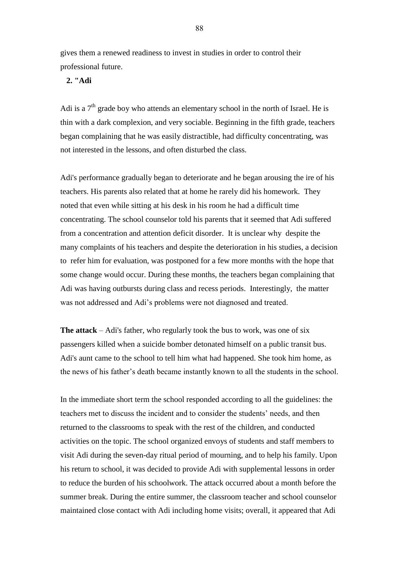gives them a renewed readiness to invest in studies in order to control their professional future.

### **2. "Adi**

Adi is a  $7<sup>th</sup>$  grade boy who attends an elementary school in the north of Israel. He is thin with a dark complexion, and very sociable. Beginning in the fifth grade, teachers began complaining that he was easily distractible, had difficulty concentrating, was not interested in the lessons, and often disturbed the class.

Adi's performance gradually began to deteriorate and he began arousing the ire of his teachers. His parents also related that at home he rarely did his homework. They noted that even while sitting at his desk in his room he had a difficult time concentrating. The school counselor told his parents that it seemed that Adi suffered from a concentration and attention deficit disorder. It is unclear why despite the many complaints of his teachers and despite the deterioration in his studies, a decision to refer him for evaluation, was postponed for a few more months with the hope that some change would occur. During these months, the teachers began complaining that Adi was having outbursts during class and recess periods. Interestingly, the matter was not addressed and Adi"s problems were not diagnosed and treated.

**The attack** – Adi's father, who regularly took the bus to work, was one of six passengers killed when a suicide bomber detonated himself on a public transit bus. Adi's aunt came to the school to tell him what had happened. She took him home, as the news of his father"s death became instantly known to all the students in the school.

In the immediate short term the school responded according to all the guidelines: the teachers met to discuss the incident and to consider the students" needs, and then returned to the classrooms to speak with the rest of the children, and conducted activities on the topic. The school organized envoys of students and staff members to visit Adi during the seven-day ritual period of mourning, and to help his family. Upon his return to school, it was decided to provide Adi with supplemental lessons in order to reduce the burden of his schoolwork. The attack occurred about a month before the summer break. During the entire summer, the classroom teacher and school counselor maintained close contact with Adi including home visits; overall, it appeared that Adi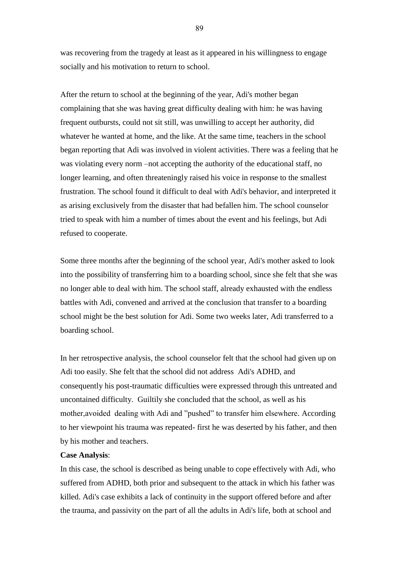was recovering from the tragedy at least as it appeared in his willingness to engage socially and his motivation to return to school.

After the return to school at the beginning of the year, Adi's mother began complaining that she was having great difficulty dealing with him: he was having frequent outbursts, could not sit still, was unwilling to accept her authority, did whatever he wanted at home, and the like. At the same time, teachers in the school began reporting that Adi was involved in violent activities. There was a feeling that he was violating every norm –not accepting the authority of the educational staff, no longer learning, and often threateningly raised his voice in response to the smallest frustration. The school found it difficult to deal with Adi's behavior, and interpreted it as arising exclusively from the disaster that had befallen him. The school counselor tried to speak with him a number of times about the event and his feelings, but Adi refused to cooperate.

Some three months after the beginning of the school year, Adi's mother asked to look into the possibility of transferring him to a boarding school, since she felt that she was no longer able to deal with him. The school staff, already exhausted with the endless battles with Adi, convened and arrived at the conclusion that transfer to a boarding school might be the best solution for Adi. Some two weeks later, Adi transferred to a boarding school.

In her retrospective analysis, the school counselor felt that the school had given up on Adi too easily. She felt that the school did not address Adi's ADHD, and consequently his post-traumatic difficulties were expressed through this untreated and uncontained difficulty. Guiltily she concluded that the school, as well as his mother,avoided dealing with Adi and "pushed" to transfer him elsewhere. According to her viewpoint his trauma was repeated- first he was deserted by his father, and then by his mother and teachers.

#### **Case Analysis**:

In this case, the school is described as being unable to cope effectively with Adi, who suffered from ADHD, both prior and subsequent to the attack in which his father was killed. Adi's case exhibits a lack of continuity in the support offered before and after the trauma, and passivity on the part of all the adults in Adi's life, both at school and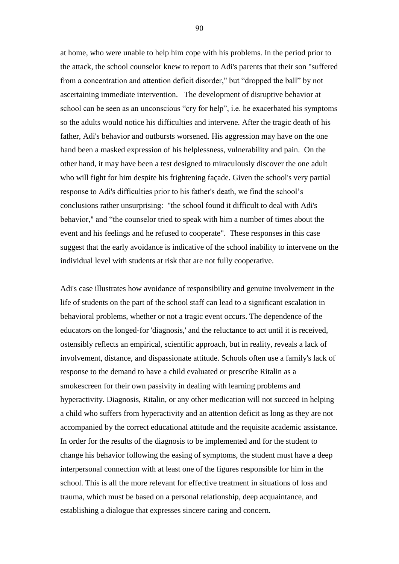at home, who were unable to help him cope with his problems. In the period prior to the attack, the school counselor knew to report to Adi's parents that their son "suffered from a concentration and attention deficit disorder," but "dropped the ball" by not ascertaining immediate intervention. The development of disruptive behavior at school can be seen as an unconscious "cry for help", i.e. he exacerbated his symptoms so the adults would notice his difficulties and intervene. After the tragic death of his father, Adi's behavior and outbursts worsened. His aggression may have on the one hand been a masked expression of his helplessness, vulnerability and pain. On the other hand, it may have been a test designed to miraculously discover the one adult who will fight for him despite his frightening façade. Given the school's very partial response to Adi's difficulties prior to his father's death, we find the school"s conclusions rather unsurprising: "the school found it difficult to deal with Adi's behavior," and "the counselor tried to speak with him a number of times about the event and his feelings and he refused to cooperate". These responses in this case suggest that the early avoidance is indicative of the school inability to intervene on the individual level with students at risk that are not fully cooperative.

Adi's case illustrates how avoidance of responsibility and genuine involvement in the life of students on the part of the school staff can lead to a significant escalation in behavioral problems, whether or not a tragic event occurs. The dependence of the educators on the longed-for 'diagnosis,' and the reluctance to act until it is received, ostensibly reflects an empirical, scientific approach, but in reality, reveals a lack of involvement, distance, and dispassionate attitude. Schools often use a family's lack of response to the demand to have a child evaluated or prescribe Ritalin as a smokescreen for their own passivity in dealing with learning problems and hyperactivity. Diagnosis, Ritalin, or any other medication will not succeed in helping a child who suffers from hyperactivity and an attention deficit as long as they are not accompanied by the correct educational attitude and the requisite academic assistance. In order for the results of the diagnosis to be implemented and for the student to change his behavior following the easing of symptoms, the student must have a deep interpersonal connection with at least one of the figures responsible for him in the school. This is all the more relevant for effective treatment in situations of loss and trauma, which must be based on a personal relationship, deep acquaintance, and establishing a dialogue that expresses sincere caring and concern.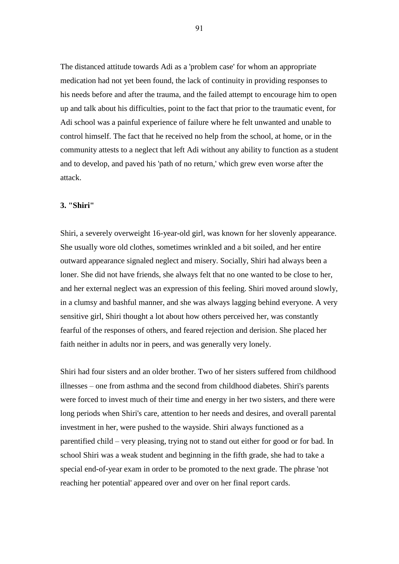The distanced attitude towards Adi as a 'problem case' for whom an appropriate medication had not yet been found, the lack of continuity in providing responses to his needs before and after the trauma, and the failed attempt to encourage him to open up and talk about his difficulties, point to the fact that prior to the traumatic event, for Adi school was a painful experience of failure where he felt unwanted and unable to control himself. The fact that he received no help from the school, at home, or in the community attests to a neglect that left Adi without any ability to function as a student and to develop, and paved his 'path of no return,' which grew even worse after the attack.

### **3. "Shiri"**

Shiri, a severely overweight 16-year-old girl, was known for her slovenly appearance. She usually wore old clothes, sometimes wrinkled and a bit soiled, and her entire outward appearance signaled neglect and misery. Socially, Shiri had always been a loner. She did not have friends, she always felt that no one wanted to be close to her, and her external neglect was an expression of this feeling. Shiri moved around slowly, in a clumsy and bashful manner, and she was always lagging behind everyone. A very sensitive girl, Shiri thought a lot about how others perceived her, was constantly fearful of the responses of others, and feared rejection and derision. She placed her faith neither in adults nor in peers, and was generally very lonely.

Shiri had four sisters and an older brother. Two of her sisters suffered from childhood illnesses – one from asthma and the second from childhood diabetes. Shiri's parents were forced to invest much of their time and energy in her two sisters, and there were long periods when Shiri's care, attention to her needs and desires, and overall parental investment in her, were pushed to the wayside. Shiri always functioned as a parentified child – very pleasing, trying not to stand out either for good or for bad. In school Shiri was a weak student and beginning in the fifth grade, she had to take a special end-of-year exam in order to be promoted to the next grade. The phrase 'not reaching her potential' appeared over and over on her final report cards.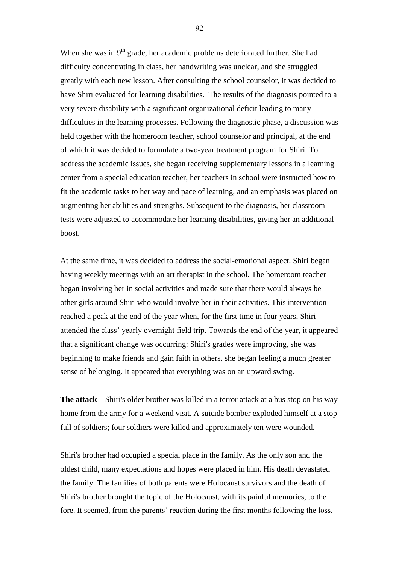When she was in  $9<sup>th</sup>$  grade, her academic problems deteriorated further. She had difficulty concentrating in class, her handwriting was unclear, and she struggled greatly with each new lesson. After consulting the school counselor, it was decided to have Shiri evaluated for learning disabilities. The results of the diagnosis pointed to a very severe disability with a significant organizational deficit leading to many difficulties in the learning processes. Following the diagnostic phase, a discussion was held together with the homeroom teacher, school counselor and principal, at the end of which it was decided to formulate a two-year treatment program for Shiri. To address the academic issues, she began receiving supplementary lessons in a learning center from a special education teacher, her teachers in school were instructed how to fit the academic tasks to her way and pace of learning, and an emphasis was placed on augmenting her abilities and strengths. Subsequent to the diagnosis, her classroom tests were adjusted to accommodate her learning disabilities, giving her an additional boost.

At the same time, it was decided to address the social-emotional aspect. Shiri began having weekly meetings with an art therapist in the school. The homeroom teacher began involving her in social activities and made sure that there would always be other girls around Shiri who would involve her in their activities. This intervention reached a peak at the end of the year when, for the first time in four years, Shiri attended the class" yearly overnight field trip. Towards the end of the year, it appeared that a significant change was occurring: Shiri's grades were improving, she was beginning to make friends and gain faith in others, she began feeling a much greater sense of belonging. It appeared that everything was on an upward swing.

**The attack** – Shiri's older brother was killed in a terror attack at a bus stop on his way home from the army for a weekend visit. A suicide bomber exploded himself at a stop full of soldiers; four soldiers were killed and approximately ten were wounded.

Shiri's brother had occupied a special place in the family. As the only son and the oldest child, many expectations and hopes were placed in him. His death devastated the family. The families of both parents were Holocaust survivors and the death of Shiri's brother brought the topic of the Holocaust, with its painful memories, to the fore. It seemed, from the parents' reaction during the first months following the loss,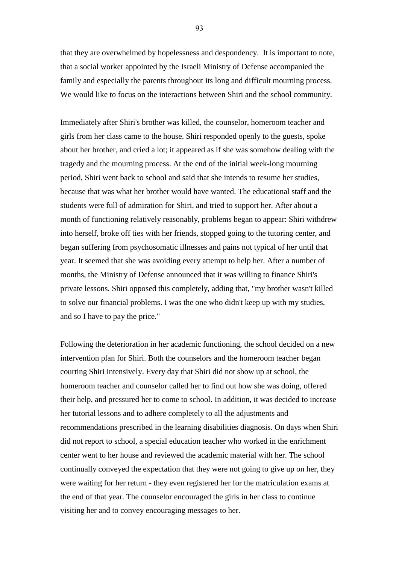that they are overwhelmed by hopelessness and despondency. It is important to note, that a social worker appointed by the Israeli Ministry of Defense accompanied the family and especially the parents throughout its long and difficult mourning process. We would like to focus on the interactions between Shiri and the school community.

Immediately after Shiri's brother was killed, the counselor, homeroom teacher and girls from her class came to the house. Shiri responded openly to the guests, spoke about her brother, and cried a lot; it appeared as if she was somehow dealing with the tragedy and the mourning process. At the end of the initial week-long mourning period, Shiri went back to school and said that she intends to resume her studies, because that was what her brother would have wanted. The educational staff and the students were full of admiration for Shiri, and tried to support her. After about a month of functioning relatively reasonably, problems began to appear: Shiri withdrew into herself, broke off ties with her friends, stopped going to the tutoring center, and began suffering from psychosomatic illnesses and pains not typical of her until that year. It seemed that she was avoiding every attempt to help her. After a number of months, the Ministry of Defense announced that it was willing to finance Shiri's private lessons. Shiri opposed this completely, adding that, "my brother wasn't killed to solve our financial problems. I was the one who didn't keep up with my studies, and so I have to pay the price."

Following the deterioration in her academic functioning, the school decided on a new intervention plan for Shiri. Both the counselors and the homeroom teacher began courting Shiri intensively. Every day that Shiri did not show up at school, the homeroom teacher and counselor called her to find out how she was doing, offered their help, and pressured her to come to school. In addition, it was decided to increase her tutorial lessons and to adhere completely to all the adjustments and recommendations prescribed in the learning disabilities diagnosis. On days when Shiri did not report to school, a special education teacher who worked in the enrichment center went to her house and reviewed the academic material with her. The school continually conveyed the expectation that they were not going to give up on her, they were waiting for her return - they even registered her for the matriculation exams at the end of that year. The counselor encouraged the girls in her class to continue visiting her and to convey encouraging messages to her.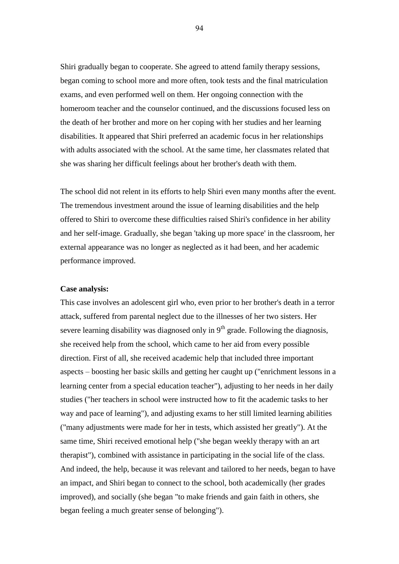Shiri gradually began to cooperate. She agreed to attend family therapy sessions, began coming to school more and more often, took tests and the final matriculation exams, and even performed well on them. Her ongoing connection with the homeroom teacher and the counselor continued, and the discussions focused less on the death of her brother and more on her coping with her studies and her learning disabilities. It appeared that Shiri preferred an academic focus in her relationships with adults associated with the school. At the same time, her classmates related that she was sharing her difficult feelings about her brother's death with them.

The school did not relent in its efforts to help Shiri even many months after the event. The tremendous investment around the issue of learning disabilities and the help offered to Shiri to overcome these difficulties raised Shiri's confidence in her ability and her self-image. Gradually, she began 'taking up more space' in the classroom, her external appearance was no longer as neglected as it had been, and her academic performance improved.

### **Case analysis:**

This case involves an adolescent girl who, even prior to her brother's death in a terror attack, suffered from parental neglect due to the illnesses of her two sisters. Her severe learning disability was diagnosed only in  $9<sup>th</sup>$  grade. Following the diagnosis, she received help from the school, which came to her aid from every possible direction. First of all, she received academic help that included three important aspects – boosting her basic skills and getting her caught up ("enrichment lessons in a learning center from a special education teacher"), adjusting to her needs in her daily studies ("her teachers in school were instructed how to fit the academic tasks to her way and pace of learning"), and adjusting exams to her still limited learning abilities ("many adjustments were made for her in tests, which assisted her greatly"). At the same time, Shiri received emotional help ("she began weekly therapy with an art therapist"), combined with assistance in participating in the social life of the class. And indeed, the help, because it was relevant and tailored to her needs, began to have an impact, and Shiri began to connect to the school, both academically (her grades improved), and socially (she began "to make friends and gain faith in others, she began feeling a much greater sense of belonging").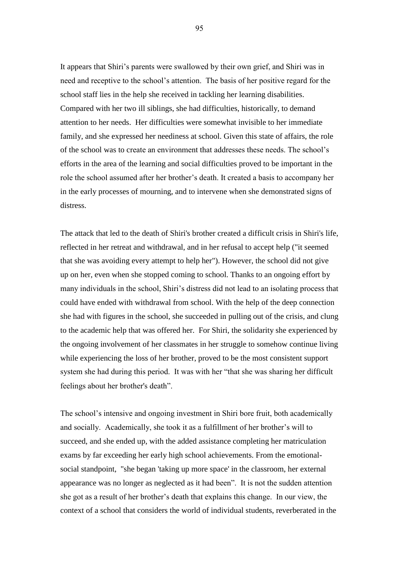It appears that Shiri"s parents were swallowed by their own grief, and Shiri was in need and receptive to the school"s attention. The basis of her positive regard for the school staff lies in the help she received in tackling her learning disabilities. Compared with her two ill siblings, she had difficulties, historically, to demand attention to her needs. Her difficulties were somewhat invisible to her immediate family, and she expressed her neediness at school. Given this state of affairs, the role of the school was to create an environment that addresses these needs. The school"s efforts in the area of the learning and social difficulties proved to be important in the role the school assumed after her brother"s death. It created a basis to accompany her in the early processes of mourning, and to intervene when she demonstrated signs of distress.

The attack that led to the death of Shiri's brother created a difficult crisis in Shiri's life, reflected in her retreat and withdrawal, and in her refusal to accept help ("it seemed that she was avoiding every attempt to help her"). However, the school did not give up on her, even when she stopped coming to school. Thanks to an ongoing effort by many individuals in the school, Shiri"s distress did not lead to an isolating process that could have ended with withdrawal from school. With the help of the deep connection she had with figures in the school, she succeeded in pulling out of the crisis, and clung to the academic help that was offered her. For Shiri, the solidarity she experienced by the ongoing involvement of her classmates in her struggle to somehow continue living while experiencing the loss of her brother, proved to be the most consistent support system she had during this period. It was with her "that she was sharing her difficult feelings about her brother's death".

The school's intensive and ongoing investment in Shiri bore fruit, both academically and socially. Academically, she took it as a fulfillment of her brother"s will to succeed, and she ended up, with the added assistance completing her matriculation exams by far exceeding her early high school achievements. From the emotionalsocial standpoint, "she began 'taking up more space' in the classroom, her external appearance was no longer as neglected as it had been". It is not the sudden attention she got as a result of her brother"s death that explains this change. In our view, the context of a school that considers the world of individual students, reverberated in the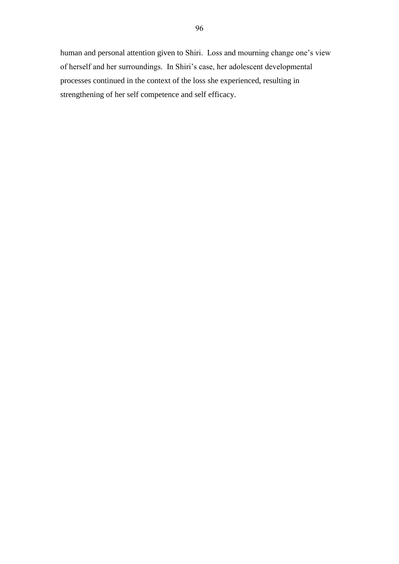human and personal attention given to Shiri. Loss and mourning change one's view of herself and her surroundings. In Shiri"s case, her adolescent developmental processes continued in the context of the loss she experienced, resulting in strengthening of her self competence and self efficacy.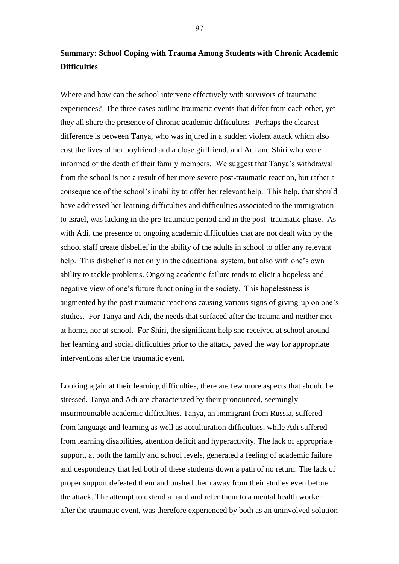# **Summary: School Coping with Trauma Among Students with Chronic Academic Difficulties**

Where and how can the school intervene effectively with survivors of traumatic experiences? The three cases outline traumatic events that differ from each other, yet they all share the presence of chronic academic difficulties. Perhaps the clearest difference is between Tanya, who was injured in a sudden violent attack which also cost the lives of her boyfriend and a close girlfriend, and Adi and Shiri who were informed of the death of their family members. We suggest that Tanya"s withdrawal from the school is not a result of her more severe post-traumatic reaction, but rather a consequence of the school"s inability to offer her relevant help. This help, that should have addressed her learning difficulties and difficulties associated to the immigration to Israel, was lacking in the pre-traumatic period and in the post- traumatic phase. As with Adi, the presence of ongoing academic difficulties that are not dealt with by the school staff create disbelief in the ability of the adults in school to offer any relevant help. This disbelief is not only in the educational system, but also with one's own ability to tackle problems. Ongoing academic failure tends to elicit a hopeless and negative view of one's future functioning in the society. This hopelessness is augmented by the post traumatic reactions causing various signs of giving-up on one"s studies. For Tanya and Adi, the needs that surfaced after the trauma and neither met at home, nor at school. For Shiri, the significant help she received at school around her learning and social difficulties prior to the attack, paved the way for appropriate interventions after the traumatic event.

Looking again at their learning difficulties, there are few more aspects that should be stressed. Tanya and Adi are characterized by their pronounced, seemingly insurmountable academic difficulties. Tanya, an immigrant from Russia, suffered from language and learning as well as acculturation difficulties, while Adi suffered from learning disabilities, attention deficit and hyperactivity. The lack of appropriate support, at both the family and school levels, generated a feeling of academic failure and despondency that led both of these students down a path of no return. The lack of proper support defeated them and pushed them away from their studies even before the attack. The attempt to extend a hand and refer them to a mental health worker after the traumatic event, was therefore experienced by both as an uninvolved solution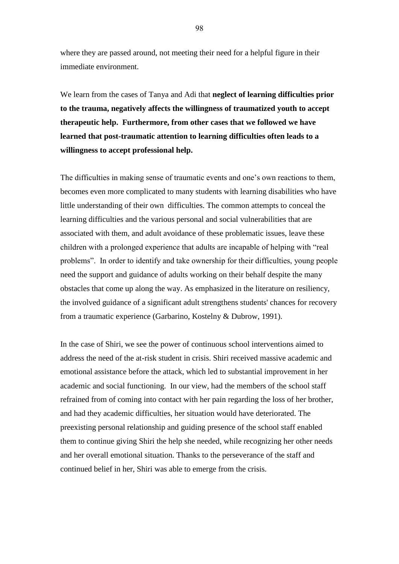where they are passed around, not meeting their need for a helpful figure in their immediate environment.

We learn from the cases of Tanya and Adi that **neglect of learning difficulties prior to the trauma, negatively affects the willingness of traumatized youth to accept therapeutic help. Furthermore, from other cases that we followed we have learned that post-traumatic attention to learning difficulties often leads to a willingness to accept professional help.** 

The difficulties in making sense of traumatic events and one"s own reactions to them, becomes even more complicated to many students with learning disabilities who have little understanding of their own difficulties. The common attempts to conceal the learning difficulties and the various personal and social vulnerabilities that are associated with them, and adult avoidance of these problematic issues, leave these children with a prolonged experience that adults are incapable of helping with "real problems". In order to identify and take ownership for their difficulties, young people need the support and guidance of adults working on their behalf despite the many obstacles that come up along the way. As emphasized in the literature on resiliency, the involved guidance of a significant adult strengthens students' chances for recovery from a traumatic experience (Garbarino, Kostelny & Dubrow, 1991).

In the case of Shiri, we see the power of continuous school interventions aimed to address the need of the at-risk student in crisis. Shiri received massive academic and emotional assistance before the attack, which led to substantial improvement in her academic and social functioning. In our view, had the members of the school staff refrained from of coming into contact with her pain regarding the loss of her brother, and had they academic difficulties, her situation would have deteriorated. The preexisting personal relationship and guiding presence of the school staff enabled them to continue giving Shiri the help she needed, while recognizing her other needs and her overall emotional situation. Thanks to the perseverance of the staff and continued belief in her, Shiri was able to emerge from the crisis.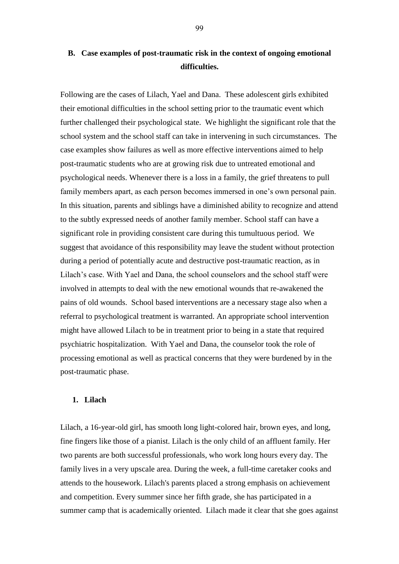# **B. Case examples of post-traumatic risk in the context of ongoing emotional difficulties.**

Following are the cases of Lilach, Yael and Dana. These adolescent girls exhibited their emotional difficulties in the school setting prior to the traumatic event which further challenged their psychological state. We highlight the significant role that the school system and the school staff can take in intervening in such circumstances. The case examples show failures as well as more effective interventions aimed to help post-traumatic students who are at growing risk due to untreated emotional and psychological needs. Whenever there is a loss in a family, the grief threatens to pull family members apart, as each person becomes immersed in one"s own personal pain. In this situation, parents and siblings have a diminished ability to recognize and attend to the subtly expressed needs of another family member. School staff can have a significant role in providing consistent care during this tumultuous period. We suggest that avoidance of this responsibility may leave the student without protection during a period of potentially acute and destructive post-traumatic reaction, as in Lilach"s case. With Yael and Dana, the school counselors and the school staff were involved in attempts to deal with the new emotional wounds that re-awakened the pains of old wounds. School based interventions are a necessary stage also when a referral to psychological treatment is warranted. An appropriate school intervention might have allowed Lilach to be in treatment prior to being in a state that required psychiatric hospitalization. With Yael and Dana, the counselor took the role of processing emotional as well as practical concerns that they were burdened by in the post-traumatic phase.

### **1. Lilach**

Lilach, a 16-year-old girl, has smooth long light-colored hair, brown eyes, and long, fine fingers like those of a pianist. Lilach is the only child of an affluent family. Her two parents are both successful professionals, who work long hours every day. The family lives in a very upscale area. During the week, a full-time caretaker cooks and attends to the housework. Lilach's parents placed a strong emphasis on achievement and competition. Every summer since her fifth grade, she has participated in a summer camp that is academically oriented. Lilach made it clear that she goes against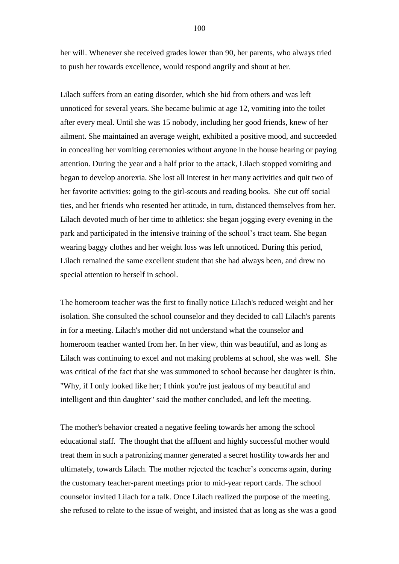her will. Whenever she received grades lower than 90, her parents, who always tried to push her towards excellence, would respond angrily and shout at her.

Lilach suffers from an eating disorder, which she hid from others and was left unnoticed for several years. She became bulimic at age 12, vomiting into the toilet after every meal. Until she was 15 nobody, including her good friends, knew of her ailment. She maintained an average weight, exhibited a positive mood, and succeeded in concealing her vomiting ceremonies without anyone in the house hearing or paying attention. During the year and a half prior to the attack, Lilach stopped vomiting and began to develop anorexia. She lost all interest in her many activities and quit two of her favorite activities: going to the girl-scouts and reading books. She cut off social ties, and her friends who resented her attitude, in turn, distanced themselves from her. Lilach devoted much of her time to athletics: she began jogging every evening in the park and participated in the intensive training of the school"s tract team. She began wearing baggy clothes and her weight loss was left unnoticed. During this period, Lilach remained the same excellent student that she had always been, and drew no special attention to herself in school.

The homeroom teacher was the first to finally notice Lilach's reduced weight and her isolation. She consulted the school counselor and they decided to call Lilach's parents in for a meeting. Lilach's mother did not understand what the counselor and homeroom teacher wanted from her. In her view, thin was beautiful, and as long as Lilach was continuing to excel and not making problems at school, she was well. She was critical of the fact that she was summoned to school because her daughter is thin. "Why, if I only looked like her; I think you're just jealous of my beautiful and intelligent and thin daughter" said the mother concluded, and left the meeting.

The mother's behavior created a negative feeling towards her among the school educational staff. The thought that the affluent and highly successful mother would treat them in such a patronizing manner generated a secret hostility towards her and ultimately, towards Lilach. The mother rejected the teacher"s concerns again, during the customary teacher-parent meetings prior to mid-year report cards. The school counselor invited Lilach for a talk. Once Lilach realized the purpose of the meeting, she refused to relate to the issue of weight, and insisted that as long as she was a good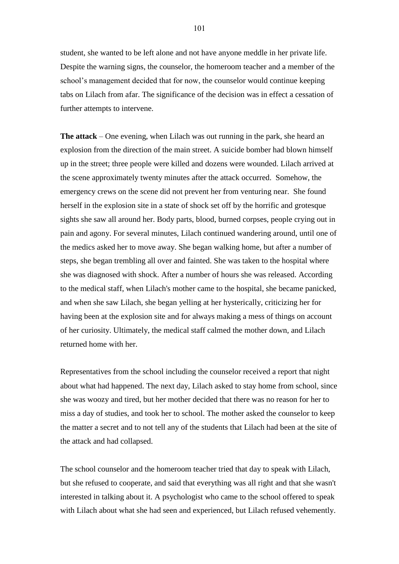student, she wanted to be left alone and not have anyone meddle in her private life. Despite the warning signs, the counselor, the homeroom teacher and a member of the school"s management decided that for now, the counselor would continue keeping tabs on Lilach from afar. The significance of the decision was in effect a cessation of further attempts to intervene.

**The attack** – One evening, when Lilach was out running in the park, she heard an explosion from the direction of the main street. A suicide bomber had blown himself up in the street; three people were killed and dozens were wounded. Lilach arrived at the scene approximately twenty minutes after the attack occurred. Somehow, the emergency crews on the scene did not prevent her from venturing near. She found herself in the explosion site in a state of shock set off by the horrific and grotesque sights she saw all around her. Body parts, blood, burned corpses, people crying out in pain and agony. For several minutes, Lilach continued wandering around, until one of the medics asked her to move away. She began walking home, but after a number of steps, she began trembling all over and fainted. She was taken to the hospital where she was diagnosed with shock. After a number of hours she was released. According to the medical staff, when Lilach's mother came to the hospital, she became panicked, and when she saw Lilach, she began yelling at her hysterically, criticizing her for having been at the explosion site and for always making a mess of things on account of her curiosity. Ultimately, the medical staff calmed the mother down, and Lilach returned home with her.

Representatives from the school including the counselor received a report that night about what had happened. The next day, Lilach asked to stay home from school, since she was woozy and tired, but her mother decided that there was no reason for her to miss a day of studies, and took her to school. The mother asked the counselor to keep the matter a secret and to not tell any of the students that Lilach had been at the site of the attack and had collapsed.

The school counselor and the homeroom teacher tried that day to speak with Lilach, but she refused to cooperate, and said that everything was all right and that she wasn't interested in talking about it. A psychologist who came to the school offered to speak with Lilach about what she had seen and experienced, but Lilach refused vehemently.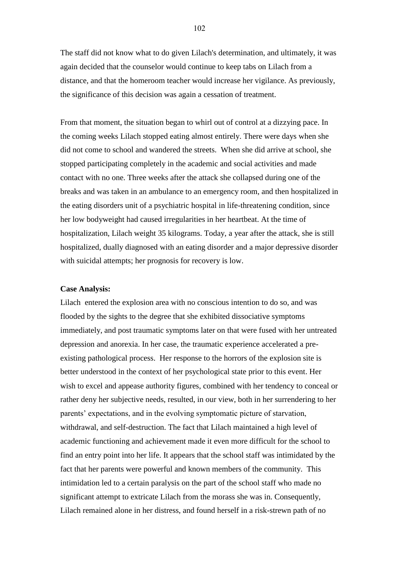The staff did not know what to do given Lilach's determination, and ultimately, it was again decided that the counselor would continue to keep tabs on Lilach from a distance, and that the homeroom teacher would increase her vigilance. As previously, the significance of this decision was again a cessation of treatment.

From that moment, the situation began to whirl out of control at a dizzying pace. In the coming weeks Lilach stopped eating almost entirely. There were days when she did not come to school and wandered the streets. When she did arrive at school, she stopped participating completely in the academic and social activities and made contact with no one. Three weeks after the attack she collapsed during one of the breaks and was taken in an ambulance to an emergency room, and then hospitalized in the eating disorders unit of a psychiatric hospital in life-threatening condition, since her low bodyweight had caused irregularities in her heartbeat. At the time of hospitalization, Lilach weight 35 kilograms. Today, a year after the attack, she is still hospitalized, dually diagnosed with an eating disorder and a major depressive disorder with suicidal attempts; her prognosis for recovery is low.

### **Case Analysis:**

Lilach entered the explosion area with no conscious intention to do so, and was flooded by the sights to the degree that she exhibited dissociative symptoms immediately, and post traumatic symptoms later on that were fused with her untreated depression and anorexia. In her case, the traumatic experience accelerated a preexisting pathological process. Her response to the horrors of the explosion site is better understood in the context of her psychological state prior to this event. Her wish to excel and appease authority figures, combined with her tendency to conceal or rather deny her subjective needs, resulted, in our view, both in her surrendering to her parents' expectations, and in the evolving symptomatic picture of starvation, withdrawal, and self-destruction. The fact that Lilach maintained a high level of academic functioning and achievement made it even more difficult for the school to find an entry point into her life. It appears that the school staff was intimidated by the fact that her parents were powerful and known members of the community. This intimidation led to a certain paralysis on the part of the school staff who made no significant attempt to extricate Lilach from the morass she was in. Consequently, Lilach remained alone in her distress, and found herself in a risk-strewn path of no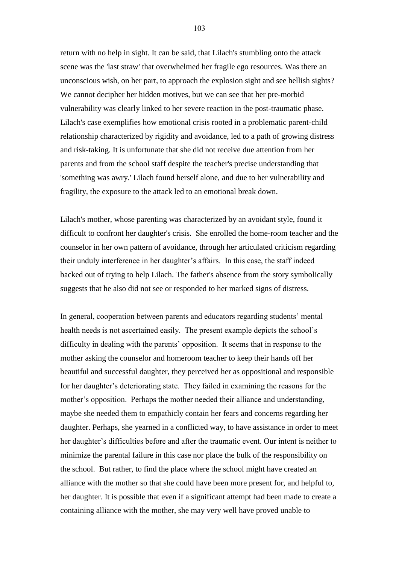return with no help in sight. It can be said, that Lilach's stumbling onto the attack scene was the 'last straw' that overwhelmed her fragile ego resources. Was there an unconscious wish, on her part, to approach the explosion sight and see hellish sights? We cannot decipher her hidden motives, but we can see that her pre-morbid vulnerability was clearly linked to her severe reaction in the post-traumatic phase. Lilach's case exemplifies how emotional crisis rooted in a problematic parent-child relationship characterized by rigidity and avoidance, led to a path of growing distress and risk-taking. It is unfortunate that she did not receive due attention from her parents and from the school staff despite the teacher's precise understanding that 'something was awry.' Lilach found herself alone, and due to her vulnerability and fragility, the exposure to the attack led to an emotional break down.

Lilach's mother, whose parenting was characterized by an avoidant style, found it difficult to confront her daughter's crisis. She enrolled the home-room teacher and the counselor in her own pattern of avoidance, through her articulated criticism regarding their unduly interference in her daughter"s affairs. In this case, the staff indeed backed out of trying to help Lilach. The father's absence from the story symbolically suggests that he also did not see or responded to her marked signs of distress.

In general, cooperation between parents and educators regarding students' mental health needs is not ascertained easily. The present example depicts the school"s difficulty in dealing with the parents' opposition. It seems that in response to the mother asking the counselor and homeroom teacher to keep their hands off her beautiful and successful daughter, they perceived her as oppositional and responsible for her daughter"s deteriorating state. They failed in examining the reasons for the mother"s opposition. Perhaps the mother needed their alliance and understanding, maybe she needed them to empathicly contain her fears and concerns regarding her daughter. Perhaps, she yearned in a conflicted way, to have assistance in order to meet her daughter"s difficulties before and after the traumatic event. Our intent is neither to minimize the parental failure in this case nor place the bulk of the responsibility on the school. But rather, to find the place where the school might have created an alliance with the mother so that she could have been more present for, and helpful to, her daughter. It is possible that even if a significant attempt had been made to create a containing alliance with the mother, she may very well have proved unable to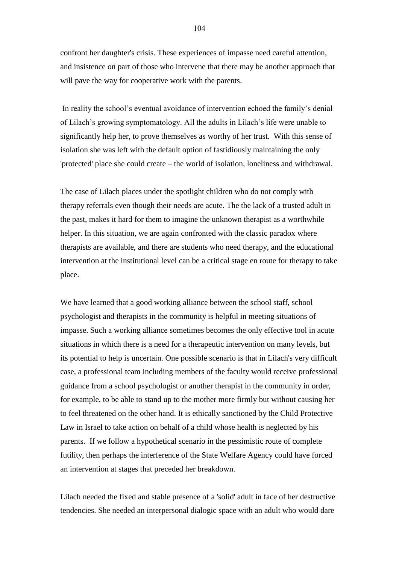confront her daughter's crisis. These experiences of impasse need careful attention, and insistence on part of those who intervene that there may be another approach that will pave the way for cooperative work with the parents.

In reality the school's eventual avoidance of intervention echoed the family's denial of Lilach"s growing symptomatology. All the adults in Lilach"s life were unable to significantly help her, to prove themselves as worthy of her trust. With this sense of isolation she was left with the default option of fastidiously maintaining the only 'protected' place she could create – the world of isolation, loneliness and withdrawal.

The case of Lilach places under the spotlight children who do not comply with therapy referrals even though their needs are acute. The the lack of a trusted adult in the past, makes it hard for them to imagine the unknown therapist as a worthwhile helper. In this situation, we are again confronted with the classic paradox where therapists are available, and there are students who need therapy, and the educational intervention at the institutional level can be a critical stage en route for therapy to take place.

We have learned that a good working alliance between the school staff, school psychologist and therapists in the community is helpful in meeting situations of impasse. Such a working alliance sometimes becomes the only effective tool in acute situations in which there is a need for a therapeutic intervention on many levels, but its potential to help is uncertain. One possible scenario is that in Lilach's very difficult case, a professional team including members of the faculty would receive professional guidance from a school psychologist or another therapist in the community in order, for example, to be able to stand up to the mother more firmly but without causing her to feel threatened on the other hand. It is ethically sanctioned by the Child Protective Law in Israel to take action on behalf of a child whose health is neglected by his parents. If we follow a hypothetical scenario in the pessimistic route of complete futility, then perhaps the interference of the State Welfare Agency could have forced an intervention at stages that preceded her breakdown.

Lilach needed the fixed and stable presence of a 'solid' adult in face of her destructive tendencies. She needed an interpersonal dialogic space with an adult who would dare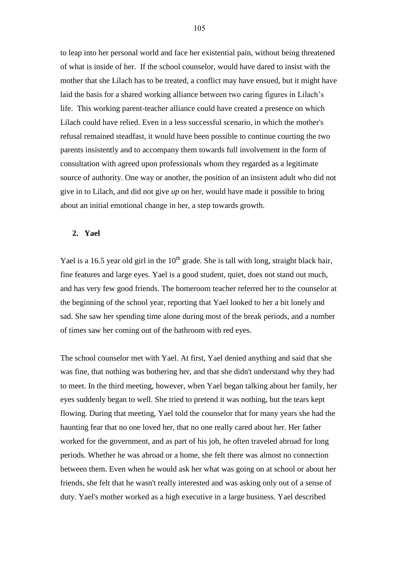to leap into her personal world and face her existential pain, without being threatened of what is inside of her. If the school counselor, would have dared to insist with the mother that she Lilach has to be treated, a conflict may have ensued, but it might have laid the basis for a shared working alliance between two caring figures in Lilach"s life. This working parent-teacher alliance could have created a presence on which Lilach could have relied. Even in a less successful scenario, in which the mother's refusal remained steadfast, it would have been possible to continue courting the two parents insistently and to accompany them towards full involvement in the form of consultation with agreed upon professionals whom they regarded as a legitimate source of authority. One way or another, the position of an insistent adult who did not give in to Lilach, and did not give *up* on her, would have made it possible to bring about an initial emotional change in her, a step towards growth.

### **2. Yael**

Yael is a 16.5 year old girl in the  $10^{th}$  grade. She is tall with long, straight black hair, fine features and large eyes. Yael is a good student, quiet, does not stand out much, and has very few good friends. The homeroom teacher referred her to the counselor at the beginning of the school year, reporting that Yael looked to her a bit lonely and sad. She saw her spending time alone during most of the break periods, and a number of times saw her coming out of the bathroom with red eyes.

The school counselor met with Yael. At first, Yael denied anything and said that she was fine, that nothing was bothering her, and that she didn't understand why they had to meet. In the third meeting, however, when Yael began talking about her family, her eyes suddenly began to well. She tried to pretend it was nothing, but the tears kept flowing. During that meeting, Yael told the counselor that for many years she had the haunting fear that no one loved her, that no one really cared about her. Her father worked for the government, and as part of his job, he often traveled abroad for long periods. Whether he was abroad or a home, she felt there was almost no connection between them. Even when he would ask her what was going on at school or about her friends, she felt that he wasn't really interested and was asking only out of a sense of duty. Yael's mother worked as a high executive in a large business. Yael described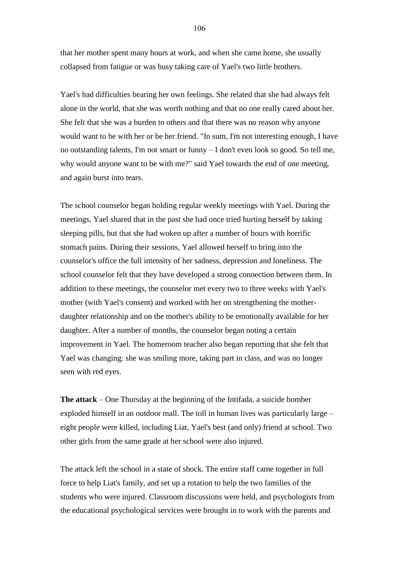that her mother spent many hours at work, and when she came home, she usually collapsed from fatigue or was busy taking care of Yael's two little brothers.

Yael's had difficulties bearing her own feelings. She related that she had always felt alone in the world, that she was worth nothing and that no one really cared about her. She felt that she was a burden to others and that there was no reason why anyone would want to be with her or be her friend. "In sum, I'm not interesting enough, I have no outstanding talents, I'm not smart or funny – I don't even look so good. So tell me, why would anyone want to be with me?" said Yael towards the end of one meeting, and again burst into tears.

The school counselor began holding regular weekly meetings with Yael. During the meetings, Yael shared that in the past she had once tried hurting herself by taking sleeping pills, but that she had woken up after a number of hours with horrific stomach pains. During their sessions, Yael allowed herself to bring into the counselor's office the full intensity of her sadness, depression and loneliness. The school counselor felt that they have developed a strong connection between them. In addition to these meetings, the counselor met every two to three weeks with Yael's mother (with Yael's consent) and worked with her on strengthening the motherdaughter relationship and on the mother's ability to be emotionally available for her daughter. After a number of months, the counselor began noting a certain improvement in Yael. The homeroom teacher also began reporting that she felt that Yael was changing: she was smiling more, taking part in class, and was no longer seen with red eyes.

**The attack** – One Thursday at the beginning of the Intifada, a suicide bomber exploded himself in an outdoor mall. The toll in human lives was particularly large – eight people were killed, including Liat, Yael's best (and only) friend at school. Two other girls from the same grade at her school were also injured.

The attack left the school in a state of shock. The entire staff came together in full force to help Liat's family, and set up a rotation to help the two families of the students who were injured. Classroom discussions were held, and psychologists from the educational psychological services were brought in to work with the parents and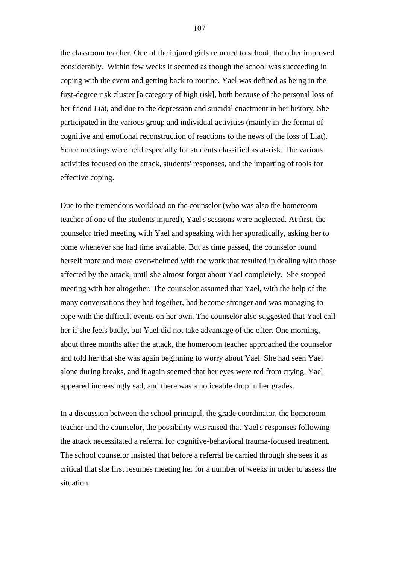the classroom teacher. One of the injured girls returned to school; the other improved considerably. Within few weeks it seemed as though the school was succeeding in coping with the event and getting back to routine. Yael was defined as being in the first-degree risk cluster [a category of high risk], both because of the personal loss of her friend Liat, and due to the depression and suicidal enactment in her history. She participated in the various group and individual activities (mainly in the format of cognitive and emotional reconstruction of reactions to the news of the loss of Liat). Some meetings were held especially for students classified as at-risk. The various activities focused on the attack, students' responses, and the imparting of tools for effective coping.

Due to the tremendous workload on the counselor (who was also the homeroom teacher of one of the students injured), Yael's sessions were neglected. At first, the counselor tried meeting with Yael and speaking with her sporadically, asking her to come whenever she had time available. But as time passed, the counselor found herself more and more overwhelmed with the work that resulted in dealing with those affected by the attack, until she almost forgot about Yael completely. She stopped meeting with her altogether. The counselor assumed that Yael, with the help of the many conversations they had together, had become stronger and was managing to cope with the difficult events on her own. The counselor also suggested that Yael call her if she feels badly, but Yael did not take advantage of the offer. One morning, about three months after the attack, the homeroom teacher approached the counselor and told her that she was again beginning to worry about Yael. She had seen Yael alone during breaks, and it again seemed that her eyes were red from crying. Yael appeared increasingly sad, and there was a noticeable drop in her grades.

In a discussion between the school principal, the grade coordinator, the homeroom teacher and the counselor, the possibility was raised that Yael's responses following the attack necessitated a referral for cognitive-behavioral trauma-focused treatment. The school counselor insisted that before a referral be carried through she sees it as critical that she first resumes meeting her for a number of weeks in order to assess the situation.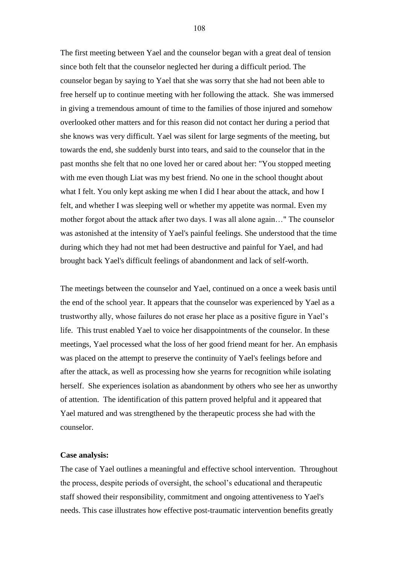The first meeting between Yael and the counselor began with a great deal of tension since both felt that the counselor neglected her during a difficult period. The counselor began by saying to Yael that she was sorry that she had not been able to free herself up to continue meeting with her following the attack. She was immersed in giving a tremendous amount of time to the families of those injured and somehow overlooked other matters and for this reason did not contact her during a period that she knows was very difficult. Yael was silent for large segments of the meeting, but towards the end, she suddenly burst into tears, and said to the counselor that in the past months she felt that no one loved her or cared about her: "You stopped meeting with me even though Liat was my best friend. No one in the school thought about what I felt. You only kept asking me when I did I hear about the attack, and how I felt, and whether I was sleeping well or whether my appetite was normal. Even my mother forgot about the attack after two days. I was all alone again…" The counselor was astonished at the intensity of Yael's painful feelings. She understood that the time during which they had not met had been destructive and painful for Yael, and had brought back Yael's difficult feelings of abandonment and lack of self-worth.

The meetings between the counselor and Yael, continued on a once a week basis until the end of the school year. It appears that the counselor was experienced by Yael as a trustworthy ally, whose failures do not erase her place as a positive figure in Yael"s life. This trust enabled Yael to voice her disappointments of the counselor. In these meetings, Yael processed what the loss of her good friend meant for her. An emphasis was placed on the attempt to preserve the continuity of Yael's feelings before and after the attack, as well as processing how she yearns for recognition while isolating herself. She experiences isolation as abandonment by others who see her as unworthy of attention. The identification of this pattern proved helpful and it appeared that Yael matured and was strengthened by the therapeutic process she had with the counselor.

### **Case analysis:**

The case of Yael outlines a meaningful and effective school intervention. Throughout the process, despite periods of oversight, the school"s educational and therapeutic staff showed their responsibility, commitment and ongoing attentiveness to Yael's needs. This case illustrates how effective post-traumatic intervention benefits greatly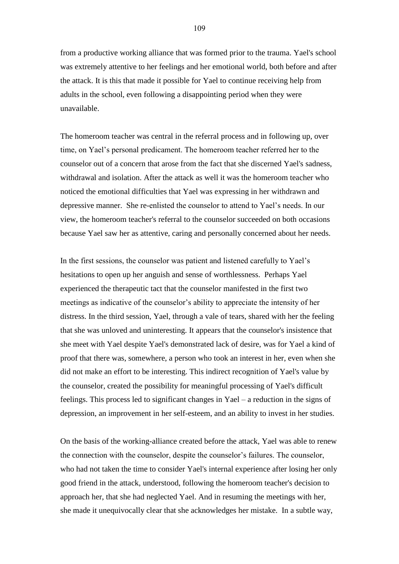from a productive working alliance that was formed prior to the trauma. Yael's school was extremely attentive to her feelings and her emotional world, both before and after the attack. It is this that made it possible for Yael to continue receiving help from adults in the school, even following a disappointing period when they were unavailable.

The homeroom teacher was central in the referral process and in following up, over time, on Yael"s personal predicament. The homeroom teacher referred her to the counselor out of a concern that arose from the fact that she discerned Yael's sadness, withdrawal and isolation. After the attack as well it was the homeroom teacher who noticed the emotional difficulties that Yael was expressing in her withdrawn and depressive manner. She re-enlisted the counselor to attend to Yael"s needs. In our view, the homeroom teacher's referral to the counselor succeeded on both occasions because Yael saw her as attentive, caring and personally concerned about her needs.

In the first sessions, the counselor was patient and listened carefully to Yael"s hesitations to open up her anguish and sense of worthlessness. Perhaps Yael experienced the therapeutic tact that the counselor manifested in the first two meetings as indicative of the counselor's ability to appreciate the intensity of her distress. In the third session, Yael, through a vale of tears, shared with her the feeling that she was unloved and uninteresting. It appears that the counselor's insistence that she meet with Yael despite Yael's demonstrated lack of desire, was for Yael a kind of proof that there was, somewhere, a person who took an interest in her, even when she did not make an effort to be interesting. This indirect recognition of Yael's value by the counselor, created the possibility for meaningful processing of Yael's difficult feelings. This process led to significant changes in Yael – a reduction in the signs of depression, an improvement in her self-esteem, and an ability to invest in her studies.

On the basis of the working-alliance created before the attack, Yael was able to renew the connection with the counselor, despite the counselor"s failures. The counselor, who had not taken the time to consider Yael's internal experience after losing her only good friend in the attack, understood, following the homeroom teacher's decision to approach her, that she had neglected Yael. And in resuming the meetings with her, she made it unequivocally clear that she acknowledges her mistake. In a subtle way,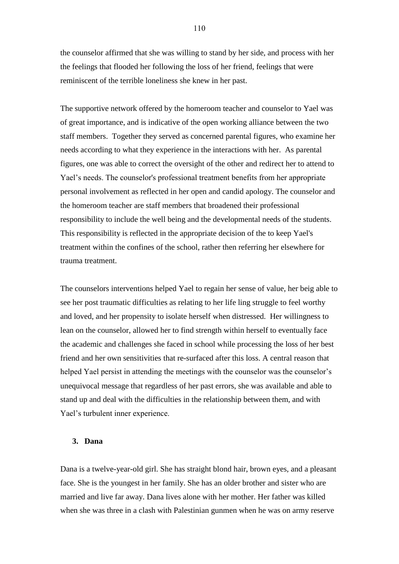the counselor affirmed that she was willing to stand by her side, and process with her the feelings that flooded her following the loss of her friend, feelings that were reminiscent of the terrible loneliness she knew in her past.

The supportive network offered by the homeroom teacher and counselor to Yael was of great importance, and is indicative of the open working alliance between the two staff members. Together they served as concerned parental figures, who examine her needs according to what they experience in the interactions with her. As parental figures, one was able to correct the oversight of the other and redirect her to attend to Yael"s needs. The counselor's professional treatment benefits from her appropriate personal involvement as reflected in her open and candid apology. The counselor and the homeroom teacher are staff members that broadened their professional responsibility to include the well being and the developmental needs of the students. This responsibility is reflected in the appropriate decision of the to keep Yael's treatment within the confines of the school, rather then referring her elsewhere for trauma treatment.

The counselors interventions helped Yael to regain her sense of value, her beig able to see her post traumatic difficulties as relating to her life ling struggle to feel worthy and loved, and her propensity to isolate herself when distressed. Her willingness to lean on the counselor, allowed her to find strength within herself to eventually face the academic and challenges she faced in school while processing the loss of her best friend and her own sensitivities that re-surfaced after this loss. A central reason that helped Yael persist in attending the meetings with the counselor was the counselor's unequivocal message that regardless of her past errors, she was available and able to stand up and deal with the difficulties in the relationship between them, and with Yael"s turbulent inner experience.

#### **3. Dana**

Dana is a twelve-year-old girl. She has straight blond hair, brown eyes, and a pleasant face. She is the youngest in her family. She has an older brother and sister who are married and live far away. Dana lives alone with her mother. Her father was killed when she was three in a clash with Palestinian gunmen when he was on army reserve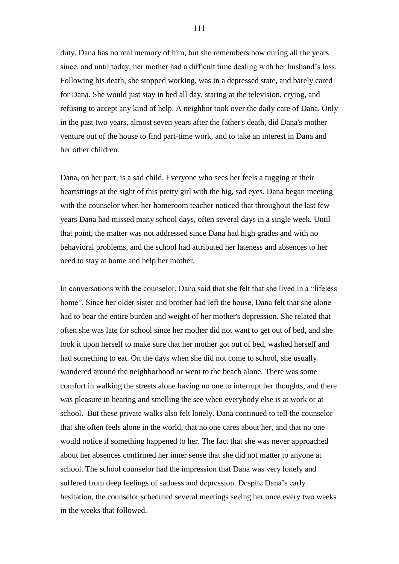duty. Dana has no real memory of him, but she remembers how during all the years since, and until today, her mother had a difficult time dealing with her husband"s loss. Following his death, she stopped working, was in a depressed state, and barely cared for Dana. She would just stay in bed all day, staring at the television, crying, and refusing to accept any kind of help. A neighbor took over the daily care of Dana. Only in the past two years, almost seven years after the father's death, did Dana's mother venture out of the house to find part-time work, and to take an interest in Dana and her other children.

Dana, on her part, is a sad child. Everyone who sees her feels a tugging at their heartstrings at the sight of this pretty girl with the big, sad eyes. Dana began meeting with the counselor when her homeroom teacher noticed that throughout the last few years Dana had missed many school days, often several days in a single week. Until that point, the matter was not addressed since Dana had high grades and with no behavioral problems, and the school had attributed her lateness and absences to her need to stay at home and help her mother.

In conversations with the counselor, Dana said that she felt that she lived in a "lifeless home". Since her older sister and brother had left the house, Dana felt that she alone had to bear the entire burden and weight of her mother's depression. She related that often she was late for school since her mother did not want to get out of bed, and she took it upon herself to make sure that her mother got out of bed, washed herself and had something to eat. On the days when she did not come to school, she usually wandered around the neighborhood or went to the beach alone. There was some comfort in walking the streets alone having no one to interrupt her thoughts, and there was pleasure in hearing and smelling the see when everybody else is at work or at school. But these private walks also felt lonely. Dana continued to tell the counselor that she often feels alone in the world, that no one cares about her, and that no one would notice if something happened to her. The fact that she was never approached about her absences confirmed her inner sense that she did not matter to anyone at school. The school counselor had the impression that Dana was very lonely and suffered from deep feelings of sadness and depression. Despite Dana's early hesitation, the counselor scheduled several meetings seeing her once every two weeks in the weeks that followed.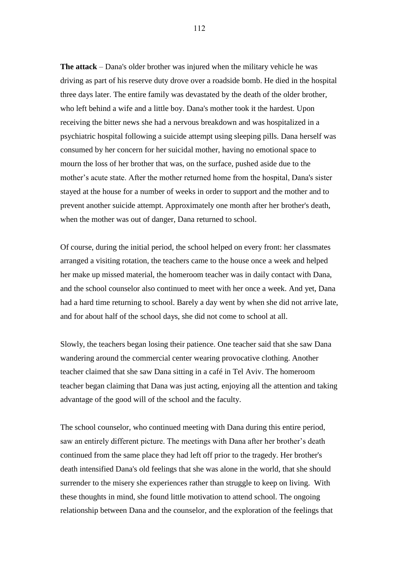**The attack** – Dana's older brother was injured when the military vehicle he was driving as part of his reserve duty drove over a roadside bomb. He died in the hospital three days later. The entire family was devastated by the death of the older brother, who left behind a wife and a little boy. Dana's mother took it the hardest. Upon receiving the bitter news she had a nervous breakdown and was hospitalized in a psychiatric hospital following a suicide attempt using sleeping pills. Dana herself was consumed by her concern for her suicidal mother, having no emotional space to mourn the loss of her brother that was, on the surface, pushed aside due to the mother's acute state. After the mother returned home from the hospital, Dana's sister stayed at the house for a number of weeks in order to support and the mother and to prevent another suicide attempt. Approximately one month after her brother's death, when the mother was out of danger, Dana returned to school.

Of course, during the initial period, the school helped on every front: her classmates arranged a visiting rotation, the teachers came to the house once a week and helped her make up missed material, the homeroom teacher was in daily contact with Dana, and the school counselor also continued to meet with her once a week. And yet, Dana had a hard time returning to school. Barely a day went by when she did not arrive late, and for about half of the school days, she did not come to school at all.

Slowly, the teachers began losing their patience. One teacher said that she saw Dana wandering around the commercial center wearing provocative clothing. Another teacher claimed that she saw Dana sitting in a café in Tel Aviv. The homeroom teacher began claiming that Dana was just acting, enjoying all the attention and taking advantage of the good will of the school and the faculty.

The school counselor, who continued meeting with Dana during this entire period, saw an entirely different picture. The meetings with Dana after her brother"s death continued from the same place they had left off prior to the tragedy. Her brother's death intensified Dana's old feelings that she was alone in the world, that she should surrender to the misery she experiences rather than struggle to keep on living. With these thoughts in mind, she found little motivation to attend school. The ongoing relationship between Dana and the counselor, and the exploration of the feelings that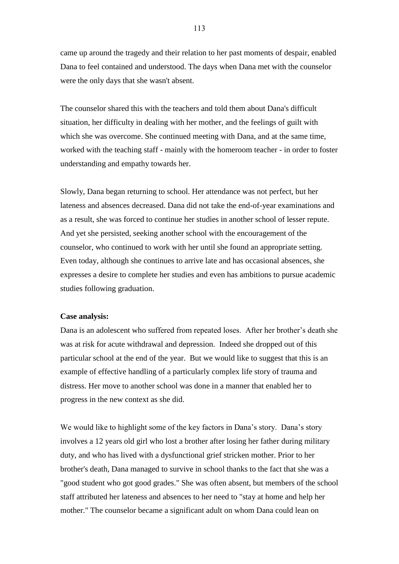came up around the tragedy and their relation to her past moments of despair, enabled Dana to feel contained and understood. The days when Dana met with the counselor were the only days that she wasn't absent.

The counselor shared this with the teachers and told them about Dana's difficult situation, her difficulty in dealing with her mother, and the feelings of guilt with which she was overcome. She continued meeting with Dana, and at the same time, worked with the teaching staff - mainly with the homeroom teacher - in order to foster understanding and empathy towards her.

Slowly, Dana began returning to school. Her attendance was not perfect, but her lateness and absences decreased. Dana did not take the end-of-year examinations and as a result, she was forced to continue her studies in another school of lesser repute. And yet she persisted, seeking another school with the encouragement of the counselor, who continued to work with her until she found an appropriate setting. Even today, although she continues to arrive late and has occasional absences, she expresses a desire to complete her studies and even has ambitions to pursue academic studies following graduation.

### **Case analysis:**

Dana is an adolescent who suffered from repeated loses. After her brother's death she was at risk for acute withdrawal and depression. Indeed she dropped out of this particular school at the end of the year. But we would like to suggest that this is an example of effective handling of a particularly complex life story of trauma and distress. Her move to another school was done in a manner that enabled her to progress in the new context as she did.

We would like to highlight some of the key factors in Dana's story. Dana's story involves a 12 years old girl who lost a brother after losing her father during military duty, and who has lived with a dysfunctional grief stricken mother. Prior to her brother's death, Dana managed to survive in school thanks to the fact that she was a "good student who got good grades." She was often absent, but members of the school staff attributed her lateness and absences to her need to "stay at home and help her mother." The counselor became a significant adult on whom Dana could lean on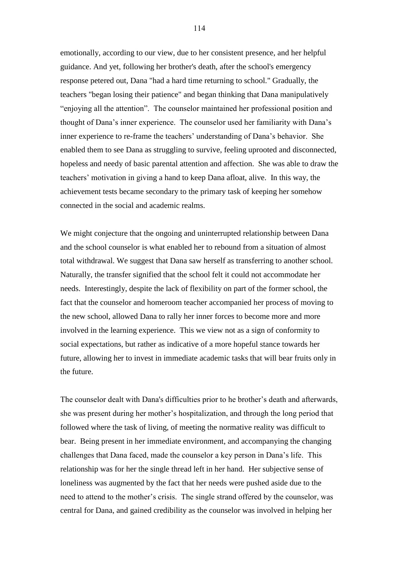emotionally, according to our view, due to her consistent presence, and her helpful guidance. And yet, following her brother's death, after the school's emergency response petered out, Dana "had a hard time returning to school." Gradually, the teachers "began losing their patience" and began thinking that Dana manipulatively "enjoying all the attention". The counselor maintained her professional position and thought of Dana"s inner experience. The counselor used her familiarity with Dana"s inner experience to re-frame the teachers' understanding of Dana's behavior. She enabled them to see Dana as struggling to survive, feeling uprooted and disconnected, hopeless and needy of basic parental attention and affection. She was able to draw the teachers" motivation in giving a hand to keep Dana afloat, alive. In this way, the achievement tests became secondary to the primary task of keeping her somehow connected in the social and academic realms.

We might conjecture that the ongoing and uninterrupted relationship between Dana and the school counselor is what enabled her to rebound from a situation of almost total withdrawal. We suggest that Dana saw herself as transferring to another school. Naturally, the transfer signified that the school felt it could not accommodate her needs. Interestingly, despite the lack of flexibility on part of the former school, the fact that the counselor and homeroom teacher accompanied her process of moving to the new school, allowed Dana to rally her inner forces to become more and more involved in the learning experience. This we view not as a sign of conformity to social expectations, but rather as indicative of a more hopeful stance towards her future, allowing her to invest in immediate academic tasks that will bear fruits only in the future.

The counselor dealt with Dana's difficulties prior to he brother"s death and afterwards, she was present during her mother"s hospitalization, and through the long period that followed where the task of living, of meeting the normative reality was difficult to bear. Being present in her immediate environment, and accompanying the changing challenges that Dana faced, made the counselor a key person in Dana"s life. This relationship was for her the single thread left in her hand. Her subjective sense of loneliness was augmented by the fact that her needs were pushed aside due to the need to attend to the mother's crisis. The single strand offered by the counselor, was central for Dana, and gained credibility as the counselor was involved in helping her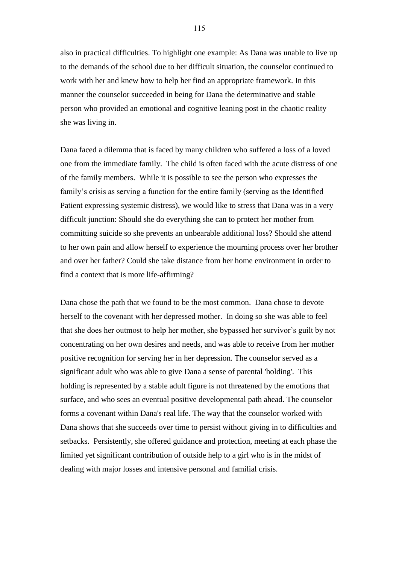also in practical difficulties. To highlight one example: As Dana was unable to live up to the demands of the school due to her difficult situation, the counselor continued to work with her and knew how to help her find an appropriate framework. In this manner the counselor succeeded in being for Dana the determinative and stable person who provided an emotional and cognitive leaning post in the chaotic reality she was living in.

Dana faced a dilemma that is faced by many children who suffered a loss of a loved one from the immediate family. The child is often faced with the acute distress of one of the family members. While it is possible to see the person who expresses the family's crisis as serving a function for the entire family (serving as the Identified Patient expressing systemic distress), we would like to stress that Dana was in a very difficult junction: Should she do everything she can to protect her mother from committing suicide so she prevents an unbearable additional loss? Should she attend to her own pain and allow herself to experience the mourning process over her brother and over her father? Could she take distance from her home environment in order to find a context that is more life-affirming?

Dana chose the path that we found to be the most common. Dana chose to devote herself to the covenant with her depressed mother. In doing so she was able to feel that she does her outmost to help her mother, she bypassed her survivor"s guilt by not concentrating on her own desires and needs, and was able to receive from her mother positive recognition for serving her in her depression. The counselor served as a significant adult who was able to give Dana a sense of parental 'holding'. This holding is represented by a stable adult figure is not threatened by the emotions that surface, and who sees an eventual positive developmental path ahead. The counselor forms a covenant within Dana's real life. The way that the counselor worked with Dana shows that she succeeds over time to persist without giving in to difficulties and setbacks. Persistently, she offered guidance and protection, meeting at each phase the limited yet significant contribution of outside help to a girl who is in the midst of dealing with major losses and intensive personal and familial crisis.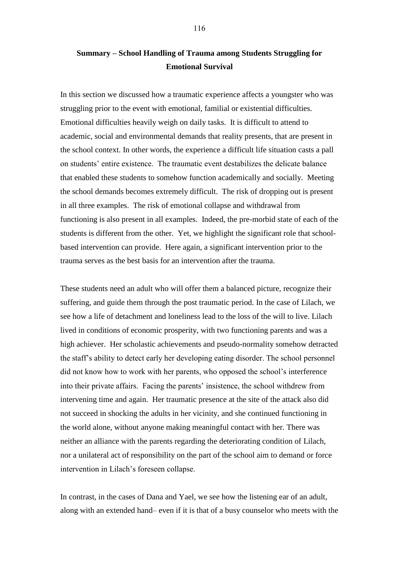## **Summary – School Handling of Trauma among Students Struggling for Emotional Survival**

In this section we discussed how a traumatic experience affects a youngster who was struggling prior to the event with emotional, familial or existential difficulties. Emotional difficulties heavily weigh on daily tasks. It is difficult to attend to academic, social and environmental demands that reality presents, that are present in the school context. In other words, the experience a difficult life situation casts a pall on students" entire existence. The traumatic event destabilizes the delicate balance that enabled these students to somehow function academically and socially. Meeting the school demands becomes extremely difficult. The risk of dropping out is present in all three examples. The risk of emotional collapse and withdrawal from functioning is also present in all examples. Indeed, the pre-morbid state of each of the students is different from the other. Yet, we highlight the significant role that schoolbased intervention can provide. Here again, a significant intervention prior to the trauma serves as the best basis for an intervention after the trauma.

These students need an adult who will offer them a balanced picture, recognize their suffering, and guide them through the post traumatic period. In the case of Lilach, we see how a life of detachment and loneliness lead to the loss of the will to live. Lilach lived in conditions of economic prosperity, with two functioning parents and was a high achiever. Her scholastic achievements and pseudo-normality somehow detracted the staff"s ability to detect early her developing eating disorder. The school personnel did not know how to work with her parents, who opposed the school"s interference into their private affairs. Facing the parents' insistence, the school withdrew from intervening time and again. Her traumatic presence at the site of the attack also did not succeed in shocking the adults in her vicinity, and she continued functioning in the world alone, without anyone making meaningful contact with her. There was neither an alliance with the parents regarding the deteriorating condition of Lilach, nor a unilateral act of responsibility on the part of the school aim to demand or force intervention in Lilach"s foreseen collapse.

In contrast, in the cases of Dana and Yael, we see how the listening ear of an adult, along with an extended hand– even if it is that of a busy counselor who meets with the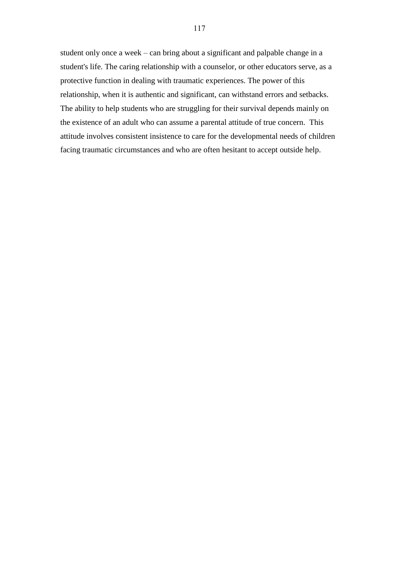student only once a week – can bring about a significant and palpable change in a student's life. The caring relationship with a counselor, or other educators serve, as a protective function in dealing with traumatic experiences. The power of this relationship, when it is authentic and significant, can withstand errors and setbacks. The ability to help students who are struggling for their survival depends mainly on the existence of an adult who can assume a parental attitude of true concern. This attitude involves consistent insistence to care for the developmental needs of children facing traumatic circumstances and who are often hesitant to accept outside help.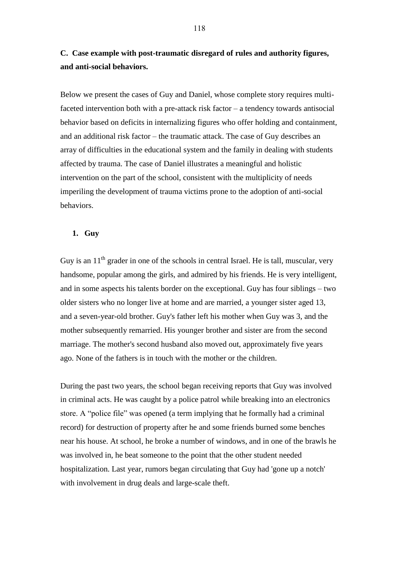**C. Case example with post-traumatic disregard of rules and authority figures, and anti-social behaviors.** 

Below we present the cases of Guy and Daniel, whose complete story requires multifaceted intervention both with a pre-attack risk factor – a tendency towards antisocial behavior based on deficits in internalizing figures who offer holding and containment, and an additional risk factor – the traumatic attack. The case of Guy describes an array of difficulties in the educational system and the family in dealing with students affected by trauma. The case of Daniel illustrates a meaningful and holistic intervention on the part of the school, consistent with the multiplicity of needs imperiling the development of trauma victims prone to the adoption of anti-social behaviors.

### **1. Guy**

Guy is an  $11<sup>th</sup>$  grader in one of the schools in central Israel. He is tall, muscular, very handsome, popular among the girls, and admired by his friends. He is very intelligent, and in some aspects his talents border on the exceptional. Guy has four siblings – two older sisters who no longer live at home and are married, a younger sister aged 13, and a seven-year-old brother. Guy's father left his mother when Guy was 3, and the mother subsequently remarried. His younger brother and sister are from the second marriage. The mother's second husband also moved out, approximately five years ago. None of the fathers is in touch with the mother or the children.

During the past two years, the school began receiving reports that Guy was involved in criminal acts. He was caught by a police patrol while breaking into an electronics store. A "police file" was opened (a term implying that he formally had a criminal record) for destruction of property after he and some friends burned some benches near his house. At school, he broke a number of windows, and in one of the brawls he was involved in, he beat someone to the point that the other student needed hospitalization. Last year, rumors began circulating that Guy had 'gone up a notch' with involvement in drug deals and large-scale theft.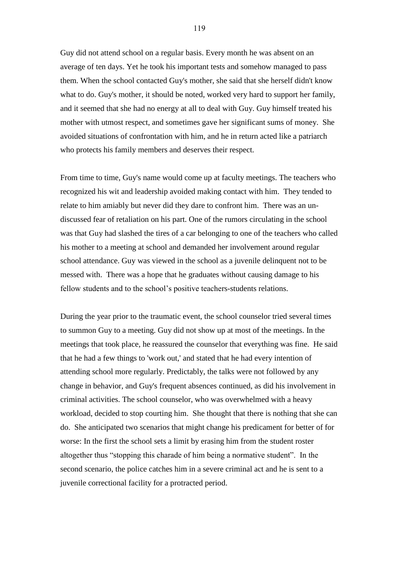Guy did not attend school on a regular basis. Every month he was absent on an average of ten days. Yet he took his important tests and somehow managed to pass them. When the school contacted Guy's mother, she said that she herself didn't know what to do. Guy's mother, it should be noted, worked very hard to support her family, and it seemed that she had no energy at all to deal with Guy. Guy himself treated his mother with utmost respect, and sometimes gave her significant sums of money. She avoided situations of confrontation with him, and he in return acted like a patriarch who protects his family members and deserves their respect.

From time to time, Guy's name would come up at faculty meetings. The teachers who recognized his wit and leadership avoided making contact with him. They tended to relate to him amiably but never did they dare to confront him. There was an undiscussed fear of retaliation on his part. One of the rumors circulating in the school was that Guy had slashed the tires of a car belonging to one of the teachers who called his mother to a meeting at school and demanded her involvement around regular school attendance. Guy was viewed in the school as a juvenile delinquent not to be messed with. There was a hope that he graduates without causing damage to his fellow students and to the school"s positive teachers-students relations.

During the year prior to the traumatic event, the school counselor tried several times to summon Guy to a meeting. Guy did not show up at most of the meetings. In the meetings that took place, he reassured the counselor that everything was fine. He said that he had a few things to 'work out,' and stated that he had every intention of attending school more regularly. Predictably, the talks were not followed by any change in behavior, and Guy's frequent absences continued, as did his involvement in criminal activities. The school counselor, who was overwhelmed with a heavy workload, decided to stop courting him. She thought that there is nothing that she can do. She anticipated two scenarios that might change his predicament for better of for worse: In the first the school sets a limit by erasing him from the student roster altogether thus "stopping this charade of him being a normative student". In the second scenario, the police catches him in a severe criminal act and he is sent to a juvenile correctional facility for a protracted period.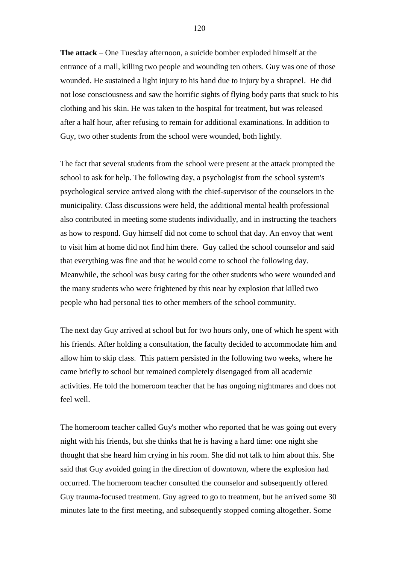**The attack** – One Tuesday afternoon, a suicide bomber exploded himself at the entrance of a mall, killing two people and wounding ten others. Guy was one of those wounded. He sustained a light injury to his hand due to injury by a shrapnel. He did not lose consciousness and saw the horrific sights of flying body parts that stuck to his clothing and his skin. He was taken to the hospital for treatment, but was released after a half hour, after refusing to remain for additional examinations. In addition to Guy, two other students from the school were wounded, both lightly.

The fact that several students from the school were present at the attack prompted the school to ask for help. The following day, a psychologist from the school system's psychological service arrived along with the chief-supervisor of the counselors in the municipality. Class discussions were held, the additional mental health professional also contributed in meeting some students individually, and in instructing the teachers as how to respond. Guy himself did not come to school that day. An envoy that went to visit him at home did not find him there. Guy called the school counselor and said that everything was fine and that he would come to school the following day. Meanwhile, the school was busy caring for the other students who were wounded and the many students who were frightened by this near by explosion that killed two people who had personal ties to other members of the school community.

The next day Guy arrived at school but for two hours only, one of which he spent with his friends. After holding a consultation, the faculty decided to accommodate him and allow him to skip class. This pattern persisted in the following two weeks, where he came briefly to school but remained completely disengaged from all academic activities. He told the homeroom teacher that he has ongoing nightmares and does not feel well.

The homeroom teacher called Guy's mother who reported that he was going out every night with his friends, but she thinks that he is having a hard time: one night she thought that she heard him crying in his room. She did not talk to him about this. She said that Guy avoided going in the direction of downtown, where the explosion had occurred. The homeroom teacher consulted the counselor and subsequently offered Guy trauma-focused treatment. Guy agreed to go to treatment, but he arrived some 30 minutes late to the first meeting, and subsequently stopped coming altogether. Some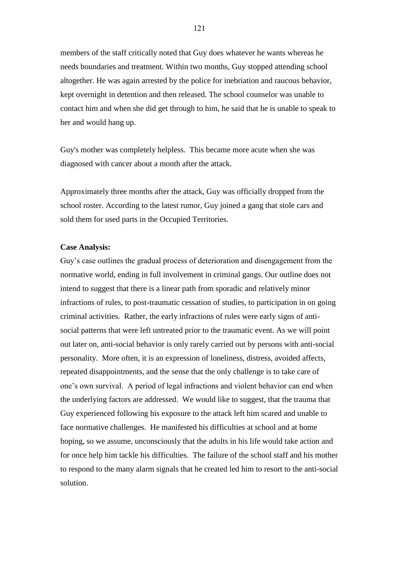members of the staff critically noted that Guy does whatever he wants whereas he needs boundaries and treatment. Within two months, Guy stopped attending school altogether. He was again arrested by the police for inebriation and raucous behavior, kept overnight in detention and then released. The school counselor was unable to contact him and when she did get through to him, he said that he is unable to speak to her and would hang up.

Guy's mother was completely helpless. This became more acute when she was diagnosed with cancer about a month after the attack.

Approximately three months after the attack, Guy was officially dropped from the school roster. According to the latest rumor, Guy joined a gang that stole cars and sold them for used parts in the Occupied Territories.

## **Case Analysis:**

Guy"s case outlines the gradual process of deterioration and disengagement from the normative world, ending in full involvement in criminal gangs. Our outline does not intend to suggest that there is a linear path from sporadic and relatively minor infractions of rules, to post-traumatic cessation of studies, to participation in on going criminal activities. Rather, the early infractions of rules were early signs of antisocial patterns that were left untreated prior to the traumatic event. As we will point out later on, anti-social behavior is only rarely carried out by persons with anti-social personality. More often, it is an expression of loneliness, distress, avoided affects, repeated disappointments, and the sense that the only challenge is to take care of one"s own survival. A period of legal infractions and violent behavior can end when the underlying factors are addressed. We would like to suggest, that the trauma that Guy experienced following his exposure to the attack left him scared and unable to face normative challenges. He manifested his difficulties at school and at home hoping, so we assume, unconsciously that the adults in his life would take action and for once help him tackle his difficulties. The failure of the school staff and his mother to respond to the many alarm signals that he created led him to resort to the anti-social solution.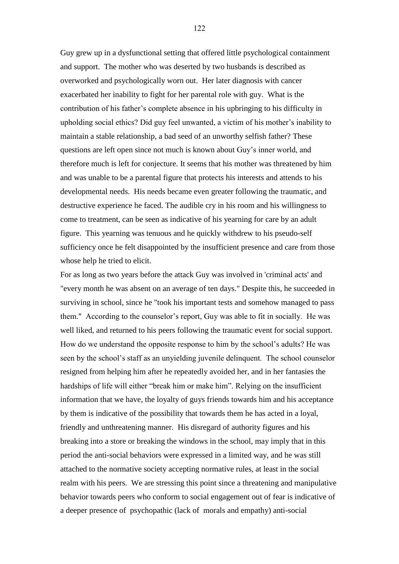Guy grew up in a dysfunctional setting that offered little psychological containment and support. The mother who was deserted by two husbands is described as overworked and psychologically worn out. Her later diagnosis with cancer exacerbated her inability to fight for her parental role with guy. What is the contribution of his father"s complete absence in his upbringing to his difficulty in upholding social ethics? Did guy feel unwanted, a victim of his mother"s inability to maintain a stable relationship, a bad seed of an unworthy selfish father? These questions are left open since not much is known about Guy"s inner world, and therefore much is left for conjecture. It seems that his mother was threatened by him and was unable to be a parental figure that protects his interests and attends to his developmental needs. His needs became even greater following the traumatic, and destructive experience he faced. The audible cry in his room and his willingness to come to treatment, can be seen as indicative of his yearning for care by an adult figure. This yearning was tenuous and he quickly withdrew to his pseudo-self sufficiency once he felt disappointed by the insufficient presence and care from those whose help he tried to elicit.

For as long as two years before the attack Guy was involved in 'criminal acts' and "every month he was absent on an average of ten days." Despite this, he succeeded in surviving in school, since he "took his important tests and somehow managed to pass them." According to the counselor's report, Guy was able to fit in socially. He was well liked, and returned to his peers following the traumatic event for social support. How do we understand the opposite response to him by the school"s adults? He was seen by the school"s staff as an unyielding juvenile delinquent. The school counselor resigned from helping him after he repeatedly avoided her, and in her fantasies the hardships of life will either "break him or make him". Relying on the insufficient information that we have, the loyalty of guys friends towards him and his acceptance by them is indicative of the possibility that towards them he has acted in a loyal, friendly and unthreatening manner. His disregard of authority figures and his breaking into a store or breaking the windows in the school, may imply that in this period the anti-social behaviors were expressed in a limited way, and he was still attached to the normative society accepting normative rules, at least in the social realm with his peers. We are stressing this point since a threatening and manipulative behavior towards peers who conform to social engagement out of fear is indicative of a deeper presence of psychopathic (lack of morals and empathy) anti-social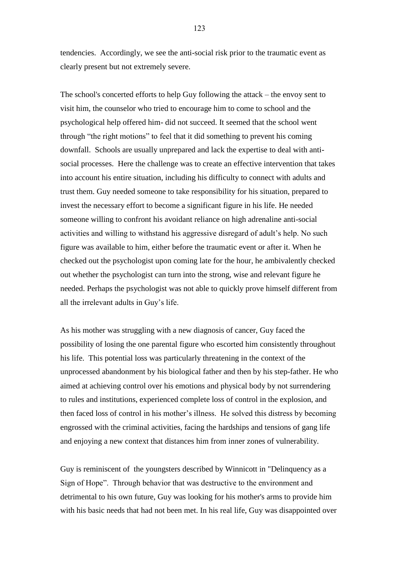tendencies. Accordingly, we see the anti-social risk prior to the traumatic event as clearly present but not extremely severe.

The school's concerted efforts to help Guy following the attack – the envoy sent to visit him, the counselor who tried to encourage him to come to school and the psychological help offered him- did not succeed. It seemed that the school went through "the right motions" to feel that it did something to prevent his coming downfall. Schools are usually unprepared and lack the expertise to deal with antisocial processes. Here the challenge was to create an effective intervention that takes into account his entire situation, including his difficulty to connect with adults and trust them. Guy needed someone to take responsibility for his situation, prepared to invest the necessary effort to become a significant figure in his life. He needed someone willing to confront his avoidant reliance on high adrenaline anti-social activities and willing to withstand his aggressive disregard of adult"s help. No such figure was available to him, either before the traumatic event or after it. When he checked out the psychologist upon coming late for the hour, he ambivalently checked out whether the psychologist can turn into the strong, wise and relevant figure he needed. Perhaps the psychologist was not able to quickly prove himself different from all the irrelevant adults in Guy"s life.

As his mother was struggling with a new diagnosis of cancer, Guy faced the possibility of losing the one parental figure who escorted him consistently throughout his life. This potential loss was particularly threatening in the context of the unprocessed abandonment by his biological father and then by his step-father. He who aimed at achieving control over his emotions and physical body by not surrendering to rules and institutions, experienced complete loss of control in the explosion, and then faced loss of control in his mother"s illness. He solved this distress by becoming engrossed with the criminal activities, facing the hardships and tensions of gang life and enjoying a new context that distances him from inner zones of vulnerability.

Guy is reminiscent of the youngsters described by Winnicott in "Delinquency as a Sign of Hope". Through behavior that was destructive to the environment and detrimental to his own future, Guy was looking for his mother's arms to provide him with his basic needs that had not been met. In his real life, Guy was disappointed over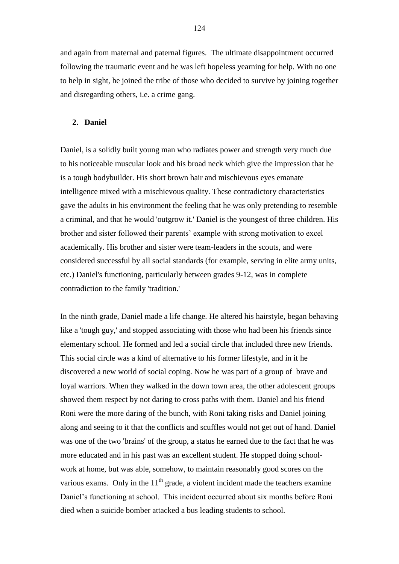and again from maternal and paternal figures. The ultimate disappointment occurred following the traumatic event and he was left hopeless yearning for help. With no one to help in sight, he joined the tribe of those who decided to survive by joining together and disregarding others, i.e. a crime gang.

#### **2. Daniel**

Daniel, is a solidly built young man who radiates power and strength very much due to his noticeable muscular look and his broad neck which give the impression that he is a tough bodybuilder. His short brown hair and mischievous eyes emanate intelligence mixed with a mischievous quality. These contradictory characteristics gave the adults in his environment the feeling that he was only pretending to resemble a criminal, and that he would 'outgrow it.' Daniel is the youngest of three children. His brother and sister followed their parents" example with strong motivation to excel academically. His brother and sister were team-leaders in the scouts, and were considered successful by all social standards (for example, serving in elite army units, etc.) Daniel's functioning, particularly between grades 9-12, was in complete contradiction to the family 'tradition.'

In the ninth grade, Daniel made a life change. He altered his hairstyle, began behaving like a 'tough guy,' and stopped associating with those who had been his friends since elementary school. He formed and led a social circle that included three new friends. This social circle was a kind of alternative to his former lifestyle, and in it he discovered a new world of social coping. Now he was part of a group of brave and loyal warriors. When they walked in the down town area, the other adolescent groups showed them respect by not daring to cross paths with them. Daniel and his friend Roni were the more daring of the bunch, with Roni taking risks and Daniel joining along and seeing to it that the conflicts and scuffles would not get out of hand. Daniel was one of the two 'brains' of the group, a status he earned due to the fact that he was more educated and in his past was an excellent student. He stopped doing schoolwork at home, but was able, somehow, to maintain reasonably good scores on the various exams. Only in the  $11<sup>th</sup>$  grade, a violent incident made the teachers examine Daniel"s functioning at school. This incident occurred about six months before Roni died when a suicide bomber attacked a bus leading students to school.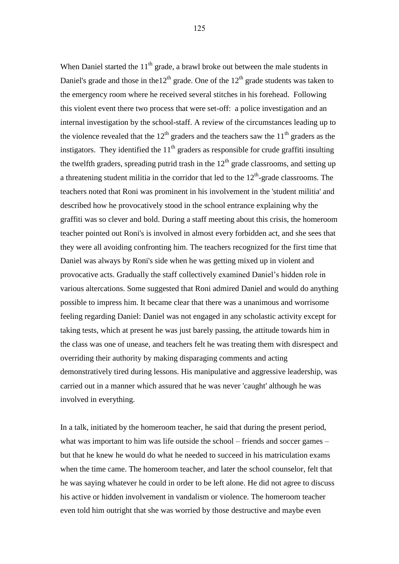When Daniel started the  $11<sup>th</sup>$  grade, a brawl broke out between the male students in Daniel's grade and those in the  $12<sup>th</sup>$  grade. One of the  $12<sup>th</sup>$  grade students was taken to the emergency room where he received several stitches in his forehead. Following this violent event there two process that were set-off: a police investigation and an internal investigation by the school-staff. A review of the circumstances leading up to the violence revealed that the  $12<sup>th</sup>$  graders and the teachers saw the  $11<sup>th</sup>$  graders as the instigators. They identified the  $11<sup>th</sup>$  graders as responsible for crude graffiti insulting the twelfth graders, spreading putrid trash in the  $12<sup>th</sup>$  grade classrooms, and setting up a threatening student militia in the corridor that led to the  $12<sup>th</sup>$ -grade classrooms. The teachers noted that Roni was prominent in his involvement in the 'student militia' and described how he provocatively stood in the school entrance explaining why the graffiti was so clever and bold. During a staff meeting about this crisis, the homeroom teacher pointed out Roni's is involved in almost every forbidden act, and she sees that they were all avoiding confronting him. The teachers recognized for the first time that Daniel was always by Roni's side when he was getting mixed up in violent and provocative acts. Gradually the staff collectively examined Daniel"s hidden role in various altercations. Some suggested that Roni admired Daniel and would do anything possible to impress him. It became clear that there was a unanimous and worrisome feeling regarding Daniel: Daniel was not engaged in any scholastic activity except for taking tests, which at present he was just barely passing, the attitude towards him in the class was one of unease, and teachers felt he was treating them with disrespect and overriding their authority by making disparaging comments and acting demonstratively tired during lessons. His manipulative and aggressive leadership, was carried out in a manner which assured that he was never 'caught' although he was involved in everything.

In a talk, initiated by the homeroom teacher, he said that during the present period, what was important to him was life outside the school – friends and soccer games – but that he knew he would do what he needed to succeed in his matriculation exams when the time came. The homeroom teacher, and later the school counselor, felt that he was saying whatever he could in order to be left alone. He did not agree to discuss his active or hidden involvement in vandalism or violence. The homeroom teacher even told him outright that she was worried by those destructive and maybe even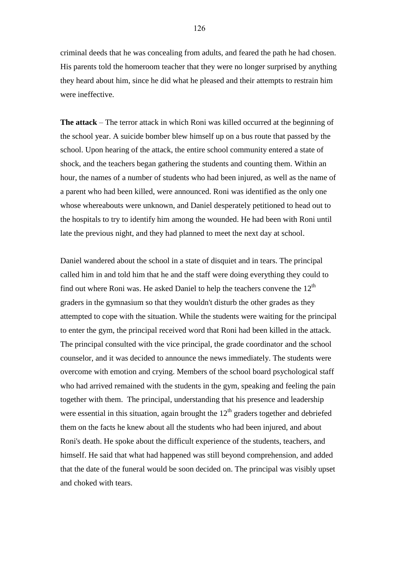criminal deeds that he was concealing from adults, and feared the path he had chosen. His parents told the homeroom teacher that they were no longer surprised by anything they heard about him, since he did what he pleased and their attempts to restrain him were ineffective.

**The attack** – The terror attack in which Roni was killed occurred at the beginning of the school year. A suicide bomber blew himself up on a bus route that passed by the school. Upon hearing of the attack, the entire school community entered a state of shock, and the teachers began gathering the students and counting them. Within an hour, the names of a number of students who had been injured, as well as the name of a parent who had been killed, were announced. Roni was identified as the only one whose whereabouts were unknown, and Daniel desperately petitioned to head out to the hospitals to try to identify him among the wounded. He had been with Roni until late the previous night, and they had planned to meet the next day at school.

Daniel wandered about the school in a state of disquiet and in tears. The principal called him in and told him that he and the staff were doing everything they could to find out where Roni was. He asked Daniel to help the teachers convene the  $12<sup>th</sup>$ graders in the gymnasium so that they wouldn't disturb the other grades as they attempted to cope with the situation. While the students were waiting for the principal to enter the gym, the principal received word that Roni had been killed in the attack. The principal consulted with the vice principal, the grade coordinator and the school counselor, and it was decided to announce the news immediately. The students were overcome with emotion and crying. Members of the school board psychological staff who had arrived remained with the students in the gym, speaking and feeling the pain together with them. The principal, understanding that his presence and leadership were essential in this situation, again brought the  $12<sup>th</sup>$  graders together and debriefed them on the facts he knew about all the students who had been injured, and about Roni's death. He spoke about the difficult experience of the students, teachers, and himself. He said that what had happened was still beyond comprehension, and added that the date of the funeral would be soon decided on. The principal was visibly upset and choked with tears.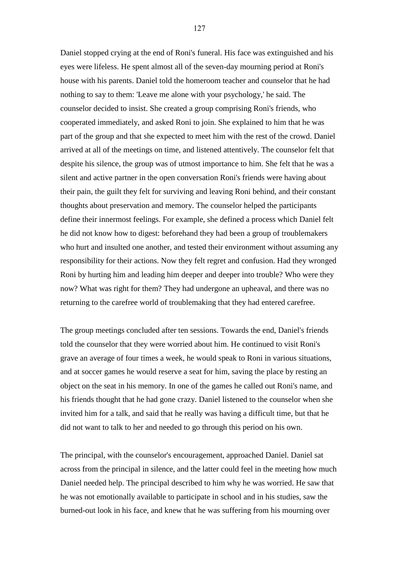Daniel stopped crying at the end of Roni's funeral. His face was extinguished and his eyes were lifeless. He spent almost all of the seven-day mourning period at Roni's house with his parents. Daniel told the homeroom teacher and counselor that he had nothing to say to them: 'Leave me alone with your psychology,' he said. The counselor decided to insist. She created a group comprising Roni's friends, who cooperated immediately, and asked Roni to join. She explained to him that he was part of the group and that she expected to meet him with the rest of the crowd. Daniel arrived at all of the meetings on time, and listened attentively. The counselor felt that despite his silence, the group was of utmost importance to him. She felt that he was a silent and active partner in the open conversation Roni's friends were having about their pain, the guilt they felt for surviving and leaving Roni behind, and their constant thoughts about preservation and memory. The counselor helped the participants define their innermost feelings. For example, she defined a process which Daniel felt he did not know how to digest: beforehand they had been a group of troublemakers who hurt and insulted one another, and tested their environment without assuming any responsibility for their actions. Now they felt regret and confusion. Had they wronged Roni by hurting him and leading him deeper and deeper into trouble? Who were they now? What was right for them? They had undergone an upheaval, and there was no returning to the carefree world of troublemaking that they had entered carefree.

The group meetings concluded after ten sessions. Towards the end, Daniel's friends told the counselor that they were worried about him. He continued to visit Roni's grave an average of four times a week, he would speak to Roni in various situations, and at soccer games he would reserve a seat for him, saving the place by resting an object on the seat in his memory. In one of the games he called out Roni's name, and his friends thought that he had gone crazy. Daniel listened to the counselor when she invited him for a talk, and said that he really was having a difficult time, but that he did not want to talk to her and needed to go through this period on his own.

The principal, with the counselor's encouragement, approached Daniel. Daniel sat across from the principal in silence, and the latter could feel in the meeting how much Daniel needed help. The principal described to him why he was worried. He saw that he was not emotionally available to participate in school and in his studies, saw the burned-out look in his face, and knew that he was suffering from his mourning over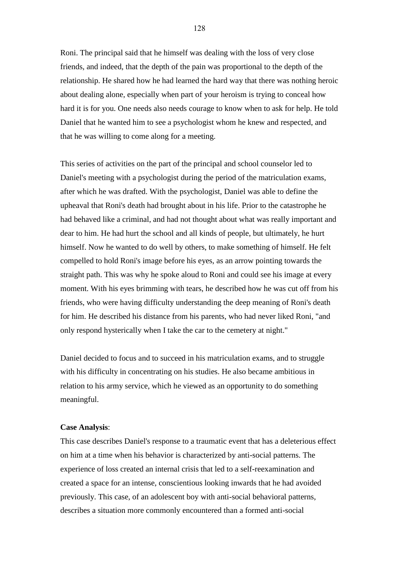Roni. The principal said that he himself was dealing with the loss of very close friends, and indeed, that the depth of the pain was proportional to the depth of the relationship. He shared how he had learned the hard way that there was nothing heroic about dealing alone, especially when part of your heroism is trying to conceal how hard it is for you. One needs also needs courage to know when to ask for help. He told Daniel that he wanted him to see a psychologist whom he knew and respected, and that he was willing to come along for a meeting.

This series of activities on the part of the principal and school counselor led to Daniel's meeting with a psychologist during the period of the matriculation exams, after which he was drafted. With the psychologist, Daniel was able to define the upheaval that Roni's death had brought about in his life. Prior to the catastrophe he had behaved like a criminal, and had not thought about what was really important and dear to him. He had hurt the school and all kinds of people, but ultimately, he hurt himself. Now he wanted to do well by others, to make something of himself. He felt compelled to hold Roni's image before his eyes, as an arrow pointing towards the straight path. This was why he spoke aloud to Roni and could see his image at every moment. With his eyes brimming with tears, he described how he was cut off from his friends, who were having difficulty understanding the deep meaning of Roni's death for him. He described his distance from his parents, who had never liked Roni, "and only respond hysterically when I take the car to the cemetery at night."

Daniel decided to focus and to succeed in his matriculation exams, and to struggle with his difficulty in concentrating on his studies. He also became ambitious in relation to his army service, which he viewed as an opportunity to do something meaningful.

#### **Case Analysis**:

This case describes Daniel's response to a traumatic event that has a deleterious effect on him at a time when his behavior is characterized by anti-social patterns. The experience of loss created an internal crisis that led to a self-reexamination and created a space for an intense, conscientious looking inwards that he had avoided previously. This case, of an adolescent boy with anti-social behavioral patterns, describes a situation more commonly encountered than a formed anti-social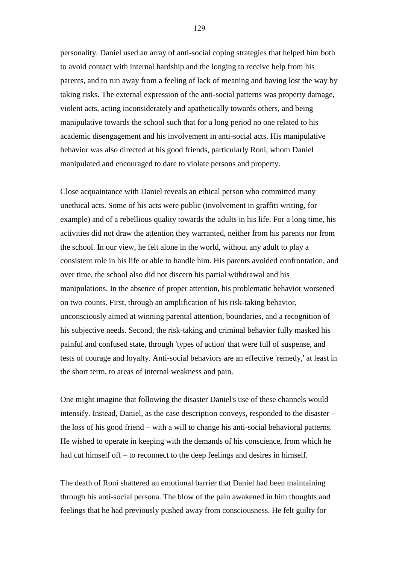personality. Daniel used an array of anti-social coping strategies that helped him both to avoid contact with internal hardship and the longing to receive help from his parents, and to run away from a feeling of lack of meaning and having lost the way by taking risks. The external expression of the anti-social patterns was property damage, violent acts, acting inconsiderately and apathetically towards others, and being manipulative towards the school such that for a long period no one related to his academic disengagement and his involvement in anti-social acts. His manipulative behavior was also directed at his good friends, particularly Roni, whom Daniel manipulated and encouraged to dare to violate persons and property.

Close acquaintance with Daniel reveals an ethical person who committed many unethical acts. Some of his acts were public (involvement in graffiti writing, for example) and of a rebellious quality towards the adults in his life. For a long time, his activities did not draw the attention they warranted, neither from his parents nor from the school. In our view, he felt alone in the world, without any adult to play a consistent role in his life or able to handle him. His parents avoided confrontation, and over time, the school also did not discern his partial withdrawal and his manipulations. In the absence of proper attention, his problematic behavior worsened on two counts. First, through an amplification of his risk-taking behavior, unconsciously aimed at winning parental attention, boundaries, and a recognition of his subjective needs. Second, the risk-taking and criminal behavior fully masked his painful and confused state, through 'types of action' that were full of suspense, and tests of courage and loyalty. Anti-social behaviors are an effective 'remedy,' at least in the short term, to areas of internal weakness and pain.

One might imagine that following the disaster Daniel's use of these channels would intensify. Instead, Daniel, as the case description conveys, responded to the disaster – the loss of his good friend – with a will to change his anti-social behavioral patterns. He wished to operate in keeping with the demands of his conscience, from which he had cut himself of f – to reconnect to the deep feelings and desires in himself.

The death of Roni shattered an emotional barrier that Daniel had been maintaining through his anti-social persona. The blow of the pain awakened in him thoughts and feelings that he had previously pushed away from consciousness. He felt guilty for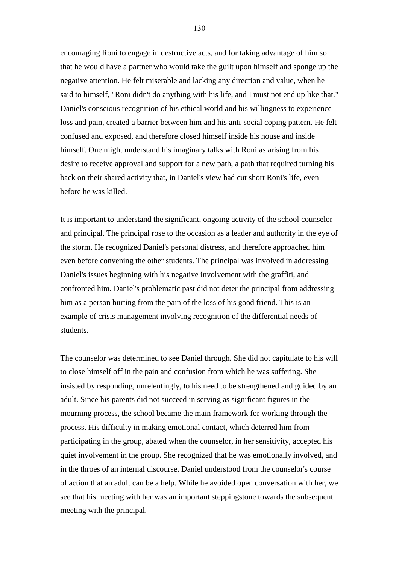encouraging Roni to engage in destructive acts, and for taking advantage of him so that he would have a partner who would take the guilt upon himself and sponge up the negative attention. He felt miserable and lacking any direction and value, when he said to himself, "Roni didn't do anything with his life, and I must not end up like that." Daniel's conscious recognition of his ethical world and his willingness to experience loss and pain, created a barrier between him and his anti-social coping pattern. He felt confused and exposed, and therefore closed himself inside his house and inside himself. One might understand his imaginary talks with Roni as arising from his desire to receive approval and support for a new path, a path that required turning his back on their shared activity that, in Daniel's view had cut short Roni's life, even before he was killed.

It is important to understand the significant, ongoing activity of the school counselor and principal. The principal rose to the occasion as a leader and authority in the eye of the storm. He recognized Daniel's personal distress, and therefore approached him even before convening the other students. The principal was involved in addressing Daniel's issues beginning with his negative involvement with the graffiti, and confronted him. Daniel's problematic past did not deter the principal from addressing him as a person hurting from the pain of the loss of his good friend. This is an example of crisis management involving recognition of the differential needs of students.

The counselor was determined to see Daniel through. She did not capitulate to his will to close himself off in the pain and confusion from which he was suffering. She insisted by responding, unrelentingly, to his need to be strengthened and guided by an adult. Since his parents did not succeed in serving as significant figures in the mourning process, the school became the main framework for working through the process. His difficulty in making emotional contact, which deterred him from participating in the group, abated when the counselor, in her sensitivity, accepted his quiet involvement in the group. She recognized that he was emotionally involved, and in the throes of an internal discourse. Daniel understood from the counselor's course of action that an adult can be a help. While he avoided open conversation with her, we see that his meeting with her was an important steppingstone towards the subsequent meeting with the principal.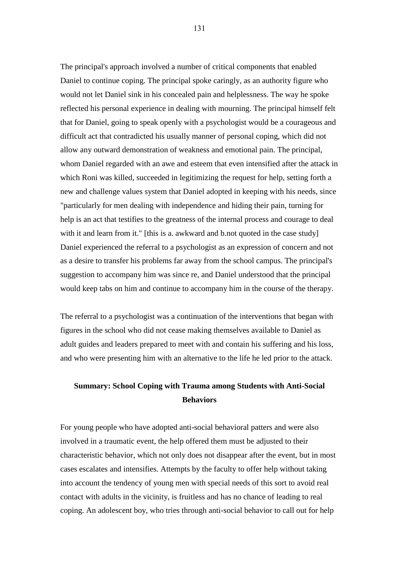The principal's approach involved a number of critical components that enabled Daniel to continue coping. The principal spoke caringly, as an authority figure who would not let Daniel sink in his concealed pain and helplessness. The way he spoke reflected his personal experience in dealing with mourning. The principal himself felt that for Daniel, going to speak openly with a psychologist would be a courageous and difficult act that contradicted his usually manner of personal coping, which did not allow any outward demonstration of weakness and emotional pain. The principal, whom Daniel regarded with an awe and esteem that even intensified after the attack in which Roni was killed, succeeded in legitimizing the request for help, setting forth a new and challenge values system that Daniel adopted in keeping with his needs, since "particularly for men dealing with independence and hiding their pain, turning for help is an act that testifies to the greatness of the internal process and courage to deal with it and learn from it." [this is a. awkward and b.not quoted in the case study] Daniel experienced the referral to a psychologist as an expression of concern and not as a desire to transfer his problems far away from the school campus. The principal's suggestion to accompany him was since re, and Daniel understood that the principal would keep tabs on him and continue to accompany him in the course of the therapy.

The referral to a psychologist was a continuation of the interventions that began with figures in the school who did not cease making themselves available to Daniel as adult guides and leaders prepared to meet with and contain his suffering and his loss, and who were presenting him with an alternative to the life he led prior to the attack.

## **Summary: School Coping with Trauma among Students with Anti-Social Behaviors**

For young people who have adopted anti-social behavioral patters and were also involved in a traumatic event, the help offered them must be adjusted to their characteristic behavior, which not only does not disappear after the event, but in most cases escalates and intensifies. Attempts by the faculty to offer help without taking into account the tendency of young men with special needs of this sort to avoid real contact with adults in the vicinity, is fruitless and has no chance of leading to real coping. An adolescent boy, who tries through anti-social behavior to call out for help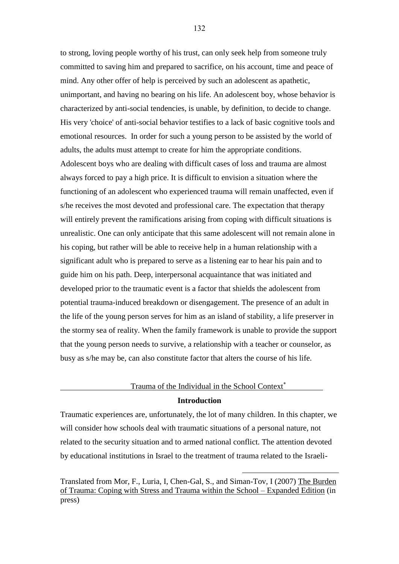to strong, loving people worthy of his trust, can only seek help from someone truly committed to saving him and prepared to sacrifice, on his account, time and peace of mind. Any other offer of help is perceived by such an adolescent as apathetic, unimportant, and having no bearing on his life. An adolescent boy, whose behavior is characterized by anti-social tendencies, is unable, by definition, to decide to change. His very 'choice' of anti-social behavior testifies to a lack of basic cognitive tools and emotional resources. In order for such a young person to be assisted by the world of adults, the adults must attempt to create for him the appropriate conditions. Adolescent boys who are dealing with difficult cases of loss and trauma are almost always forced to pay a high price. It is difficult to envision a situation where the functioning of an adolescent who experienced trauma will remain unaffected, even if s/he receives the most devoted and professional care. The expectation that therapy will entirely prevent the ramifications arising from coping with difficult situations is unrealistic. One can only anticipate that this same adolescent will not remain alone in his coping, but rather will be able to receive help in a human relationship with a significant adult who is prepared to serve as a listening ear to hear his pain and to guide him on his path. Deep, interpersonal acquaintance that was initiated and developed prior to the traumatic event is a factor that shields the adolescent from potential trauma-induced breakdown or disengagement. The presence of an adult in the life of the young person serves for him as an island of stability, a life preserver in the stormy sea of reality. When the family framework is unable to provide the support that the young person needs to survive, a relationship with a teacher or counselor, as busy as s/he may be, can also constitute factor that alters the course of his life.

## Trauma of the Individual in the School Context **Introduction**

1

Traumatic experiences are, unfortunately, the lot of many children. In this chapter, we will consider how schools deal with traumatic situations of a personal nature, not related to the security situation and to armed national conflict. The attention devoted by educational institutions in Israel to the treatment of trauma related to the Israeli-

Translated from Mor, F., Luria, I, Chen-Gal, S., and Siman-Tov, I (2007) The Burden of Trauma: Coping with Stress and Trauma within the School – Expanded Edition (in press)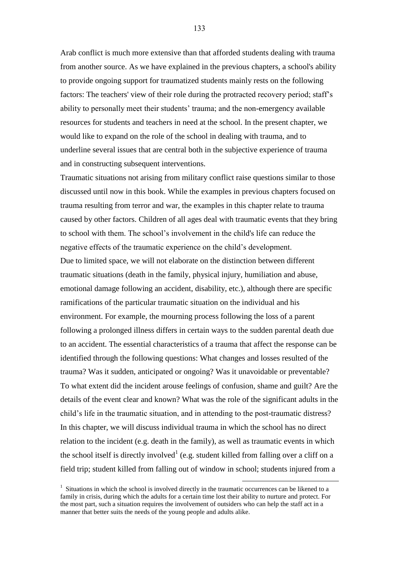Arab conflict is much more extensive than that afforded students dealing with trauma from another source. As we have explained in the previous chapters, a school's ability to provide ongoing support for traumatized students mainly rests on the following factors: The teachers' view of their role during the protracted recovery period; staff's ability to personally meet their students' trauma; and the non-emergency available resources for students and teachers in need at the school. In the present chapter, we would like to expand on the role of the school in dealing with trauma, and to underline several issues that are central both in the subjective experience of trauma and in constructing subsequent interventions.

Traumatic situations not arising from military conflict raise questions similar to those discussed until now in this book. While the examples in previous chapters focused on trauma resulting from terror and war, the examples in this chapter relate to trauma caused by other factors. Children of all ages deal with traumatic events that they bring to school with them. The school"s involvement in the child's life can reduce the negative effects of the traumatic experience on the child"s development. Due to limited space, we will not elaborate on the distinction between different traumatic situations (death in the family, physical injury, humiliation and abuse, emotional damage following an accident, disability, etc.), although there are specific ramifications of the particular traumatic situation on the individual and his environment. For example, the mourning process following the loss of a parent following a prolonged illness differs in certain ways to the sudden parental death due to an accident. The essential characteristics of a trauma that affect the response can be identified through the following questions: What changes and losses resulted of the trauma? Was it sudden, anticipated or ongoing? Was it unavoidable or preventable? To what extent did the incident arouse feelings of confusion, shame and guilt? Are the details of the event clear and known? What was the role of the significant adults in the child"s life in the traumatic situation, and in attending to the post-traumatic distress? In this chapter, we will discuss individual trauma in which the school has no direct relation to the incident (e.g. death in the family), as well as traumatic events in which the school itself is directly involved<sup>1</sup> (e.g. student killed from falling over a cliff on a field trip; student killed from falling out of window in school; students injured from a

<sup>&</sup>lt;sup>1</sup> Situations in which the school is involved directly in the traumatic occurrences can be likened to a family in crisis, during which the adults for a certain time lost their ability to nurture and protect. For the most part, such a situation requires the involvement of outsiders who can help the staff act in a manner that better suits the needs of the young people and adults alike.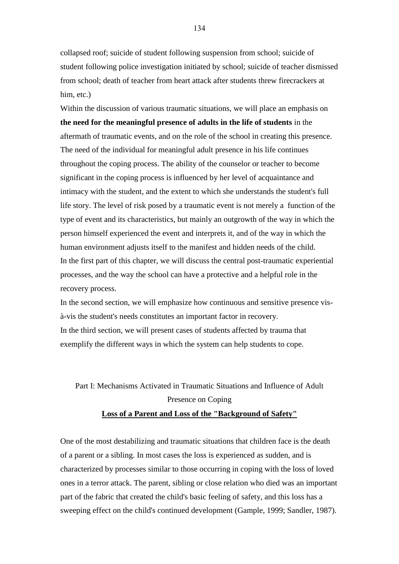collapsed roof; suicide of student following suspension from school; suicide of student following police investigation initiated by school; suicide of teacher dismissed from school; death of teacher from heart attack after students threw firecrackers at him, etc.)

Within the discussion of various traumatic situations, we will place an emphasis on **the need for the meaningful presence of adults in the life of students** in the aftermath of traumatic events, and on the role of the school in creating this presence. The need of the individual for meaningful adult presence in his life continues throughout the coping process. The ability of the counselor or teacher to become significant in the coping process is influenced by her level of acquaintance and intimacy with the student, and the extent to which she understands the student's full life story. The level of risk posed by a traumatic event is not merely a function of the type of event and its characteristics, but mainly an outgrowth of the way in which the person himself experienced the event and interprets it, and of the way in which the human environment adjusts itself to the manifest and hidden needs of the child. In the first part of this chapter, we will discuss the central post-traumatic experiential processes, and the way the school can have a protective and a helpful role in the recovery process.

In the second section, we will emphasize how continuous and sensitive presence visà-vis the student's needs constitutes an important factor in recovery. In the third section, we will present cases of students affected by trauma that exemplify the different ways in which the system can help students to cope.

# Part I: Mechanisms Activated in Traumatic Situations and Influence of Adult Presence on Coping **Loss of a Parent and Loss of the "Background of Safety"**

One of the most destabilizing and traumatic situations that children face is the death of a parent or a sibling. In most cases the loss is experienced as sudden, and is characterized by processes similar to those occurring in coping with the loss of loved ones in a terror attack. The parent, sibling or close relation who died was an important part of the fabric that created the child's basic feeling of safety, and this loss has a sweeping effect on the child's continued development (Gample, 1999; Sandler, 1987).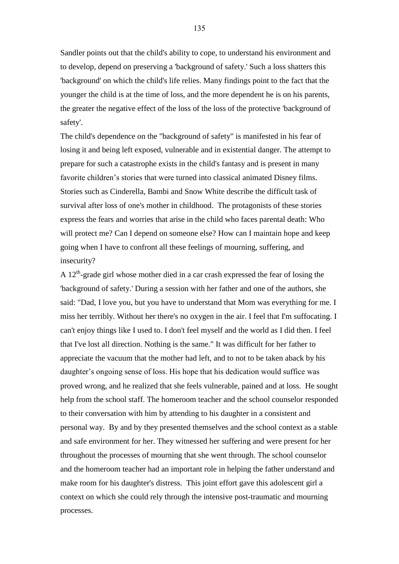Sandler points out that the child's ability to cope, to understand his environment and to develop, depend on preserving a 'background of safety.' Such a loss shatters this 'background' on which the child's life relies. Many findings point to the fact that the younger the child is at the time of loss, and the more dependent he is on his parents, the greater the negative effect of the loss of the loss of the protective 'background of safety'.

The child's dependence on the "background of safety" is manifested in his fear of losing it and being left exposed, vulnerable and in existential danger. The attempt to prepare for such a catastrophe exists in the child's fantasy and is present in many favorite children's stories that were turned into classical animated Disney films. Stories such as Cinderella, Bambi and Snow White describe the difficult task of survival after loss of one's mother in childhood. The protagonists of these stories express the fears and worries that arise in the child who faces parental death: Who will protect me? Can I depend on someone else? How can I maintain hope and keep going when I have to confront all these feelings of mourning, suffering, and insecurity?

A  $12<sup>th</sup>$ -grade girl whose mother died in a car crash expressed the fear of losing the 'background of safety.' During a session with her father and one of the authors, she said: "Dad, I love you, but you have to understand that Mom was everything for me. I miss her terribly. Without her there's no oxygen in the air. I feel that I'm suffocating. I can't enjoy things like I used to. I don't feel myself and the world as I did then. I feel that I've lost all direction. Nothing is the same." It was difficult for her father to appreciate the vacuum that the mother had left, and to not to be taken aback by his daughter's ongoing sense of loss. His hope that his dedication would suffice was proved wrong, and he realized that she feels vulnerable, pained and at loss. He sought help from the school staff. The homeroom teacher and the school counselor responded to their conversation with him by attending to his daughter in a consistent and personal way. By and by they presented themselves and the school context as a stable and safe environment for her. They witnessed her suffering and were present for her throughout the processes of mourning that she went through. The school counselor and the homeroom teacher had an important role in helping the father understand and make room for his daughter's distress. This joint effort gave this adolescent girl a context on which she could rely through the intensive post-traumatic and mourning processes.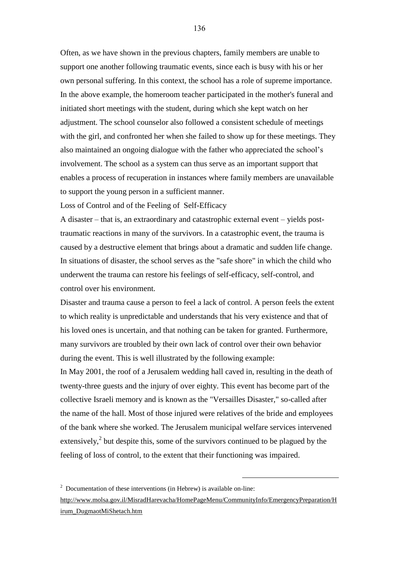Often, as we have shown in the previous chapters, family members are unable to support one another following traumatic events, since each is busy with his or her own personal suffering. In this context, the school has a role of supreme importance. In the above example, the homeroom teacher participated in the mother's funeral and initiated short meetings with the student, during which she kept watch on her adjustment. The school counselor also followed a consistent schedule of meetings with the girl, and confronted her when she failed to show up for these meetings. They also maintained an ongoing dialogue with the father who appreciated the school"s involvement. The school as a system can thus serve as an important support that enables a process of recuperation in instances where family members are unavailable to support the young person in a sufficient manner.

Loss of Control and of the Feeling of Self-Efficacy

A disaster – that is, an extraordinary and catastrophic external event – yields posttraumatic reactions in many of the survivors. In a catastrophic event, the trauma is caused by a destructive element that brings about a dramatic and sudden life change. In situations of disaster, the school serves as the "safe shore" in which the child who underwent the trauma can restore his feelings of self-efficacy, self-control, and control over his environment.

Disaster and trauma cause a person to feel a lack of control. A person feels the extent to which reality is unpredictable and understands that his very existence and that of his loved ones is uncertain, and that nothing can be taken for granted. Furthermore, many survivors are troubled by their own lack of control over their own behavior during the event. This is well illustrated by the following example:

In May 2001, the roof of a Jerusalem wedding hall caved in, resulting in the death of twenty-three guests and the injury of over eighty. This event has become part of the collective Israeli memory and is known as the "Versailles Disaster," so-called after the name of the hall. Most of those injured were relatives of the bride and employees of the bank where she worked. The Jerusalem municipal welfare services intervened extensively, $\lambda^2$  but despite this, some of the survivors continued to be plagued by the feeling of loss of control, to the extent that their functioning was impaired.

 $2$  Documentation of these interventions (in Hebrew) is available on-line:

http://www.molsa.gov.il/MisradHarevacha/HomePageMenu/CommunityInfo/EmergencyPreparation/H irum\_DugmaotMiShetach.htm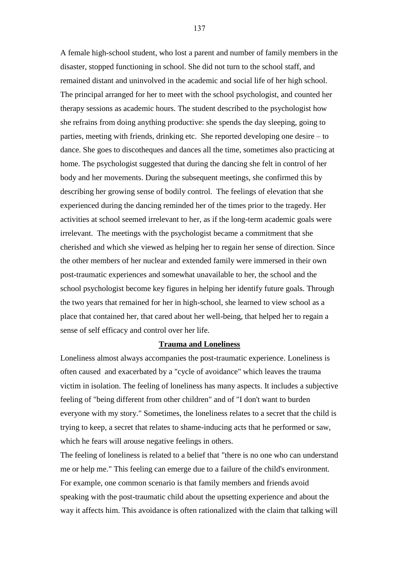A female high-school student, who lost a parent and number of family members in the disaster, stopped functioning in school. She did not turn to the school staff, and remained distant and uninvolved in the academic and social life of her high school. The principal arranged for her to meet with the school psychologist, and counted her therapy sessions as academic hours. The student described to the psychologist how she refrains from doing anything productive: she spends the day sleeping, going to parties, meeting with friends, drinking etc. She reported developing one desire – to dance. She goes to discotheques and dances all the time, sometimes also practicing at home. The psychologist suggested that during the dancing she felt in control of her body and her movements. During the subsequent meetings, she confirmed this by describing her growing sense of bodily control. The feelings of elevation that she experienced during the dancing reminded her of the times prior to the tragedy. Her activities at school seemed irrelevant to her, as if the long-term academic goals were irrelevant. The meetings with the psychologist became a commitment that she cherished and which she viewed as helping her to regain her sense of direction. Since the other members of her nuclear and extended family were immersed in their own post-traumatic experiences and somewhat unavailable to her, the school and the school psychologist become key figures in helping her identify future goals. Through the two years that remained for her in high-school, she learned to view school as a place that contained her, that cared about her well-being, that helped her to regain a sense of self efficacy and control over her life.

## **Trauma and Loneliness**

Loneliness almost always accompanies the post-traumatic experience. Loneliness is often caused and exacerbated by a "cycle of avoidance" which leaves the trauma victim in isolation. The feeling of loneliness has many aspects. It includes a subjective feeling of "being different from other children" and of "I don't want to burden everyone with my story." Sometimes, the loneliness relates to a secret that the child is trying to keep, a secret that relates to shame-inducing acts that he performed or saw, which he fears will arouse negative feelings in others.

The feeling of loneliness is related to a belief that "there is no one who can understand me or help me." This feeling can emerge due to a failure of the child's environment. For example, one common scenario is that family members and friends avoid speaking with the post-traumatic child about the upsetting experience and about the way it affects him. This avoidance is often rationalized with the claim that talking will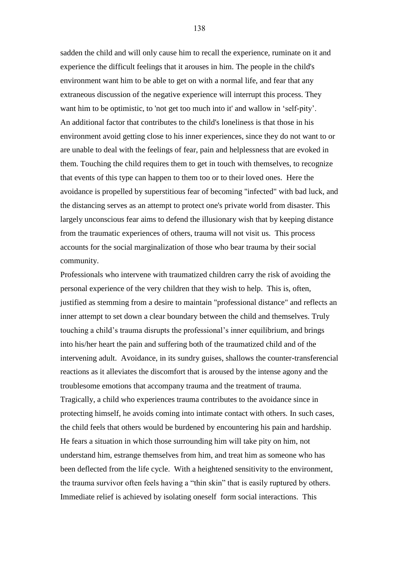sadden the child and will only cause him to recall the experience, ruminate on it and experience the difficult feelings that it arouses in him. The people in the child's environment want him to be able to get on with a normal life, and fear that any extraneous discussion of the negative experience will interrupt this process. They want him to be optimistic, to 'not get too much into it' and wallow in 'self-pity'. An additional factor that contributes to the child's loneliness is that those in his environment avoid getting close to his inner experiences, since they do not want to or are unable to deal with the feelings of fear, pain and helplessness that are evoked in them. Touching the child requires them to get in touch with themselves, to recognize that events of this type can happen to them too or to their loved ones. Here the avoidance is propelled by superstitious fear of becoming "infected" with bad luck, and the distancing serves as an attempt to protect one's private world from disaster. This largely unconscious fear aims to defend the illusionary wish that by keeping distance from the traumatic experiences of others, trauma will not visit us. This process accounts for the social marginalization of those who bear trauma by their social community.

Professionals who intervene with traumatized children carry the risk of avoiding the personal experience of the very children that they wish to help. This is, often, justified as stemming from a desire to maintain "professional distance" and reflects an inner attempt to set down a clear boundary between the child and themselves. Truly touching a child"s trauma disrupts the professional"s inner equilibrium, and brings into his/her heart the pain and suffering both of the traumatized child and of the intervening adult. Avoidance, in its sundry guises, shallows the counter-transferencial reactions as it alleviates the discomfort that is aroused by the intense agony and the troublesome emotions that accompany trauma and the treatment of trauma. Tragically, a child who experiences trauma contributes to the avoidance since in protecting himself, he avoids coming into intimate contact with others. In such cases, the child feels that others would be burdened by encountering his pain and hardship. He fears a situation in which those surrounding him will take pity on him, not understand him, estrange themselves from him, and treat him as someone who has been deflected from the life cycle. With a heightened sensitivity to the environment, the trauma survivor often feels having a "thin skin" that is easily ruptured by others. Immediate relief is achieved by isolating oneself form social interactions. This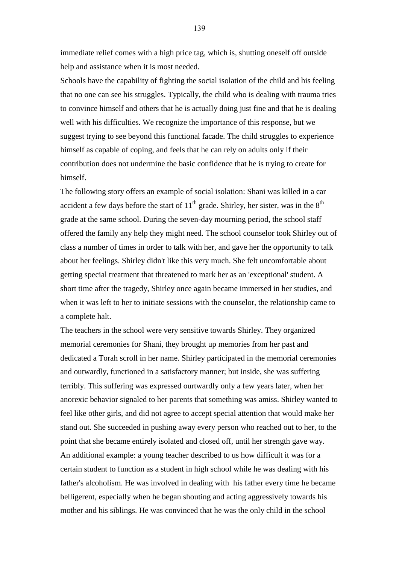immediate relief comes with a high price tag, which is, shutting oneself off outside help and assistance when it is most needed.

Schools have the capability of fighting the social isolation of the child and his feeling that no one can see his struggles. Typically, the child who is dealing with trauma tries to convince himself and others that he is actually doing just fine and that he is dealing well with his difficulties. We recognize the importance of this response, but we suggest trying to see beyond this functional facade. The child struggles to experience himself as capable of coping, and feels that he can rely on adults only if their contribution does not undermine the basic confidence that he is trying to create for himself.

The following story offers an example of social isolation: Shani was killed in a car accident a few days before the start of  $11<sup>th</sup>$  grade. Shirley, her sister, was in the  $8<sup>th</sup>$ grade at the same school. During the seven-day mourning period, the school staff offered the family any help they might need. The school counselor took Shirley out of class a number of times in order to talk with her, and gave her the opportunity to talk about her feelings. Shirley didn't like this very much. She felt uncomfortable about getting special treatment that threatened to mark her as an 'exceptional' student. A short time after the tragedy, Shirley once again became immersed in her studies, and when it was left to her to initiate sessions with the counselor, the relationship came to a complete halt.

The teachers in the school were very sensitive towards Shirley. They organized memorial ceremonies for Shani, they brought up memories from her past and dedicated a Torah scroll in her name. Shirley participated in the memorial ceremonies and outwardly, functioned in a satisfactory manner; but inside, she was suffering terribly. This suffering was expressed ourtwardly only a few years later, when her anorexic behavior signaled to her parents that something was amiss. Shirley wanted to feel like other girls, and did not agree to accept special attention that would make her stand out. She succeeded in pushing away every person who reached out to her, to the point that she became entirely isolated and closed off, until her strength gave way. An additional example: a young teacher described to us how difficult it was for a certain student to function as a student in high school while he was dealing with his father's alcoholism. He was involved in dealing with his father every time he became belligerent, especially when he began shouting and acting aggressively towards his mother and his siblings. He was convinced that he was the only child in the school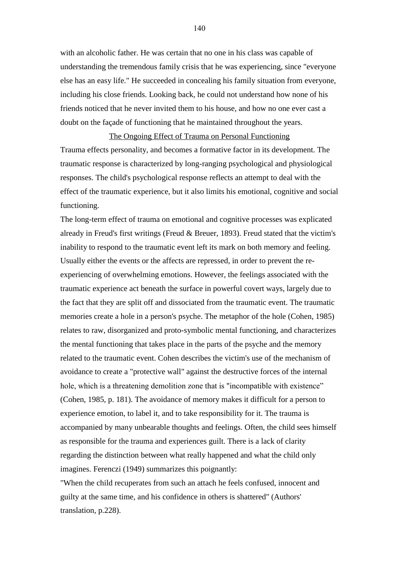with an alcoholic father. He was certain that no one in his class was capable of understanding the tremendous family crisis that he was experiencing, since "everyone else has an easy life." He succeeded in concealing his family situation from everyone, including his close friends. Looking back, he could not understand how none of his friends noticed that he never invited them to his house, and how no one ever cast a doubt on the façade of functioning that he maintained throughout the years.

The Ongoing Effect of Trauma on Personal Functioning Trauma effects personality, and becomes a formative factor in its development. The traumatic response is characterized by long-ranging psychological and physiological responses. The child's psychological response reflects an attempt to deal with the effect of the traumatic experience, but it also limits his emotional, cognitive and social functioning.

The long-term effect of trauma on emotional and cognitive processes was explicated already in Freud's first writings (Freud & Breuer, 1893). Freud stated that the victim's inability to respond to the traumatic event left its mark on both memory and feeling. Usually either the events or the affects are repressed, in order to prevent the reexperiencing of overwhelming emotions. However, the feelings associated with the traumatic experience act beneath the surface in powerful covert ways, largely due to the fact that they are split off and dissociated from the traumatic event. The traumatic memories create a hole in a person's psyche. The metaphor of the hole (Cohen, 1985) relates to raw, disorganized and proto-symbolic mental functioning, and characterizes the mental functioning that takes place in the parts of the psyche and the memory related to the traumatic event. Cohen describes the victim's use of the mechanism of avoidance to create a "protective wall" against the destructive forces of the internal hole, which is a threatening demolition zone that is "incompatible with existence" (Cohen, 1985, p. 181). The avoidance of memory makes it difficult for a person to experience emotion, to label it, and to take responsibility for it. The trauma is accompanied by many unbearable thoughts and feelings. Often, the child sees himself as responsible for the trauma and experiences guilt. There is a lack of clarity regarding the distinction between what really happened and what the child only imagines. Ferenczi (1949) summarizes this poignantly:

"When the child recuperates from such an attach he feels confused, innocent and guilty at the same time, and his confidence in others is shattered" (Authors' translation, p.228).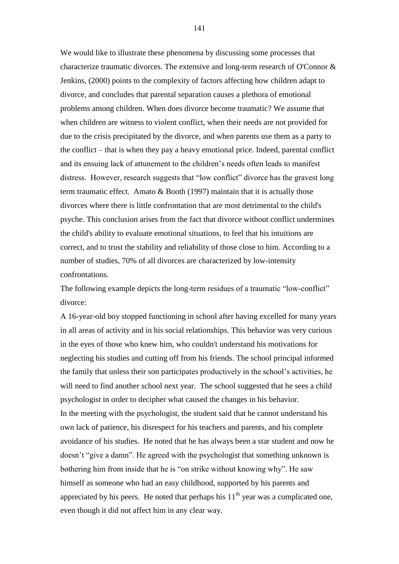We would like to illustrate these phenomena by discussing some processes that characterize traumatic divorces. The extensive and long-term research of O'Connor & Jenkins, (2000) points to the complexity of factors affecting how children adapt to divorce, and concludes that parental separation causes a plethora of emotional problems among children. When does divorce become traumatic? We assume that when children are witness to violent conflict, when their needs are not provided for due to the crisis precipitated by the divorce, and when parents use them as a party to the conflict – that is when they pay a heavy emotional price. Indeed, parental conflict and its ensuing lack of attunement to the children"s needs often leads to manifest distress. However, research suggests that "low conflict" divorce has the gravest long term traumatic effect. Amato & Booth (1997) maintain that it is actually those divorces where there is little confrontation that are most detrimental to the child's psyche. This conclusion arises from the fact that divorce without conflict undermines the child's ability to evaluate emotional situations, to feel that his intuitions are correct, and to trust the stability and reliability of those close to him. According to a number of studies, 70% of all divorces are characterized by low-intensity confrontations.

The following example depicts the long-term residues of a traumatic "low-conflict" divorce:

A 16-year-old boy stopped functioning in school after having excelled for many years in all areas of activity and in his social relationships. This behavior was very curious in the eyes of those who knew him, who couldn't understand his motivations for neglecting his studies and cutting off from his friends. The school principal informed the family that unless their son participates productively in the school"s activities, he will need to find another school next year. The school suggested that he sees a child psychologist in order to decipher what caused the changes in his behavior. In the meeting with the psychologist, the student said that he cannot understand his own lack of patience, his disrespect for his teachers and parents, and his complete avoidance of his studies. He noted that he has always been a star student and now he doesn"t "give a damn". He agreed with the psychologist that something unknown is bothering him from inside that he is "on strike without knowing why". He saw himself as someone who had an easy childhood, supported by his parents and appreciated by his peers. He noted that perhaps his  $11<sup>th</sup>$  year was a complicated one, even though it did not affect him in any clear way.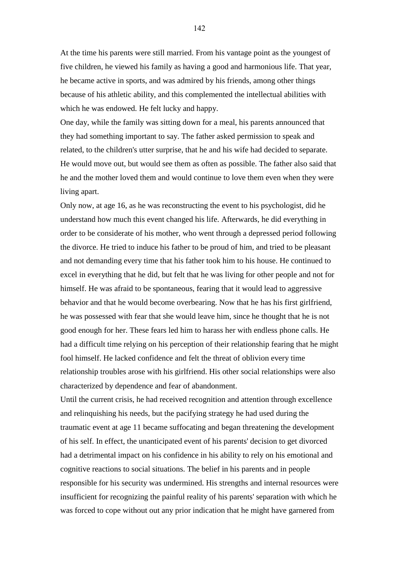At the time his parents were still married. From his vantage point as the youngest of five children, he viewed his family as having a good and harmonious life. That year, he became active in sports, and was admired by his friends, among other things because of his athletic ability, and this complemented the intellectual abilities with which he was endowed. He felt lucky and happy.

One day, while the family was sitting down for a meal, his parents announced that they had something important to say. The father asked permission to speak and related, to the children's utter surprise, that he and his wife had decided to separate. He would move out, but would see them as often as possible. The father also said that he and the mother loved them and would continue to love them even when they were living apart.

Only now, at age 16, as he was reconstructing the event to his psychologist, did he understand how much this event changed his life. Afterwards, he did everything in order to be considerate of his mother, who went through a depressed period following the divorce. He tried to induce his father to be proud of him, and tried to be pleasant and not demanding every time that his father took him to his house. He continued to excel in everything that he did, but felt that he was living for other people and not for himself. He was afraid to be spontaneous, fearing that it would lead to aggressive behavior and that he would become overbearing. Now that he has his first girlfriend, he was possessed with fear that she would leave him, since he thought that he is not good enough for her. These fears led him to harass her with endless phone calls. He had a difficult time relying on his perception of their relationship fearing that he might fool himself. He lacked confidence and felt the threat of oblivion every time relationship troubles arose with his girlfriend. His other social relationships were also characterized by dependence and fear of abandonment.

Until the current crisis, he had received recognition and attention through excellence and relinquishing his needs, but the pacifying strategy he had used during the traumatic event at age 11 became suffocating and began threatening the development of his self. In effect, the unanticipated event of his parents' decision to get divorced had a detrimental impact on his confidence in his ability to rely on his emotional and cognitive reactions to social situations. The belief in his parents and in people responsible for his security was undermined. His strengths and internal resources were insufficient for recognizing the painful reality of his parents' separation with which he was forced to cope without out any prior indication that he might have garnered from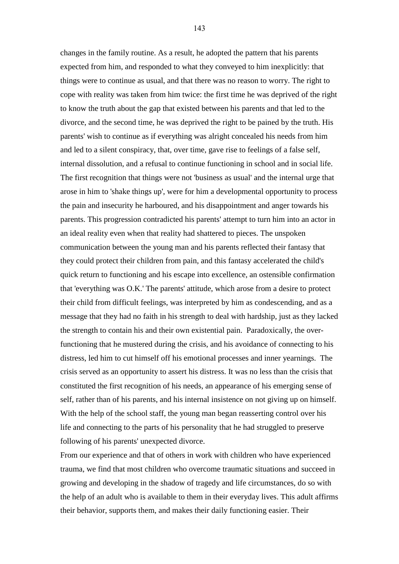changes in the family routine. As a result, he adopted the pattern that his parents expected from him, and responded to what they conveyed to him inexplicitly: that things were to continue as usual, and that there was no reason to worry. The right to cope with reality was taken from him twice: the first time he was deprived of the right to know the truth about the gap that existed between his parents and that led to the divorce, and the second time, he was deprived the right to be pained by the truth. His parents' wish to continue as if everything was alright concealed his needs from him and led to a silent conspiracy, that, over time, gave rise to feelings of a false self, internal dissolution, and a refusal to continue functioning in school and in social life. The first recognition that things were not 'business as usual' and the internal urge that arose in him to 'shake things up', were for him a developmental opportunity to process the pain and insecurity he harboured, and his disappointment and anger towards his parents. This progression contradicted his parents' attempt to turn him into an actor in an ideal reality even when that reality had shattered to pieces. The unspoken communication between the young man and his parents reflected their fantasy that they could protect their children from pain, and this fantasy accelerated the child's quick return to functioning and his escape into excellence, an ostensible confirmation that 'everything was O.K.' The parents' attitude, which arose from a desire to protect their child from difficult feelings, was interpreted by him as condescending, and as a message that they had no faith in his strength to deal with hardship, just as they lacked the strength to contain his and their own existential pain. Paradoxically, the overfunctioning that he mustered during the crisis, and his avoidance of connecting to his distress, led him to cut himself off his emotional processes and inner yearnings. The crisis served as an opportunity to assert his distress. It was no less than the crisis that constituted the first recognition of his needs, an appearance of his emerging sense of self, rather than of his parents, and his internal insistence on not giving up on himself. With the help of the school staff, the young man began reasserting control over his life and connecting to the parts of his personality that he had struggled to preserve following of his parents' unexpected divorce.

From our experience and that of others in work with children who have experienced trauma, we find that most children who overcome traumatic situations and succeed in growing and developing in the shadow of tragedy and life circumstances, do so with the help of an adult who is available to them in their everyday lives. This adult affirms their behavior, supports them, and makes their daily functioning easier. Their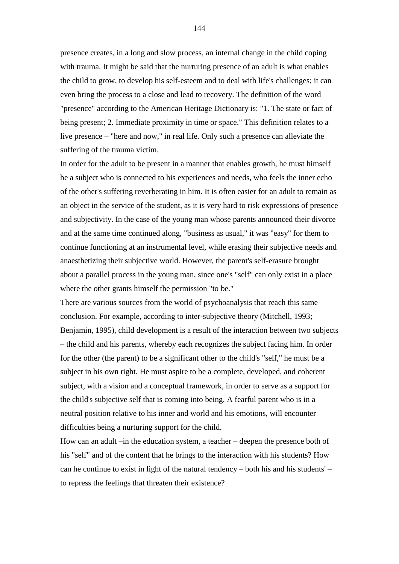presence creates, in a long and slow process, an internal change in the child coping with trauma. It might be said that the nurturing presence of an adult is what enables the child to grow, to develop his self-esteem and to deal with life's challenges; it can even bring the process to a close and lead to recovery. The definition of the word "presence" according to the American Heritage Dictionary is: "1. The state or fact of being present; 2. Immediate proximity in time or space." This definition relates to a live presence – "here and now," in real life. Only such a presence can alleviate the suffering of the trauma victim.

In order for the adult to be present in a manner that enables growth, he must himself be a subject who is connected to his experiences and needs, who feels the inner echo of the other's suffering reverberating in him. It is often easier for an adult to remain as an object in the service of the student, as it is very hard to risk expressions of presence and subjectivity. In the case of the young man whose parents announced their divorce and at the same time continued along, "business as usual," it was "easy" for them to continue functioning at an instrumental level, while erasing their subjective needs and anaesthetizing their subjective world. However, the parent's self-erasure brought about a parallel process in the young man, since one's "self" can only exist in a place where the other grants himself the permission "to be."

There are various sources from the world of psychoanalysis that reach this same conclusion. For example, according to inter-subjective theory (Mitchell, 1993; Benjamin, 1995), child development is a result of the interaction between two subjects – the child and his parents, whereby each recognizes the subject facing him. In order for the other (the parent) to be a significant other to the child's "self," he must be a subject in his own right. He must aspire to be a complete, developed, and coherent subject, with a vision and a conceptual framework, in order to serve as a support for the child's subjective self that is coming into being. A fearful parent who is in a neutral position relative to his inner and world and his emotions, will encounter difficulties being a nurturing support for the child.

How can an adult –in the education system, a teacher – deepen the presence both of his "self" and of the content that he brings to the interaction with his students? How can he continue to exist in light of the natural tendency – both his and his students' – to repress the feelings that threaten their existence?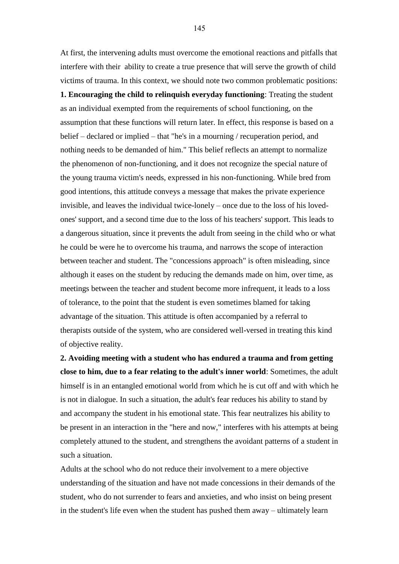At first, the intervening adults must overcome the emotional reactions and pitfalls that interfere with their ability to create a true presence that will serve the growth of child victims of trauma. In this context, we should note two common problematic positions:

**1. Encouraging the child to relinquish everyday functioning**: Treating the student as an individual exempted from the requirements of school functioning, on the assumption that these functions will return later. In effect, this response is based on a belief – declared or implied – that "he's in a mourning / recuperation period, and nothing needs to be demanded of him." This belief reflects an attempt to normalize the phenomenon of non-functioning, and it does not recognize the special nature of the young trauma victim's needs, expressed in his non-functioning. While bred from good intentions, this attitude conveys a message that makes the private experience invisible, and leaves the individual twice-lonely – once due to the loss of his lovedones' support, and a second time due to the loss of his teachers' support. This leads to a dangerous situation, since it prevents the adult from seeing in the child who or what he could be were he to overcome his trauma, and narrows the scope of interaction between teacher and student. The "concessions approach" is often misleading, since although it eases on the student by reducing the demands made on him, over time, as meetings between the teacher and student become more infrequent, it leads to a loss of tolerance, to the point that the student is even sometimes blamed for taking advantage of the situation. This attitude is often accompanied by a referral to therapists outside of the system, who are considered well-versed in treating this kind of objective reality.

**2. Avoiding meeting with a student who has endured a trauma and from getting close to him, due to a fear relating to the adult's inner world**: Sometimes, the adult himself is in an entangled emotional world from which he is cut off and with which he is not in dialogue. In such a situation, the adult's fear reduces his ability to stand by and accompany the student in his emotional state. This fear neutralizes his ability to be present in an interaction in the "here and now," interferes with his attempts at being completely attuned to the student, and strengthens the avoidant patterns of a student in such a situation.

Adults at the school who do not reduce their involvement to a mere objective understanding of the situation and have not made concessions in their demands of the student, who do not surrender to fears and anxieties, and who insist on being present in the student's life even when the student has pushed them away – ultimately learn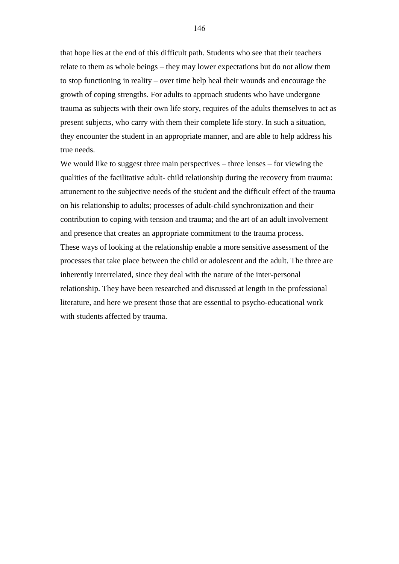that hope lies at the end of this difficult path. Students who see that their teachers relate to them as whole beings – they may lower expectations but do not allow them to stop functioning in reality – over time help heal their wounds and encourage the growth of coping strengths. For adults to approach students who have undergone trauma as subjects with their own life story, requires of the adults themselves to act as present subjects, who carry with them their complete life story. In such a situation, they encounter the student in an appropriate manner, and are able to help address his true needs.

We would like to suggest three main perspectives – three lenses – for viewing the qualities of the facilitative adult- child relationship during the recovery from trauma: attunement to the subjective needs of the student and the difficult effect of the trauma on his relationship to adults; processes of adult-child synchronization and their contribution to coping with tension and trauma; and the art of an adult involvement and presence that creates an appropriate commitment to the trauma process. These ways of looking at the relationship enable a more sensitive assessment of the processes that take place between the child or adolescent and the adult. The three are inherently interrelated, since they deal with the nature of the inter-personal relationship. They have been researched and discussed at length in the professional literature, and here we present those that are essential to psycho-educational work with students affected by trauma.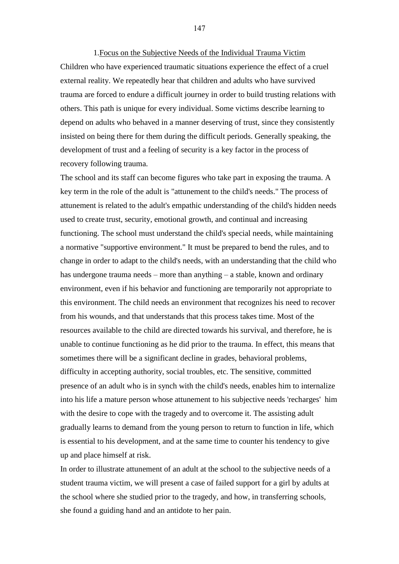1.Focus on the Subjective Needs of the Individual Trauma Victim Children who have experienced traumatic situations experience the effect of a cruel external reality. We repeatedly hear that children and adults who have survived trauma are forced to endure a difficult journey in order to build trusting relations with others. This path is unique for every individual. Some victims describe learning to depend on adults who behaved in a manner deserving of trust, since they consistently insisted on being there for them during the difficult periods. Generally speaking, the development of trust and a feeling of security is a key factor in the process of recovery following trauma.

The school and its staff can become figures who take part in exposing the trauma. A key term in the role of the adult is "attunement to the child's needs." The process of attunement is related to the adult's empathic understanding of the child's hidden needs used to create trust, security, emotional growth, and continual and increasing functioning. The school must understand the child's special needs, while maintaining a normative "supportive environment." It must be prepared to bend the rules, and to change in order to adapt to the child's needs, with an understanding that the child who has undergone trauma needs – more than anything – a stable, known and ordinary environment, even if his behavior and functioning are temporarily not appropriate to this environment. The child needs an environment that recognizes his need to recover from his wounds, and that understands that this process takes time. Most of the resources available to the child are directed towards his survival, and therefore, he is unable to continue functioning as he did prior to the trauma. In effect, this means that sometimes there will be a significant decline in grades, behavioral problems, difficulty in accepting authority, social troubles, etc. The sensitive, committed presence of an adult who is in synch with the child's needs, enables him to internalize into his life a mature person whose attunement to his subjective needs 'recharges' him with the desire to cope with the tragedy and to overcome it. The assisting adult gradually learns to demand from the young person to return to function in life, which is essential to his development, and at the same time to counter his tendency to give up and place himself at risk.

In order to illustrate attunement of an adult at the school to the subjective needs of a student trauma victim, we will present a case of failed support for a girl by adults at the school where she studied prior to the tragedy, and how, in transferring schools, she found a guiding hand and an antidote to her pain.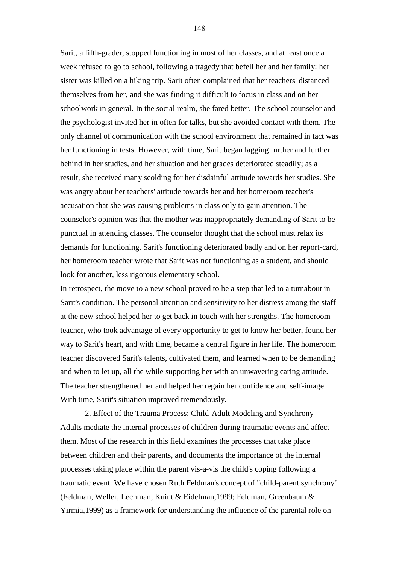Sarit, a fifth-grader, stopped functioning in most of her classes, and at least once a week refused to go to school, following a tragedy that befell her and her family: her sister was killed on a hiking trip. Sarit often complained that her teachers' distanced themselves from her, and she was finding it difficult to focus in class and on her schoolwork in general. In the social realm, she fared better. The school counselor and the psychologist invited her in often for talks, but she avoided contact with them. The only channel of communication with the school environment that remained in tact was her functioning in tests. However, with time, Sarit began lagging further and further behind in her studies, and her situation and her grades deteriorated steadily; as a result, she received many scolding for her disdainful attitude towards her studies. She was angry about her teachers' attitude towards her and her homeroom teacher's accusation that she was causing problems in class only to gain attention. The counselor's opinion was that the mother was inappropriately demanding of Sarit to be punctual in attending classes. The counselor thought that the school must relax its demands for functioning. Sarit's functioning deteriorated badly and on her report-card, her homeroom teacher wrote that Sarit was not functioning as a student, and should look for another, less rigorous elementary school.

In retrospect, the move to a new school proved to be a step that led to a turnabout in Sarit's condition. The personal attention and sensitivity to her distress among the staff at the new school helped her to get back in touch with her strengths. The homeroom teacher, who took advantage of every opportunity to get to know her better, found her way to Sarit's heart, and with time, became a central figure in her life. The homeroom teacher discovered Sarit's talents, cultivated them, and learned when to be demanding and when to let up, all the while supporting her with an unwavering caring attitude. The teacher strengthened her and helped her regain her confidence and self-image. With time, Sarit's situation improved tremendously.

2. Effect of the Trauma Process: Child-Adult Modeling and Synchrony Adults mediate the internal processes of children during traumatic events and affect them. Most of the research in this field examines the processes that take place between children and their parents, and documents the importance of the internal processes taking place within the parent vis-a-vis the child's coping following a traumatic event. We have chosen Ruth Feldman's concept of "child-parent synchrony" (Feldman, Weller, Lechman, Kuint & Eidelman,1999; Feldman, Greenbaum & Yirmia,1999) as a framework for understanding the influence of the parental role on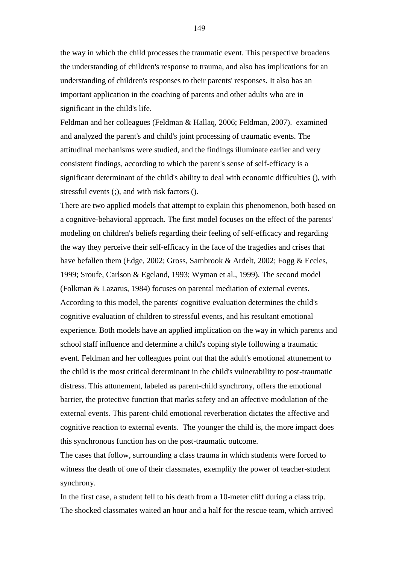the way in which the child processes the traumatic event. This perspective broadens the understanding of children's response to trauma, and also has implications for an understanding of children's responses to their parents' responses. It also has an important application in the coaching of parents and other adults who are in significant in the child's life.

Feldman and her colleagues (Feldman & Hallaq, 2006; Feldman, 2007). examined and analyzed the parent's and child's joint processing of traumatic events. The attitudinal mechanisms were studied, and the findings illuminate earlier and very consistent findings, according to which the parent's sense of self-efficacy is a significant determinant of the child's ability to deal with economic difficulties (), with stressful events (;), and with risk factors ().

There are two applied models that attempt to explain this phenomenon, both based on a cognitive-behavioral approach. The first model focuses on the effect of the parents' modeling on children's beliefs regarding their feeling of self-efficacy and regarding the way they perceive their self-efficacy in the face of the tragedies and crises that have befallen them (Edge, 2002; Gross, Sambrook & Ardelt, 2002; Fogg & Eccles, 1999; Sroufe, Carlson & Egeland, 1993; Wyman et al., 1999). The second model (Folkman & Lazarus, 1984) focuses on parental mediation of external events. According to this model, the parents' cognitive evaluation determines the child's cognitive evaluation of children to stressful events, and his resultant emotional experience. Both models have an applied implication on the way in which parents and school staff influence and determine a child's coping style following a traumatic event. Feldman and her colleagues point out that the adult's emotional attunement to the child is the most critical determinant in the child's vulnerability to post-traumatic distress. This attunement, labeled as parent-child synchrony, offers the emotional barrier, the protective function that marks safety and an affective modulation of the external events. This parent-child emotional reverberation dictates the affective and cognitive reaction to external events. The younger the child is, the more impact does this synchronous function has on the post-traumatic outcome.

The cases that follow, surrounding a class trauma in which students were forced to witness the death of one of their classmates, exemplify the power of teacher-student synchrony.

In the first case, a student fell to his death from a 10-meter cliff during a class trip. The shocked classmates waited an hour and a half for the rescue team, which arrived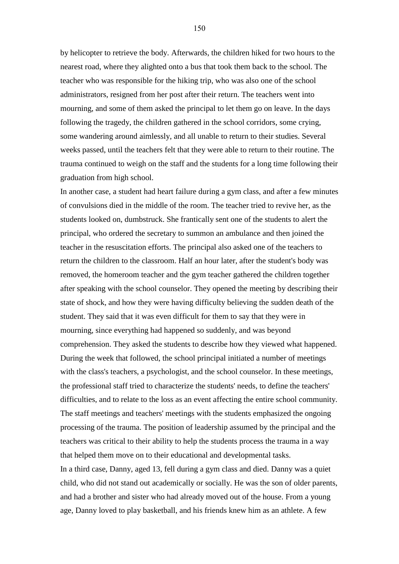by helicopter to retrieve the body. Afterwards, the children hiked for two hours to the nearest road, where they alighted onto a bus that took them back to the school. The teacher who was responsible for the hiking trip, who was also one of the school administrators, resigned from her post after their return. The teachers went into mourning, and some of them asked the principal to let them go on leave. In the days following the tragedy, the children gathered in the school corridors, some crying, some wandering around aimlessly, and all unable to return to their studies. Several weeks passed, until the teachers felt that they were able to return to their routine. The trauma continued to weigh on the staff and the students for a long time following their graduation from high school.

In another case, a student had heart failure during a gym class, and after a few minutes of convulsions died in the middle of the room. The teacher tried to revive her, as the students looked on, dumbstruck. She frantically sent one of the students to alert the principal, who ordered the secretary to summon an ambulance and then joined the teacher in the resuscitation efforts. The principal also asked one of the teachers to return the children to the classroom. Half an hour later, after the student's body was removed, the homeroom teacher and the gym teacher gathered the children together after speaking with the school counselor. They opened the meeting by describing their state of shock, and how they were having difficulty believing the sudden death of the student. They said that it was even difficult for them to say that they were in mourning, since everything had happened so suddenly, and was beyond comprehension. They asked the students to describe how they viewed what happened. During the week that followed, the school principal initiated a number of meetings with the class's teachers, a psychologist, and the school counselor. In these meetings, the professional staff tried to characterize the students' needs, to define the teachers' difficulties, and to relate to the loss as an event affecting the entire school community. The staff meetings and teachers' meetings with the students emphasized the ongoing processing of the trauma. The position of leadership assumed by the principal and the teachers was critical to their ability to help the students process the trauma in a way that helped them move on to their educational and developmental tasks. In a third case, Danny, aged 13, fell during a gym class and died. Danny was a quiet child, who did not stand out academically or socially. He was the son of older parents, and had a brother and sister who had already moved out of the house. From a young age, Danny loved to play basketball, and his friends knew him as an athlete. A few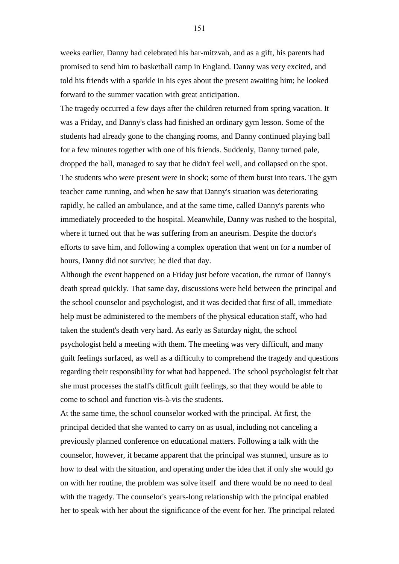weeks earlier, Danny had celebrated his bar-mitzvah, and as a gift, his parents had promised to send him to basketball camp in England. Danny was very excited, and told his friends with a sparkle in his eyes about the present awaiting him; he looked forward to the summer vacation with great anticipation.

The tragedy occurred a few days after the children returned from spring vacation. It was a Friday, and Danny's class had finished an ordinary gym lesson. Some of the students had already gone to the changing rooms, and Danny continued playing ball for a few minutes together with one of his friends. Suddenly, Danny turned pale, dropped the ball, managed to say that he didn't feel well, and collapsed on the spot. The students who were present were in shock; some of them burst into tears. The gym teacher came running, and when he saw that Danny's situation was deteriorating rapidly, he called an ambulance, and at the same time, called Danny's parents who immediately proceeded to the hospital. Meanwhile, Danny was rushed to the hospital, where it turned out that he was suffering from an aneurism. Despite the doctor's efforts to save him, and following a complex operation that went on for a number of hours, Danny did not survive; he died that day.

Although the event happened on a Friday just before vacation, the rumor of Danny's death spread quickly. That same day, discussions were held between the principal and the school counselor and psychologist, and it was decided that first of all, immediate help must be administered to the members of the physical education staff, who had taken the student's death very hard. As early as Saturday night, the school psychologist held a meeting with them. The meeting was very difficult, and many guilt feelings surfaced, as well as a difficulty to comprehend the tragedy and questions regarding their responsibility for what had happened. The school psychologist felt that she must processes the staff's difficult guilt feelings, so that they would be able to come to school and function vis-à-vis the students.

At the same time, the school counselor worked with the principal. At first, the principal decided that she wanted to carry on as usual, including not canceling a previously planned conference on educational matters. Following a talk with the counselor, however, it became apparent that the principal was stunned, unsure as to how to deal with the situation, and operating under the idea that if only she would go on with her routine, the problem was solve itself and there would be no need to deal with the tragedy. The counselor's years-long relationship with the principal enabled her to speak with her about the significance of the event for her. The principal related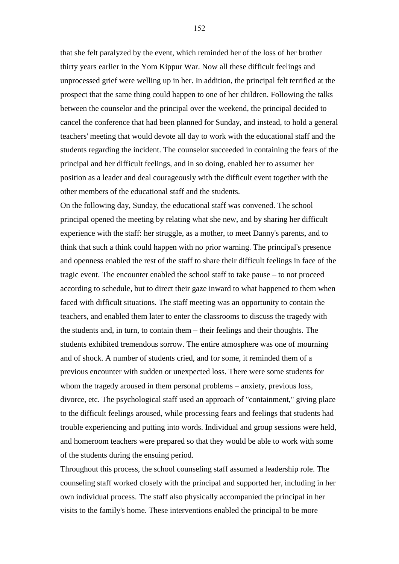that she felt paralyzed by the event, which reminded her of the loss of her brother thirty years earlier in the Yom Kippur War. Now all these difficult feelings and unprocessed grief were welling up in her. In addition, the principal felt terrified at the prospect that the same thing could happen to one of her children. Following the talks between the counselor and the principal over the weekend, the principal decided to cancel the conference that had been planned for Sunday, and instead, to hold a general teachers' meeting that would devote all day to work with the educational staff and the students regarding the incident. The counselor succeeded in containing the fears of the principal and her difficult feelings, and in so doing, enabled her to assumer her position as a leader and deal courageously with the difficult event together with the other members of the educational staff and the students.

On the following day, Sunday, the educational staff was convened. The school principal opened the meeting by relating what she new, and by sharing her difficult experience with the staff: her struggle, as a mother, to meet Danny's parents, and to think that such a think could happen with no prior warning. The principal's presence and openness enabled the rest of the staff to share their difficult feelings in face of the tragic event. The encounter enabled the school staff to take pause – to not proceed according to schedule, but to direct their gaze inward to what happened to them when faced with difficult situations. The staff meeting was an opportunity to contain the teachers, and enabled them later to enter the classrooms to discuss the tragedy with the students and, in turn, to contain them – their feelings and their thoughts. The students exhibited tremendous sorrow. The entire atmosphere was one of mourning and of shock. A number of students cried, and for some, it reminded them of a previous encounter with sudden or unexpected loss. There were some students for whom the tragedy aroused in them personal problems – anxiety, previous loss, divorce, etc. The psychological staff used an approach of "containment," giving place to the difficult feelings aroused, while processing fears and feelings that students had trouble experiencing and putting into words. Individual and group sessions were held, and homeroom teachers were prepared so that they would be able to work with some of the students during the ensuing period.

Throughout this process, the school counseling staff assumed a leadership role. The counseling staff worked closely with the principal and supported her, including in her own individual process. The staff also physically accompanied the principal in her visits to the family's home. These interventions enabled the principal to be more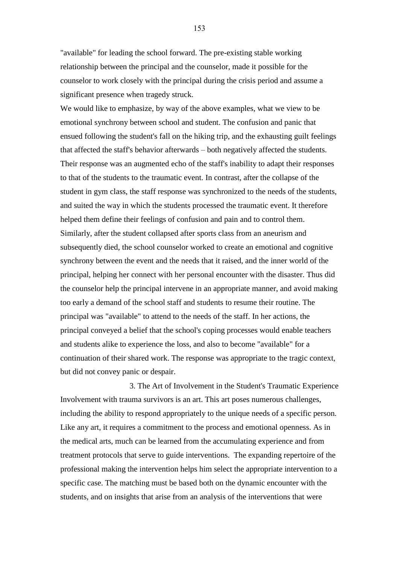"available" for leading the school forward. The pre-existing stable working relationship between the principal and the counselor, made it possible for the counselor to work closely with the principal during the crisis period and assume a significant presence when tragedy struck.

We would like to emphasize, by way of the above examples, what we view to be emotional synchrony between school and student. The confusion and panic that ensued following the student's fall on the hiking trip, and the exhausting guilt feelings that affected the staff's behavior afterwards – both negatively affected the students. Their response was an augmented echo of the staff's inability to adapt their responses to that of the students to the traumatic event. In contrast, after the collapse of the student in gym class, the staff response was synchronized to the needs of the students, and suited the way in which the students processed the traumatic event. It therefore helped them define their feelings of confusion and pain and to control them. Similarly, after the student collapsed after sports class from an aneurism and subsequently died, the school counselor worked to create an emotional and cognitive synchrony between the event and the needs that it raised, and the inner world of the principal, helping her connect with her personal encounter with the disaster. Thus did the counselor help the principal intervene in an appropriate manner, and avoid making too early a demand of the school staff and students to resume their routine. The principal was "available" to attend to the needs of the staff. In her actions, the principal conveyed a belief that the school's coping processes would enable teachers and students alike to experience the loss, and also to become "available" for a continuation of their shared work. The response was appropriate to the tragic context, but did not convey panic or despair.

3. The Art of Involvement in the Student's Traumatic Experience Involvement with trauma survivors is an art. This art poses numerous challenges, including the ability to respond appropriately to the unique needs of a specific person. Like any art, it requires a commitment to the process and emotional openness. As in the medical arts, much can be learned from the accumulating experience and from treatment protocols that serve to guide interventions. The expanding repertoire of the professional making the intervention helps him select the appropriate intervention to a specific case. The matching must be based both on the dynamic encounter with the students, and on insights that arise from an analysis of the interventions that were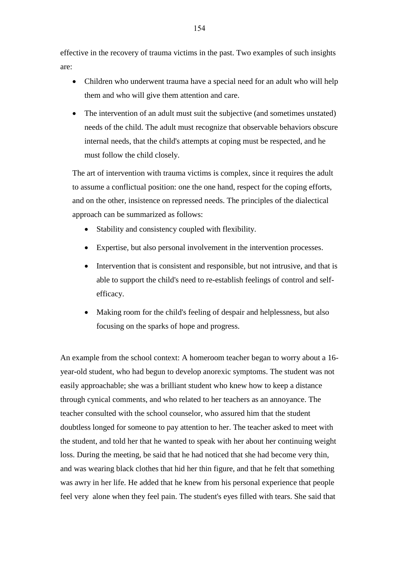effective in the recovery of trauma victims in the past. Two examples of such insights are:

- Children who underwent trauma have a special need for an adult who will help them and who will give them attention and care.
- The intervention of an adult must suit the subjective (and sometimes unstated) needs of the child. The adult must recognize that observable behaviors obscure internal needs, that the child's attempts at coping must be respected, and he must follow the child closely.

The art of intervention with trauma victims is complex, since it requires the adult to assume a conflictual position: one the one hand, respect for the coping efforts, and on the other, insistence on repressed needs. The principles of the dialectical approach can be summarized as follows:

- Stability and consistency coupled with flexibility.
- Expertise, but also personal involvement in the intervention processes.
- Intervention that is consistent and responsible, but not intrusive, and that is able to support the child's need to re-establish feelings of control and selfefficacy.
- Making room for the child's feeling of despair and helplessness, but also focusing on the sparks of hope and progress.

An example from the school context: A homeroom teacher began to worry about a 16 year-old student, who had begun to develop anorexic symptoms. The student was not easily approachable; she was a brilliant student who knew how to keep a distance through cynical comments, and who related to her teachers as an annoyance. The teacher consulted with the school counselor, who assured him that the student doubtless longed for someone to pay attention to her. The teacher asked to meet with the student, and told her that he wanted to speak with her about her continuing weight loss. During the meeting, be said that he had noticed that she had become very thin, and was wearing black clothes that hid her thin figure, and that he felt that something was awry in her life. He added that he knew from his personal experience that people feel very alone when they feel pain. The student's eyes filled with tears. She said that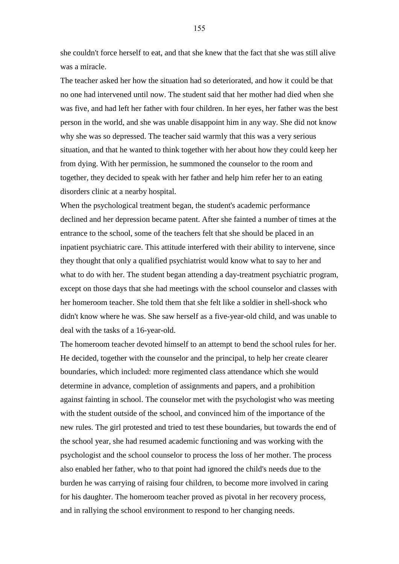she couldn't force herself to eat, and that she knew that the fact that she was still alive was a miracle.

The teacher asked her how the situation had so deteriorated, and how it could be that no one had intervened until now. The student said that her mother had died when she was five, and had left her father with four children. In her eyes, her father was the best person in the world, and she was unable disappoint him in any way. She did not know why she was so depressed. The teacher said warmly that this was a very serious situation, and that he wanted to think together with her about how they could keep her from dying. With her permission, he summoned the counselor to the room and together, they decided to speak with her father and help him refer her to an eating disorders clinic at a nearby hospital.

When the psychological treatment began, the student's academic performance declined and her depression became patent. After she fainted a number of times at the entrance to the school, some of the teachers felt that she should be placed in an inpatient psychiatric care. This attitude interfered with their ability to intervene, since they thought that only a qualified psychiatrist would know what to say to her and what to do with her. The student began attending a day-treatment psychiatric program, except on those days that she had meetings with the school counselor and classes with her homeroom teacher. She told them that she felt like a soldier in shell-shock who didn't know where he was. She saw herself as a five-year-old child, and was unable to deal with the tasks of a 16-year-old.

The homeroom teacher devoted himself to an attempt to bend the school rules for her. He decided, together with the counselor and the principal, to help her create clearer boundaries, which included: more regimented class attendance which she would determine in advance, completion of assignments and papers, and a prohibition against fainting in school. The counselor met with the psychologist who was meeting with the student outside of the school, and convinced him of the importance of the new rules. The girl protested and tried to test these boundaries, but towards the end of the school year, she had resumed academic functioning and was working with the psychologist and the school counselor to process the loss of her mother. The process also enabled her father, who to that point had ignored the child's needs due to the burden he was carrying of raising four children, to become more involved in caring for his daughter. The homeroom teacher proved as pivotal in her recovery process, and in rallying the school environment to respond to her changing needs.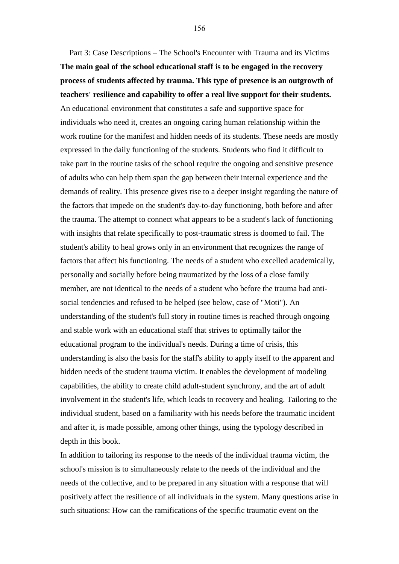Part 3: Case Descriptions – The School's Encounter with Trauma and its Victims **The main goal of the school educational staff is to be engaged in the recovery process of students affected by trauma. This type of presence is an outgrowth of teachers' resilience and capability to offer a real live support for their students.** An educational environment that constitutes a safe and supportive space for individuals who need it, creates an ongoing caring human relationship within the work routine for the manifest and hidden needs of its students. These needs are mostly expressed in the daily functioning of the students. Students who find it difficult to take part in the routine tasks of the school require the ongoing and sensitive presence of adults who can help them span the gap between their internal experience and the demands of reality. This presence gives rise to a deeper insight regarding the nature of the factors that impede on the student's day-to-day functioning, both before and after the trauma. The attempt to connect what appears to be a student's lack of functioning with insights that relate specifically to post-traumatic stress is doomed to fail. The student's ability to heal grows only in an environment that recognizes the range of factors that affect his functioning. The needs of a student who excelled academically, personally and socially before being traumatized by the loss of a close family member, are not identical to the needs of a student who before the trauma had antisocial tendencies and refused to be helped (see below, case of "Moti"). An understanding of the student's full story in routine times is reached through ongoing and stable work with an educational staff that strives to optimally tailor the educational program to the individual's needs. During a time of crisis, this understanding is also the basis for the staff's ability to apply itself to the apparent and hidden needs of the student trauma victim. It enables the development of modeling capabilities, the ability to create child adult-student synchrony, and the art of adult involvement in the student's life, which leads to recovery and healing. Tailoring to the individual student, based on a familiarity with his needs before the traumatic incident and after it, is made possible, among other things, using the typology described in depth in this book.

In addition to tailoring its response to the needs of the individual trauma victim, the school's mission is to simultaneously relate to the needs of the individual and the needs of the collective, and to be prepared in any situation with a response that will positively affect the resilience of all individuals in the system. Many questions arise in such situations: How can the ramifications of the specific traumatic event on the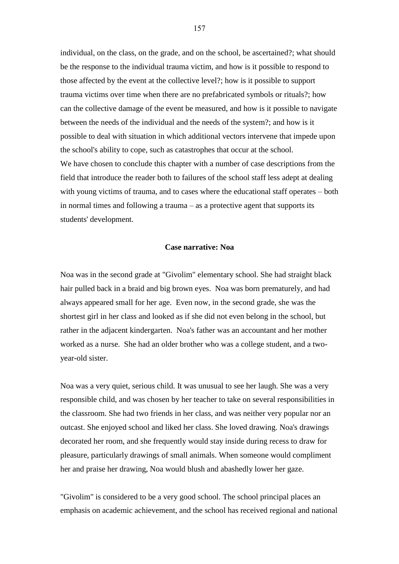individual, on the class, on the grade, and on the school, be ascertained?; what should be the response to the individual trauma victim, and how is it possible to respond to those affected by the event at the collective level?; how is it possible to support trauma victims over time when there are no prefabricated symbols or rituals?; how can the collective damage of the event be measured, and how is it possible to navigate between the needs of the individual and the needs of the system?; and how is it possible to deal with situation in which additional vectors intervene that impede upon the school's ability to cope, such as catastrophes that occur at the school. We have chosen to conclude this chapter with a number of case descriptions from the field that introduce the reader both to failures of the school staff less adept at dealing with young victims of trauma, and to cases where the educational staff operates – both in normal times and following a trauma – as a protective agent that supports its students' development.

## **Case narrative: Noa**

Noa was in the second grade at "Givolim" elementary school. She had straight black hair pulled back in a braid and big brown eyes. Noa was born prematurely, and had always appeared small for her age. Even now, in the second grade, she was the shortest girl in her class and looked as if she did not even belong in the school, but rather in the adjacent kindergarten. Noa's father was an accountant and her mother worked as a nurse. She had an older brother who was a college student, and a twoyear-old sister.

Noa was a very quiet, serious child. It was unusual to see her laugh. She was a very responsible child, and was chosen by her teacher to take on several responsibilities in the classroom. She had two friends in her class, and was neither very popular nor an outcast. She enjoyed school and liked her class. She loved drawing. Noa's drawings decorated her room, and she frequently would stay inside during recess to draw for pleasure, particularly drawings of small animals. When someone would compliment her and praise her drawing, Noa would blush and abashedly lower her gaze.

"Givolim" is considered to be a very good school. The school principal places an emphasis on academic achievement, and the school has received regional and national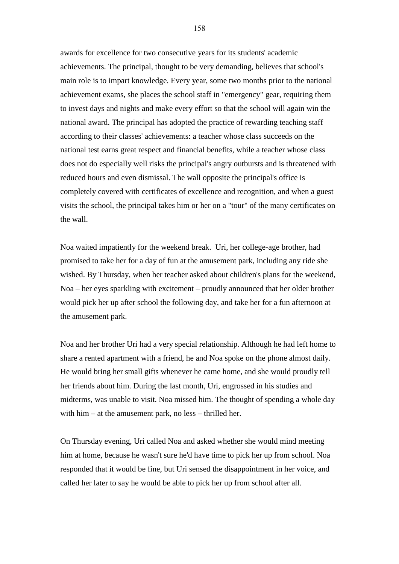awards for excellence for two consecutive years for its students' academic achievements. The principal, thought to be very demanding, believes that school's main role is to impart knowledge. Every year, some two months prior to the national achievement exams, she places the school staff in "emergency" gear, requiring them to invest days and nights and make every effort so that the school will again win the national award. The principal has adopted the practice of rewarding teaching staff according to their classes' achievements: a teacher whose class succeeds on the national test earns great respect and financial benefits, while a teacher whose class does not do especially well risks the principal's angry outbursts and is threatened with reduced hours and even dismissal. The wall opposite the principal's office is completely covered with certificates of excellence and recognition, and when a guest visits the school, the principal takes him or her on a "tour" of the many certificates on the wall.

Noa waited impatiently for the weekend break. Uri, her college-age brother, had promised to take her for a day of fun at the amusement park, including any ride she wished. By Thursday, when her teacher asked about children's plans for the weekend, Noa – her eyes sparkling with excitement – proudly announced that her older brother would pick her up after school the following day, and take her for a fun afternoon at the amusement park.

Noa and her brother Uri had a very special relationship. Although he had left home to share a rented apartment with a friend, he and Noa spoke on the phone almost daily. He would bring her small gifts whenever he came home, and she would proudly tell her friends about him. During the last month, Uri, engrossed in his studies and midterms, was unable to visit. Noa missed him. The thought of spending a whole day with him – at the amusement park, no less – thrilled her.

On Thursday evening, Uri called Noa and asked whether she would mind meeting him at home, because he wasn't sure he'd have time to pick her up from school. Noa responded that it would be fine, but Uri sensed the disappointment in her voice, and called her later to say he would be able to pick her up from school after all.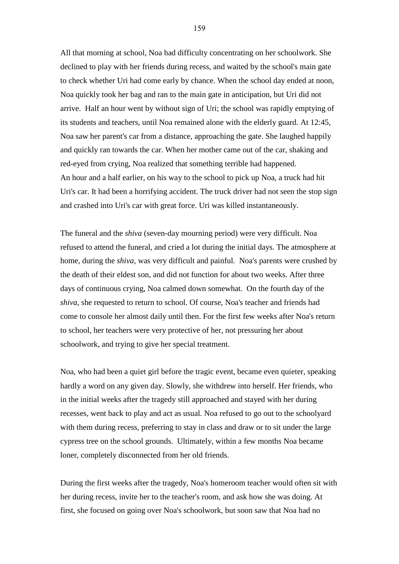All that morning at school, Noa had difficulty concentrating on her schoolwork. She declined to play with her friends during recess, and waited by the school's main gate to check whether Uri had come early by chance. When the school day ended at noon, Noa quickly took her bag and ran to the main gate in anticipation, but Uri did not arrive. Half an hour went by without sign of Uri; the school was rapidly emptying of its students and teachers, until Noa remained alone with the elderly guard. At 12:45, Noa saw her parent's car from a distance, approaching the gate. She laughed happily and quickly ran towards the car. When her mother came out of the car, shaking and red-eyed from crying, Noa realized that something terrible had happened. An hour and a half earlier, on his way to the school to pick up Noa, a truck had hit Uri's car. It had been a horrifying accident. The truck driver had not seen the stop sign and crashed into Uri's car with great force. Uri was killed instantaneously.

The funeral and the *shiva* (seven-day mourning period) were very difficult. Noa refused to attend the funeral, and cried a lot during the initial days. The atmosphere at home, during the *shiva,* was very difficult and painful. Noa's parents were crushed by the death of their eldest son, and did not function for about two weeks. After three days of continuous crying, Noa calmed down somewhat. On the fourth day of the *shiva*, she requested to return to school. Of course, Noa's teacher and friends had come to console her almost daily until then. For the first few weeks after Noa's return to school, her teachers were very protective of her, not pressuring her about schoolwork, and trying to give her special treatment.

Noa, who had been a quiet girl before the tragic event, became even quieter, speaking hardly a word on any given day. Slowly, she withdrew into herself. Her friends, who in the initial weeks after the tragedy still approached and stayed with her during recesses, went back to play and act as usual. Noa refused to go out to the schoolyard with them during recess, preferring to stay in class and draw or to sit under the large cypress tree on the school grounds. Ultimately, within a few months Noa became loner, completely disconnected from her old friends.

During the first weeks after the tragedy, Noa's homeroom teacher would often sit with her during recess, invite her to the teacher's room, and ask how she was doing. At first, she focused on going over Noa's schoolwork, but soon saw that Noa had no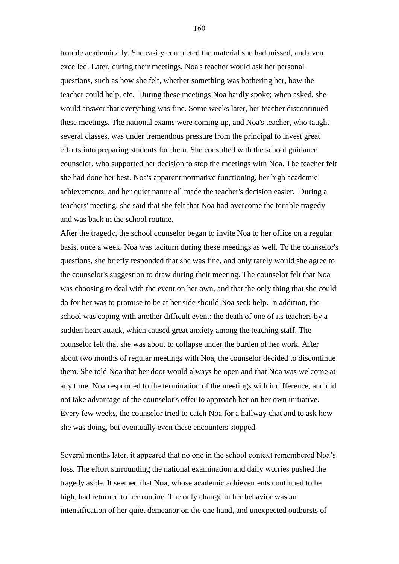trouble academically. She easily completed the material she had missed, and even excelled. Later, during their meetings, Noa's teacher would ask her personal questions, such as how she felt, whether something was bothering her, how the teacher could help, etc. During these meetings Noa hardly spoke; when asked, she would answer that everything was fine. Some weeks later, her teacher discontinued these meetings. The national exams were coming up, and Noa's teacher, who taught several classes, was under tremendous pressure from the principal to invest great efforts into preparing students for them. She consulted with the school guidance counselor, who supported her decision to stop the meetings with Noa. The teacher felt she had done her best. Noa's apparent normative functioning, her high academic achievements, and her quiet nature all made the teacher's decision easier. During a teachers' meeting, she said that she felt that Noa had overcome the terrible tragedy and was back in the school routine.

After the tragedy, the school counselor began to invite Noa to her office on a regular basis, once a week. Noa was taciturn during these meetings as well. To the counselor's questions, she briefly responded that she was fine, and only rarely would she agree to the counselor's suggestion to draw during their meeting. The counselor felt that Noa was choosing to deal with the event on her own, and that the only thing that she could do for her was to promise to be at her side should Noa seek help. In addition, the school was coping with another difficult event: the death of one of its teachers by a sudden heart attack, which caused great anxiety among the teaching staff. The counselor felt that she was about to collapse under the burden of her work. After about two months of regular meetings with Noa, the counselor decided to discontinue them. She told Noa that her door would always be open and that Noa was welcome at any time. Noa responded to the termination of the meetings with indifference, and did not take advantage of the counselor's offer to approach her on her own initiative. Every few weeks, the counselor tried to catch Noa for a hallway chat and to ask how she was doing, but eventually even these encounters stopped.

Several months later, it appeared that no one in the school context remembered Noa"s loss. The effort surrounding the national examination and daily worries pushed the tragedy aside. It seemed that Noa, whose academic achievements continued to be high, had returned to her routine. The only change in her behavior was an intensification of her quiet demeanor on the one hand, and unexpected outbursts of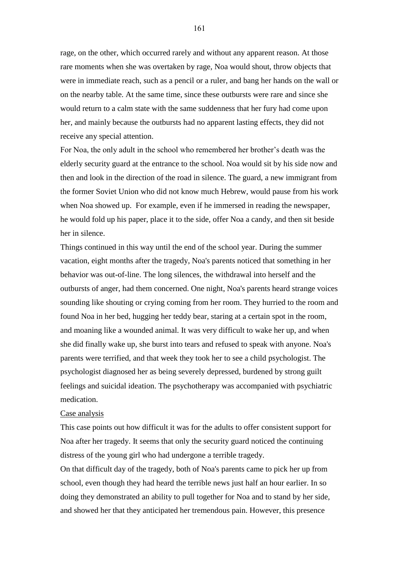rage, on the other, which occurred rarely and without any apparent reason. At those rare moments when she was overtaken by rage, Noa would shout, throw objects that were in immediate reach, such as a pencil or a ruler, and bang her hands on the wall or on the nearby table. At the same time, since these outbursts were rare and since she would return to a calm state with the same suddenness that her fury had come upon her, and mainly because the outbursts had no apparent lasting effects, they did not receive any special attention.

For Noa, the only adult in the school who remembered her brother's death was the elderly security guard at the entrance to the school. Noa would sit by his side now and then and look in the direction of the road in silence. The guard, a new immigrant from the former Soviet Union who did not know much Hebrew, would pause from his work when Noa showed up. For example, even if he immersed in reading the newspaper, he would fold up his paper, place it to the side, offer Noa a candy, and then sit beside her in silence.

Things continued in this way until the end of the school year. During the summer vacation, eight months after the tragedy, Noa's parents noticed that something in her behavior was out-of-line. The long silences, the withdrawal into herself and the outbursts of anger, had them concerned. One night, Noa's parents heard strange voices sounding like shouting or crying coming from her room. They hurried to the room and found Noa in her bed, hugging her teddy bear, staring at a certain spot in the room, and moaning like a wounded animal. It was very difficult to wake her up, and when she did finally wake up, she burst into tears and refused to speak with anyone. Noa's parents were terrified, and that week they took her to see a child psychologist. The psychologist diagnosed her as being severely depressed, burdened by strong guilt feelings and suicidal ideation. The psychotherapy was accompanied with psychiatric medication.

# Case analysis

This case points out how difficult it was for the adults to offer consistent support for Noa after her tragedy. It seems that only the security guard noticed the continuing distress of the young girl who had undergone a terrible tragedy.

On that difficult day of the tragedy, both of Noa's parents came to pick her up from school, even though they had heard the terrible news just half an hour earlier. In so doing they demonstrated an ability to pull together for Noa and to stand by her side, and showed her that they anticipated her tremendous pain. However, this presence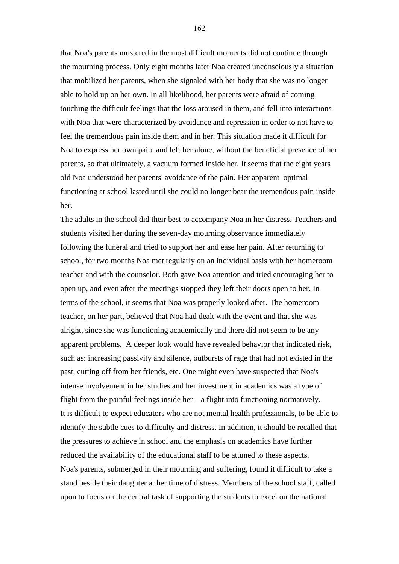that Noa's parents mustered in the most difficult moments did not continue through the mourning process. Only eight months later Noa created unconsciously a situation that mobilized her parents, when she signaled with her body that she was no longer able to hold up on her own. In all likelihood, her parents were afraid of coming touching the difficult feelings that the loss aroused in them, and fell into interactions with Noa that were characterized by avoidance and repression in order to not have to feel the tremendous pain inside them and in her. This situation made it difficult for Noa to express her own pain, and left her alone, without the beneficial presence of her parents, so that ultimately, a vacuum formed inside her. It seems that the eight years old Noa understood her parents' avoidance of the pain. Her apparent optimal functioning at school lasted until she could no longer bear the tremendous pain inside her.

The adults in the school did their best to accompany Noa in her distress. Teachers and students visited her during the seven-day mourning observance immediately following the funeral and tried to support her and ease her pain. After returning to school, for two months Noa met regularly on an individual basis with her homeroom teacher and with the counselor. Both gave Noa attention and tried encouraging her to open up, and even after the meetings stopped they left their doors open to her. In terms of the school, it seems that Noa was properly looked after. The homeroom teacher, on her part, believed that Noa had dealt with the event and that she was alright, since she was functioning academically and there did not seem to be any apparent problems. A deeper look would have revealed behavior that indicated risk, such as: increasing passivity and silence, outbursts of rage that had not existed in the past, cutting off from her friends, etc. One might even have suspected that Noa's intense involvement in her studies and her investment in academics was a type of flight from the painful feelings inside her – a flight into functioning normatively. It is difficult to expect educators who are not mental health professionals, to be able to identify the subtle cues to difficulty and distress. In addition, it should be recalled that the pressures to achieve in school and the emphasis on academics have further reduced the availability of the educational staff to be attuned to these aspects. Noa's parents, submerged in their mourning and suffering, found it difficult to take a stand beside their daughter at her time of distress. Members of the school staff, called upon to focus on the central task of supporting the students to excel on the national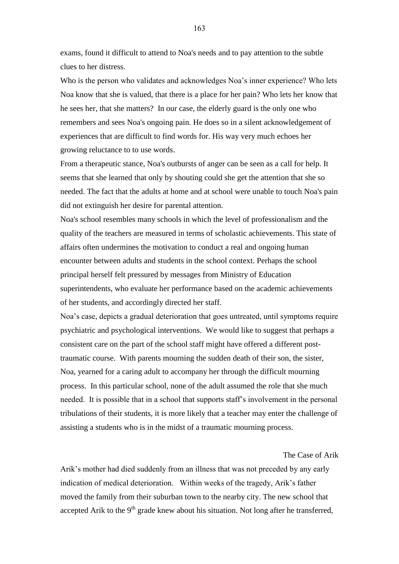exams, found it difficult to attend to Noa's needs and to pay attention to the subtle clues to her distress.

Who is the person who validates and acknowledges Noa's inner experience? Who lets Noa know that she is valued, that there is a place for her pain? Who lets her know that he sees her, that she matters? In our case, the elderly guard is the only one who remembers and sees Noa's ongoing pain. He does so in a silent acknowledgement of experiences that are difficult to find words for. His way very much echoes her growing reluctance to to use words.

From a therapeutic stance, Noa's outbursts of anger can be seen as a call for help. It seems that she learned that only by shouting could she get the attention that she so needed. The fact that the adults at home and at school were unable to touch Noa's pain did not extinguish her desire for parental attention.

Noa's school resembles many schools in which the level of professionalism and the quality of the teachers are measured in terms of scholastic achievements. This state of affairs often undermines the motivation to conduct a real and ongoing human encounter between adults and students in the school context. Perhaps the school principal herself felt pressured by messages from Ministry of Education superintendents, who evaluate her performance based on the academic achievements of her students, and accordingly directed her staff.

Noa"s case, depicts a gradual deterioration that goes untreated, until symptoms require psychiatric and psychological interventions. We would like to suggest that perhaps a consistent care on the part of the school staff might have offered a different posttraumatic course. With parents mourning the sudden death of their son, the sister, Noa, yearned for a caring adult to accompany her through the difficult mourning process. In this particular school, none of the adult assumed the role that she much needed. It is possible that in a school that supports staff"s involvement in the personal tribulations of their students, it is more likely that a teacher may enter the challenge of assisting a students who is in the midst of a traumatic mourning process.

## The Case of Arik

Arik's mother had died suddenly from an illness that was not preceded by any early indication of medical deterioration. Within weeks of the tragedy, Arik"s father moved the family from their suburban town to the nearby city. The new school that accepted Arik to the  $9<sup>th</sup>$  grade knew about his situation. Not long after he transferred,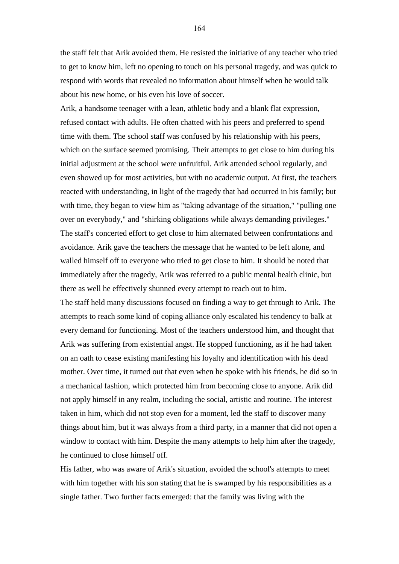the staff felt that Arik avoided them. He resisted the initiative of any teacher who tried to get to know him, left no opening to touch on his personal tragedy, and was quick to respond with words that revealed no information about himself when he would talk about his new home, or his even his love of soccer.

Arik, a handsome teenager with a lean, athletic body and a blank flat expression, refused contact with adults. He often chatted with his peers and preferred to spend time with them. The school staff was confused by his relationship with his peers, which on the surface seemed promising. Their attempts to get close to him during his initial adjustment at the school were unfruitful. Arik attended school regularly, and even showed up for most activities, but with no academic output. At first, the teachers reacted with understanding, in light of the tragedy that had occurred in his family; but with time, they began to view him as "taking advantage of the situation," "pulling one over on everybody," and "shirking obligations while always demanding privileges." The staff's concerted effort to get close to him alternated between confrontations and avoidance. Arik gave the teachers the message that he wanted to be left alone, and walled himself off to everyone who tried to get close to him. It should be noted that immediately after the tragedy, Arik was referred to a public mental health clinic, but there as well he effectively shunned every attempt to reach out to him.

The staff held many discussions focused on finding a way to get through to Arik. The attempts to reach some kind of coping alliance only escalated his tendency to balk at every demand for functioning. Most of the teachers understood him, and thought that Arik was suffering from existential angst. He stopped functioning, as if he had taken on an oath to cease existing manifesting his loyalty and identification with his dead mother. Over time, it turned out that even when he spoke with his friends, he did so in a mechanical fashion, which protected him from becoming close to anyone. Arik did not apply himself in any realm, including the social, artistic and routine. The interest taken in him, which did not stop even for a moment, led the staff to discover many things about him, but it was always from a third party, in a manner that did not open a window to contact with him. Despite the many attempts to help him after the tragedy, he continued to close himself off.

His father, who was aware of Arik's situation, avoided the school's attempts to meet with him together with his son stating that he is swamped by his responsibilities as a single father. Two further facts emerged: that the family was living with the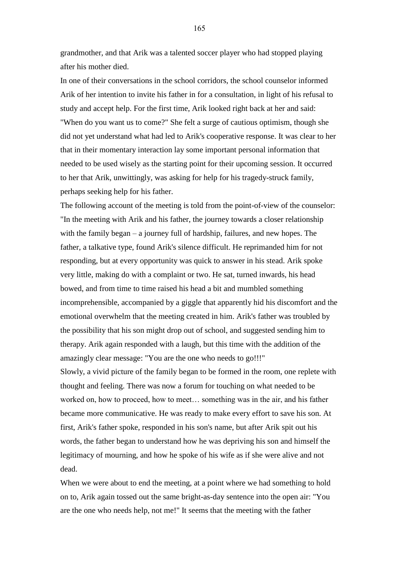grandmother, and that Arik was a talented soccer player who had stopped playing after his mother died.

In one of their conversations in the school corridors, the school counselor informed Arik of her intention to invite his father in for a consultation, in light of his refusal to study and accept help. For the first time, Arik looked right back at her and said: "When do you want us to come?" She felt a surge of cautious optimism, though she did not yet understand what had led to Arik's cooperative response. It was clear to her that in their momentary interaction lay some important personal information that needed to be used wisely as the starting point for their upcoming session. It occurred to her that Arik, unwittingly, was asking for help for his tragedy-struck family, perhaps seeking help for his father.

The following account of the meeting is told from the point-of-view of the counselor: "In the meeting with Arik and his father, the journey towards a closer relationship with the family began – a journey full of hardship, failures, and new hopes. The father, a talkative type, found Arik's silence difficult. He reprimanded him for not responding, but at every opportunity was quick to answer in his stead. Arik spoke very little, making do with a complaint or two. He sat, turned inwards, his head bowed, and from time to time raised his head a bit and mumbled something incomprehensible, accompanied by a giggle that apparently hid his discomfort and the emotional overwhelm that the meeting created in him. Arik's father was troubled by the possibility that his son might drop out of school, and suggested sending him to therapy. Arik again responded with a laugh, but this time with the addition of the amazingly clear message: "You are the one who needs to go!!!"

Slowly, a vivid picture of the family began to be formed in the room, one replete with thought and feeling. There was now a forum for touching on what needed to be worked on, how to proceed, how to meet… something was in the air, and his father became more communicative. He was ready to make every effort to save his son. At first, Arik's father spoke, responded in his son's name, but after Arik spit out his words, the father began to understand how he was depriving his son and himself the legitimacy of mourning, and how he spoke of his wife as if she were alive and not dead.

When we were about to end the meeting, at a point where we had something to hold on to, Arik again tossed out the same bright-as-day sentence into the open air: "You are the one who needs help, not me!" It seems that the meeting with the father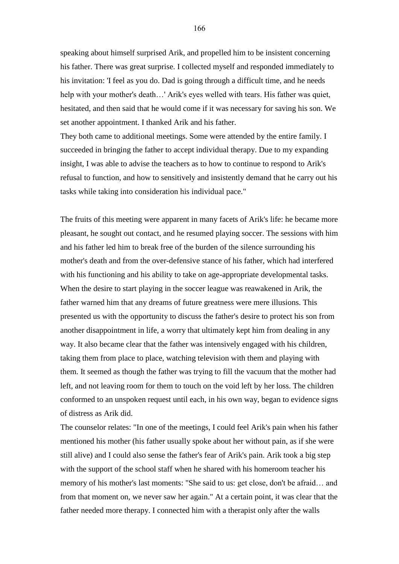speaking about himself surprised Arik, and propelled him to be insistent concerning his father. There was great surprise. I collected myself and responded immediately to his invitation: 'I feel as you do. Dad is going through a difficult time, and he needs help with your mother's death…' Arik's eyes welled with tears. His father was quiet, hesitated, and then said that he would come if it was necessary for saving his son. We set another appointment. I thanked Arik and his father.

They both came to additional meetings. Some were attended by the entire family. I succeeded in bringing the father to accept individual therapy. Due to my expanding insight, I was able to advise the teachers as to how to continue to respond to Arik's refusal to function, and how to sensitively and insistently demand that he carry out his tasks while taking into consideration his individual pace."

The fruits of this meeting were apparent in many facets of Arik's life: he became more pleasant, he sought out contact, and he resumed playing soccer. The sessions with him and his father led him to break free of the burden of the silence surrounding his mother's death and from the over-defensive stance of his father, which had interfered with his functioning and his ability to take on age-appropriate developmental tasks. When the desire to start playing in the soccer league was reawakened in Arik, the father warned him that any dreams of future greatness were mere illusions. This presented us with the opportunity to discuss the father's desire to protect his son from another disappointment in life, a worry that ultimately kept him from dealing in any way. It also became clear that the father was intensively engaged with his children, taking them from place to place, watching television with them and playing with them. It seemed as though the father was trying to fill the vacuum that the mother had left, and not leaving room for them to touch on the void left by her loss. The children conformed to an unspoken request until each, in his own way, began to evidence signs of distress as Arik did.

The counselor relates: "In one of the meetings, I could feel Arik's pain when his father mentioned his mother (his father usually spoke about her without pain, as if she were still alive) and I could also sense the father's fear of Arik's pain. Arik took a big step with the support of the school staff when he shared with his homeroom teacher his memory of his mother's last moments: "She said to us: get close, don't be afraid… and from that moment on, we never saw her again." At a certain point, it was clear that the father needed more therapy. I connected him with a therapist only after the walls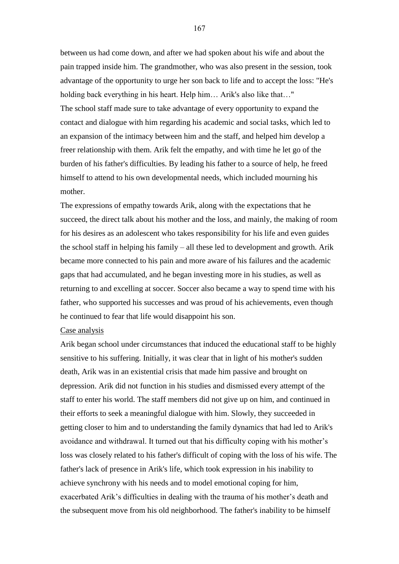between us had come down, and after we had spoken about his wife and about the pain trapped inside him. The grandmother, who was also present in the session, took advantage of the opportunity to urge her son back to life and to accept the loss: "He's holding back everything in his heart. Help him… Arik's also like that…" The school staff made sure to take advantage of every opportunity to expand the contact and dialogue with him regarding his academic and social tasks, which led to an expansion of the intimacy between him and the staff, and helped him develop a freer relationship with them. Arik felt the empathy, and with time he let go of the burden of his father's difficulties. By leading his father to a source of help, he freed himself to attend to his own developmental needs, which included mourning his mother.

The expressions of empathy towards Arik, along with the expectations that he succeed, the direct talk about his mother and the loss, and mainly, the making of room for his desires as an adolescent who takes responsibility for his life and even guides the school staff in helping his family – all these led to development and growth. Arik became more connected to his pain and more aware of his failures and the academic gaps that had accumulated, and he began investing more in his studies, as well as returning to and excelling at soccer. Soccer also became a way to spend time with his father, who supported his successes and was proud of his achievements, even though he continued to fear that life would disappoint his son.

### Case analysis

Arik began school under circumstances that induced the educational staff to be highly sensitive to his suffering. Initially, it was clear that in light of his mother's sudden death, Arik was in an existential crisis that made him passive and brought on depression. Arik did not function in his studies and dismissed every attempt of the staff to enter his world. The staff members did not give up on him, and continued in their efforts to seek a meaningful dialogue with him. Slowly, they succeeded in getting closer to him and to understanding the family dynamics that had led to Arik's avoidance and withdrawal. It turned out that his difficulty coping with his mother"s loss was closely related to his father's difficult of coping with the loss of his wife. The father's lack of presence in Arik's life, which took expression in his inability to achieve synchrony with his needs and to model emotional coping for him, exacerbated Arik"s difficulties in dealing with the trauma of his mother"s death and the subsequent move from his old neighborhood. The father's inability to be himself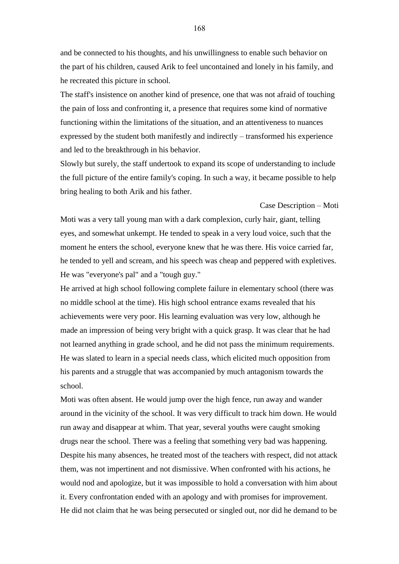and be connected to his thoughts, and his unwillingness to enable such behavior on the part of his children, caused Arik to feel uncontained and lonely in his family, and he recreated this picture in school.

The staff's insistence on another kind of presence, one that was not afraid of touching the pain of loss and confronting it, a presence that requires some kind of normative functioning within the limitations of the situation, and an attentiveness to nuances expressed by the student both manifestly and indirectly – transformed his experience and led to the breakthrough in his behavior.

Slowly but surely, the staff undertook to expand its scope of understanding to include the full picture of the entire family's coping. In such a way, it became possible to help bring healing to both Arik and his father.

### Case Description – Moti

Moti was a very tall young man with a dark complexion, curly hair, giant, telling eyes, and somewhat unkempt. He tended to speak in a very loud voice, such that the moment he enters the school, everyone knew that he was there. His voice carried far, he tended to yell and scream, and his speech was cheap and peppered with expletives. He was "everyone's pal" and a "tough guy."

He arrived at high school following complete failure in elementary school (there was no middle school at the time). His high school entrance exams revealed that his achievements were very poor. His learning evaluation was very low, although he made an impression of being very bright with a quick grasp. It was clear that he had not learned anything in grade school, and he did not pass the minimum requirements. He was slated to learn in a special needs class, which elicited much opposition from his parents and a struggle that was accompanied by much antagonism towards the school.

Moti was often absent. He would jump over the high fence, run away and wander around in the vicinity of the school. It was very difficult to track him down. He would run away and disappear at whim. That year, several youths were caught smoking drugs near the school. There was a feeling that something very bad was happening. Despite his many absences, he treated most of the teachers with respect, did not attack them, was not impertinent and not dismissive. When confronted with his actions, he would nod and apologize, but it was impossible to hold a conversation with him about it. Every confrontation ended with an apology and with promises for improvement. He did not claim that he was being persecuted or singled out, nor did he demand to be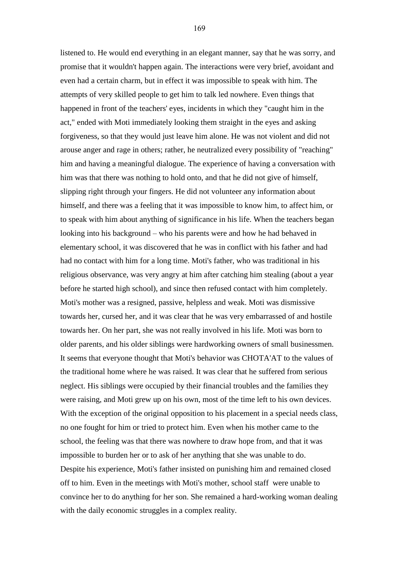listened to. He would end everything in an elegant manner, say that he was sorry, and promise that it wouldn't happen again. The interactions were very brief, avoidant and even had a certain charm, but in effect it was impossible to speak with him. The attempts of very skilled people to get him to talk led nowhere. Even things that happened in front of the teachers' eyes, incidents in which they "caught him in the act," ended with Moti immediately looking them straight in the eyes and asking forgiveness, so that they would just leave him alone. He was not violent and did not arouse anger and rage in others; rather, he neutralized every possibility of "reaching" him and having a meaningful dialogue. The experience of having a conversation with him was that there was nothing to hold onto, and that he did not give of himself, slipping right through your fingers. He did not volunteer any information about himself, and there was a feeling that it was impossible to know him, to affect him, or to speak with him about anything of significance in his life. When the teachers began looking into his background – who his parents were and how he had behaved in elementary school, it was discovered that he was in conflict with his father and had had no contact with him for a long time. Moti's father, who was traditional in his religious observance, was very angry at him after catching him stealing (about a year before he started high school), and since then refused contact with him completely. Moti's mother was a resigned, passive, helpless and weak. Moti was dismissive towards her, cursed her, and it was clear that he was very embarrassed of and hostile towards her. On her part, she was not really involved in his life. Moti was born to older parents, and his older siblings were hardworking owners of small businessmen. It seems that everyone thought that Moti's behavior was CHOTA'AT to the values of

the traditional home where he was raised. It was clear that he suffered from serious neglect. His siblings were occupied by their financial troubles and the families they were raising, and Moti grew up on his own, most of the time left to his own devices. With the exception of the original opposition to his placement in a special needs class, no one fought for him or tried to protect him. Even when his mother came to the school, the feeling was that there was nowhere to draw hope from, and that it was impossible to burden her or to ask of her anything that she was unable to do. Despite his experience, Moti's father insisted on punishing him and remained closed off to him. Even in the meetings with Moti's mother, school staff were unable to convince her to do anything for her son. She remained a hard-working woman dealing with the daily economic struggles in a complex reality.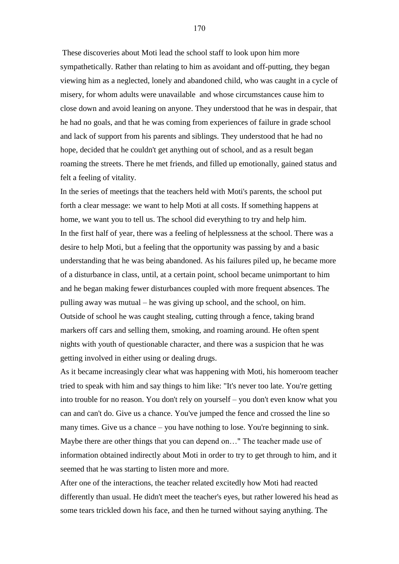These discoveries about Moti lead the school staff to look upon him more sympathetically. Rather than relating to him as avoidant and off-putting, they began viewing him as a neglected, lonely and abandoned child, who was caught in a cycle of misery, for whom adults were unavailable and whose circumstances cause him to close down and avoid leaning on anyone. They understood that he was in despair, that he had no goals, and that he was coming from experiences of failure in grade school and lack of support from his parents and siblings. They understood that he had no hope, decided that he couldn't get anything out of school, and as a result began roaming the streets. There he met friends, and filled up emotionally, gained status and felt a feeling of vitality.

In the series of meetings that the teachers held with Moti's parents, the school put forth a clear message: we want to help Moti at all costs. If something happens at home, we want you to tell us. The school did everything to try and help him. In the first half of year, there was a feeling of helplessness at the school. There was a desire to help Moti, but a feeling that the opportunity was passing by and a basic understanding that he was being abandoned. As his failures piled up, he became more of a disturbance in class, until, at a certain point, school became unimportant to him and he began making fewer disturbances coupled with more frequent absences. The pulling away was mutual – he was giving up school, and the school, on him. Outside of school he was caught stealing, cutting through a fence, taking brand markers off cars and selling them, smoking, and roaming around. He often spent nights with youth of questionable character, and there was a suspicion that he was getting involved in either using or dealing drugs.

As it became increasingly clear what was happening with Moti, his homeroom teacher tried to speak with him and say things to him like: "It's never too late. You're getting into trouble for no reason. You don't rely on yourself – you don't even know what you can and can't do. Give us a chance. You've jumped the fence and crossed the line so many times. Give us a chance – you have nothing to lose. You're beginning to sink. Maybe there are other things that you can depend on…" The teacher made use of information obtained indirectly about Moti in order to try to get through to him, and it seemed that he was starting to listen more and more.

After one of the interactions, the teacher related excitedly how Moti had reacted differently than usual. He didn't meet the teacher's eyes, but rather lowered his head as some tears trickled down his face, and then he turned without saying anything. The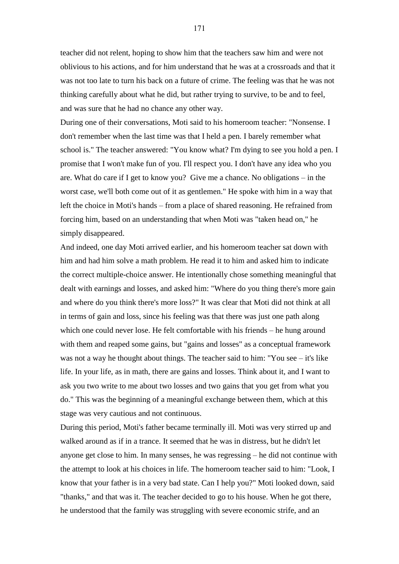teacher did not relent, hoping to show him that the teachers saw him and were not oblivious to his actions, and for him understand that he was at a crossroads and that it was not too late to turn his back on a future of crime. The feeling was that he was not thinking carefully about what he did, but rather trying to survive, to be and to feel, and was sure that he had no chance any other way.

During one of their conversations, Moti said to his homeroom teacher: "Nonsense. I don't remember when the last time was that I held a pen. I barely remember what school is." The teacher answered: "You know what? I'm dying to see you hold a pen. I promise that I won't make fun of you. I'll respect you. I don't have any idea who you are. What do care if I get to know you? Give me a chance. No obligations – in the worst case, we'll both come out of it as gentlemen." He spoke with him in a way that left the choice in Moti's hands – from a place of shared reasoning. He refrained from forcing him, based on an understanding that when Moti was "taken head on," he simply disappeared.

And indeed, one day Moti arrived earlier, and his homeroom teacher sat down with him and had him solve a math problem. He read it to him and asked him to indicate the correct multiple-choice answer. He intentionally chose something meaningful that dealt with earnings and losses, and asked him: "Where do you thing there's more gain and where do you think there's more loss?" It was clear that Moti did not think at all in terms of gain and loss, since his feeling was that there was just one path along which one could never lose. He felt comfortable with his friends – he hung around with them and reaped some gains, but "gains and losses" as a conceptual framework was not a way he thought about things. The teacher said to him: "You see – it's like life. In your life, as in math, there are gains and losses. Think about it, and I want to ask you two write to me about two losses and two gains that you get from what you do." This was the beginning of a meaningful exchange between them, which at this stage was very cautious and not continuous.

During this period, Moti's father became terminally ill. Moti was very stirred up and walked around as if in a trance. It seemed that he was in distress, but he didn't let anyone get close to him. In many senses, he was regressing – he did not continue with the attempt to look at his choices in life. The homeroom teacher said to him: "Look, I know that your father is in a very bad state. Can I help you?" Moti looked down, said "thanks," and that was it. The teacher decided to go to his house. When he got there, he understood that the family was struggling with severe economic strife, and an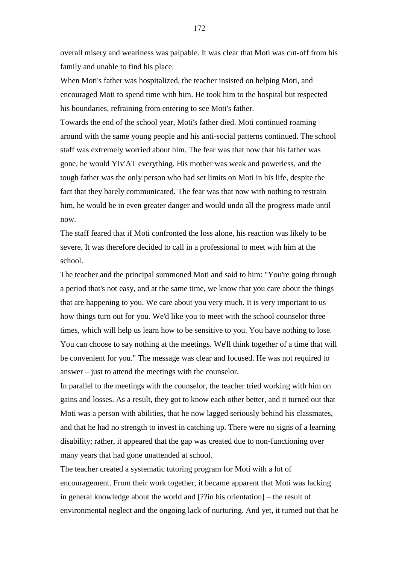overall misery and weariness was palpable. It was clear that Moti was cut-off from his family and unable to find his place.

When Moti's father was hospitalized, the teacher insisted on helping Moti, and encouraged Moti to spend time with him. He took him to the hospital but respected his boundaries, refraining from entering to see Moti's father.

Towards the end of the school year, Moti's father died. Moti continued roaming around with the same young people and his anti-social patterns continued. The school staff was extremely worried about him. The fear was that now that his father was gone, he would YIv'AT everything. His mother was weak and powerless, and the tough father was the only person who had set limits on Moti in his life, despite the fact that they barely communicated. The fear was that now with nothing to restrain him, he would be in even greater danger and would undo all the progress made until now.

The staff feared that if Moti confronted the loss alone, his reaction was likely to be severe. It was therefore decided to call in a professional to meet with him at the school.

The teacher and the principal summoned Moti and said to him: "You're going through a period that's not easy, and at the same time, we know that you care about the things that are happening to you. We care about you very much. It is very important to us how things turn out for you. We'd like you to meet with the school counselor three times, which will help us learn how to be sensitive to you. You have nothing to lose. You can choose to say nothing at the meetings. We'll think together of a time that will be convenient for you." The message was clear and focused. He was not required to answer – just to attend the meetings with the counselor.

In parallel to the meetings with the counselor, the teacher tried working with him on gains and losses. As a result, they got to know each other better, and it turned out that Moti was a person with abilities, that he now lagged seriously behind his classmates, and that he had no strength to invest in catching up. There were no signs of a learning disability; rather, it appeared that the gap was created due to non-functioning over many years that had gone unattended at school.

The teacher created a systematic tutoring program for Moti with a lot of encouragement. From their work together, it became apparent that Moti was lacking in general knowledge about the world and [??in his orientation] – the result of environmental neglect and the ongoing lack of nurturing. And yet, it turned out that he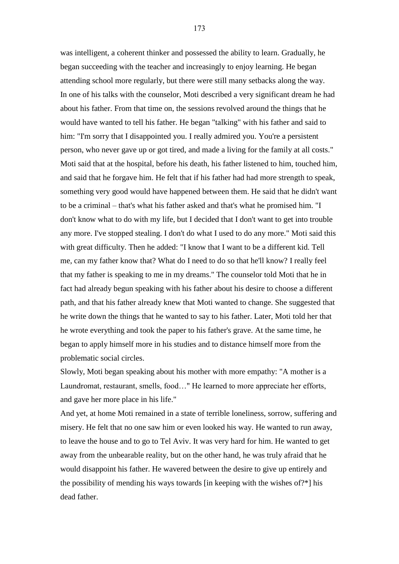was intelligent, a coherent thinker and possessed the ability to learn. Gradually, he began succeeding with the teacher and increasingly to enjoy learning. He began attending school more regularly, but there were still many setbacks along the way. In one of his talks with the counselor, Moti described a very significant dream he had about his father. From that time on, the sessions revolved around the things that he would have wanted to tell his father. He began "talking" with his father and said to him: "I'm sorry that I disappointed you. I really admired you. You're a persistent person, who never gave up or got tired, and made a living for the family at all costs." Moti said that at the hospital, before his death, his father listened to him, touched him, and said that he forgave him. He felt that if his father had had more strength to speak, something very good would have happened between them. He said that he didn't want to be a criminal – that's what his father asked and that's what he promised him. "I don't know what to do with my life, but I decided that I don't want to get into trouble any more. I've stopped stealing. I don't do what I used to do any more." Moti said this with great difficulty. Then he added: "I know that I want to be a different kid. Tell me, can my father know that? What do I need to do so that he'll know? I really feel that my father is speaking to me in my dreams." The counselor told Moti that he in fact had already begun speaking with his father about his desire to choose a different path, and that his father already knew that Moti wanted to change. She suggested that he write down the things that he wanted to say to his father. Later, Moti told her that he wrote everything and took the paper to his father's grave. At the same time, he began to apply himself more in his studies and to distance himself more from the problematic social circles.

Slowly, Moti began speaking about his mother with more empathy: "A mother is a Laundromat, restaurant, smells, food…" He learned to more appreciate her efforts, and gave her more place in his life."

And yet, at home Moti remained in a state of terrible loneliness, sorrow, suffering and misery. He felt that no one saw him or even looked his way. He wanted to run away, to leave the house and to go to Tel Aviv. It was very hard for him. He wanted to get away from the unbearable reality, but on the other hand, he was truly afraid that he would disappoint his father. He wavered between the desire to give up entirely and the possibility of mending his ways towards [in keeping with the wishes of?\*] his dead father.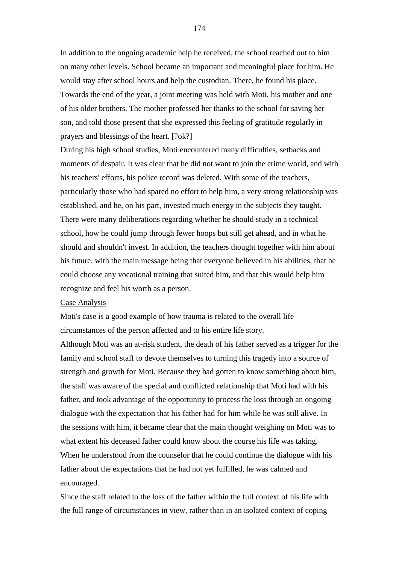In addition to the ongoing academic help he received, the school reached out to him on many other levels. School became an important and meaningful place for him. He would stay after school hours and help the custodian. There, he found his place. Towards the end of the year, a joint meeting was held with Moti, his mother and one of his older brothers. The mother professed her thanks to the school for saving her son, and told those present that she expressed this feeling of gratitude regularly in prayers and blessings of the heart. [?ok?]

During his high school studies, Moti encountered many difficulties, setbacks and moments of despair. It was clear that he did not want to join the crime world, and with his teachers' efforts, his police record was deleted. With some of the teachers, particularly those who had spared no effort to help him, a very strong relationship was established, and he, on his part, invested much energy in the subjects they taught. There were many deliberations regarding whether he should study in a technical school, how he could jump through fewer hoops but still get ahead, and in what he should and shouldn't invest. In addition, the teachers thought together with him about his future, with the main message being that everyone believed in his abilities, that he could choose any vocational training that suited him, and that this would help him recognize and feel his worth as a person.

#### Case Analysis

Moti's case is a good example of how trauma is related to the overall life circumstances of the person affected and to his entire life story.

Although Moti was an at-risk student, the death of his father served as a trigger for the family and school staff to devote themselves to turning this tragedy into a source of strength and growth for Moti. Because they had gotten to know something about him, the staff was aware of the special and conflicted relationship that Moti had with his father, and took advantage of the opportunity to process the loss through an ongoing dialogue with the expectation that his father had for him while he was still alive. In the sessions with him, it became clear that the main thought weighing on Moti was to what extent his deceased father could know about the course his life was taking. When he understood from the counselor that he could continue the dialogue with his father about the expectations that he had not yet fulfilled, he was calmed and encouraged.

Since the staff related to the loss of the father within the full context of his life with the full range of circumstances in view, rather than in an isolated context of coping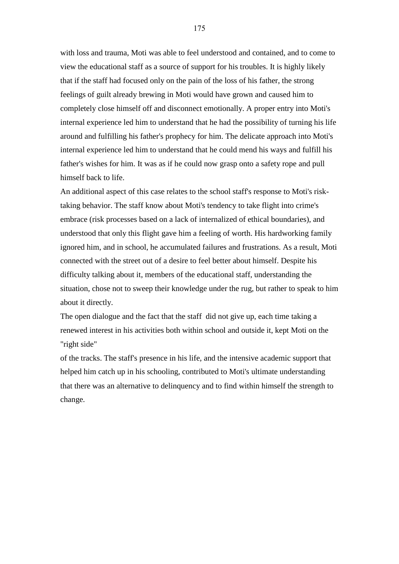with loss and trauma, Moti was able to feel understood and contained, and to come to view the educational staff as a source of support for his troubles. It is highly likely that if the staff had focused only on the pain of the loss of his father, the strong feelings of guilt already brewing in Moti would have grown and caused him to completely close himself off and disconnect emotionally. A proper entry into Moti's internal experience led him to understand that he had the possibility of turning his life around and fulfilling his father's prophecy for him. The delicate approach into Moti's internal experience led him to understand that he could mend his ways and fulfill his father's wishes for him. It was as if he could now grasp onto a safety rope and pull himself back to life.

An additional aspect of this case relates to the school staff's response to Moti's risktaking behavior. The staff know about Moti's tendency to take flight into crime's embrace (risk processes based on a lack of internalized of ethical boundaries), and understood that only this flight gave him a feeling of worth. His hardworking family ignored him, and in school, he accumulated failures and frustrations. As a result, Moti connected with the street out of a desire to feel better about himself. Despite his difficulty talking about it, members of the educational staff, understanding the situation, chose not to sweep their knowledge under the rug, but rather to speak to him about it directly.

The open dialogue and the fact that the staff did not give up, each time taking a renewed interest in his activities both within school and outside it, kept Moti on the "right side"

of the tracks. The staff's presence in his life, and the intensive academic support that helped him catch up in his schooling, contributed to Moti's ultimate understanding that there was an alternative to delinquency and to find within himself the strength to change.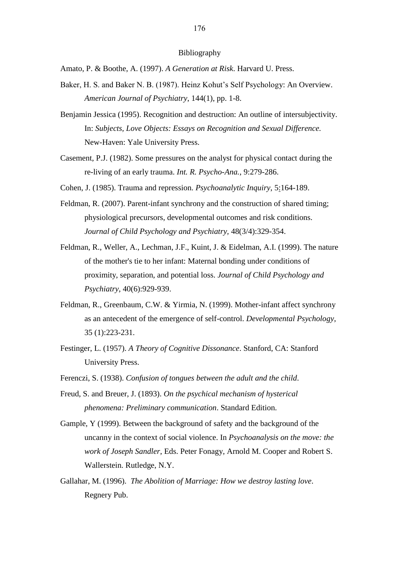### Bibliography

- Amato, P. & Boothe, A. (1997). *A Generation at Risk*. Harvard U. Press.
- Baker, H. S. and Baker N. B. (1987). Heinz Kohut's Self Psychology: An Overview. *American Journal of Psychiatry*, 144(1), pp. 1-8.
- Benjamin Jessica (1995). Recognition and destruction: An outline of intersubjectivity. In: *Subjects, Love Objects: Essays on Recognition and Sexual Difference.* New-Haven: Yale University Press.
- Casement, P.J. (1982). Some pressures on the analyst for physical contact during the re-living of an early trauma. *Int. R. Psycho-Ana.*, 9:279-286.
- Cohen, J. (1985). Trauma and repression. *Psychoanalytic Inquiry*, 5:164-189.
- Feldman, R. (2007). Parent-infant synchrony and the construction of shared timing; physiological precursors, developmental outcomes and risk conditions. *Journal of Child Psychology and Psychiatry,* 48(3/4):329-354.
- Feldman, R., Weller, A., Lechman, J.F., Kuint, J. & Eidelman, A.I. (1999). The nature of the mother's tie to her infant: Maternal bonding under conditions of proximity, separation, and potential loss. *Journal of Child Psychology and Psychiatry*, 40(6):929-939.
- Feldman, R., Greenbaum, C.W. & Yirmia, N. (1999). Mother-infant affect synchrony as an antecedent of the emergence of self-control. *Developmental Psychology*, 35 (1):223-231.
- Festinger, L. (1957). *A Theory of Cognitive Dissonance*. Stanford, CA: Stanford University Press.
- Ferenczi, S. (1938). *Confusion of tongues between the adult and the child*.
- Freud, S. and Breuer, J. (1893). *On the psychical mechanism of hysterical phenomena: Preliminary communication*. Standard Edition.
- Gample, Y (1999). Between the background of safety and the background of the uncanny in the context of social violence. In *Psychoanalysis on the move: the work of Joseph Sandler*, Eds. Peter Fonagy, Arnold M. Cooper and Robert S. Wallerstein. Rutledge, N.Y.
- Gallahar, M. (1996). *The Abolition of Marriage: How we destroy lasting love*. Regnery Pub.